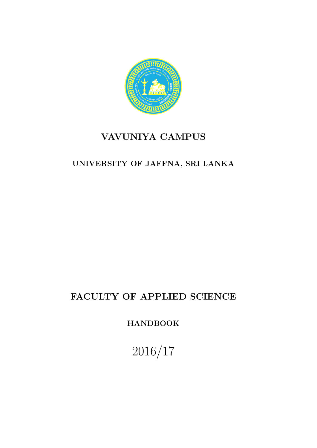

## VAVUNIYA CAMPUS

## UNIVERSITY OF JAFFNA, SRI LANKA

## FACULTY OF APPLIED SCIENCE

HANDBOOK

2016/17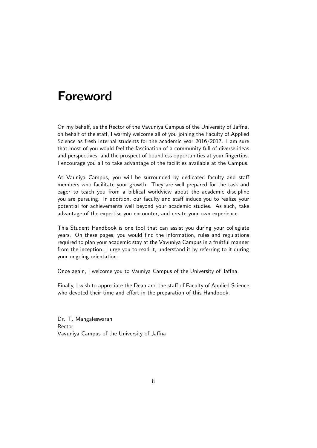## Foreword

On my behalf, as the Rector of the Vavuniya Campus of the University of Jaffna, on behalf of the staff, I warmly welcome all of you joining the Faculty of Applied Science as fresh internal students for the academic year 2016/2017. I am sure that most of you would feel the fascination of a community full of diverse ideas and perspectives, and the prospect of boundless opportunities at your fingertips. I encourage you all to take advantage of the facilities available at the Campus.

At Vauniya Campus, you will be surrounded by dedicated faculty and staff members who facilitate your growth. They are well prepared for the task and eager to teach you from a biblical worldview about the academic discipline you are pursuing. In addition, our faculty and staff induce you to realize your potential for achievements well beyond your academic studies. As such, take advantage of the expertise you encounter, and create your own experience.

This Student Handbook is one tool that can assist you during your collegiate years. On these pages, you would find the information, rules and regulations required to plan your academic stay at the Vavuniya Campus in a fruitful manner from the inception. I urge you to read it, understand it by referring to it during your ongoing orientation.

Once again, I welcome you to Vauniya Campus of the University of Jaffna.

Finally, I wish to appreciate the Dean and the staff of Faculty of Applied Science who devoted their time and effort in the preparation of this Handbook.

Dr. T. Mangaleswaran Rector Vavuniya Campus of the University of Jaffna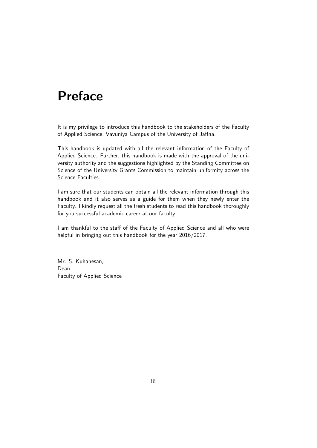# Preface

It is my privilege to introduce this handbook to the stakeholders of the Faculty of Applied Science, Vavuniya Campus of the University of Jaffna.

This handbook is updated with all the relevant information of the Faculty of Applied Science. Further, this handbook is made with the approval of the university authority and the suggestions highlighted by the Standing Committee on Science of the University Grants Commission to maintain uniformity across the Science Faculties.

I am sure that our students can obtain all the relevant information through this handbook and it also serves as a guide for them when they newly enter the Faculty. I kindly request all the fresh students to read this handbook thoroughly for you successful academic career at our faculty.

I am thankful to the staff of the Faculty of Applied Science and all who were helpful in bringing out this handbook for the year 2016/2017.

Mr. S. Kuhanesan, Dean Faculty of Applied Science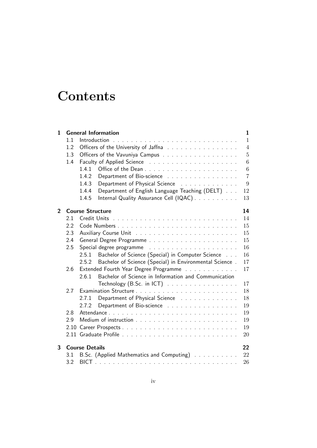# **Contents**

| 1              |      | <b>General Information</b>                                       | $\mathbf{1}$   |  |  |  |  |
|----------------|------|------------------------------------------------------------------|----------------|--|--|--|--|
|                | 1.1  |                                                                  | $\mathbf{1}$   |  |  |  |  |
|                | 1.2  | Officers of the University of Jaffna                             | $\overline{4}$ |  |  |  |  |
|                | 1.3  | Officers of the Vavuniya Campus                                  | $\overline{5}$ |  |  |  |  |
|                | 1.4  |                                                                  |                |  |  |  |  |
|                |      | 1.4.1                                                            | $\overline{6}$ |  |  |  |  |
|                |      | Department of Bio-science<br>1.4.2                               | $\overline{7}$ |  |  |  |  |
|                |      | Department of Physical Science<br>1.4.3                          | 9              |  |  |  |  |
|                |      | Department of English Language Teaching (DELT)<br>1.4.4          | 12             |  |  |  |  |
|                |      | Internal Quality Assurance Cell (IQAC)<br>1.4.5                  | 13             |  |  |  |  |
| $\overline{2}$ |      | <b>Course Structure</b>                                          | 14             |  |  |  |  |
|                | 2.1  |                                                                  | 14             |  |  |  |  |
|                | 2.2  |                                                                  | 15             |  |  |  |  |
|                | 2.3  | 15                                                               |                |  |  |  |  |
|                | 2.4  | 15                                                               |                |  |  |  |  |
|                | 2.5  | 16                                                               |                |  |  |  |  |
|                |      | Bachelor of Science (Special) in Computer Science<br>2.5.1       | 16             |  |  |  |  |
|                |      | Bachelor of Science (Special) in Environmental Science.<br>2.5.2 | 17             |  |  |  |  |
|                | 2.6  | Extended Fourth Year Degree Programme<br>17                      |                |  |  |  |  |
|                |      | Bachelor of Science in Information and Communication<br>2.6.1    |                |  |  |  |  |
|                |      | Technology (B.Sc. in ICT) $\ldots \ldots \ldots \ldots \ldots$   | 17             |  |  |  |  |
|                | 2.7  |                                                                  | 18             |  |  |  |  |
|                |      | Department of Physical Science<br>2.7.1                          | 18             |  |  |  |  |
|                |      | Department of Bio-science<br>2.7.2                               | 19             |  |  |  |  |
|                | 2.8  |                                                                  | 19             |  |  |  |  |
|                | 2.9  |                                                                  | 19             |  |  |  |  |
|                | 2.10 |                                                                  | 19             |  |  |  |  |
|                |      |                                                                  | 20             |  |  |  |  |
| 3              |      | <b>Course Details</b>                                            | 22             |  |  |  |  |
|                | 3.1  | B.Sc. (Applied Mathematics and Computing)                        | 22             |  |  |  |  |
|                | 3.2  |                                                                  | 26             |  |  |  |  |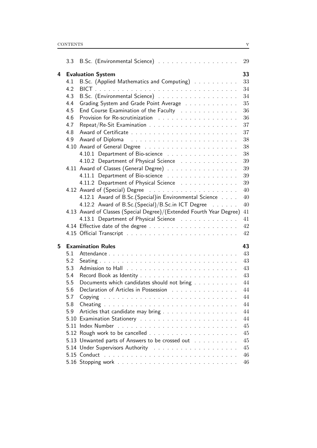|                               |     |                                                                      | 29 |
|-------------------------------|-----|----------------------------------------------------------------------|----|
| <b>Evaluation System</b><br>4 |     |                                                                      | 33 |
|                               | 4.1 | B.Sc. (Applied Mathematics and Computing)                            | 33 |
|                               | 4.2 |                                                                      | 34 |
|                               | 4.3 |                                                                      | 34 |
|                               | 4.4 | Grading System and Grade Point Average                               | 35 |
|                               | 4.5 | End Course Examination of the Faculty                                | 36 |
|                               | 4.6 |                                                                      | 36 |
|                               | 4.7 |                                                                      | 37 |
|                               | 4.8 |                                                                      | 37 |
|                               | 4.9 |                                                                      | 38 |
|                               |     |                                                                      | 38 |
|                               |     | 4.10.1 Department of Bio-science                                     | 38 |
|                               |     | 4.10.2 Department of Physical Science                                | 39 |
|                               |     | 4.11 Award of Classes (General Degree)                               | 39 |
|                               |     | 4.11.1 Department of Bio-science                                     | 39 |
|                               |     | 4.11.2 Department of Physical Science                                | 39 |
|                               |     |                                                                      | 40 |
|                               |     | 4.12.1 Award of B.Sc.(Special)in Environmental Science               | 40 |
|                               |     | 4.12.2 Award of B.Sc.(Special)/B.Sc.in ICT Degree                    | 40 |
|                               |     | 4.13 Award of Classes (Special Degree)/(Extended Fourth Year Degree) | 41 |
|                               |     | 4.13.1 Department of Physical Science                                | 41 |
|                               |     |                                                                      | 42 |
|                               |     |                                                                      | 42 |
|                               |     |                                                                      |    |
| 5.                            |     | <b>Examination Rules</b>                                             | 43 |
|                               | 5.1 |                                                                      | 43 |
|                               | 5.2 |                                                                      | 43 |
|                               | 5.3 |                                                                      | 43 |
|                               | 5.4 |                                                                      | 43 |
|                               | 5.5 | Documents which candidates should not bring                          | 44 |
|                               | 5.6 | Declaration of Articles in Possession [1] [1]                        | 44 |
|                               | 5.7 |                                                                      | 44 |
|                               | 5.8 |                                                                      | 44 |
|                               | 5.9 | Articles that candidate may bring                                    | 44 |
|                               |     |                                                                      | 44 |
|                               |     |                                                                      | 45 |
|                               |     |                                                                      | 45 |
|                               |     | 5.13 Unwanted parts of Answers to be crossed out with a state of a   | 45 |
|                               |     |                                                                      | 45 |
|                               |     |                                                                      | 46 |
|                               |     |                                                                      | 46 |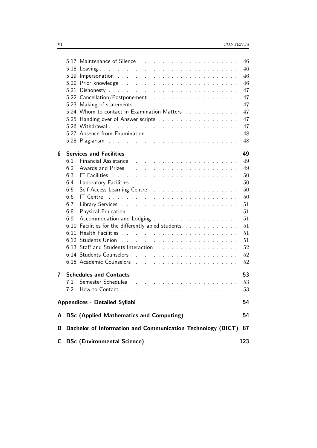|   |                                                                                          |  | 46  |
|---|------------------------------------------------------------------------------------------|--|-----|
|   |                                                                                          |  | 46  |
|   |                                                                                          |  | 46  |
|   |                                                                                          |  | 46  |
|   |                                                                                          |  | 47  |
|   |                                                                                          |  | 47  |
|   |                                                                                          |  | 47  |
|   | 5.24 Whom to contact in Examination Matters                                              |  | 47  |
|   |                                                                                          |  | 47  |
|   |                                                                                          |  | 47  |
|   |                                                                                          |  | 48  |
|   |                                                                                          |  | 48  |
|   |                                                                                          |  |     |
| 6 | <b>Services and Facilities</b>                                                           |  | 49  |
|   | 6.1                                                                                      |  | 49  |
|   | 6.2                                                                                      |  | 49  |
|   | 6.3                                                                                      |  | 50  |
|   | 6.4                                                                                      |  | 50  |
|   | 6.5                                                                                      |  | 50  |
|   | 6.6<br>IT Centre $\ldots \ldots \ldots \ldots \ldots \ldots \ldots \ldots \ldots \ldots$ |  | 50  |
|   | 6.7                                                                                      |  | 51  |
|   | 6.8                                                                                      |  | 51  |
|   | 6.9                                                                                      |  | 51  |
|   | Facilities for the differently abled students<br>6.10                                    |  | 51  |
|   |                                                                                          |  | 51  |
|   |                                                                                          |  | 51  |
|   |                                                                                          |  | 52  |
|   |                                                                                          |  | 52  |
|   |                                                                                          |  | 52  |
|   |                                                                                          |  |     |
| 7 | <b>Schedules and Contacts</b>                                                            |  | 53  |
|   | 7.1                                                                                      |  | 53  |
|   | 7.2                                                                                      |  | 53  |
|   | <b>Appendices - Detailed Syllabi</b>                                                     |  | 54  |
|   | A BSc (Applied Mathematics and Computing)                                                |  | 54  |
| В | Bachelor of Information and Communication Technology (BICT)                              |  | 87  |
| C | <b>BSc (Environmental Science)</b>                                                       |  | 123 |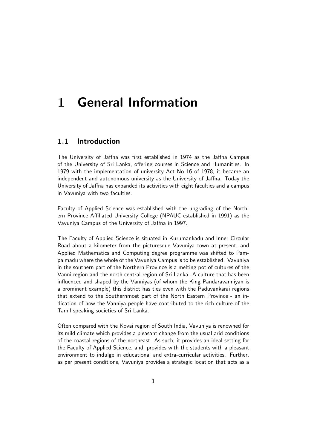# 1 General Information

## 1.1 Introduction

The University of Jaffna was first established in 1974 as the Jaffna Campus of the University of Sri Lanka, offering courses in Science and Humanities. In 1979 with the implementation of university Act No 16 of 1978, it became an independent and autonomous university as the University of Jaffna. Today the University of Jaffna has expanded its activities with eight faculties and a campus in Vavuniya with two faculties.

Faculty of Applied Science was established with the upgrading of the Northern Province Affiliated University College (NPAUC established in 1991) as the Vavuniya Campus of the University of Jaffna in 1997.

The Faculty of Applied Science is situated in Kurumankadu and Inner Circular Road about a kilometer from the picturesque Vavuniya town at present, and Applied Mathematics and Computing degree programme was shifted to Pampaimadu where the whole of the Vavuniya Campus is to be established. Vavuniya in the southern part of the Northern Province is a melting pot of cultures of the Vanni region and the north central region of Sri Lanka. A culture that has been influenced and shaped by the Vanniyas (of whom the King Pandaravanniyan is a prominent example) this district has ties even with the Paduvankarai regions that extend to the Southernmost part of the North Eastern Province - an indication of how the Vanniya people have contributed to the rich culture of the Tamil speaking societies of Sri Lanka.

Often compared with the Kovai region of South India, Vavuniya is renowned for its mild climate which provides a pleasant change from the usual arid conditions of the coastal regions of the northeast. As such, it provides an ideal setting for the Faculty of Applied Science, and, provides with the students with a pleasant environment to indulge in educational and extra-curricular activities. Further, as per present conditions, Vavuniya provides a strategic location that acts as a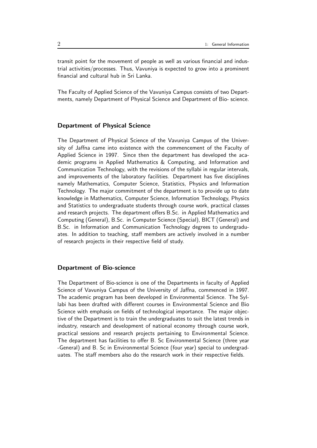transit point for the movement of people as well as various financial and industrial activities/processes. Thus, Vavuniya is expected to grow into a prominent financial and cultural hub in Sri Lanka.

The Faculty of Applied Science of the Vavuniya Campus consists of two Departments, namely Department of Physical Science and Department of Bio- science.

#### Department of Physical Science

The Department of Physical Science of the Vavuniya Campus of the University of Jaffna came into existence with the commencement of the Faculty of Applied Science in 1997. Since then the department has developed the academic programs in Applied Mathematics & Computing, and Information and Communication Technology, with the revisions of the syllabi in regular intervals, and improvements of the laboratory facilities. Department has five disciplines namely Mathematics, Computer Science, Statistics, Physics and Information Technology. The major commitment of the department is to provide up to date knowledge in Mathematics, Computer Science, Information Technology, Physics and Statistics to undergraduate students through course work, practical classes and research projects. The department offers B.Sc. in Applied Mathematics and Computing (General), B.Sc. in Computer Science (Special), BICT (General) and B.Sc. in Information and Communication Technology degrees to undergraduates. In addition to teaching, staff members are actively involved in a number of research projects in their respective field of study.

#### Department of Bio-science

The Department of Bio-science is one of the Departments in faculty of Applied Science of Vavuniya Campus of the University of Jaffna, commenced in 1997. The academic program has been developed in Environmental Science. The Syllabi has been drafted with different courses in Environmental Science and Bio Science with emphasis on fields of technological importance. The major objective of the Department is to train the undergraduates to suit the latest trends in industry, research and development of national economy through course work, practical sessions and research projects pertaining to Environmental Science. The department has facilities to offer B. Sc Environmental Science (three year -General) and B. Sc in Environmental Science (four year) special to undergraduates. The staff members also do the research work in their respective fields.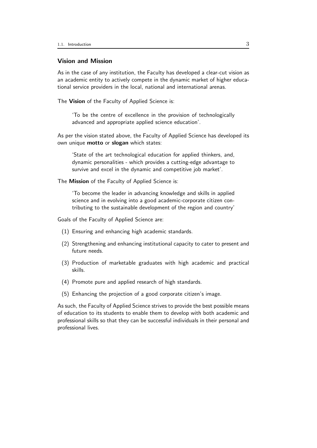#### Vision and Mission

As in the case of any institution, the Faculty has developed a clear-cut vision as an academic entity to actively compete in the dynamic market of higher educational service providers in the local, national and international arenas.

The Vision of the Faculty of Applied Science is:

'To be the centre of excellence in the provision of technologically advanced and appropriate applied science education'.

As per the vision stated above, the Faculty of Applied Science has developed its own unique **motto** or **slogan** which states:

'State of the art technological education for applied thinkers, and, dynamic personalities - which provides a cutting-edge advantage to survive and excel in the dynamic and competitive job market'.

The Mission of the Faculty of Applied Science is:

'To become the leader in advancing knowledge and skills in applied science and in evolving into a good academic-corporate citizen contributing to the sustainable development of the region and country'

Goals of the Faculty of Applied Science are:

- (1) Ensuring and enhancing high academic standards.
- (2) Strengthening and enhancing institutional capacity to cater to present and future needs.
- (3) Production of marketable graduates with high academic and practical skills.
- (4) Promote pure and applied research of high standards.
- (5) Enhancing the projection of a good corporate citizen's image.

As such, the Faculty of Applied Science strives to provide the best possible means of education to its students to enable them to develop with both academic and professional skills so that they can be successful individuals in their personal and professional lives.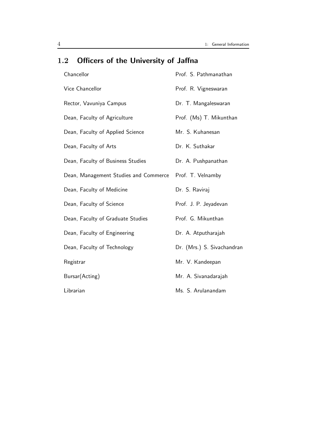| Chancellor                            | Prof. S. Pathmanathan      |
|---------------------------------------|----------------------------|
| Vice Chancellor                       | Prof. R. Vigneswaran       |
| Rector, Vavuniya Campus               | Dr. T. Mangaleswaran       |
| Dean, Faculty of Agriculture          | Prof. (Ms) T. Mikunthan    |
| Dean, Faculty of Applied Science      | Mr. S. Kuhanesan           |
| Dean, Faculty of Arts                 | Dr. K. Suthakar            |
| Dean, Faculty of Business Studies     | Dr. A. Pushpanathan        |
| Dean, Management Studies and Commerce | Prof. T. Velnamby          |
| Dean, Faculty of Medicine             | Dr. S. Raviraj             |
| Dean, Faculty of Science              | Prof. J. P. Jeyadevan      |
| Dean, Faculty of Graduate Studies     | Prof. G. Mikunthan         |
| Dean, Faculty of Engineering          | Dr. A. Atputharajah        |
| Dean, Faculty of Technology           | Dr. (Mrs.) S. Sivachandran |
| Registrar                             | Mr. V. Kandeepan           |
| Bursar(Acting)                        | Mr. A. Sivanadarajah       |
| Librarian                             | Ms. S. Arulanandam         |

## 1.2 Officers of the University of Jaffna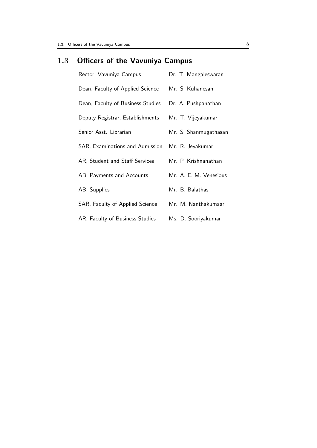## 1.3 Officers of the Vavuniya Campus

| Rector, Vavuniya Campus           | Dr. T. Mangaleswaran   |
|-----------------------------------|------------------------|
| Dean, Faculty of Applied Science  | Mr. S. Kuhanesan       |
| Dean, Faculty of Business Studies | Dr. A. Pushpanathan    |
| Deputy Registrar, Establishments  | Mr. T. Vijeyakumar     |
| Senior Asst. Librarian            | Mr. S. Shanmugathasan  |
| SAR, Examinations and Admission   | Mr. R. Jeyakumar       |
| AR, Student and Staff Services    | Mr. P. Krishnanathan   |
| AB, Payments and Accounts         | Mr. A. E. M. Venesious |
| AB, Supplies                      | Mr. B. Balathas        |
| SAR, Faculty of Applied Science   | Mr. M. Nanthakumaar    |
| AR, Faculty of Business Studies   | Ms. D. Sooriyakumar    |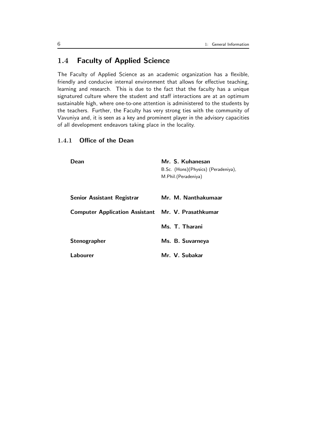## 1.4 Faculty of Applied Science

The Faculty of Applied Science as an academic organization has a flexible, friendly and conducive internal environment that allows for effective teaching, learning and research. This is due to the fact that the faculty has a unique signatured culture where the student and staff interactions are at an optimum sustainable high, where one-to-one attention is administered to the students by the teachers. Further, the Faculty has very strong ties with the community of Vavuniya and, it is seen as a key and prominent player in the advisory capacities of all development endeavors taking place in the locality.

### 1.4.1 Office of the Dean

| Dean                                                      | Mr. S. Kuhanesan<br>B.Sc. (Hons)(Physics) (Peradeniya),<br>M.Phil. (Peradeniya) |
|-----------------------------------------------------------|---------------------------------------------------------------------------------|
| Senior Assistant Registrar                                | Mr. M. Nanthakumaar                                                             |
| <b>Computer Application Assistant Mr. V. Prasathkumar</b> |                                                                                 |
|                                                           | Ms. T. Tharani                                                                  |
| Stenographer                                              | Ms. B. Suvarneya                                                                |
| Labourer                                                  | Mr. V. Subakar                                                                  |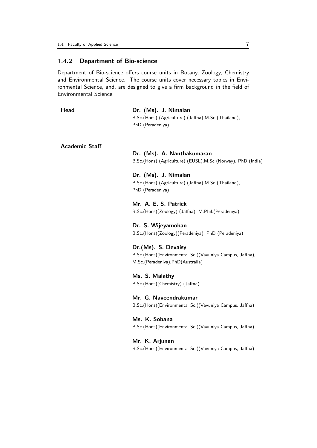#### 1.4.2 Department of Bio-science

Department of Bio-science offers course units in Botany, Zoology, Chemistry and Environmental Science. The course units cover necessary topics in Environmental Science, and, are designed to give a firm background in the field of Environmental Science.

| Head | Dr. (Ms). J. Nimalan                                  |
|------|-------------------------------------------------------|
|      | B.Sc. (Hons) (Agriculture) (Jaffna), M.Sc (Thailand), |
|      | PhD (Peradeniya)                                      |

Academic Staff

Dr. (Ms). A. Nanthakumaran B.Sc.(Hons) (Agriculture) (EUSL),M.Sc (Norway), PhD (India)

Dr. (Ms). J. Nimalan B.Sc.(Hons) (Agriculture) (Jaffna),M.Sc (Thailand), PhD (Peradeniya)

Mr. A. E. S. Patrick B.Sc.(Hons)(Zoology) (Jaffna), M.Phil.(Peradeniya)

Dr. S. Wijeyamohan B.Sc.(Hons)(Zoology)(Peradeniya), PhD (Peradeniya)

Dr.(Ms). S. Devaisy B.Sc.(Hons)(Environmental Sc.)(Vavuniya Campus, Jaffna), M.Sc.(Peradeniya),PhD(Australia)

Ms. S. Malathy B.Sc.(Hons)(Chemistry) (Jaffna)

Mr. G. Naveendrakumar B.Sc.(Hons)(Environmental Sc.)(Vavuniya Campus, Jaffna)

Ms. K. Sobana B.Sc.(Hons)(Environmental Sc.)(Vavuniya Campus, Jaffna)

Mr. K. Arjunan B.Sc.(Hons)(Environmental Sc.)(Vavuniya Campus, Jaffna)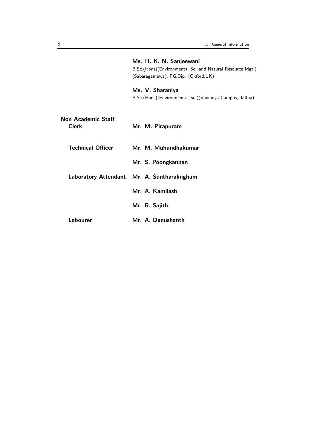|                                    | Ms. H. K. N. Sanjeewani<br>B.Sc.(Hons)(Environmental Sc. and Natural Resource Mgt.)<br>(Sabaragamuwa), PG.Dip. (Oxford,UK) |
|------------------------------------|----------------------------------------------------------------------------------------------------------------------------|
|                                    | Ms. V. Sharaniya<br>B.Sc.(Hons)(Environmental Sc.)(Vavuniya Campus, Jaffna)                                                |
| Non Academic Staff<br><b>Clerk</b> | Mr. M. Pirapuram                                                                                                           |
| <b>Technical Officer</b>           | Mr. M. Muhundhakumar                                                                                                       |
|                                    | Mr. S. Poongkannan                                                                                                         |
|                                    | Laboratory Attendant Mr. A. Suntharalingham                                                                                |
|                                    | Mr. A. Kamilash                                                                                                            |
|                                    | Mr. R. Sajith                                                                                                              |
| Labourer                           | Mr. A. Danushanth                                                                                                          |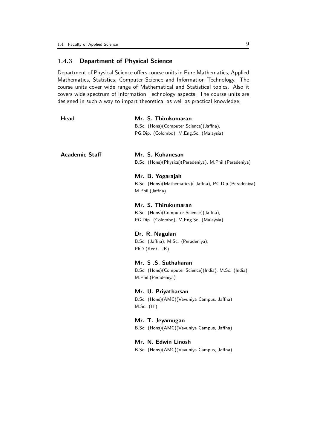### 1.4.3 Department of Physical Science

Department of Physical Science offers course units in Pure Mathematics, Applied Mathematics, Statistics, Computer Science and Information Technology. The course units cover wide range of Mathematical and Statistical topics. Also it covers wide spectrum of Information Technology aspects. The course units are designed in such a way to impart theoretical as well as practical knowledge.

| Head                  | Mr. S. Thirukumaran                                                          |
|-----------------------|------------------------------------------------------------------------------|
|                       | B.Sc. (Hons)(Computer Science)(Jaffna),                                      |
|                       | PG.Dip. (Colombo), M.Eng.Sc. (Malaysia)                                      |
| <b>Academic Staff</b> | Mr. S. Kuhanesan                                                             |
|                       | B.Sc. (Hons)(Physics)(Peradeniya), M.Phil.(Peradeniya)                       |
|                       | Mr. B. Yogarajah                                                             |
|                       | B.Sc. (Hons)(Mathematics)( Jaffna), PG.Dip.(Peradeniya)<br>M.Phil.(Jaffna)   |
|                       | Mr. S. Thirukumaran                                                          |
|                       | B.Sc. (Hons)(Computer Science)(Jaffna),                                      |
|                       | PG.Dip. (Colombo), M.Eng.Sc. (Malaysia)                                      |
|                       | Dr. R. Nagulan                                                               |
|                       | B.Sc. (Jaffna), M.Sc. (Peradeniya),                                          |
|                       | PhD (Kent, UK)                                                               |
|                       | Mr. S.S. Suthaharan                                                          |
|                       | B.Sc. (Hons)(Computer Science)(India), M.Sc. (India)<br>M.Phil. (Peradeniya) |
|                       | Mr. U. Priyatharsan                                                          |
|                       | B.Sc. (Hons)(AMC)(Vavuniya Campus, Jaffna)                                   |
|                       | $M.Sc.$ (IT)                                                                 |
|                       | Mr. T. Jeyamugan                                                             |
|                       | B.Sc. (Hons)(AMC)(Vavuniya Campus, Jaffna)                                   |
|                       | Mr. N. Edwin Linosh                                                          |
|                       | B.Sc. (Hons)(AMC)(Vavuniya Campus, Jaffna)                                   |
|                       |                                                                              |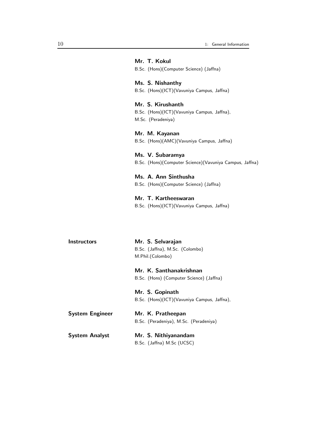|                        | Mr. T. Kokul<br>B.Sc. (Hons)(Computer Science) (Jaffna)                                 |
|------------------------|-----------------------------------------------------------------------------------------|
|                        | Ms. S. Nishanthy<br>B.Sc. (Hons)(ICT)(Vavuniya Campus, Jaffna)                          |
|                        | Mr. S. Kirushanth<br>B.Sc. (Hons)(ICT)(Vavuniya Campus, Jaffna),<br>M.Sc. (Peradeniya)  |
|                        | Mr. M. Kayanan<br>B.Sc. (Hons)(AMC)(Vavuniya Campus, Jaffna)                            |
|                        | Ms. V. Subaramya<br>B.Sc. (Hons)(Computer Science)(Vavuniya Campus, Jaffna)             |
|                        | Ms. A. Ann Sinthusha<br>B.Sc. (Hons)(Computer Science) (Jaffna)                         |
|                        | Mr. T. Kartheeswaran<br>B.Sc. (Hons)(ICT)(Vavuniya Campus, Jaffna)                      |
| <b>Instructors</b>     | Mr. S. Selvarajan<br>B.Sc. (Jaffna), M.Sc. (Colombo)                                    |
|                        | M.Phil.(Colombo)<br>Mr. K. Santhanakrishnan<br>B.Sc. (Hons) (Computer Science) (Jaffna) |
|                        | Mr. S. Gopinath<br>B.Sc. (Hons)(ICT)(Vavuniya Campus, Jaffna),                          |
| <b>System Engineer</b> | Mr. K. Pratheepan<br>B.Sc. (Peradeniya), M.Sc. (Peradeniya)                             |

| System Analyst | Mr. S. Nithiyanandam       |
|----------------|----------------------------|
|                | B.Sc. (Jaffna) M.Sc (UCSC) |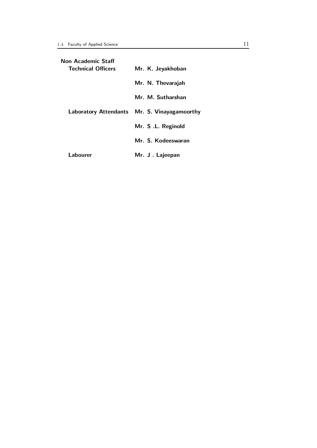| Non Academic Staff        |                                              |
|---------------------------|----------------------------------------------|
| <b>Technical Officers</b> | Mr. K. Jeyakhoban                            |
|                           | Mr. N. Thevarajah                            |
|                           | Mr. M. Sutharshan                            |
|                           | Laboratory Attendants Mr. S. Vinayagamoorthy |
|                           | Mr. S.L. Reginold                            |
|                           | Mr. S. Kodeeswaran                           |
| Labourer                  | Mr. J. Lajeepan                              |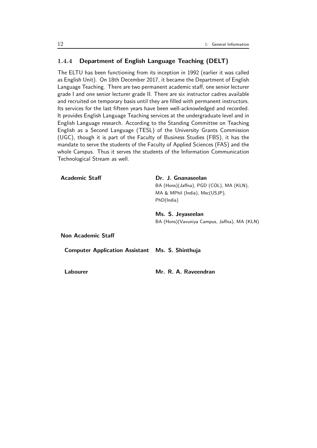#### 1.4.4 Department of English Language Teaching (DELT)

Academic Staff Dr. J. Gnanaseelan

The ELTU has been functioning from its inception in 1992 (earlier it was called as English Unit). On 18th December 2017, it became the Department of English Language Teaching. There are two permanent academic staff, one senior lecturer grade I and one senior lecturer grade II. There are six instructor cadres available and recruited on temporary basis until they are filled with permanent instructors. Its services for the last fifteen years have been well-acknowledged and recorded. It provides English Language Teaching services at the undergraduate level and in English Language research. According to the Standing Committee on Teaching English as a Second Language (TESL) of the University Grants Commission (UGC), though it is part of the Faculty of Business Studies (FBS), it has the mandate to serve the students of the Faculty of Applied Sciences (FAS) and the whole Campus. Thus it serves the students of the Information Communication Technological Stream as well.

|                                                        | BA (Hons)(Jaffna), PGD (COL), MA (KLN),       |
|--------------------------------------------------------|-----------------------------------------------|
|                                                        | MA & MPhil (India), Msc(USJP),                |
|                                                        | PhD(India)                                    |
|                                                        | Ms. S. Jeyaseelan                             |
|                                                        | BA (Hons) (Vavuniya Campus, Jaffna), MA (KLN) |
| <b>Non Academic Staff</b>                              |                                               |
| <b>Computer Application Assistant Ms. S. Shinthuja</b> |                                               |
|                                                        |                                               |
| Labourer                                               | Mr. R. A. Raveendran                          |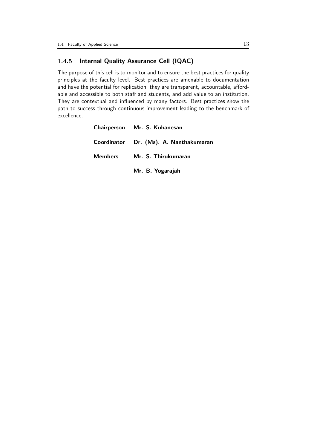### 1.4.5 Internal Quality Assurance Cell (IQAC)

The purpose of this cell is to monitor and to ensure the best practices for quality principles at the faculty level. Best practices are amenable to documentation and have the potential for replication; they are transparent, accountable, affordable and accessible to both staff and students, and add value to an institution. They are contextual and influenced by many factors. Best practices show the path to success through continuous improvement leading to the benchmark of excellence.

| Chairperson Mr. S. Kuhanesan           |
|----------------------------------------|
| Coordinator Dr. (Ms). A. Nanthakumaran |
| Members Mr. S. Thirukumaran            |
| Mr. B. Yogarajah                       |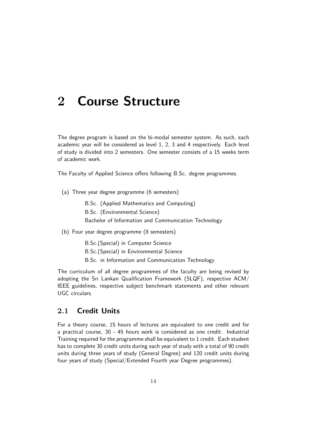# 2 Course Structure

The degree program is based on the bi-modal semester system. As such, each academic year will be considered as level 1, 2, 3 and 4 respectively. Each level of study is divided into 2 semesters. One semester consists of a 15 weeks term of academic work.

The Faculty of Applied Science offers following B.Sc. degree programmes.

(a) Three year degree programme (6 semesters)

B.Sc. (Applied Mathematics and Computing) B.Sc. (Environmental Science)

Bachelor of Information and Communication Technology

(b) Four year degree programme (8 semesters)

B.Sc.(Special) in Computer Science

B.Sc.(Special) in Environmental Science

B.Sc. in Information and Communication Technology

The curriculum of all degree programmes of the faculty are being revised by adopting the Sri Lankan Qualification Framework (SLQF), respective ACM/ IEEE guidelines, respective subject benchmark statements and other relevant UGC circulars.

### 2.1 Credit Units

For a theory course, 15 hours of lectures are equivalent to one credit and for a practical course, 30 - 45 hours work is considered as one credit. Industrial Training required for the programme shall be equivalent to 1 credit. Each student has to complete 30 credit units during each year of study with a total of 90 credit units during three years of study (General Degree) and 120 credit units during four years of study (Special/Extended Fourth year Degree programmes).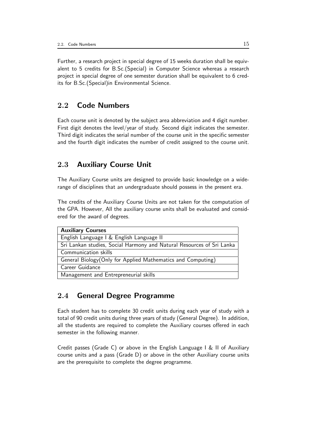Further, a research project in special degree of 15 weeks duration shall be equivalent to 5 credits for B.Sc.(Special) in Computer Science whereas a research project in special degree of one semester duration shall be equivalent to 6 credits for B.Sc.(Special)in Environmental Science.

## 2.2 Code Numbers

Each course unit is denoted by the subject area abbreviation and 4 digit number. First digit denotes the level/year of study. Second digit indicates the semester. Third digit indicates the serial number of the course unit in the specific semester and the fourth digit indicates the number of credit assigned to the course unit.

## 2.3 Auxiliary Course Unit

The Auxiliary Course units are designed to provide basic knowledge on a widerange of disciplines that an undergraduate should possess in the present era.

The credits of the Auxiliary Course Units are not taken for the computation of the GPA. However, All the auxiliary course units shall be evaluated and considered for the award of degrees.

| <b>Auxiliary Courses</b>                                              |
|-----------------------------------------------------------------------|
| English Language I & English Language II                              |
| Sri Lankan studies, Social Harmony and Natural Resources of Sri Lanka |
| Communication skills                                                  |
| General Biology (Only for Applied Mathematics and Computing)          |
| Career Guidance                                                       |
| Management and Entrepreneurial skills                                 |

## 2.4 General Degree Programme

Each student has to complete 30 credit units during each year of study with a total of 90 credit units during three years of study (General Degree). In addition, all the students are required to complete the Auxiliary courses offered in each semester in the following manner.

Credit passes (Grade C) or above in the English Language I & II of Auxiliary course units and a pass (Grade D) or above in the other Auxiliary course units are the prerequisite to complete the degree programme.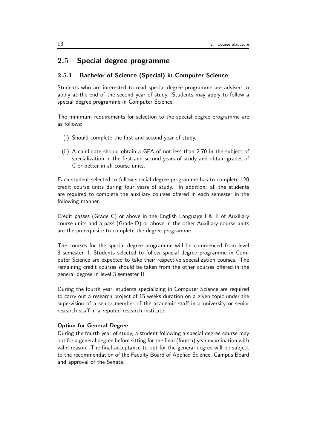### 2.5 Special degree programme

#### 2.5.1 Bachelor of Science (Special) in Computer Science

Students who are interested to read special degree programme are advised to apply at the end of the second year of study. Students may apply to follow a special degree programme in Computer Science.

The minimum requirements for selection to the special degree programme are as follows:

- (i) Should complete the first and second year of study.
- (ii) A candidate should obtain a GPA of not less than 2.70 in the subject of specialization in the first and second years of study and obtain grades of C or better in all course units.

Each student selected to follow special degree programme has to complete 120 credit course units during four years of study. In addition, all the students are required to complete the auxiliary courses offered in each semester in the following manner.

Credit passes (Grade C) or above in the English Language I & II of Auxiliary course units and a pass (Grade D) or above in the other Auxiliary course units are the prerequisite to complete the degree programme.

The courses for the special degree programme will be commenced from level 3 semester II. Students selected to follow special degree programme in Computer Science are expected to take their respective specialization courses. The remaining credit courses should be taken from the other courses offered in the general degree in level 3 semester II.

During the fourth year, students specializing in Computer Science are required to carry out a research project of 15 weeks duration on a given topic under the supervision of a senior member of the academic staff in a university or senior research staff in a reputed research institute.

#### Option for General Degree

During the fourth year of study, a student following a special degree course may opt for a general degree before sitting for the final (fourth) year examination with valid reason. The final acceptance to opt for the general degree will be subject to the recommendation of the Faculty Board of Applied Science, Campus Board and approval of the Senate.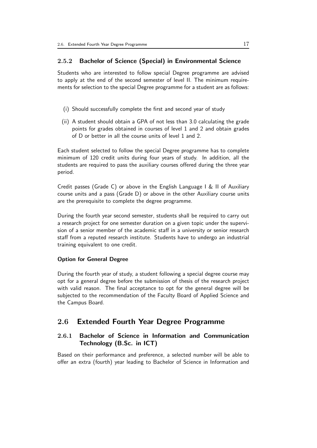#### 2.5.2 Bachelor of Science (Special) in Environmental Science

Students who are interested to follow special Degree programme are advised to apply at the end of the second semester of level II. The minimum requirements for selection to the special Degree programme for a student are as follows:

- (i) Should successfully complete the first and second year of study
- (ii) A student should obtain a GPA of not less than 3.0 calculating the grade points for grades obtained in courses of level 1 and 2 and obtain grades of D or better in all the course units of level 1 and 2.

Each student selected to follow the special Degree programme has to complete minimum of 120 credit units during four years of study. In addition, all the students are required to pass the auxiliary courses offered during the three year period.

Credit passes (Grade C) or above in the English Language I & II of Auxiliary course units and a pass (Grade D) or above in the other Auxiliary course units are the prerequisite to complete the degree programme.

During the fourth year second semester, students shall be required to carry out a research project for one semester duration on a given topic under the supervision of a senior member of the academic staff in a university or senior research staff from a reputed research institute. Students have to undergo an industrial training equivalent to one credit.

#### Option for General Degree

During the fourth year of study, a student following a special degree course may opt for a general degree before the submission of thesis of the research project with valid reason. The final acceptance to opt for the general degree will be subjected to the recommendation of the Faculty Board of Applied Science and the Campus Board.

### 2.6 Extended Fourth Year Degree Programme

### 2.6.1 Bachelor of Science in Information and Communication Technology (B.Sc. in ICT)

Based on their performance and preference, a selected number will be able to offer an extra (fourth) year leading to Bachelor of Science in Information and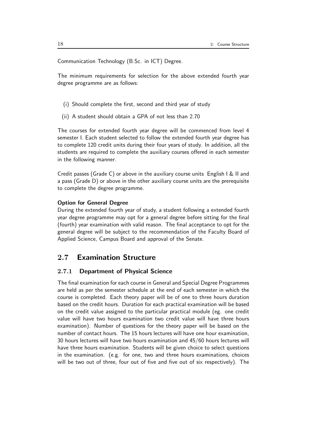Communication Technology (B.Sc. in ICT) Degree.

The minimum requirements for selection for the above extended fourth year degree programme are as follows:

- (i) Should complete the first, second and third year of study
- (ii) A student should obtain a GPA of not less than 2.70

The courses for extended fourth year degree will be commenced from level 4 semester I. Each student selected to follow the extended fourth year degree has to complete 120 credit units during their four years of study. In addition, all the students are required to complete the auxiliary courses offered in each semester in the following manner.

Credit passes (Grade C) or above in the auxiliary course units English I & II and a pass (Grade D) or above in the other auxiliary course units are the prerequisite to complete the degree programme.

#### Option for General Degree

During the extended fourth year of study, a student following a extended fourth year degree programme may opt for a general degree before sitting for the final (fourth) year examination with valid reason. The final acceptance to opt for the general degree will be subject to the recommendation of the Faculty Board of Applied Science, Campus Board and approval of the Senate.

## 2.7 Examination Structure

#### 2.7.1 Department of Physical Science

The final examination for each course in General and Special Degree Programmes are held as per the semester schedule at the end of each semester in which the course is completed. Each theory paper will be of one to three hours duration based on the credit hours. Duration for each practical examination will be based on the credit value assigned to the particular practical module (eg. one credit value will have two hours examination two credit value will have three hours examination). Number of questions for the theory paper will be based on the number of contact hours. The 15 hours lectures will have one hour examination, 30 hours lectures will have two hours examination and 45/60 hours lectures will have three hours examination. Students will be given choice to select questions in the examination. (e.g. for one, two and three hours examinations, choices will be two out of three, four out of five and five out of six respectively). The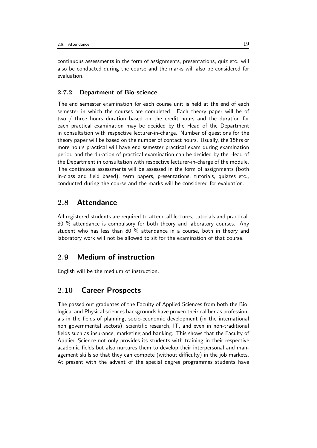continuous assessments in the form of assignments, presentations, quiz etc. will also be conducted during the course and the marks will also be considered for evaluation.

#### 2.7.2 Department of Bio-science

The end semester examination for each course unit is held at the end of each semester in which the courses are completed. Each theory paper will be of two / three hours duration based on the credit hours and the duration for each practical examination may be decided by the Head of the Department in consultation with respective lecturer-in-charge. Number of questions for the theory paper will be based on the number of contact hours. Usually, the 15hrs or more hours practical will have end semester practical exam during examination period and the duration of practical examination can be decided by the Head of the Department in consultation with respective lecturer-in-charge of the module. The continuous assessments will be assessed in the form of assignments (both in-class and field based), term papers, presentations, tutorials, quizzes etc., conducted during the course and the marks will be considered for evaluation.

## 2.8 Attendance

All registered students are required to attend all lectures, tutorials and practical. 80 % attendance is compulsory for both theory and laboratory courses. Any student who has less than 80 % attendance in a course, both in theory and laboratory work will not be allowed to sit for the examination of that course.

## 2.9 Medium of instruction

English will be the medium of instruction.

## 2.10 Career Prospects

The passed out graduates of the Faculty of Applied Sciences from both the Biological and Physical sciences backgrounds have proven their caliber as professionals in the fields of planning, socio-economic development (in the international non governmental sectors), scientific research, IT, and even in non-traditional fields such as insurance, marketing and banking. This shows that the Faculty of Applied Science not only provides its students with training in their respective academic fields but also nurtures them to develop their interpersonal and management skills so that they can compete (without difficulty) in the job markets. At present with the advent of the special degree programmes students have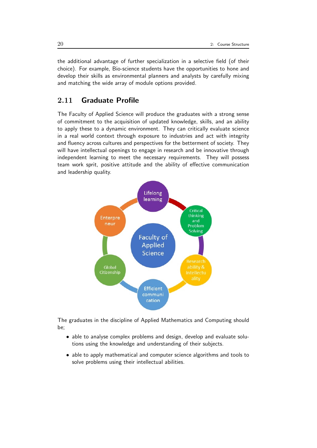the additional advantage of further specialization in a selective field (of their choice). For example, Bio-science students have the opportunities to hone and develop their skills as environmental planners and analysts by carefully mixing and matching the wide array of module options provided.

## 2.11 Graduate Profile

The Faculty of Applied Science will produce the graduates with a strong sense of commitment to the acquisition of updated knowledge, skills, and an ability to apply these to a dynamic environment. They can critically evaluate science in a real world context through exposure to industries and act with integrity and fluency across cultures and perspectives for the betterment of society. They will have intellectual openings to engage in research and be innovative through independent learning to meet the necessary requirements. They will possess team work sprit, positive attitude and the ability of effective communication and leadership quality.



The graduates in the discipline of Applied Mathematics and Computing should be;

- able to analyse complex problems and design, develop and evaluate solutions using the knowledge and understanding of their subjects.
- able to apply mathematical and computer science algorithms and tools to solve problems using their intellectual abilities.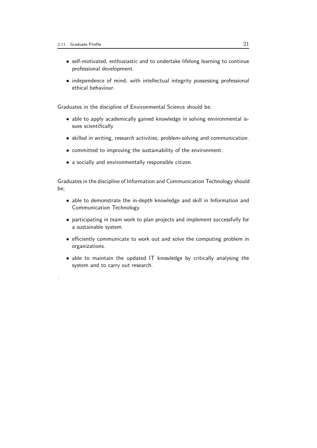.

- self-motivated, enthusiastic and to undertake lifelong learning to continue professional development.
- independence of mind, with intellectual integrity possessing professional ethical behaviour.

Graduates in the discipline of Environmental Science should be;

- able to apply academically gained knowledge in solving environmental issues scientifically.
- skilled in writing, research activities, problem-solving and communication.
- committed to improving the sustainability of the environment.
- a socially and environmentally responsible citizen.

Graduates in the discipline of Information and Communication Technology should be;

- able to demonstrate the in-depth knowledge and skill in Information and Communication Technology.
- participating in team work to plan projects and implement successfully for a sustainable system.
- efficiently communicate to work out and solve the computing problem in organizations.
- able to maintain the updated IT knowledge by critically analysing the system and to carry out research.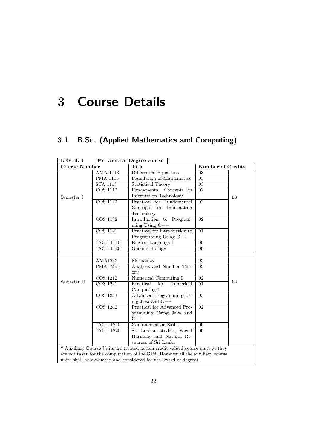# 3 Course Details

## 3.1 B.Sc. (Applied Mathematics and Computing)

| LEVEL 1              |                              | For General Degree course                                                      |                          |    |
|----------------------|------------------------------|--------------------------------------------------------------------------------|--------------------------|----|
| <b>Course Number</b> |                              | Title                                                                          | <b>Number of Credits</b> |    |
|                      | <b>AMA 1113</b>              | Differential Equations                                                         | 03                       |    |
|                      | <b>PMA 1113</b>              | Foundation of Mathematics                                                      | $\overline{03}$          |    |
|                      | <b>STA 1113</b>              | <b>Statistical Theory</b>                                                      | 03                       |    |
|                      | $\overline{\text{COS }1112}$ | Fundamental Concepts<br>in                                                     | 02                       |    |
| Semester I           |                              | Information Technology                                                         |                          | 16 |
|                      | <b>COS 1122</b>              | Practical for Fundamental                                                      | $\overline{02}$          |    |
|                      |                              | Concepts in<br>Information                                                     |                          |    |
|                      |                              | Technology                                                                     |                          |    |
|                      | <b>COS 1132</b>              | Introduction to Program-                                                       | $\overline{02}$          |    |
|                      |                              | $ming Using C++$                                                               |                          |    |
|                      | $\overline{\text{COS }1141}$ | Practical for Introduction to                                                  | $\overline{01}$          |    |
|                      |                              | Programming Using C++                                                          |                          |    |
|                      | *ACU 1110                    | English Language I                                                             | $00\,$                   |    |
|                      | *ACU 1120                    | General Biology                                                                | $00\,$                   |    |
|                      |                              |                                                                                |                          |    |
|                      | AMA1213                      | Mechanics                                                                      | 03                       |    |
|                      | <b>PMA 1213</b>              | Analysis and Number The-                                                       | $\overline{03}$          |    |
|                      |                              | ory                                                                            |                          |    |
|                      | <b>COS</b> 1212              | Numerical Computing I                                                          | $\overline{02}$          |    |
| Semester II          | <b>COS</b> 1221              | Practical<br>for<br>Numerical                                                  | $\overline{01}$          | 14 |
|                      |                              | Computing I                                                                    |                          |    |
|                      | <b>COS</b> 1233              | Advanced Programming Us-                                                       | $\overline{03}$          |    |
|                      |                              | ing Java and $C++$                                                             |                          |    |
|                      | $\overline{\text{COS }1242}$ | <b>Practical for Advanced Pro-</b>                                             | $\overline{02}$          |    |
|                      |                              | gramming Using Java and                                                        |                          |    |
|                      |                              | $C++$                                                                          |                          |    |
|                      | *ACU 1210                    | <b>Communication Skills</b>                                                    | $00\,$                   |    |
|                      | $*ACU$ 1220                  | Sri Lankan studies, Social                                                     | $\overline{00}$          |    |
|                      |                              | Harmony and Natural Re-                                                        |                          |    |
|                      |                              | sources of Sri Lanka                                                           |                          |    |
|                      |                              | * Auxiliary Course Units are treated as non-credit valued course units as they |                          |    |
|                      |                              | are not taken for the computation of the GPA. However all the auxiliary course |                          |    |
|                      |                              | units shall be evaluated and considered for the award of degrees.              |                          |    |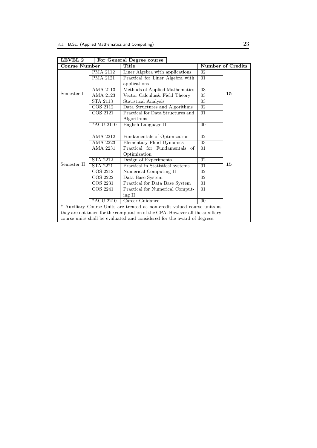| LEVEL 2                                                                   |                 | For General Degree course                                                    |                 |                          |
|---------------------------------------------------------------------------|-----------------|------------------------------------------------------------------------------|-----------------|--------------------------|
| <b>Course Number</b>                                                      |                 | Title                                                                        |                 | <b>Number of Credits</b> |
|                                                                           | <b>PMA 2112</b> | Liner Algebra with applications                                              | 02              |                          |
|                                                                           | <b>PMA 2121</b> | Practical for Liner Algebra with                                             | 01              |                          |
|                                                                           |                 | applications                                                                 |                 |                          |
|                                                                           | <b>AMA 2113</b> | Methods of Applied Mathematics                                               | $\overline{03}$ |                          |
| Semester I                                                                | AMA 2123        | Vector Calculus & Field Theory                                               | 03              | 15                       |
|                                                                           | STA 2113        | Statistical Analysis                                                         | 03              |                          |
|                                                                           | COS 2112        | Data Structures and Algorithms                                               | 02              |                          |
|                                                                           | <b>COS 2121</b> | Practical for Data Structures and                                            | 01              |                          |
|                                                                           |                 | Algorithms                                                                   |                 |                          |
|                                                                           | *ACU 2110       | English Language II                                                          | $00\,$          |                          |
|                                                                           |                 |                                                                              |                 |                          |
|                                                                           | AMA 2212        | Fundamentals of Optimization                                                 | 02              |                          |
|                                                                           | AMA 2223        | Elementary Fluid Dynamics                                                    | 03              |                          |
|                                                                           | AMA 2231        | Practical for Fundamentals of                                                | 01              |                          |
|                                                                           |                 | Optimization                                                                 |                 |                          |
|                                                                           | <b>STA 2212</b> | Design of Experiments                                                        | 02              |                          |
| Semester II                                                               | <b>STA 2221</b> | Practical in Statistical systems                                             | 01              | 15                       |
|                                                                           | COS 2212        | Numerical Computing II                                                       | 02              |                          |
|                                                                           | <b>COS 2222</b> | Data Base System                                                             | 02              |                          |
|                                                                           | <b>COS 2231</b> | Practical for Data Base System                                               | 01              |                          |
|                                                                           | COS 2241        | Practical for Numerical Comput-                                              | 01              |                          |
|                                                                           |                 | ing II                                                                       |                 |                          |
|                                                                           | *ACU 2210       | Career Guidance                                                              | 0 <sub>0</sub>  |                          |
| * Auxiliary Course Units are treated as non-credit valued course units as |                 |                                                                              |                 |                          |
|                                                                           |                 | they are not taken for the computation of the GPA. However all the auxiliary |                 |                          |
|                                                                           |                 | course units shall be evaluated and considered for the award of degrees.     |                 |                          |

 $\overline{\phantom{0}}$ LEVEL 2 For General Degree course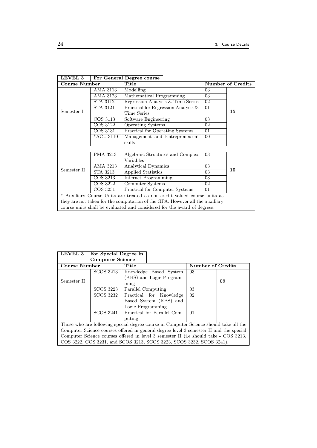| LEVEL 3                                                                      |                        | For General Degree course                                                |        |                   |  |
|------------------------------------------------------------------------------|------------------------|--------------------------------------------------------------------------|--------|-------------------|--|
| <b>Course Number</b>                                                         |                        | Title                                                                    |        | Number of Credits |  |
|                                                                              | AMA 3113               | Modelling                                                                | 03     |                   |  |
|                                                                              | AMA 3123               | Mathematical Programming                                                 | 03     |                   |  |
|                                                                              | <b>STA 3112</b>        | Regression Analysis & Time Series                                        | 02     |                   |  |
|                                                                              | STA 3121               | Practical for Regression Analysis $\&$                                   | 01     |                   |  |
| Semester I                                                                   |                        | <b>Time Series</b>                                                       |        | 15                |  |
|                                                                              | COS 3113               | Software Engineering                                                     | 03     |                   |  |
|                                                                              | COS 3122               | <b>Operating Systems</b>                                                 | 02     |                   |  |
|                                                                              | COS 3131               | Practical for Operating Systems                                          | 01     |                   |  |
|                                                                              | *ACU 3110              | Management and Entrepreneurial                                           | $00\,$ |                   |  |
|                                                                              |                        | skills                                                                   |        |                   |  |
|                                                                              |                        |                                                                          |        |                   |  |
|                                                                              | PMA 3213               | Algebraic Structures and Complex                                         | 03     |                   |  |
|                                                                              |                        | Variables                                                                |        |                   |  |
|                                                                              | AMA 3213               | Analytical Dynamics                                                      | 03     |                   |  |
| Semester II                                                                  | STA 3213               | Applied Statistics                                                       | 03     | 15                |  |
|                                                                              | COS 3213               | Internet Programming                                                     | 03     |                   |  |
|                                                                              | COS 3222               | Computer Systems                                                         | 02     |                   |  |
|                                                                              | $\overline{\cos 3231}$ | Practical for Computer Systems                                           | 01     |                   |  |
| Auxiliary Course Units are treated as non-credit valued course units as      |                        |                                                                          |        |                   |  |
| they are not taken for the computation of the GPA. However all the auxiliary |                        |                                                                          |        |                   |  |
|                                                                              |                        | course units shall be evaluated and considered for the award of degrees. |        |                   |  |

| LEVEL 3                                                                                | For Special Degree in                                                |                             |  |                   |  |    |    |
|----------------------------------------------------------------------------------------|----------------------------------------------------------------------|-----------------------------|--|-------------------|--|----|----|
|                                                                                        | <b>Computer Science</b>                                              |                             |  |                   |  |    |    |
| <b>Course Number</b>                                                                   |                                                                      | Title                       |  | Number of Credits |  |    |    |
|                                                                                        | SCOS 3213                                                            | Knowledge Based System      |  |                   |  | 03 |    |
|                                                                                        |                                                                      | (KBS) and Logic Program-    |  |                   |  |    |    |
| Semester II                                                                            |                                                                      | ming                        |  |                   |  |    | 09 |
|                                                                                        | <b>SCOS 3223</b>                                                     | Parallel Computing          |  |                   |  | 03 |    |
|                                                                                        | SCOS 3232                                                            | Practical for Knowledge     |  |                   |  | 02 |    |
|                                                                                        |                                                                      | Based System (KBS) and      |  |                   |  |    |    |
|                                                                                        |                                                                      | Logic Programming           |  |                   |  |    |    |
|                                                                                        | SCOS 3241                                                            | Practical for Parallel Com- |  |                   |  | 01 |    |
|                                                                                        |                                                                      | puting                      |  |                   |  |    |    |
| Those who are following special degree course in Computer Science should take all the  |                                                                      |                             |  |                   |  |    |    |
| Computer Science courses offered in general degree level 3 semester II and the special |                                                                      |                             |  |                   |  |    |    |
| Computer Science courses offered in level 3 semester II (i.e should take - COS 3213,   |                                                                      |                             |  |                   |  |    |    |
|                                                                                        | COS 3222, COS 3231, and SCOS 3213, SCOS 3223, SCOS 3232, SCOS 3241). |                             |  |                   |  |    |    |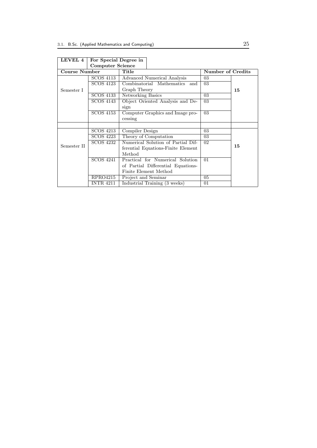| <b>LEVEL 4</b> | For Special Degree in   |                                    |                   |    |
|----------------|-------------------------|------------------------------------|-------------------|----|
|                | <b>Computer Science</b> |                                    |                   |    |
| Course Number  |                         | Title                              | Number of Credits |    |
|                | SCOS 4113               | Advanced Numerical Analysis        | 03                |    |
|                | <b>SCOS 4123</b>        | Combinatorial Mathematics<br>and   | 03                |    |
| Semester I     |                         | Graph Theory                       |                   | 15 |
|                | <b>SCOS 4133</b>        | Networking Basics                  | 03                |    |
|                | SCOS 4143               | Object Oriented Analysis and De-   | 03                |    |
|                |                         | sign                               |                   |    |
|                | <b>SCOS 4153</b>        | Computer Graphics and Image pro-   | 03                |    |
|                |                         | cessing                            |                   |    |
|                |                         |                                    |                   |    |
|                | <b>SCOS 4213</b>        | Compiler Design                    | 03                |    |
|                | <b>SCOS 4223</b>        | Theory of Computation              | 03                |    |
|                | SCOS 4232               | Numerical Solution of Partial Dif- | 02                |    |
| Semester II    |                         | ferential Equations-Finite Element |                   | 15 |
|                |                         | Method                             |                   |    |
|                | <b>SCOS 4241</b>        | Practical for Numerical Solution   | 01                |    |
|                |                         | of Partial Differential Equations- |                   |    |
|                |                         | Finite Element Method              |                   |    |
|                | RPRO4215                | Project and Seminar                | 05                |    |
|                | <b>INTR 4211</b>        | Industrial Training (3 weeks)      | 01                |    |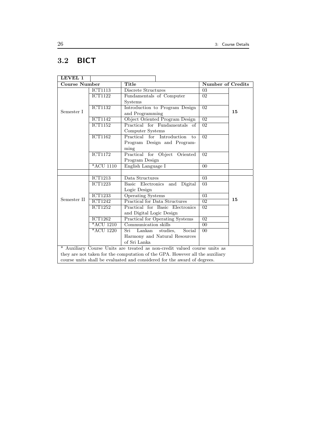## 3.2 BICT

| LEVEL 1              |                             |                                                                              |                          |    |
|----------------------|-----------------------------|------------------------------------------------------------------------------|--------------------------|----|
| <b>Course Number</b> |                             | Title                                                                        | <b>Number of Credits</b> |    |
|                      | <b>ICT1113</b>              | Discrete Structures                                                          | 03                       |    |
|                      | <b>ICT1122</b>              | Fundamentals of Computer                                                     | $\overline{02}$          |    |
|                      |                             | Systems                                                                      |                          |    |
|                      | <b>ICT1132</b>              | Introduction to Program Design                                               | $\overline{02}$          |    |
| Semester I           |                             | and Programming                                                              |                          | 15 |
|                      | <b>ICT1142</b>              | Object Oriented Program Design                                               | $\overline{02}$          |    |
|                      | ICT1152                     | Practical for Fundamentals of                                                | $\overline{02}$          |    |
|                      |                             | Computer Systems                                                             |                          |    |
|                      | $\overline{\text{ICT1162}}$ | Practical for Introduction<br>to                                             | 02                       |    |
|                      |                             | Program Design and Program-                                                  |                          |    |
|                      |                             | ming                                                                         |                          |    |
|                      | $\overline{\text{ICT1172}}$ | Practical for Object Oriented                                                | $\overline{02}$          |    |
|                      |                             | Program Design                                                               |                          |    |
|                      | $*ACU1110$                  | English Language I                                                           | 0 <sub>0</sub>           |    |
|                      |                             |                                                                              |                          |    |
|                      | <b>ICT1213</b>              | Data Structures                                                              | $\overline{03}$          |    |
|                      | <b>ICT1223</b>              | Basic Electronics<br>Digital<br>and                                          | 03                       |    |
|                      |                             | Logic Design                                                                 |                          |    |
|                      | <b>ICT1233</b>              | <b>Operating Systems</b>                                                     | $\overline{03}$          |    |
| Semester II          | <b>ICT1242</b>              | Practical for Data Structures                                                | 02                       | 15 |
|                      | <b>ICT1252</b>              | Practical for Basic Electronics                                              | $\overline{02}$          |    |
|                      |                             | and Digital Logic Design                                                     |                          |    |
|                      | <b>ICT1262</b>              | <b>Practical for Operating Systems</b>                                       | $\overline{02}$          |    |
|                      | *ACU 1210                   | Communication skills                                                         | $00\,$                   |    |
|                      | *ACU 1220                   | Sri<br>Lankan<br>Social<br>studies,                                          | 0 <sub>0</sub>           |    |
|                      |                             | Harmony and Natural Resources                                                |                          |    |
|                      |                             | of Sri Lanka                                                                 |                          |    |
|                      |                             | * Auxiliary Course Units are treated as non-credit valued course units as    |                          |    |
|                      |                             | they are not taken for the computation of the GPA. However all the auxiliary |                          |    |
|                      |                             | course units shall be evaluated and considered for the award of degrees.     |                          |    |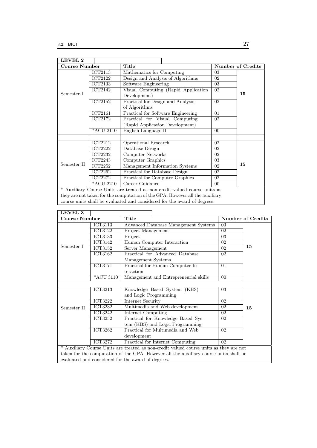| LEVEL 2              |                             |                                                                              |        |                          |
|----------------------|-----------------------------|------------------------------------------------------------------------------|--------|--------------------------|
| <b>Course Number</b> |                             | Title                                                                        |        | <b>Number of Credits</b> |
|                      | <b>ICT2113</b>              | Mathematics for Computing                                                    | 03     |                          |
|                      | <b>ICT2122</b>              | Design and Analysis of Algorithms                                            | 02     |                          |
|                      | <b>ICT2133</b>              | Software Engineering                                                         | 03     |                          |
|                      | <b>ICT2142</b>              | Visual Computing (Rapid Application                                          | 02     |                          |
| Semester I           |                             | Development)                                                                 |        | 15                       |
|                      | <b>ICT2152</b>              | Practical for Design and Analysis                                            | 02     |                          |
|                      |                             | of Algorithms                                                                |        |                          |
|                      | <b>ICT2161</b>              | Practical for Software Engineering                                           | 01     |                          |
|                      | ICT2172                     | Practical for Visual Computing                                               | 02     |                          |
|                      |                             | (Rapid Application Development)                                              |        |                          |
|                      | *ACU 2110                   | English Language II                                                          | $00\,$ |                          |
|                      |                             |                                                                              |        |                          |
|                      | ICT2212                     | Operational Research                                                         | $02\,$ |                          |
|                      | <b>ICT2222</b>              | Database Design                                                              | $02\,$ |                          |
|                      | <b>ICT2232</b>              | Computer Networks                                                            | 02     |                          |
|                      | $\overline{\text{ICT2243}}$ | Computer Graphics                                                            | 03     |                          |
| Semester II          | $\overline{\text{ICT2252}}$ | Management Information Systems                                               | 02     | 15                       |
|                      | ICT2262                     | Practical for Database Design                                                | 02     |                          |
|                      | <b>ICT2272</b>              | Practical for Computer Graphics                                              | 02     |                          |
|                      | <i>*ACU 2210</i>            | Career Guidance                                                              | $00\,$ |                          |
|                      |                             | * Auxiliary Course Units are treated as non-credit valued course units as    |        |                          |
|                      |                             | they are not taken for the computation of the GPA. However all the auxiliary |        |                          |

course units shall be evaluated and considered for the award of degrees.

| LEVEL 3                                                                                |                |                                                                                       |                |                   |
|----------------------------------------------------------------------------------------|----------------|---------------------------------------------------------------------------------------|----------------|-------------------|
| <b>Course Number</b>                                                                   |                | Title                                                                                 |                | Number of Credits |
|                                                                                        | ICT3113        | Advanced Database Management Systems                                                  | 03             |                   |
|                                                                                        | ICT3122        | Project Management                                                                    | 02             |                   |
|                                                                                        | <b>ICT3133</b> | Project                                                                               | 03             |                   |
|                                                                                        | ICT3142        | Human Computer Interaction                                                            | 02             |                   |
| Semester I                                                                             | ICT3152        | Server Management                                                                     | 02             | 15                |
|                                                                                        | ICT3162        | Practical for Advanced Database                                                       | 02             |                   |
|                                                                                        |                | Management Systems                                                                    |                |                   |
|                                                                                        | <b>ICT3171</b> | Practical for Human Computer In-                                                      | 01             |                   |
|                                                                                        |                | teraction                                                                             |                |                   |
|                                                                                        | *ACU 3110      | Management and Entrepreneurial skills                                                 | 0 <sub>0</sub> |                   |
|                                                                                        |                |                                                                                       |                |                   |
|                                                                                        | ICT3213        | Knowledge Based System (KBS)                                                          | 03             |                   |
|                                                                                        |                | and Logic Programming                                                                 |                |                   |
|                                                                                        | <b>ICT3222</b> | Internet Security                                                                     | 02             |                   |
| Semester II                                                                            | <b>ICT3232</b> | Multimedia and Web development                                                        | 02             | 15                |
|                                                                                        | ICT3242        | Internet Computing                                                                    | 02             |                   |
|                                                                                        | <b>ICT3252</b> | Practical for Knowledge Based Sys-                                                    | 02             |                   |
|                                                                                        |                | tem (KBS) and Logic Programming                                                       |                |                   |
|                                                                                        | <b>ICT3262</b> | Practical for Multimedia and Web                                                      | 02             |                   |
|                                                                                        |                | development                                                                           |                |                   |
|                                                                                        | <b>ICT3272</b> | Practical for Internet Computing                                                      | 02             |                   |
| * Auxiliary Course Units are treated as non-credit valued course units as they are not |                |                                                                                       |                |                   |
|                                                                                        |                | taken for the computation of the GPA. However all the auxiliary course units shall be |                |                   |
|                                                                                        |                | evaluated and considered for the award of degrees.                                    |                |                   |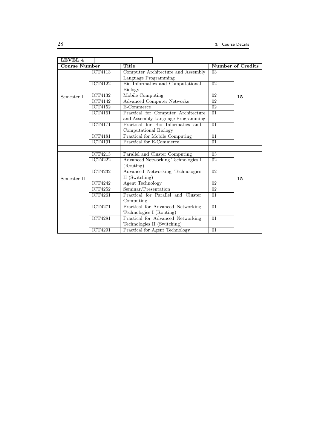| LEVEL 4       |                             |                                           |                 |                   |
|---------------|-----------------------------|-------------------------------------------|-----------------|-------------------|
| Course Number |                             | Title                                     |                 | Number of Credits |
|               | <b>ICT4113</b>              | Computer Architecture and Assembly        | 03              |                   |
|               |                             | Language Programming                      |                 |                   |
|               | $\overline{\text{ICT4122}}$ | Bio Informatics and Computational         | $\overline{02}$ |                   |
|               |                             | <b>Biology</b>                            |                 |                   |
| Semester I    | <b>ICT4132</b>              | <b>Mobile Computing</b>                   | $\overline{02}$ | 15                |
|               | <b>ICT4142</b>              | <b>Advanced Computer Networks</b>         | 02              |                   |
|               | <b>ICT4152</b>              | E-Commerce                                | $\overline{02}$ |                   |
|               | <b>ICT4161</b>              | Practical for Computer Architecture       | 01              |                   |
|               |                             | and Assembly Language Programming         |                 |                   |
|               | <b>ICT4171</b>              | Practical for Bio Informatics and         | $\overline{01}$ |                   |
|               |                             | Computational Biology                     |                 |                   |
|               | $\overline{\text{ICT4181}}$ | <b>Practical for Mobile Computing</b>     | $\overline{01}$ |                   |
|               | <b>ICT4191</b>              | <b>Practical for E-Commerce</b>           | 01              |                   |
|               |                             |                                           |                 |                   |
|               | <b>ICT4213</b>              | Parallel and Cluster Computing            | 03              |                   |
|               | <b>ICT4222</b>              | <b>Advanced Networking Technologies I</b> | 02              |                   |
|               |                             | (Routing)                                 |                 |                   |
|               | <b>ICT4232</b>              | Advanced Networking Technologies          | $\overline{02}$ |                   |
| Semester II   |                             | II (Switching)                            |                 | 15                |
|               | $\overline{\text{ICT4242}}$ | <b>Agent Technology</b>                   | $\overline{02}$ |                   |
|               | <b>ICT4252</b>              | Seminar/Presentation                      | 02              |                   |
|               | <b>ICT4261</b>              | Practical for Parallel and Cluster        | 01              |                   |
|               |                             | Computing                                 |                 |                   |
|               | <b>ICT4271</b>              | Practical for Advanced Networking         | $\overline{01}$ |                   |
|               |                             | Technologies I (Routing)                  |                 |                   |
|               | <b>ICT4281</b>              | Practical for Advanced Networking         | $\overline{01}$ |                   |
|               |                             | Technologies II (Switching)               |                 |                   |
|               | <b>ICT4291</b>              | Practical for Agent Technology            | 01              |                   |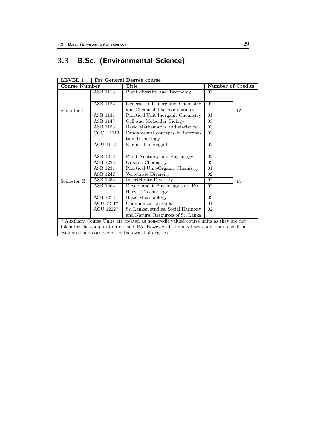## 3.3 B.Sc. (Environmental Science)

| <b>LEVEL 1</b>                                                                         |                  | For General Degree course          |                   |    |  |  |
|----------------------------------------------------------------------------------------|------------------|------------------------------------|-------------------|----|--|--|
| Course Number                                                                          |                  | Title                              | Number of Credits |    |  |  |
| Semester I                                                                             | ASB 1113         | Plant diversity and Taxonomy       | 03                |    |  |  |
|                                                                                        |                  |                                    |                   |    |  |  |
|                                                                                        | ASB 1122         | General and Inorganic Chemistry    | 02                | 15 |  |  |
|                                                                                        |                  | and Chemical Thermodynamics        |                   |    |  |  |
|                                                                                        | <b>ASB 1131</b>  | Practical Unit-Inorganic Chemistry | 01                |    |  |  |
|                                                                                        | ASB 1143         | Cell and Molecular Biology         | 03                |    |  |  |
|                                                                                        | ASB 1153         | Basic Mathematics and statistics   | 03                |    |  |  |
|                                                                                        | <b>CCCU 1113</b> | Fundamental concepts in informa-   | 03                |    |  |  |
|                                                                                        |                  | tion Technology                    |                   |    |  |  |
|                                                                                        | ACU 1112*        | English Language I                 | 02                |    |  |  |
|                                                                                        |                  |                                    |                   |    |  |  |
| Semester II                                                                            | ASB 1212         | Plant Anatomy and Physiology       | 02 <sup>2</sup>   | 15 |  |  |
|                                                                                        | ASB 1223         | Organic Chemistry                  | 03                |    |  |  |
|                                                                                        | <b>ASB 1231</b>  | Practical Unit-Organic Chemistry   | 01                |    |  |  |
|                                                                                        | ASB 1242         | Vertebrate Diversity               | 02                |    |  |  |
|                                                                                        | ASB 1252         | Invertebrate Diversity             | 02                |    |  |  |
|                                                                                        | ASB 1262         | Development Physiology and Post    | 02                |    |  |  |
|                                                                                        |                  | Harvest Technology                 |                   |    |  |  |
|                                                                                        | <b>ASB 1273</b>  | Basic Microbiology                 | 03                |    |  |  |
|                                                                                        | ACU $1211*$      | Communication skills               | 01                |    |  |  |
|                                                                                        | ACU 1222*        | Sri Lankan studies, Social Harmony | 02                |    |  |  |
|                                                                                        |                  | and Natural Resources of Sri Lanka |                   |    |  |  |
| * Auxiliary Course Units are treated as non-credit valued course units as they are not |                  |                                    |                   |    |  |  |
| taken for the computation of the GPA. However all the auxiliary course units shall be  |                  |                                    |                   |    |  |  |
| evaluated and considered for the award of degrees.                                     |                  |                                    |                   |    |  |  |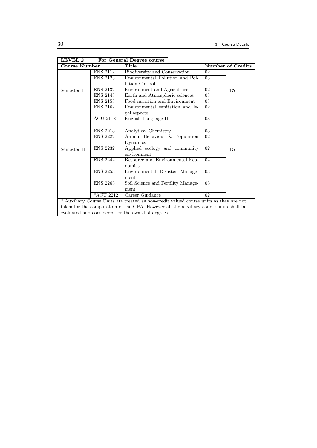| LEVEL 2                                                                                |                                 | For General Degree course          |                          |    |  |  |
|----------------------------------------------------------------------------------------|---------------------------------|------------------------------------|--------------------------|----|--|--|
| <b>Course Number</b>                                                                   |                                 | Title                              | <b>Number of Credits</b> |    |  |  |
| Semester I                                                                             | <b>ENS 2112</b>                 | Biodiversity and Conservation      | 02                       |    |  |  |
|                                                                                        | <b>ENS 2123</b>                 | Environmental Pollution and Pol-   | 03                       |    |  |  |
|                                                                                        |                                 | lution Control                     |                          |    |  |  |
|                                                                                        | <b>ENS 2132</b>                 | Environment and Agriculture        | 02                       | 15 |  |  |
|                                                                                        | <b>ENS 2143</b>                 | Earth and Atmospheric sciences     | 03                       |    |  |  |
|                                                                                        | <b>ENS 2153</b>                 | Food nutrition and Environment     | 03                       |    |  |  |
|                                                                                        | <b>ENS 2162</b>                 | Environmental sanitation and le-   | 02                       |    |  |  |
|                                                                                        |                                 | gal aspects                        |                          |    |  |  |
|                                                                                        | $\overline{\mathrm{ACU}2113^*}$ | English Language-II                | $\overline{03}$          |    |  |  |
|                                                                                        |                                 |                                    |                          |    |  |  |
| Semester II                                                                            | <b>ENS 2213</b>                 | Analytical Chemistry               | 03                       |    |  |  |
|                                                                                        | <b>ENS 2222</b>                 | Animal Behaviour & Population      | 02                       |    |  |  |
|                                                                                        |                                 | Dynamics                           |                          |    |  |  |
|                                                                                        | <b>ENS 2232</b>                 | Applied ecology and community      | $\overline{02}$          | 15 |  |  |
|                                                                                        |                                 | environment                        |                          |    |  |  |
|                                                                                        | <b>ENS 2242</b>                 | Resource and Environmental Eco-    | 02                       |    |  |  |
|                                                                                        |                                 | nomics                             |                          |    |  |  |
|                                                                                        | <b>ENS 2253</b>                 | Environmental Disaster Manage-     | 03                       |    |  |  |
|                                                                                        |                                 | ment                               |                          |    |  |  |
|                                                                                        | <b>ENS 2263</b>                 | Soil Science and Fertility Manage- | 03                       |    |  |  |
|                                                                                        |                                 | ment                               |                          |    |  |  |
|                                                                                        | $*ACU$ 2212                     | Career Guidance                    | 02                       |    |  |  |
| * Auxiliary Course Units are treated as non-credit valued course units as they are not |                                 |                                    |                          |    |  |  |
| taken for the computation of the GPA. However all the auxiliary course units shall be  |                                 |                                    |                          |    |  |  |
| evaluated and considered for the award of degrees.                                     |                                 |                                    |                          |    |  |  |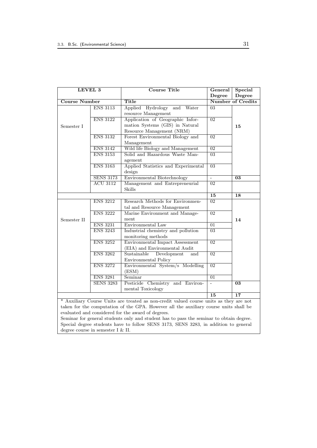| LEVEL 3                                                                                |                  | <b>Course Title</b>                                                                     | General         | Special                  |  |
|----------------------------------------------------------------------------------------|------------------|-----------------------------------------------------------------------------------------|-----------------|--------------------------|--|
|                                                                                        |                  |                                                                                         | Degree          | Degree                   |  |
| <b>Course Number</b>                                                                   |                  | <b>Title</b>                                                                            |                 | <b>Number of Credits</b> |  |
|                                                                                        | <b>ENS 3113</b>  | Hydrology and<br>Water<br>Applied                                                       | 03              |                          |  |
|                                                                                        |                  | resource Management                                                                     |                 |                          |  |
|                                                                                        | <b>ENS 3122</b>  | Application of Geographic Infor-                                                        | $\overline{02}$ |                          |  |
| Semester I                                                                             |                  | mation Systems (GIS) in Natural                                                         |                 | 15                       |  |
|                                                                                        |                  | Resource Management (NRM)                                                               |                 |                          |  |
|                                                                                        | <b>ENS 3132</b>  | Forest Environmental Biology and                                                        | 02              |                          |  |
|                                                                                        |                  | Management                                                                              |                 |                          |  |
|                                                                                        | <b>ENS 3142</b>  | Wild life Biology and Management                                                        | $\overline{02}$ |                          |  |
|                                                                                        | <b>ENS 3153</b>  | Solid and Hazardous Waste Man-                                                          | $\overline{03}$ |                          |  |
|                                                                                        |                  | agement                                                                                 |                 |                          |  |
|                                                                                        | <b>ENS 3163</b>  | Applied Statistics and Experimental                                                     | $\overline{03}$ |                          |  |
|                                                                                        |                  | design                                                                                  |                 |                          |  |
|                                                                                        | <b>SENS 3173</b> | <b>Environmental Biotechnology</b>                                                      | ÷,              | 03                       |  |
|                                                                                        | <b>ACU 3112</b>  | Management and Entrepreneurial                                                          | $\overline{02}$ |                          |  |
|                                                                                        |                  | <b>Skills</b>                                                                           | 15              |                          |  |
|                                                                                        |                  |                                                                                         |                 | 18                       |  |
|                                                                                        | <b>ENS 3212</b>  | Research Methods for Environmen-                                                        | 02              |                          |  |
|                                                                                        |                  | tal and Resource Management                                                             |                 |                          |  |
|                                                                                        | <b>ENS 3222</b>  | Marine Environment and Manage-                                                          | $\overline{02}$ |                          |  |
| Semester II                                                                            |                  | ment                                                                                    |                 | 14                       |  |
|                                                                                        | <b>ENS 3231</b>  | Environmental Law                                                                       | $\overline{01}$ |                          |  |
|                                                                                        | <b>ENS 3243</b>  | Industrial chemistry and pollution                                                      | $\overline{03}$ |                          |  |
|                                                                                        |                  | monitoring methods                                                                      |                 |                          |  |
| <b>ENS 3252</b>                                                                        |                  | Environmental Impact Assessment                                                         | $\overline{02}$ |                          |  |
|                                                                                        |                  | (EIA) and Environmental Audit                                                           |                 |                          |  |
|                                                                                        | <b>ENS 3262</b>  | Sustainable<br>Development<br>and                                                       | $\overline{02}$ |                          |  |
|                                                                                        |                  | Environmental Policy                                                                    |                 |                          |  |
|                                                                                        | <b>ENS 3272</b>  | Environmental System/s Modelling                                                        | $\overline{02}$ |                          |  |
|                                                                                        | (ESM)            |                                                                                         |                 |                          |  |
|                                                                                        | <b>ENS 3281</b>  | Seminar                                                                                 | $\overline{01}$ |                          |  |
|                                                                                        | <b>SENS 3283</b> | Pesticide Chemistry<br>and Environ-<br>mental Toxicology                                |                 | $\overline{03}$          |  |
|                                                                                        |                  |                                                                                         |                 |                          |  |
|                                                                                        | 15               | $\overline{17}$                                                                         |                 |                          |  |
| * Auxiliary Course Units are treated as non-credit valued course units as they are not |                  |                                                                                         |                 |                          |  |
| taken for the computation of the GPA. However all the auxiliary course units shall be  |                  |                                                                                         |                 |                          |  |
|                                                                                        |                  | evaluated and considered for the award of degrees.                                      |                 |                          |  |
|                                                                                        |                  | Seminar for general students only and student has to pass the seminar to obtain degree. |                 |                          |  |
| Special degree students have to follow SENS 3173, SENS 3283, in addition to general    |                  |                                                                                         |                 |                          |  |

degree course in semester I & II.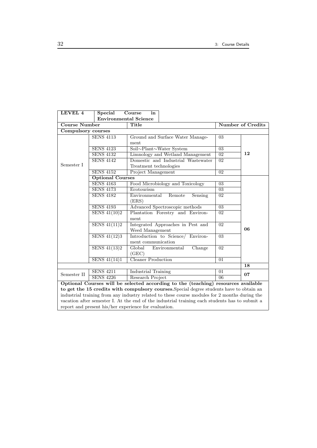| LEVEL 4                   | <b>Special</b>                                     | Course<br>in                                                                                   |                          |    |  |  |  |
|---------------------------|----------------------------------------------------|------------------------------------------------------------------------------------------------|--------------------------|----|--|--|--|
|                           | <b>Environmental Science</b>                       |                                                                                                |                          |    |  |  |  |
| <b>Course Number</b>      |                                                    | Title                                                                                          | <b>Number of Credits</b> |    |  |  |  |
| <b>Compulsory courses</b> |                                                    |                                                                                                |                          |    |  |  |  |
|                           | <b>SENS 4113</b>                                   | Ground and Surface Water Manage-                                                               | 03                       |    |  |  |  |
|                           |                                                    | ment                                                                                           |                          |    |  |  |  |
|                           | <b>SENS 4123</b>                                   | Soil~Plant~Water System                                                                        | $\overline{03}$          |    |  |  |  |
|                           | <b>SENS 4132</b>                                   | Limnology and Wetland Management                                                               | $\overline{02}$          | 12 |  |  |  |
|                           | <b>SENS 4142</b>                                   | Domestic and Industrial Wastewater                                                             | 02                       |    |  |  |  |
| Semester I                |                                                    | Treatment technologies                                                                         |                          |    |  |  |  |
|                           | <b>SENS 4152</b>                                   | Project Management                                                                             | $\overline{02}$          |    |  |  |  |
|                           | <b>Optional Courses</b>                            |                                                                                                |                          |    |  |  |  |
|                           | <b>SENS 4163</b>                                   | Food Microbiology and Toxicology                                                               | 03                       |    |  |  |  |
|                           | <b>SENS 4173</b>                                   | Ecotourism                                                                                     | $\overline{03}$          |    |  |  |  |
|                           | <b>SENS 4182</b>                                   | Environmental<br>$\overline{02}$<br>Remote<br>Sensing                                          |                          |    |  |  |  |
|                           |                                                    | (ERS)                                                                                          |                          |    |  |  |  |
|                           | <b>SENS 4193</b><br>Advanced Spectroscopic methods |                                                                                                |                          |    |  |  |  |
|                           | SENS $41(10)2$                                     | Plantation Forestry and Environ-                                                               | $\overline{02}$          |    |  |  |  |
|                           |                                                    | ment                                                                                           |                          |    |  |  |  |
|                           | SENS $41(11)2$                                     | Integrated Approaches in Pest and                                                              | 0 <sup>2</sup>           |    |  |  |  |
|                           |                                                    | Weed Management                                                                                |                          | 06 |  |  |  |
|                           | SENS $41(12)3$                                     | Introduction to Science/<br>Environ-                                                           | 03                       |    |  |  |  |
|                           |                                                    | ment communication                                                                             |                          |    |  |  |  |
|                           | SENS 41(13)2                                       | $\overline{\mathrm{Global}}$<br>Change<br>Environmental                                        | 0 <sup>2</sup>           |    |  |  |  |
|                           |                                                    | (GEC)                                                                                          |                          |    |  |  |  |
|                           | SENS $41(14)1$                                     | Cleaner Production                                                                             | $\overline{01}$          |    |  |  |  |
|                           |                                                    |                                                                                                |                          | 18 |  |  |  |
| Semester II               | <b>SENS 4211</b><br><b>SENS 4226</b>               | <b>Industrial Training</b><br>Research Project                                                 | 01                       | 07 |  |  |  |
|                           | $\overline{06}$                                    |                                                                                                |                          |    |  |  |  |
|                           |                                                    | Optional Courses will be selected according to the (teaching) resources available              |                          |    |  |  |  |
|                           |                                                    | to get the 15 credits with compulsory courses. Special degree students have to obtain an       |                          |    |  |  |  |
|                           |                                                    | industrial training from any industry related to these course modules for 2 months during the  |                          |    |  |  |  |
|                           |                                                    | vacation after semester I. At the end of the industrial training each students has to submit a |                          |    |  |  |  |

report and present his/her experience for evaluation.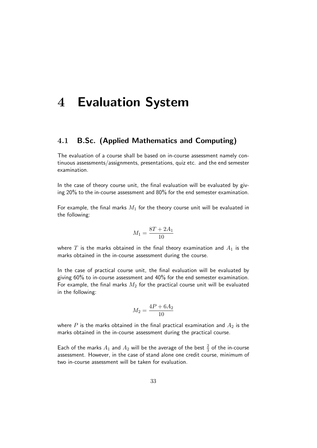# 4 Evaluation System

# 4.1 B.Sc. (Applied Mathematics and Computing)

The evaluation of a course shall be based on in-course assessment namely continuous assessments/assignments, presentations, quiz etc. and the end semester examination.

In the case of theory course unit, the final evaluation will be evaluated by giving 20% to the in-course assessment and 80% for the end semester examination.

For example, the final marks  $M_1$  for the theory course unit will be evaluated in the following:

$$
M_1 = \frac{8T + 2A_1}{10}
$$

where T is the marks obtained in the final theory examination and  $A_1$  is the marks obtained in the in-course assessment during the course.

In the case of practical course unit, the final evaluation will be evaluated by giving 60% to in-course assessment and 40% for the end semester examination. For example, the final marks  $M_2$  for the practical course unit will be evaluated in the following:

$$
M_2 = \frac{4P + 6A_2}{10}
$$

where P is the marks obtained in the final practical examination and  $A_2$  is the marks obtained in the in-course assessment during the practical course.

Each of the marks  $A_1$  and  $A_2$  will be the average of the best  $\frac{2}{3}$  of the in-course assessment. However, in the case of stand alone one credit course, minimum of two in-course assessment will be taken for evaluation.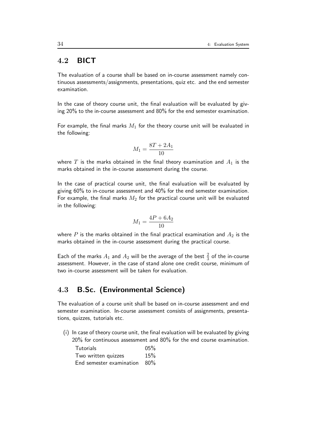# 4.2 BICT

The evaluation of a course shall be based on in-course assessment namely continuous assessments/assignments, presentations, quiz etc. and the end semester examination.

In the case of theory course unit, the final evaluation will be evaluated by giving 20% to the in-course assessment and 80% for the end semester examination.

For example, the final marks  $M_1$  for the theory course unit will be evaluated in the following:

$$
M_1 = \frac{8T + 2A_1}{10}
$$

where T is the marks obtained in the final theory examination and  $A_1$  is the marks obtained in the in-course assessment during the course.

In the case of practical course unit, the final evaluation will be evaluated by giving 60% to in-course assessment and 40% for the end semester examination. For example, the final marks  $M_2$  for the practical course unit will be evaluated in the following:

$$
M_1 = \frac{4P + 6A_2}{10}
$$

where  $P$  is the marks obtained in the final practical examination and  $A_2$  is the marks obtained in the in-course assessment during the practical course.

Each of the marks  $A_1$  and  $A_2$  will be the average of the best  $\frac{2}{3}$  of the in-course assessment. However, in the case of stand alone one credit course, minimum of two in-course assessment will be taken for evaluation.

# 4.3 B.Sc. (Environmental Science)

The evaluation of a course unit shall be based on in-course assessment and end semester examination. In-course assessment consists of assignments, presentations, quizzes, tutorials etc.

(i) In case of theory course unit, the final evaluation will be evaluated by giving 20% for continuous assessment and 80% for the end course examination.

| <b>Tutorials</b>                | 05% |
|---------------------------------|-----|
| Two written quizzes             | 15% |
| End semester examination $80\%$ |     |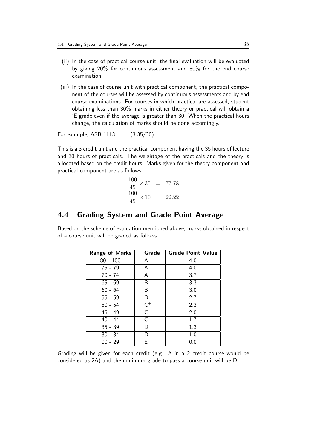- (ii) In the case of practical course unit, the final evaluation will be evaluated by giving 20% for continuous assessment and 80% for the end course examination.
- (iii) In the case of course unit with practical component, the practical component of the courses will be assessed by continuous assessments and by end course examinations. For courses in which practical are assessed, student obtaining less than 30% marks in either theory or practical will obtain a 'E grade even if the average is greater than 30. When the practical hours change, the calculation of marks should be done accordingly.

For example, ASB 1113 (3:35/30)

This is a 3 credit unit and the practical component having the 35 hours of lecture and 30 hours of practicals. The weightage of the practicals and the theory is allocated based on the credit hours. Marks given for the theory component and practical component are as follows.

$$
\frac{100}{45} \times 35 = 77.78
$$
  

$$
\frac{100}{45} \times 10 = 22.22
$$

#### 4.4 Grading System and Grade Point Average

Based on the scheme of evaluation mentioned above, marks obtained in respect of a course unit will be graded as follows

| <b>Range of Marks</b> | Grade              | <b>Grade Point Value</b> |
|-----------------------|--------------------|--------------------------|
| $80 - 100$            | $A^+$              | 4.0                      |
| $75 - 79$             | A                  | 4.0                      |
| $70 - 74$             | $A^{-}$            | 3.7                      |
| 65 - 69               | $\overline{B^+}$   | 3.3                      |
| $60 - 64$             | B                  | 3.0                      |
| $55 - 59$             | $B^-$              | 2.7                      |
| $50 - 54$             | $\overline{C^+}$   | 2.3                      |
| $45 - 49$             | C                  | 2.0                      |
| $40 - 44$             | $\overline{C^{-}}$ | 1.7                      |
| $35 - 39$             | n+                 | 1.3                      |
| $30 - 34$             | D                  | 1.0                      |
| $00 - 29$             | F                  | 0.0                      |

Grading will be given for each credit (e.g. A in a 2 credit course would be considered as 2A) and the minimum grade to pass a course unit will be D.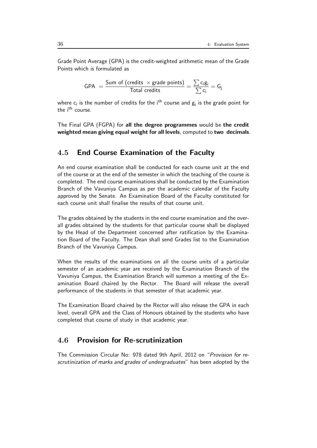Grade Point Average (GPA) is the credit-weighted arithmetic mean of the Grade Points which is formulated as

$$
\text{GPA } = \frac{\text{Sum of (credits } \times \text{grade points)}}{\text{Total credits}} = \frac{\sum c_i g_i}{\sum c_i} = G_j
$$

where  $\mathsf{c}_\mathsf{i}$  is the number of credits for the i<sup>th</sup> course and  $\mathsf{g}_\mathsf{i}$  is the grade point for the i<sup>th</sup> course.

The Final GPA (FGPA) for all the degree programmes would be the credit weighted mean giving equal weight for all levels, computed to two decimals.

#### 4.5 End Course Examination of the Faculty

An end course examination shall be conducted for each course unit at the end of the course or at the end of the semester in which the teaching of the course is completed. The end course examinations shall be conducted by the Examination Branch of the Vavuniya Campus as per the academic calendar of the Faculty approved by the Senate. An Examination Board of the Faculty constituted for each course unit shall finalise the results of that course unit.

The grades obtained by the students in the end course examination and the overall grades obtained by the students for that particular course shall be displayed by the Head of the Department concerned after ratification by the Examination Board of the Faculty. The Dean shall send Grades list to the Examination Branch of the Vavuniya Campus.

When the results of the examinations on all the course units of a particular semester of an academic year are received by the Examination Branch of the Vavuniya Campus, the Examination Branch will summon a meeting of the Examination Board chaired by the Rector. The Board will release the overall performance of the students in that semester of that academic year.

The Examination Board chaired by the Rector will also release the GPA in each level, overall GPA and the Class of Honours obtained by the students who have completed that course of study in that academic year.

## 4.6 Provision for Re-scrutinization

The Commission Circular No: 978 dated 9th April, 2012 on "Provision for rescrutinization of marks and grades of undergraduates" has been adopted by the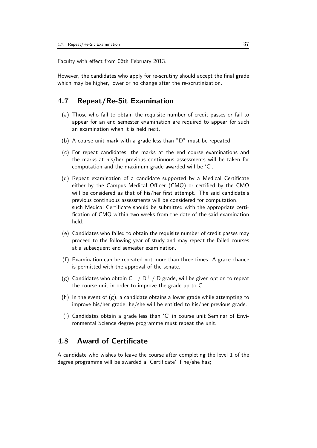Faculty with effect from 06th February 2013.

However, the candidates who apply for re-scrutiny should accept the final grade which may be higher, lower or no change after the re-scrutinization.

### 4.7 Repeat/Re-Sit Examination

- (a) Those who fail to obtain the requisite number of credit passes or fail to appear for an end semester examination are required to appear for such an examination when it is held next.
- (b) A course unit mark with a grade less than "D" must be repeated.
- (c) For repeat candidates, the marks at the end course examinations and the marks at his/her previous continuous assessments will be taken for computation and the maximum grade awarded will be 'C'.
- (d) Repeat examination of a candidate supported by a Medical Certificate either by the Campus Medical Officer (CMO) or certified by the CMO will be considered as that of his/her first attempt. The said candidate's previous continuous assessments will be considered for computation. such Medical Certificate should be submitted with the appropriate certification of CMO within two weeks from the date of the said examination held.
- (e) Candidates who failed to obtain the requisite number of credit passes may proceed to the following year of study and may repeat the failed courses at a subsequent end semester examination.
- (f) Examination can be repeated not more than three times. A grace chance is permitted with the approval of the senate.
- (g) Candidates who obtain  $C^- / D^+ / D$  grade, will be given option to repeat the course unit in order to improve the grade up to C.
- (h) In the event of  $(g)$ , a candidate obtains a lower grade while attempting to improve his/her grade, he/she will be entitled to his/her previous grade.
- (i) Candidates obtain a grade less than 'C' in course unit Seminar of Environmental Science degree programme must repeat the unit.

# 4.8 Award of Certificate

A candidate who wishes to leave the course after completing the level 1 of the degree programme will be awarded a 'Certificate' if he/she has;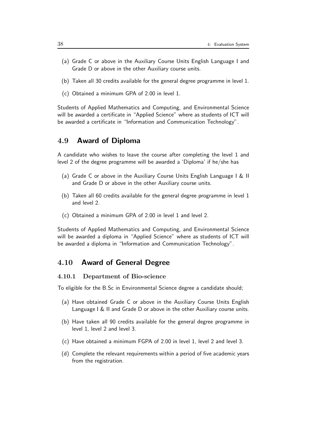- (a) Grade C or above in the Auxiliary Course Units English Language I and Grade D or above in the other Auxiliary course units.
- (b) Taken all 30 credits available for the general degree programme in level 1.
- (c) Obtained a minimum GPA of 2.00 in level 1.

Students of Applied Mathematics and Computing, and Environmental Science will be awarded a certificate in "Applied Science" where as students of ICT will be awarded a certificate in "Information and Communication Technology".

#### 4.9 Award of Diploma

A candidate who wishes to leave the course after completing the level 1 and level 2 of the degree programme will be awarded a 'Diploma' if he/she has

- (a) Grade C or above in the Auxiliary Course Units English Language I & II and Grade D or above in the other Auxiliary course units.
- (b) Taken all 60 credits available for the general degree programme in level 1 and level 2.
- (c) Obtained a minimum GPA of 2.00 in level 1 and level 2.

Students of Applied Mathematics and Computing, and Environmental Science will be awarded a diploma in "Applied Science" where as students of ICT will be awarded a diploma in "Information and Communication Technology".

#### 4.10 Award of General Degree

#### 4.10.1 Department of Bio-science

To eligible for the B.Sc in Environmental Science degree a candidate should;

- (a) Have obtained Grade C or above in the Auxiliary Course Units English Language I & II and Grade D or above in the other Auxiliary course units.
- (b) Have taken all 90 credits available for the general degree programme in level 1, level 2 and level 3.
- (c) Have obtained a minimum FGPA of 2.00 in level 1, level 2 and level 3.
- (d) Complete the relevant requirements within a period of five academic years from the registration.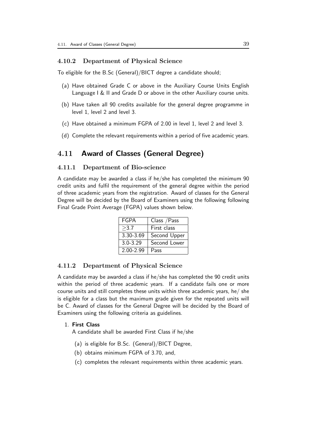#### 4.10.2 Department of Physical Science

To eligible for the B.Sc (General)/BICT degree a candidate should;

- (a) Have obtained Grade C or above in the Auxiliary Course Units English Language I & II and Grade D or above in the other Auxiliary course units.
- (b) Have taken all 90 credits available for the general degree programme in level 1, level 2 and level 3.
- (c) Have obtained a minimum FGPA of 2.00 in level 1, level 2 and level 3.
- (d) Complete the relevant requirements within a period of five academic years.

#### 4.11 Award of Classes (General Degree)

#### 4.11.1 Department of Bio-science

A candidate may be awarded a class if he/she has completed the minimum 90 credit units and fulfil the requirement of the general degree within the period of three academic years from the registration. Award of classes for the General Degree will be decided by the Board of Examiners using the following following Final Grade Point Average (FGPA) values shown below.

| <b>FGPA</b>   | Class / Pass |
|---------------|--------------|
| >3.7          | First class  |
| 3.30-3.69     | Second Upper |
| $3.0 - 3.29$  | Second Lower |
| $2.00 - 2.99$ | Pass         |

#### 4.11.2 Department of Physical Science

A candidate may be awarded a class if he/she has completed the 90 credit units within the period of three academic years. If a candidate fails one or more course units and still completes these units within three academic years, he/ she is eligible for a class but the maximum grade given for the repeated units will be C. Award of classes for the General Degree will be decided by the Board of Examiners using the following criteria as guidelines.

#### 1. First Class

A candidate shall be awarded First Class if he/she

- (a) is eligible for B.Sc. (General)/BICT Degree,
- (b) obtains minimum FGPA of 3.70, and,
- (c) completes the relevant requirements within three academic years.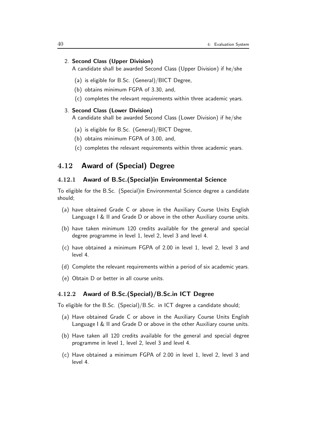#### 2. Second Class (Upper Division)

A candidate shall be awarded Second Class (Upper Division) if he/she

- (a) is eligible for B.Sc. (General)/BICT Degree,
- (b) obtains minimum FGPA of 3.30, and,
- (c) completes the relevant requirements within three academic years.

#### 3. Second Class (Lower Division)

A candidate shall be awarded Second Class (Lower Division) if he/she

- (a) is eligible for B.Sc. (General)/BICT Degree,
- (b) obtains minimum FGPA of 3.00, and,
- (c) completes the relevant requirements within three academic years.

# 4.12 Award of (Special) Degree

#### 4.12.1 Award of B.Sc.(Special)in Environmental Science

To eligible for the B.Sc. (Special)in Environmental Science degree a candidate should;

- (a) have obtained Grade C or above in the Auxiliary Course Units English Language I & II and Grade D or above in the other Auxiliary course units.
- (b) have taken minimum 120 credits available for the general and special degree programme in level 1, level 2, level 3 and level 4.
- (c) have obtained a minimum FGPA of 2.00 in level 1, level 2, level 3 and level 4.
- (d) Complete the relevant requirements within a period of six academic years.
- (e) Obtain D or better in all course units.

#### 4.12.2 Award of B.Sc.(Special)/B.Sc.in ICT Degree

To eligible for the B.Sc. (Special)/B.Sc. in ICT degree a candidate should;

- (a) Have obtained Grade C or above in the Auxiliary Course Units English Language I & II and Grade D or above in the other Auxiliary course units.
- (b) Have taken all 120 credits available for the general and special degree programme in level 1, level 2, level 3 and level 4.
- (c) Have obtained a minimum FGPA of 2.00 in level 1, level 2, level 3 and level 4.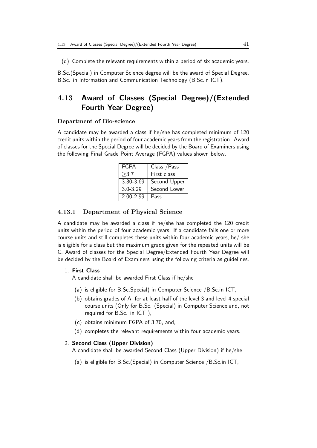(d) Complete the relevant requirements within a period of six academic years.

B.Sc.(Special) in Computer Science degree will be the award of Special Degree. B.Sc. in Information and Communication Technology (B.Sc.in ICT).

# 4.13 Award of Classes (Special Degree)/(Extended Fourth Year Degree)

#### Department of Bio-science

A candidate may be awarded a class if he/she has completed minimum of 120 credit units within the period of four academic years from the registration. Award of classes for the Special Degree will be decided by the Board of Examiners using the following Final Grade Point Average (FGPA) values shown below.

| <b>FGPA</b>   | Class / Pass |  |
|---------------|--------------|--|
| >3.7          | First class  |  |
| 3.30-3.69     | Second Upper |  |
| $3.0 - 3.29$  | Second Lower |  |
| $2.00 - 2.99$ | Pass         |  |

#### 4.13.1 Department of Physical Science

A candidate may be awarded a class if he/she has completed the 120 credit units within the period of four academic years. If a candidate fails one or more course units and still completes these units within four academic years, he/ she is eligible for a class but the maximum grade given for the repeated units will be C. Award of classes for the Special Degree/Extended Fourth Year Degree will be decided by the Board of Examiners using the following criteria as guidelines.

#### 1. First Class

A candidate shall be awarded First Class if he/she

- (a) is eligible for B.Sc.Special) in Computer Science /B.Sc.in ICT,
- (b) obtains grades of A for at least half of the level 3 and level 4 special course units (Only for B.Sc. (Special) in Computer Science and, not required for B.Sc. in ICT ),
- (c) obtains minimum FGPA of 3.70, and,
- (d) completes the relevant requirements within four academic years.

#### 2. Second Class (Upper Division)

A candidate shall be awarded Second Class (Upper Division) if he/she

(a) is eligible for B.Sc.(Special) in Computer Science /B.Sc.in ICT,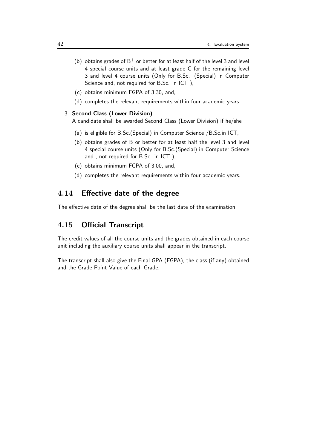- (b) obtains grades of  $B^+$  or better for at least half of the level 3 and level 4 special course units and at least grade C for the remaining level 3 and level 4 course units (Only for B.Sc. (Special) in Computer Science and, not required for B.Sc. in ICT ),
- (c) obtains minimum FGPA of 3.30, and,
- (d) completes the relevant requirements within four academic years.

#### 3. Second Class (Lower Division)

A candidate shall be awarded Second Class (Lower Division) if he/she

- (a) is eligible for B.Sc.(Special) in Computer Science /B.Sc.in ICT,
- (b) obtains grades of B or better for at least half the level 3 and level 4 special course units (Only for B.Sc.(Special) in Computer Science and , not required for B.Sc. in ICT ),
- (c) obtains minimum FGPA of 3.00, and,
- (d) completes the relevant requirements within four academic years.

#### 4.14 Effective date of the degree

The effective date of the degree shall be the last date of the examination.

## 4.15 Official Transcript

The credit values of all the course units and the grades obtained in each course unit including the auxiliary course units shall appear in the transcript.

The transcript shall also give the Final GPA (FGPA), the class (if any) obtained and the Grade Point Value of each Grade.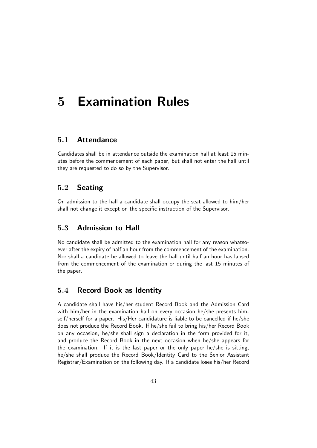# 5 Examination Rules

# 5.1 Attendance

Candidates shall be in attendance outside the examination hall at least 15 minutes before the commencement of each paper, but shall not enter the hall until they are requested to do so by the Supervisor.

## 5.2 Seating

On admission to the hall a candidate shall occupy the seat allowed to him/her shall not change it except on the specific instruction of the Supervisor.

## 5.3 Admission to Hall

No candidate shall be admitted to the examination hall for any reason whatsoever after the expiry of half an hour from the commencement of the examination. Nor shall a candidate be allowed to leave the hall until half an hour has lapsed from the commencement of the examination or during the last 15 minutes of the paper.

## 5.4 Record Book as Identity

A candidate shall have his/her student Record Book and the Admission Card with him/her in the examination hall on every occasion he/she presents himself/herself for a paper. His/Her candidature is liable to be cancelled if he/she does not produce the Record Book. If he/she fail to bring his/her Record Book on any occasion, he/she shall sign a declaration in the form provided for it, and produce the Record Book in the next occasion when he/she appears for the examination. If it is the last paper or the only paper he/she is sitting, he/she shall produce the Record Book/Identity Card to the Senior Assistant Registrar/Examination on the following day. If a candidate loses his/her Record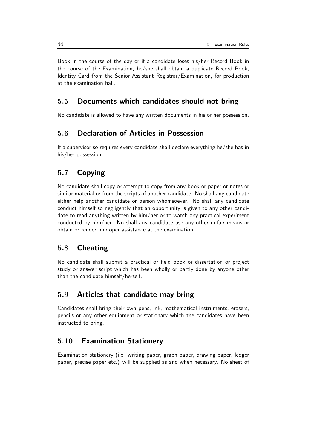Book in the course of the day or if a candidate loses his/her Record Book in the course of the Examination, he/she shall obtain a duplicate Record Book, Identity Card from the Senior Assistant Registrar/Examination, for production at the examination hall.

## 5.5 Documents which candidates should not bring

No candidate is allowed to have any written documents in his or her possession.

## 5.6 Declaration of Articles in Possession

If a supervisor so requires every candidate shall declare everything he/she has in his/her possession

# 5.7 Copying

No candidate shall copy or attempt to copy from any book or paper or notes or similar material or from the scripts of another candidate. No shall any candidate either help another candidate or person whomsoever. No shall any candidate conduct himself so negligently that an opportunity is given to any other candidate to read anything written by him/her or to watch any practical experiment conducted by him/her. No shall any candidate use any other unfair means or obtain or render improper assistance at the examination.

# 5.8 Cheating

No candidate shall submit a practical or field book or dissertation or project study or answer script which has been wholly or partly done by anyone other than the candidate himself/herself.

#### 5.9 Articles that candidate may bring

Candidates shall bring their own pens, ink, mathematical instruments, erasers, pencils or any other equipment or stationary which the candidates have been instructed to bring.

# 5.10 Examination Stationery

Examination stationery (i.e. writing paper, graph paper, drawing paper, ledger paper, precise paper etc.) will be supplied as and when necessary. No sheet of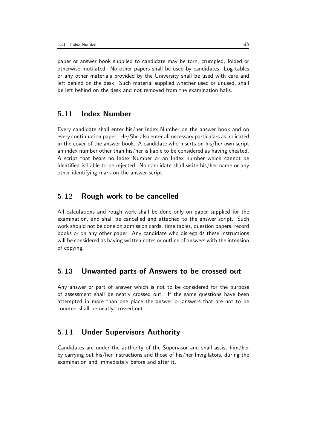paper or answer book supplied to candidate may be torn, crumpled, folded or otherwise mutilated. No other papers shall be used by candidates. Log tables or any other materials provided by the University shall be used with care and left behind on the desk. Such material supplied whether used or unused, shall be left behind on the desk and not removed from the examination halls.

### 5.11 Index Number

Every candidate shall enter his/her Index Number on the answer book and on every continuation paper. He/She also enter all necessary particulars as indicated in the cover of the answer book. A candidate who inserts on his/her own script an index number other than his/her is liable to be considered as having cheated. A script that bears no Index Number or an Index number which cannot be identified is liable to be rejected. No candidate shall write his/her name or any other identifying mark on the answer script.

### 5.12 Rough work to be cancelled

All calculations and rough work shall be done only on paper supplied for the examination, and shall be cancelled and attached to the answer script. Such work should not be done on admission cards, time tables, question papers, record books or on any other paper. Any candidate who disregards these instructions will be considered as having written notes or outline of answers with the intension of copying.

#### 5.13 Unwanted parts of Answers to be crossed out

Any answer or part of answer which is not to be considered for the purpose of assessment shall be neatly crossed out. If the same questions have been attempted in more than one place the answer or answers that are not to be counted shall be neatly crossed out.

### 5.14 Under Supervisors Authority

Candidates are under the authority of the Supervisor and shall assist him/her by carrying out his/her instructions and those of his/her Invigilators, during the examination and immediately before and after it.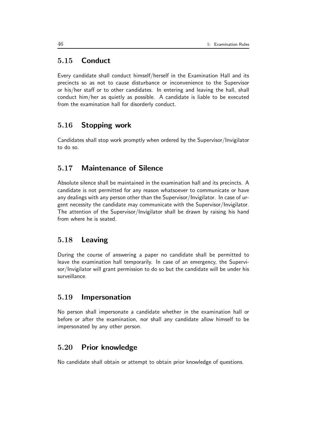# 5.15 Conduct

Every candidate shall conduct himself/herself in the Examination Hall and its precincts so as not to cause disturbance or inconvenience to the Supervisor or his/her staff or to other candidates. In entering and leaving the hall, shall conduct him/her as quietly as possible. A candidate is liable to be executed from the examination hall for disorderly conduct.

# 5.16 Stopping work

Candidates shall stop work promptly when ordered by the Supervisor/Invigilator to do so.

# 5.17 Maintenance of Silence

Absolute silence shall be maintained in the examination hall and its precincts. A candidate is not permitted for any reason whatsoever to communicate or have any dealings with any person other than the Supervisor/Invigilator. In case of urgent necessity the candidate may communicate with the Supervisor/Invigilator. The attention of the Supervisor/Invigilator shall be drawn by raising his hand from where he is seated.

## 5.18 Leaving

During the course of answering a paper no candidate shall be permitted to leave the examination hall temporarily. In case of an emergency, the Supervisor/Invigilator will grant permission to do so but the candidate will be under his surveillance.

#### 5.19 Impersonation

No person shall impersonate a candidate whether in the examination hall or before or after the examination, nor shall any candidate allow himself to be impersonated by any other person.

# 5.20 Prior knowledge

No candidate shall obtain or attempt to obtain prior knowledge of questions.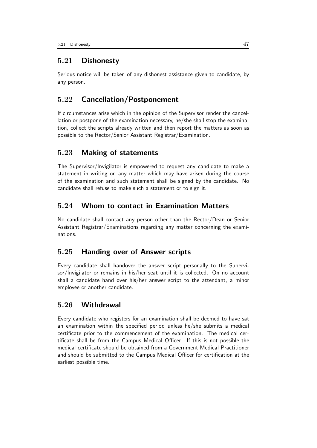## 5.21 Dishonesty

Serious notice will be taken of any dishonest assistance given to candidate, by any person.

# 5.22 Cancellation/Postponement

If circumstances arise which in the opinion of the Supervisor render the cancellation or postpone of the examination necessary, he/she shall stop the examination, collect the scripts already written and then report the matters as soon as possible to the Rector/Senior Assistant Registrar/Examination.

## 5.23 Making of statements

The Supervisor/Invigilator is empowered to request any candidate to make a statement in writing on any matter which may have arisen during the course of the examination and such statement shall be signed by the candidate. No candidate shall refuse to make such a statement or to sign it.

## 5.24 Whom to contact in Examination Matters

No candidate shall contact any person other than the Rector/Dean or Senior Assistant Registrar/Examinations regarding any matter concerning the examinations.

## 5.25 Handing over of Answer scripts

Every candidate shall handover the answer script personally to the Supervisor/Invigilator or remains in his/her seat until it is collected. On no account shall a candidate hand over his/her answer script to the attendant, a minor employee or another candidate.

#### 5.26 Withdrawal

Every candidate who registers for an examination shall be deemed to have sat an examination within the specified period unless he/she submits a medical certificate prior to the commencement of the examination. The medical certificate shall be from the Campus Medical Officer. If this is not possible the medical certificate should be obtained from a Government Medical Practitioner and should be submitted to the Campus Medical Officer for certification at the earliest possible time.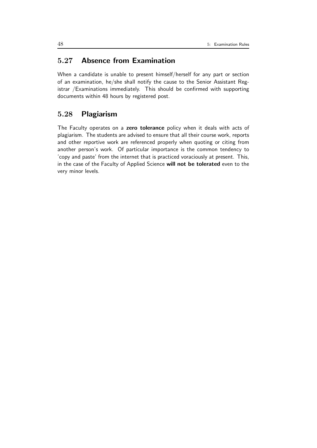# 5.27 Absence from Examination

When a candidate is unable to present himself/herself for any part or section of an examination, he/she shall notify the cause to the Senior Assistant Registrar /Examinations immediately. This should be confirmed with supporting documents within 48 hours by registered post.

## 5.28 Plagiarism

The Faculty operates on a zero tolerance policy when it deals with acts of plagiarism. The students are advised to ensure that all their course work, reports and other reportive work are referenced properly when quoting or citing from another person's work. Of particular importance is the common tendency to 'copy and paste' from the internet that is practiced voraciously at present. This, in the case of the Faculty of Applied Science will not be tolerated even to the very minor levels.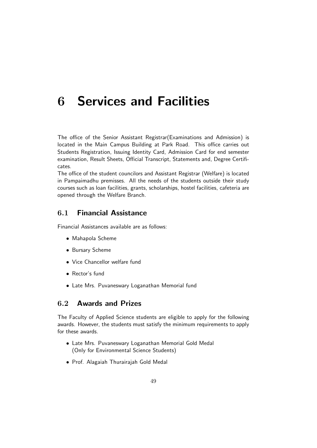# 6 Services and Facilities

The office of the Senior Assistant Registrar(Examinations and Admission) is located in the Main Campus Building at Park Road. This office carries out Students Registration, Issuing Identity Card, Admission Card for end semester examination, Result Sheets, Official Transcript, Statements and, Degree Certificates.

The office of the student councilors and Assistant Registrar (Welfare) is located in Pampaimadhu premisses. All the needs of the students outside their study courses such as loan facilities, grants, scholarships, hostel facilities, cafeteria are opened through the Welfare Branch.

# 6.1 Financial Assistance

Financial Assistances available are as follows:

- Mahapola Scheme
- Bursary Scheme
- Vice Chancellor welfare fund
- Rector's fund
- Late Mrs. Puvaneswary Loganathan Memorial fund

## 6.2 Awards and Prizes

The Faculty of Applied Science students are eligible to apply for the following awards. However, the students must satisfy the minimum requirements to apply for these awards.

- Late Mrs. Puvaneswary Loganathan Memorial Gold Medal (Only for Environmental Science Students)
- Prof. Alagaiah Thurairajah Gold Medal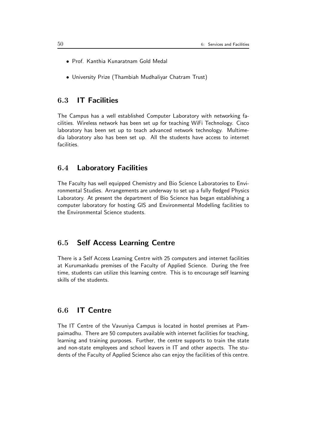- Prof. Kanthia Kunaratnam Gold Medal
- University Prize (Thambiah Mudhaliyar Chatram Trust)

### 6.3 IT Facilities

The Campus has a well established Computer Laboratory with networking facilities. Wireless network has been set up for teaching WiFi Technology. Cisco laboratory has been set up to teach advanced network technology. Multimedia laboratory also has been set up. All the students have access to internet facilities.

#### 6.4 Laboratory Facilities

The Faculty has well equipped Chemistry and Bio Science Laboratories to Environmental Studies. Arrangements are underway to set up a fully fledged Physics Laboratory. At present the department of Bio Science has began establishing a computer laboratory for hosting GIS and Environmental Modelling facilities to the Environmental Science students.

## 6.5 Self Access Learning Centre

There is a Self Access Learning Centre with 25 computers and internet facilities at Kurumankadu premises of the Faculty of Applied Science. During the free time, students can utilize this learning centre. This is to encourage self learning skills of the students.

# 6.6 IT Centre

The IT Centre of the Vavuniya Campus is located in hostel premises at Pampaimadhu. There are 50 computers available with internet facilities for teaching, learning and training purposes. Further, the centre supports to train the state and non-state employees and school leavers in IT and other aspects. The students of the Faculty of Applied Science also can enjoy the facilities of this centre.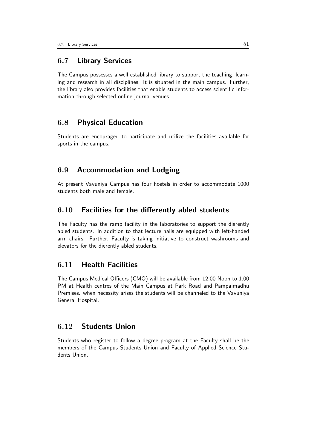# 6.7 Library Services

The Campus possesses a well established library to support the teaching, learning and research in all disciplines. It is situated in the main campus. Further, the library also provides facilities that enable students to access scientific information through selected online journal venues.

#### 6.8 Physical Education

Students are encouraged to participate and utilize the facilities available for sports in the campus.

## 6.9 Accommodation and Lodging

At present Vavuniya Campus has four hostels in order to accommodate 1000 students both male and female.

## 6.10 Facilities for the differently abled students

The Faculty has the ramp facility in the laboratories to support the dierently abled students. In addition to that lecture halls are equipped with left-handed arm chairs. Further, Faculty is taking initiative to construct washrooms and elevators for the dierently abled students.

### 6.11 Health Facilities

The Campus Medical Officers (CMO) will be available from 12.00 Noon to 1.00 PM at Health centres of the Main Campus at Park Road and Pampaimadhu Premises. when necessity arises the students will be channeled to the Vavuniya General Hospital.

# 6.12 Students Union

Students who register to follow a degree program at the Faculty shall be the members of the Campus Students Union and Faculty of Applied Science Students Union.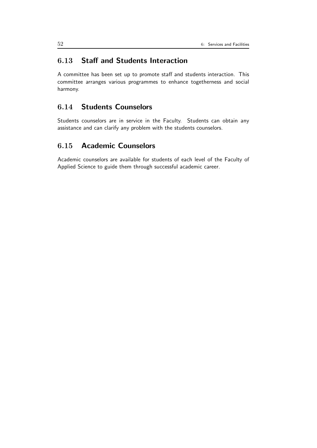# 6.13 Staff and Students Interaction

A committee has been set up to promote staff and students interaction. This committee arranges various programmes to enhance togetherness and social harmony.

# 6.14 Students Counselors

Students counselors are in service in the Faculty. Students can obtain any assistance and can clarify any problem with the students counselors.

# 6.15 Academic Counselors

Academic counselors are available for students of each level of the Faculty of Applied Science to guide them through successful academic career.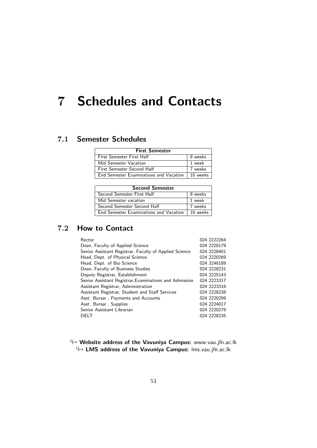# 7 Schedules and Contacts

# 7.1 Semester Schedules

| <b>First Semester</b>                  |          |  |  |  |
|----------------------------------------|----------|--|--|--|
| First Semester First Half              | 8 weeks  |  |  |  |
| Mid Semester Vacation                  | 1 week   |  |  |  |
| First Semester Second Half             | 7 weeks  |  |  |  |
| End Semester Examinations and Vacation | 10 weeks |  |  |  |

| <b>Second Semester</b>                 |          |  |  |  |
|----------------------------------------|----------|--|--|--|
| Second Semester First Half             | 8 weeks  |  |  |  |
| Mid Semester vacation                  | 1 week   |  |  |  |
| Second Semester Second Half            | 7 weeks  |  |  |  |
| End Semester Examinations and Vacation | 10 weeks |  |  |  |

# 7.2 How to Contact

| Rector                                                 | 024 2222264 |
|--------------------------------------------------------|-------------|
| Dean, Faculty of Applied Science                       | 024 2220179 |
| Senior Assistant Registrar, Faculty of Applied Science | 024 2228401 |
| Head, Dept. of Physical Science                        | 024 2220269 |
| Head, Dept. of Bio Science                             | 024 3248189 |
| Dean, Faculty of Business Studies                      | 024 2228231 |
| Deputy Registrar, Establishment                        | 024 2225143 |
| Senior Assistant Registrar, Examinations and Admission | 024 2223317 |
| Assistant Registrar, Administration                    | 024 2223316 |
| Assistant Registrar, Student and Staff Services        | 024 2228238 |
| Asst. Bursar, Payments and Accounts                    | 024 2220299 |
| Asst. Bursar, Supplies                                 | 024 2224017 |
| Senior Assistant Librarian                             | 024 2220279 |
| <b>DELT</b>                                            | 024 2228235 |
|                                                        |             |

 $\leftrightarrow$  Website address of the Vavuniya Campus: www.vau.jfn.ac.lk  $\rightarrow$  LMS address of the Vavuniya Campus: Ims.vau.jfn.ac.lk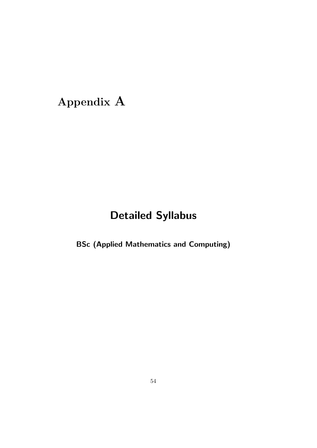# Appendix A

# Detailed Syllabus

BSc (Applied Mathematics and Computing)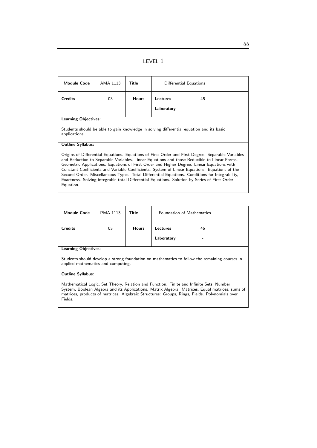#### LEVEL 1

| <b>Module Code</b>                                                                                                                                                                                                                                                                                                                                                                                                                                                                                                                                                                                             | AMA 1113 | Title        | Differential Equations |    |  |  |
|----------------------------------------------------------------------------------------------------------------------------------------------------------------------------------------------------------------------------------------------------------------------------------------------------------------------------------------------------------------------------------------------------------------------------------------------------------------------------------------------------------------------------------------------------------------------------------------------------------------|----------|--------------|------------------------|----|--|--|
| <b>Credits</b>                                                                                                                                                                                                                                                                                                                                                                                                                                                                                                                                                                                                 | 03       | <b>Hours</b> | Lectures               | 45 |  |  |
|                                                                                                                                                                                                                                                                                                                                                                                                                                                                                                                                                                                                                |          |              | Laboratory             |    |  |  |
| <b>Learning Objectives:</b>                                                                                                                                                                                                                                                                                                                                                                                                                                                                                                                                                                                    |          |              |                        |    |  |  |
| Students should be able to gain knowledge in solving differential equation and its basic<br>applications                                                                                                                                                                                                                                                                                                                                                                                                                                                                                                       |          |              |                        |    |  |  |
| <b>Outline Syllabus:</b>                                                                                                                                                                                                                                                                                                                                                                                                                                                                                                                                                                                       |          |              |                        |    |  |  |
| Origins of Differential Equations. Equations of First Order and First Degree. Separable Variables<br>and Reduction to Separable Variables, Linear Equations and those Reducible to Linear Forms.<br>Geometric Applications. Equations of First Order and Higher Degree. Linear Equations with<br>Constant Coefficients and Variable Coefficients. System of Linear Equations. Equations of the<br>Second Order. Miscellaneous Types. Total Differential Equations. Conditions for Integrability,<br>Exactness. Solving integrable total Differential Equations. Solution by Series of First Order<br>Equation. |          |              |                        |    |  |  |

| <b>Module Code</b>                                                                                                                                                                                                             | PMA 1113 | Title        | <b>Foundation of Mathematics</b> |         |  |
|--------------------------------------------------------------------------------------------------------------------------------------------------------------------------------------------------------------------------------|----------|--------------|----------------------------------|---------|--|
| <b>Credits</b>                                                                                                                                                                                                                 | 03       | <b>Hours</b> | Lectures<br>Laboratory           | 45<br>- |  |
| and the Oktober of the control of the control of the control of the control of the control of the control of the control of the control of the control of the control of the control of the control of the control of the cont |          |              |                                  |         |  |

Learning Objectives:

Students should develop a strong foundation on mathematics to follow the remaining courses in applied mathematics and computing.

#### Outline Syllabus:

Mathematical Logic, Set Theory, Relation and Function. Finite and Infinite Sets, Number System, Boolean Algebra and its Applications. Matrix Algebra: Matrices, Equal matrices, sums of matrices, products of matrices. Algebraic Structures: Groups, Rings, Fields. Polynomials over Fields.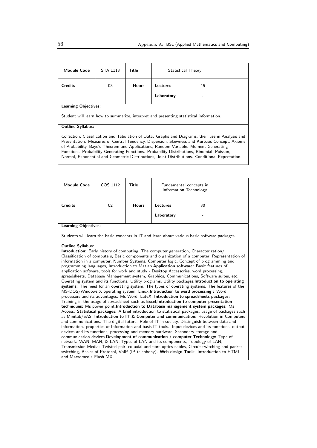| <b>Module Code</b>                                                                                                                                                                                                                                                                                                                                                                                                                                                                        | STA 1113 | Title        | Statistical Theory |    |  |  |
|-------------------------------------------------------------------------------------------------------------------------------------------------------------------------------------------------------------------------------------------------------------------------------------------------------------------------------------------------------------------------------------------------------------------------------------------------------------------------------------------|----------|--------------|--------------------|----|--|--|
| <b>Credits</b>                                                                                                                                                                                                                                                                                                                                                                                                                                                                            | 03       | <b>Hours</b> | Lectures           | 45 |  |  |
|                                                                                                                                                                                                                                                                                                                                                                                                                                                                                           |          |              | Laboratory         |    |  |  |
| <b>Learning Objectives:</b>                                                                                                                                                                                                                                                                                                                                                                                                                                                               |          |              |                    |    |  |  |
| Student will learn how to summarize, interpret and presenting statistical information.                                                                                                                                                                                                                                                                                                                                                                                                    |          |              |                    |    |  |  |
| <b>Outline Syllabus:</b>                                                                                                                                                                                                                                                                                                                                                                                                                                                                  |          |              |                    |    |  |  |
| Collection, Classification and Tabulation of Data. Graphs and Diagrams, their use in Analysis and<br>Presentation. Measures of Central Tendency, Dispersion, Skewness and Kurtosis Concept, Axioms<br>of Probability, Baye's Theorem and Applications, Random Variable. Moment Generating<br>Functions, Probability Generating Functions. Probability Distributions, Binomial, Poisson,<br>Normal, Exponential and Geometric Distributions, Joint Distributions. Conditional Expectation. |          |              |                    |    |  |  |

| <b>Module Code</b>                                                                                                                                                                                                                                                                                                                                                                                                                                                                                                                                                                                                                                                                                                                                                                                                                                                                                                                                                                                                                                                                                                                                                                                                                                                                                                                                                                                                                                                                                                                                                                                                                                                                                                                                                                                                                                                                                                                                                                                                                                                                                                                            | COS 1112 | <b>Title</b> | Fundamental concepts in<br>Information Technology |    |  |
|-----------------------------------------------------------------------------------------------------------------------------------------------------------------------------------------------------------------------------------------------------------------------------------------------------------------------------------------------------------------------------------------------------------------------------------------------------------------------------------------------------------------------------------------------------------------------------------------------------------------------------------------------------------------------------------------------------------------------------------------------------------------------------------------------------------------------------------------------------------------------------------------------------------------------------------------------------------------------------------------------------------------------------------------------------------------------------------------------------------------------------------------------------------------------------------------------------------------------------------------------------------------------------------------------------------------------------------------------------------------------------------------------------------------------------------------------------------------------------------------------------------------------------------------------------------------------------------------------------------------------------------------------------------------------------------------------------------------------------------------------------------------------------------------------------------------------------------------------------------------------------------------------------------------------------------------------------------------------------------------------------------------------------------------------------------------------------------------------------------------------------------------------|----------|--------------|---------------------------------------------------|----|--|
| <b>Credits</b>                                                                                                                                                                                                                                                                                                                                                                                                                                                                                                                                                                                                                                                                                                                                                                                                                                                                                                                                                                                                                                                                                                                                                                                                                                                                                                                                                                                                                                                                                                                                                                                                                                                                                                                                                                                                                                                                                                                                                                                                                                                                                                                                | 02       | <b>Hours</b> | Lectures                                          | 30 |  |
|                                                                                                                                                                                                                                                                                                                                                                                                                                                                                                                                                                                                                                                                                                                                                                                                                                                                                                                                                                                                                                                                                                                                                                                                                                                                                                                                                                                                                                                                                                                                                                                                                                                                                                                                                                                                                                                                                                                                                                                                                                                                                                                                               |          |              | Laboratory                                        |    |  |
| <b>Learning Objectives:</b>                                                                                                                                                                                                                                                                                                                                                                                                                                                                                                                                                                                                                                                                                                                                                                                                                                                                                                                                                                                                                                                                                                                                                                                                                                                                                                                                                                                                                                                                                                                                                                                                                                                                                                                                                                                                                                                                                                                                                                                                                                                                                                                   |          |              |                                                   |    |  |
|                                                                                                                                                                                                                                                                                                                                                                                                                                                                                                                                                                                                                                                                                                                                                                                                                                                                                                                                                                                                                                                                                                                                                                                                                                                                                                                                                                                                                                                                                                                                                                                                                                                                                                                                                                                                                                                                                                                                                                                                                                                                                                                                               |          |              |                                                   |    |  |
| Students will learn the basic concepts in IT and learn about various basic software packages.<br><b>Outline Syllabus:</b><br><b>Introduction:</b> Early history of computing, The computer generation, Characterization/<br>Classification of computers, Basic components and organization of a computer, Representation of<br>information in a computer, Number Systems, Computer logic, Concept of programming and<br>programming languages, Introduction to Matlab Application software: Basic features of<br>application software, tools for work and study - Desktop Accessories, word processing,<br>spreadsheets, Database Management system, Graphics, Communications, Software suites, etc.<br>Operating system and its functions. Utility programs, Utility packages. Introduction to operating<br>systems: The need for an operating system, The types of operating systems, The features of the<br>MS-DOS/Windows X operating system, Linux. Introduction to word processing: Word<br>processors and its advantages. Ms Word, LateX. Introduction to spreadsheets packages:<br>Training in the usage of spreadsheet such as Excel; Introduction to computer presentation<br>techniques: Ms power point Introduction to Database management system packages: Ms<br>Access. Statistical packages: A brief introduction to statistical packages, usage of packages such<br>as Minitab/SAS. Introduction to IT & Computer and communication: Revolution in Computers<br>and communications. The digital future: Role of IT in society, Distinguish between data and<br>information. properties of Information and basis IT tools., Input devices and its functions, output<br>devices and its functions, processing and memory hardware, Secondary storage and<br>communication devices. Development of communication / computer Technology: Type of<br>network: WAN, MAN, & LAN, Types of LAN and its components, Topology of LAN,<br>Transmission Media: Twisted-pair, co axial and fibre optics cables, Circuit switching and packet<br>switching, Basics of Protocol, VoIP (IP telephony). Web design Tools: Introduction to HTML |          |              |                                                   |    |  |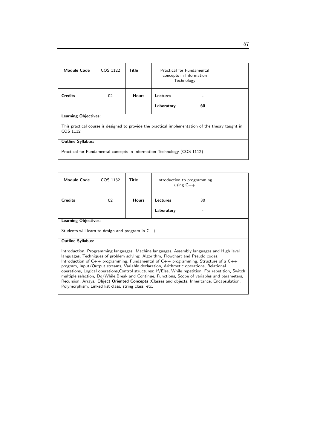| <b>Module Code</b>                                                                                            | COS 1122 | Title        | Practical for Fundamental<br>concepts in Information<br>Technology |    |  |
|---------------------------------------------------------------------------------------------------------------|----------|--------------|--------------------------------------------------------------------|----|--|
| <b>Credits</b>                                                                                                | 02       | <b>Hours</b> | Lectures                                                           |    |  |
|                                                                                                               |          |              | Laboratory                                                         | 60 |  |
| <b>Learning Objectives:</b>                                                                                   |          |              |                                                                    |    |  |
| This practical course is designed to provide the practical implementation of the theory taught in<br>COS 1112 |          |              |                                                                    |    |  |
| <b>Outline Syllabus:</b>                                                                                      |          |              |                                                                    |    |  |
| Practical for Fundamental concepts in Information Technology (COS 1112)                                       |          |              |                                                                    |    |  |

| <b>Module Code</b>                                                                                                                                                                                                                                                                                                                                                                                                                                                                                                                                                                                                                                                                                                                                   | COS 1132                                           | Title        | Introduction to programming<br>using $C++$ |    |  |
|------------------------------------------------------------------------------------------------------------------------------------------------------------------------------------------------------------------------------------------------------------------------------------------------------------------------------------------------------------------------------------------------------------------------------------------------------------------------------------------------------------------------------------------------------------------------------------------------------------------------------------------------------------------------------------------------------------------------------------------------------|----------------------------------------------------|--------------|--------------------------------------------|----|--|
| <b>Credits</b>                                                                                                                                                                                                                                                                                                                                                                                                                                                                                                                                                                                                                                                                                                                                       | 02                                                 | <b>Hours</b> | <b>Lectures</b>                            | 30 |  |
|                                                                                                                                                                                                                                                                                                                                                                                                                                                                                                                                                                                                                                                                                                                                                      |                                                    |              | Laboratory                                 |    |  |
| <b>Learning Objectives:</b>                                                                                                                                                                                                                                                                                                                                                                                                                                                                                                                                                                                                                                                                                                                          |                                                    |              |                                            |    |  |
|                                                                                                                                                                                                                                                                                                                                                                                                                                                                                                                                                                                                                                                                                                                                                      | Students will learn to design and program in $C++$ |              |                                            |    |  |
| <b>Outline Syllabus:</b>                                                                                                                                                                                                                                                                                                                                                                                                                                                                                                                                                                                                                                                                                                                             |                                                    |              |                                            |    |  |
| Introduction, Programming languages: Machine languages, Assembly languages and High level<br>languages, Techniques of problem solving: Algorithm, Flowchart and Pseudo codes.<br>Introduction of $C_{++}$ programming, Fundamental of $C_{++}$ programming, Structure of a $C_{++}$<br>program, Input/Output streams, Variable declaration, Arithmetic operations, Relational<br>operations, Logical operations, Control structures: If / Else, While repetition, For repetition, Switch<br>multiple selection, Do/While, Break and Continue, Functions, Scope of variables and parameters,<br>Recursion, Arrays. Object Oriented Concepts : Classes and objects, Inheritance, Encapsulation,<br>Polymorphism, Linked list class, string class, etc. |                                                    |              |                                            |    |  |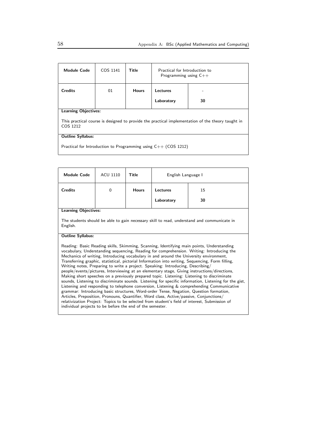| <b>Module Code</b>                                                                                            | COS 1141 | Title        | Practical for Introduction to<br>Programming using $C++$ |    |
|---------------------------------------------------------------------------------------------------------------|----------|--------------|----------------------------------------------------------|----|
| <b>Credits</b>                                                                                                | 01       | <b>Hours</b> | Lectures                                                 |    |
|                                                                                                               |          |              | Laboratory                                               | 30 |
| <b>Learning Objectives:</b>                                                                                   |          |              |                                                          |    |
| This practical course is designed to provide the practical implementation of the theory taught in<br>COS 1212 |          |              |                                                          |    |
| <b>Outline Syllabus:</b>                                                                                      |          |              |                                                          |    |
| Practical for Introduction to Programming using $C++$ (COS 1212)                                              |          |              |                                                          |    |

| <b>Module Code</b>                                                                                                                                                                                                                                                                                                                                                                                                                                                                                                                                                                                                                                                                                                                                                                                                                                                                                                                                                                                                                                                                                                                                                                                                            | ACU 1110                    | Title        | English Language I |    |  |  |
|-------------------------------------------------------------------------------------------------------------------------------------------------------------------------------------------------------------------------------------------------------------------------------------------------------------------------------------------------------------------------------------------------------------------------------------------------------------------------------------------------------------------------------------------------------------------------------------------------------------------------------------------------------------------------------------------------------------------------------------------------------------------------------------------------------------------------------------------------------------------------------------------------------------------------------------------------------------------------------------------------------------------------------------------------------------------------------------------------------------------------------------------------------------------------------------------------------------------------------|-----------------------------|--------------|--------------------|----|--|--|
| <b>Credits</b>                                                                                                                                                                                                                                                                                                                                                                                                                                                                                                                                                                                                                                                                                                                                                                                                                                                                                                                                                                                                                                                                                                                                                                                                                | $\mathbf 0$                 | <b>Hours</b> | Lectures           | 15 |  |  |
|                                                                                                                                                                                                                                                                                                                                                                                                                                                                                                                                                                                                                                                                                                                                                                                                                                                                                                                                                                                                                                                                                                                                                                                                                               |                             |              | Laboratory         | 30 |  |  |
|                                                                                                                                                                                                                                                                                                                                                                                                                                                                                                                                                                                                                                                                                                                                                                                                                                                                                                                                                                                                                                                                                                                                                                                                                               | <b>Learning Objectives:</b> |              |                    |    |  |  |
| The students should be able to gain necessary skill to read, understand and communicate in<br>English.                                                                                                                                                                                                                                                                                                                                                                                                                                                                                                                                                                                                                                                                                                                                                                                                                                                                                                                                                                                                                                                                                                                        |                             |              |                    |    |  |  |
| <b>Outline Syllabus:</b>                                                                                                                                                                                                                                                                                                                                                                                                                                                                                                                                                                                                                                                                                                                                                                                                                                                                                                                                                                                                                                                                                                                                                                                                      |                             |              |                    |    |  |  |
| Reading: Basic Reading skills, Skimming, Scanning, Identifying main points, Understanding<br>vocabulary, Understanding sequencing, Reading for comprehension. Writing: Introducing the<br>Mechanics of writing, Introducing vocabulary in and around the University environment,<br>Transferring graphic, statistical, pictorial Information into writing, Sequencing, Form filling,<br>Writing notes, Preparing to write a project. Speaking: Introducing, Describing/<br>people/events/pictures, Interviewing at an elementary stage, Giving instructions/directions,<br>Making short speeches on a previously prepared topic. Listening: Listening to discriminate<br>sounds, Listening to discriminate sounds. Listening for specific information, Listening for the gist,<br>Listening and responding to telephone conversion, Listening & comprehending Communicative<br>grammar: Introducing basic structures, Word-order Tense, Negation, Question formation,<br>Articles, Preposition, Pronouns, Quantifier, Word class, Active/passive, Conjunctions/<br>relativization Project: Topics to be selected from student's field of interest, Submission of<br>individual projects to be before the end of the semester. |                             |              |                    |    |  |  |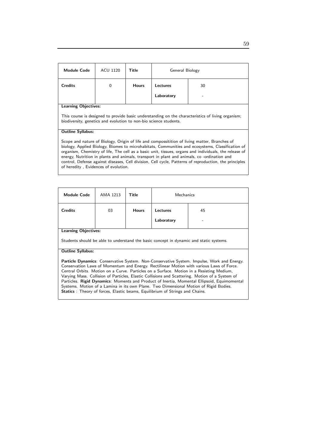| <b>Module Code</b>                                                                                                                                                                                                                                                                                                                                                                                                                                                                                                                                                                     | ACU 1120 | Title        | General Biology |    |
|----------------------------------------------------------------------------------------------------------------------------------------------------------------------------------------------------------------------------------------------------------------------------------------------------------------------------------------------------------------------------------------------------------------------------------------------------------------------------------------------------------------------------------------------------------------------------------------|----------|--------------|-----------------|----|
| <b>Credits</b>                                                                                                                                                                                                                                                                                                                                                                                                                                                                                                                                                                         | $\Omega$ | <b>Hours</b> | Lectures        | 30 |
|                                                                                                                                                                                                                                                                                                                                                                                                                                                                                                                                                                                        |          |              | Laboratory      |    |
| <b>Learning Objectives:</b><br>This course is designed to provide basic understanding on the characteristics of living organism;<br>biodiversity, genetics and evolution to non-bio science students.                                                                                                                                                                                                                                                                                                                                                                                  |          |              |                 |    |
| <b>Outline Syllabus:</b><br>Scope and nature of Biology, Origin of life and compossitition of living matter, Branches of<br>biology, Applied Biology, Biomes to microhabitats, Communities and ecosystems, Classification of<br>organism, Chemistry of life, The cell as a basic unit, tissues, organs and individuals, the release of<br>energy, Nutrition in plants and animals, transport in plant and animals, co-ordination and<br>control, Defense against diseases, Cell division, Cell cycle, Patterns of reproduction, the principles<br>of heredity, Evidences of evolution. |          |              |                 |    |

| <b>Module Code</b>                                                                                                                                                                                                                                                                                                                                                                                                                                                                                                                                                                                                                                                   | AMA 1213                                                                               | Title        | Mechanics  |    |  |
|----------------------------------------------------------------------------------------------------------------------------------------------------------------------------------------------------------------------------------------------------------------------------------------------------------------------------------------------------------------------------------------------------------------------------------------------------------------------------------------------------------------------------------------------------------------------------------------------------------------------------------------------------------------------|----------------------------------------------------------------------------------------|--------------|------------|----|--|
| <b>Credits</b>                                                                                                                                                                                                                                                                                                                                                                                                                                                                                                                                                                                                                                                       | 03                                                                                     | <b>Hours</b> | Lectures   | 45 |  |
|                                                                                                                                                                                                                                                                                                                                                                                                                                                                                                                                                                                                                                                                      |                                                                                        |              | Laboratory |    |  |
| <b>Learning Objectives:</b>                                                                                                                                                                                                                                                                                                                                                                                                                                                                                                                                                                                                                                          |                                                                                        |              |            |    |  |
|                                                                                                                                                                                                                                                                                                                                                                                                                                                                                                                                                                                                                                                                      | Students should be able to understand the basic concept in dynamic and static systems. |              |            |    |  |
| <b>Outline Syllabus:</b>                                                                                                                                                                                                                                                                                                                                                                                                                                                                                                                                                                                                                                             |                                                                                        |              |            |    |  |
| Particle Dynamics: Conservative System. Non-Conservative System. Impulse, Work and Energy.<br>Conservation Laws of Momentum and Energy. Rectilinear Motion with various Laws of Force.<br>Central Orbits. Motion on a Curve. Particles on a Surface. Motion in a Resisting Medium,<br>Varying Mass. Collision of Particles, Elastic Collisions and Scattering. Motion of a System of<br>Particles. Rigid Dynamics: Moments and Product of Inertia, Momental Ellipsoid, Equimomental<br>Systems. Motion of a Lamina in its own Plane. Two Dimensional Motion of Rigid Bodies.<br><b>Statics</b> : Theory of forces, Elastic beams, Equilibrium of Strings and Chains. |                                                                                        |              |            |    |  |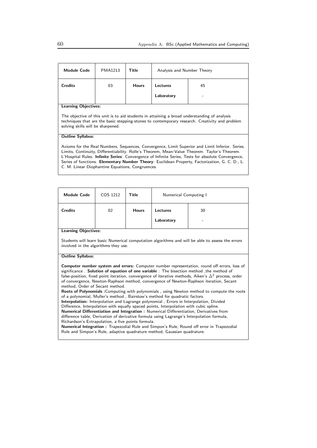| <b>Module Code</b>                                                                                                                                                                                                                                                                                                                                                                                                                                           | PMA1213 | Title        | Analysis and Number Theory |    |
|--------------------------------------------------------------------------------------------------------------------------------------------------------------------------------------------------------------------------------------------------------------------------------------------------------------------------------------------------------------------------------------------------------------------------------------------------------------|---------|--------------|----------------------------|----|
| <b>Credits</b>                                                                                                                                                                                                                                                                                                                                                                                                                                               | 03      | <b>Hours</b> | Lectures                   | 45 |
|                                                                                                                                                                                                                                                                                                                                                                                                                                                              |         |              | Laboratory                 |    |
| <b>Learning Objectives:</b>                                                                                                                                                                                                                                                                                                                                                                                                                                  |         |              |                            |    |
| The objective of this unit is to aid students in attaining a broad understanding of analysis<br>techniques that are the basic stepping-stones to contemporary research. Creativity and problem<br>solving skills will be sharpened.                                                                                                                                                                                                                          |         |              |                            |    |
| <b>Outline Syllabus:</b>                                                                                                                                                                                                                                                                                                                                                                                                                                     |         |              |                            |    |
| Axioms for the Real Numbers, Sequences, Convergence, Limit Superior and Limit Inferior. Series.<br>Limits, Continuity, Differentiability. Rolle's Theorem, Mean-Value Theorem. Taylor's Theorem.<br>L'Hospital Rules. Infinite Series: Convergence of Infinite Series, Tests for absolute Convergence,<br>Series of functions. Elementary Number Theory: Euclidean Property, Factorization, G. C. D., L.<br>C. M. Linear Diophantine Equations, Congruences. |         |              |                            |    |

| <b>Module Code</b>                                                                                                                                                                                                                                                                                                                                                                                                                        | COS 1212                                                                                                                                                                  | Title        | Numerical Computing I |                                                                                            |  |
|-------------------------------------------------------------------------------------------------------------------------------------------------------------------------------------------------------------------------------------------------------------------------------------------------------------------------------------------------------------------------------------------------------------------------------------------|---------------------------------------------------------------------------------------------------------------------------------------------------------------------------|--------------|-----------------------|--------------------------------------------------------------------------------------------|--|
| <b>Credits</b>                                                                                                                                                                                                                                                                                                                                                                                                                            | 02                                                                                                                                                                        | <b>Hours</b> | Lectures              | 30                                                                                         |  |
|                                                                                                                                                                                                                                                                                                                                                                                                                                           |                                                                                                                                                                           |              | Laboratory            |                                                                                            |  |
| <b>Learning Objectives:</b>                                                                                                                                                                                                                                                                                                                                                                                                               |                                                                                                                                                                           |              |                       |                                                                                            |  |
| Students will learn basic Numerical computation algorithms and will be able to assess the errors<br>involved in the algorithms they use.                                                                                                                                                                                                                                                                                                  |                                                                                                                                                                           |              |                       |                                                                                            |  |
| <b>Outline Syllabus:</b>                                                                                                                                                                                                                                                                                                                                                                                                                  |                                                                                                                                                                           |              |                       |                                                                                            |  |
| <b>Computer number system and errors:</b> Computer number representation, round off errors, loss of<br>significance. Solution of equation of one variable: The bisection method, the method of<br>false-position, fixed point iteration, convergence of iterative methods, Aiken's $\Delta^2$ process, order<br>of convergence, Newton-Raphson method, convergence of Newton-Raphson iteration, Secant<br>method, Order of Secant method. |                                                                                                                                                                           |              |                       |                                                                                            |  |
|                                                                                                                                                                                                                                                                                                                                                                                                                                           | Roots of Polynomials : Computing with polynomials, using Newton method to compute the roots<br>of a polynomial, Muller's method, Bairstow's method for quadratic factors. |              |                       |                                                                                            |  |
| Interpolation: Interpolation and Lagrange polynomial, Errors in Interpolation, Divided                                                                                                                                                                                                                                                                                                                                                    |                                                                                                                                                                           |              |                       |                                                                                            |  |
| Difference, Interpolation with equally spaced points, Interpolation with cubic spline.                                                                                                                                                                                                                                                                                                                                                    |                                                                                                                                                                           |              |                       |                                                                                            |  |
|                                                                                                                                                                                                                                                                                                                                                                                                                                           |                                                                                                                                                                           |              |                       | Numerical Differentiation and Integration : Numerical Differentiation, Derivatives from    |  |
| Richardson's Extrapolation, a five points formula.                                                                                                                                                                                                                                                                                                                                                                                        |                                                                                                                                                                           |              |                       | difference table, Derivation of derivative formula using Lagrange's Interpolation formula, |  |

Numerical Integration : Trapezodial Rule and Simpon's Rule, Round off error in Trapezodial Rule and Simpon's Rule, adaptive quadrature method, Gaussian quadrature.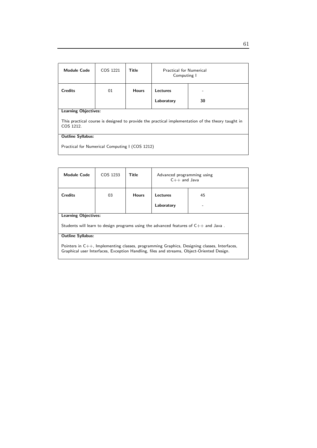| <b>Module Code</b>                                                                                             | COS 1221 | Title        | <b>Practical for Numerical</b><br>Computing I |    |  |
|----------------------------------------------------------------------------------------------------------------|----------|--------------|-----------------------------------------------|----|--|
| <b>Credits</b>                                                                                                 | 01       | <b>Hours</b> | Lectures                                      |    |  |
|                                                                                                                |          |              | Laboratory                                    | 30 |  |
| <b>Learning Objectives:</b>                                                                                    |          |              |                                               |    |  |
| This practical course is designed to provide the practical implementation of the theory taught in<br>COS 1212. |          |              |                                               |    |  |
| <b>Outline Syllabus:</b>                                                                                       |          |              |                                               |    |  |
| Practical for Numerical Computing I (COS 1212)                                                                 |          |              |                                               |    |  |

| <b>Module Code</b>                                                                                                                                                                             | COS 1233 | Title        | Advanced programming using<br>$C++$ and Java |    |
|------------------------------------------------------------------------------------------------------------------------------------------------------------------------------------------------|----------|--------------|----------------------------------------------|----|
| Credits                                                                                                                                                                                        | 03       | <b>Hours</b> | Lectures                                     | 45 |
|                                                                                                                                                                                                |          |              | Laboratory                                   |    |
| <b>Learning Objectives:</b>                                                                                                                                                                    |          |              |                                              |    |
| Students will learn to design programs using the advanced features of $C_{++}$ and Java.                                                                                                       |          |              |                                              |    |
| <b>Outline Syllabus:</b>                                                                                                                                                                       |          |              |                                              |    |
| Pointers in $C_{++}$ , Implementing classes, programming Graphics, Designing classes, Interfaces,<br>Graphical user Interfaces, Exception Handling, files and streams, Object-Oriented Design. |          |              |                                              |    |

61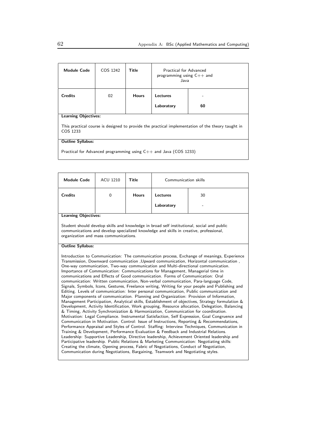| <b>Module Code</b>                                                                                            | COS 1242 | Title        | Practical for Advanced<br>programming using $C++$ and<br>Java |    |
|---------------------------------------------------------------------------------------------------------------|----------|--------------|---------------------------------------------------------------|----|
| <b>Credits</b>                                                                                                | 02       | <b>Hours</b> | Lectures                                                      |    |
|                                                                                                               |          |              | Laboratory                                                    | 60 |
| <b>Learning Objectives:</b>                                                                                   |          |              |                                                               |    |
| This practical course is designed to provide the practical implementation of the theory taught in<br>COS 1233 |          |              |                                                               |    |
| <b>Outline Syllabus:</b>                                                                                      |          |              |                                                               |    |
| Practical for Advanced programming using $C++$ and Java (COS 1233)                                            |          |              |                                                               |    |

| <b>Module Code</b>                                                                                                                                                                                                                                                                                                                                                                                                                                                                                                                                                                                                                                                                                                                                                                                                                                                                                                                                                                                                                                                                                                                                                                                                                                                                                                                                                                                                                                                                                                                                                                                                                                                                                                                                                                                                                                                                            | ACU 1210                                                                                                                                                                                                                      | <b>Title</b> | Communication skills |    |  |  |  |
|-----------------------------------------------------------------------------------------------------------------------------------------------------------------------------------------------------------------------------------------------------------------------------------------------------------------------------------------------------------------------------------------------------------------------------------------------------------------------------------------------------------------------------------------------------------------------------------------------------------------------------------------------------------------------------------------------------------------------------------------------------------------------------------------------------------------------------------------------------------------------------------------------------------------------------------------------------------------------------------------------------------------------------------------------------------------------------------------------------------------------------------------------------------------------------------------------------------------------------------------------------------------------------------------------------------------------------------------------------------------------------------------------------------------------------------------------------------------------------------------------------------------------------------------------------------------------------------------------------------------------------------------------------------------------------------------------------------------------------------------------------------------------------------------------------------------------------------------------------------------------------------------------|-------------------------------------------------------------------------------------------------------------------------------------------------------------------------------------------------------------------------------|--------------|----------------------|----|--|--|--|
| <b>Credits</b>                                                                                                                                                                                                                                                                                                                                                                                                                                                                                                                                                                                                                                                                                                                                                                                                                                                                                                                                                                                                                                                                                                                                                                                                                                                                                                                                                                                                                                                                                                                                                                                                                                                                                                                                                                                                                                                                                | $\overline{0}$                                                                                                                                                                                                                | <b>Hours</b> | <b>Lectures</b>      | 30 |  |  |  |
|                                                                                                                                                                                                                                                                                                                                                                                                                                                                                                                                                                                                                                                                                                                                                                                                                                                                                                                                                                                                                                                                                                                                                                                                                                                                                                                                                                                                                                                                                                                                                                                                                                                                                                                                                                                                                                                                                               |                                                                                                                                                                                                                               |              | Laboratory           |    |  |  |  |
| <b>Learning Objectives:</b>                                                                                                                                                                                                                                                                                                                                                                                                                                                                                                                                                                                                                                                                                                                                                                                                                                                                                                                                                                                                                                                                                                                                                                                                                                                                                                                                                                                                                                                                                                                                                                                                                                                                                                                                                                                                                                                                   |                                                                                                                                                                                                                               |              |                      |    |  |  |  |
|                                                                                                                                                                                                                                                                                                                                                                                                                                                                                                                                                                                                                                                                                                                                                                                                                                                                                                                                                                                                                                                                                                                                                                                                                                                                                                                                                                                                                                                                                                                                                                                                                                                                                                                                                                                                                                                                                               | Student should develop skills and knowledge in broad self institutional, social and public<br>communications and develop specialized knowledge and skills in creative, professional,<br>organization and mass communications. |              |                      |    |  |  |  |
| <b>Outline Syllabus:</b>                                                                                                                                                                                                                                                                                                                                                                                                                                                                                                                                                                                                                                                                                                                                                                                                                                                                                                                                                                                                                                                                                                                                                                                                                                                                                                                                                                                                                                                                                                                                                                                                                                                                                                                                                                                                                                                                      |                                                                                                                                                                                                                               |              |                      |    |  |  |  |
| Introduction to Communication: The communication process, Exchange of meanings, Experience<br>Transmission, Downward communication , Upward communication, Horizontal communication,<br>One-way communication, Two-way communication and Multi-directional communication.<br>Importance of Communication: Communications for Management, Managerial time in<br>communications and Effects of Good communication. Forms of Communication: Oral<br>communication: Written communication, Non-verbal communication, Para-language Code,<br>Signals, Symbols, Icons, Gestures, Freelance writing, Writing for your people and Publishing and<br>Editing. Levels of communication: Inter personal communication, Public communication and<br>Major components of communication. Planning and Organization: Provision of Information,<br>Management Participation, Analytical skills, Establishment of objectives, Strategy formulation &<br>Development, Activity Identification, Work grouping, Resource allocation, Delegation, Balancing<br>& Timing, Activity Synchronization & Harmonization, Communication for coordination.<br>Motivation: Legal Compliance. Instrumental Satisfaction, Self Expression, Goal Congruence and<br>Communication in Motivation. Control: Issue of Instructions, Reporting & Recommendations,<br>Performance Appraisal and Styles of Control. Staffing: Interview Techniques, Communication in<br>Training & Development, Performance Evaluation & Feedback and Industrial Relations.<br>Leadership: Supportive Leadership, Directive leadership, Achievement Oriented leadership and<br>Participative leadership. Public Relations & Marketing Communication: Negotiating skills:<br>Creating the climate, Opening process, Fabric of Negotiations, Conduct of Negotiation,<br>Communication during Negotiations, Bargaining, Teamwork and Negotiating styles. |                                                                                                                                                                                                                               |              |                      |    |  |  |  |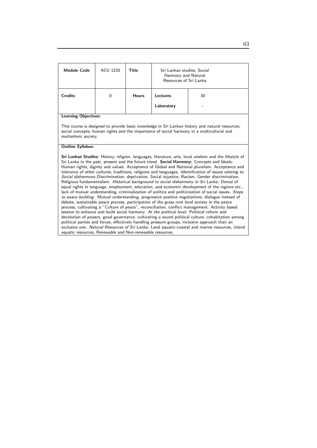| <b>Module Code</b>                                                                                                                                                                                                                                                                                                                                                                                                                                                                                                                                                                                                                                                                                                                                                                                                                                                                                                                                                                                                                                                                                                                                                                                                                                                                                                                                                                                                                                                                                                                                                                                    | <b>ACU 1220</b> | Title        | Sri Lankan studies, Social<br>Harmony and Natural<br>Resources of Sri Lanka |    |  |
|-------------------------------------------------------------------------------------------------------------------------------------------------------------------------------------------------------------------------------------------------------------------------------------------------------------------------------------------------------------------------------------------------------------------------------------------------------------------------------------------------------------------------------------------------------------------------------------------------------------------------------------------------------------------------------------------------------------------------------------------------------------------------------------------------------------------------------------------------------------------------------------------------------------------------------------------------------------------------------------------------------------------------------------------------------------------------------------------------------------------------------------------------------------------------------------------------------------------------------------------------------------------------------------------------------------------------------------------------------------------------------------------------------------------------------------------------------------------------------------------------------------------------------------------------------------------------------------------------------|-----------------|--------------|-----------------------------------------------------------------------------|----|--|
| <b>Credits</b>                                                                                                                                                                                                                                                                                                                                                                                                                                                                                                                                                                                                                                                                                                                                                                                                                                                                                                                                                                                                                                                                                                                                                                                                                                                                                                                                                                                                                                                                                                                                                                                        | 0               | <b>Hours</b> | Lectures                                                                    | 30 |  |
|                                                                                                                                                                                                                                                                                                                                                                                                                                                                                                                                                                                                                                                                                                                                                                                                                                                                                                                                                                                                                                                                                                                                                                                                                                                                                                                                                                                                                                                                                                                                                                                                       |                 |              | Laboratory                                                                  |    |  |
| <b>Learning Objectives:</b>                                                                                                                                                                                                                                                                                                                                                                                                                                                                                                                                                                                                                                                                                                                                                                                                                                                                                                                                                                                                                                                                                                                                                                                                                                                                                                                                                                                                                                                                                                                                                                           |                 |              |                                                                             |    |  |
| This course is designed to provide basic knowledge in Sri Lankan history and natural resources;<br>social concepts; human rights and the importance of social harmony in a multicultural and<br>multiethnic society.                                                                                                                                                                                                                                                                                                                                                                                                                                                                                                                                                                                                                                                                                                                                                                                                                                                                                                                                                                                                                                                                                                                                                                                                                                                                                                                                                                                  |                 |              |                                                                             |    |  |
| <b>Outline Syllabus:</b>                                                                                                                                                                                                                                                                                                                                                                                                                                                                                                                                                                                                                                                                                                                                                                                                                                                                                                                                                                                                                                                                                                                                                                                                                                                                                                                                                                                                                                                                                                                                                                              |                 |              |                                                                             |    |  |
| Sri Lankan Studies: History, religion, languages, literature, arts, local wisdom and the lifestyle of<br>Sri Lanka in the past, present and the future trend. Social Harmony: Concepts and Ideals:<br>Human rights, dignity and values. Acceptance of Global and National pluralism. Acceptance and<br>tolerance of other cultures, traditions, religions and languages. Identification of issues relating to<br>Social disharmony: Discrimination, deprivation, Social injustice, Racism, Gender discrimination,<br>Religious fundamentalism. Historical background to social disharmony in Sri Lanka: Denial of<br>equal rights in language, employment, education, and economic development of the regions etc.,<br>lack of mutual understanding, criminalization of politics and politicization of social issues. Steps<br>to peace building: Mutual understanding, progressive positive negotiations, dialogue instead of<br>debate, sustainable peace process, participation of the grass root level society in the peace<br>process, cultivating a "Culture of peace", reconciliation, conflict management. Activity based<br>session to enhance and build social harmony. At the political level: Political reform and<br>devolution of powers, good governance, cultivating a sound political culture, cohabitation among<br>political parties and forces, effectively handling pressure groups, inclusive approach than an<br>exclusive one. Natural Resources of Sri Lanka: Land aquatic-coastal and marine resources, inland<br>aquatic resources, Renewable and Non-renewable resources. |                 |              |                                                                             |    |  |

63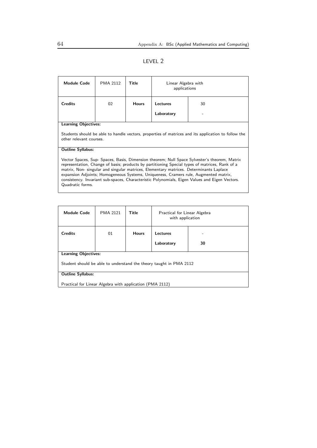#### LEVEL 2

| <b>Module Code</b>                                                                                                                                                                                                                                                                                                                                                                                                                                                                                     | PMA 2112 | Title        | Linear Algebra with<br>applications |  |  |
|--------------------------------------------------------------------------------------------------------------------------------------------------------------------------------------------------------------------------------------------------------------------------------------------------------------------------------------------------------------------------------------------------------------------------------------------------------------------------------------------------------|----------|--------------|-------------------------------------|--|--|
| <b>Credits</b>                                                                                                                                                                                                                                                                                                                                                                                                                                                                                         | 02       | <b>Hours</b> | Lectures<br>30                      |  |  |
|                                                                                                                                                                                                                                                                                                                                                                                                                                                                                                        |          |              | Laboratory                          |  |  |
| <b>Learning Objectives:</b>                                                                                                                                                                                                                                                                                                                                                                                                                                                                            |          |              |                                     |  |  |
| Students should be able to handle vectors, properties of matrices and its application to follow the<br>other relevant courses.                                                                                                                                                                                                                                                                                                                                                                         |          |              |                                     |  |  |
| <b>Outline Syllabus:</b>                                                                                                                                                                                                                                                                                                                                                                                                                                                                               |          |              |                                     |  |  |
| Vector Spaces, Sup- Spaces, Basis, Dimension theorem; Null Space Sylvester's theorem, Matrix<br>representation, Change of basis; products by partitioning Special types of matrices, Rank of a<br>matrix, Non- singular and singular matrices, Elementary matrices. Determinants Laplace<br>expansion Adjoints; Homogeneous Systems, Uniqueness, Cramers rule, Augmented matrix,<br>consistency. Invariant sub-spaces, Characteristic Polynomials, Eigen Values and Eigen Vectors.<br>Quadratic forms. |          |              |                                     |  |  |

| <b>Module Code</b>                                                 | <b>PMA 2121</b> | <b>Title</b> | Practical for Linear Algebra<br>with application |    |  |
|--------------------------------------------------------------------|-----------------|--------------|--------------------------------------------------|----|--|
| <b>Credits</b>                                                     | 01              | <b>Hours</b> | Lectures                                         |    |  |
|                                                                    |                 |              | Laboratory                                       | 30 |  |
| <b>Learning Objectives:</b>                                        |                 |              |                                                  |    |  |
| Student should be able to understand the theory taught in PMA 2112 |                 |              |                                                  |    |  |
| <b>Outline Syllabus:</b>                                           |                 |              |                                                  |    |  |
| Practical for Linear Algebra with application (PMA 2112)           |                 |              |                                                  |    |  |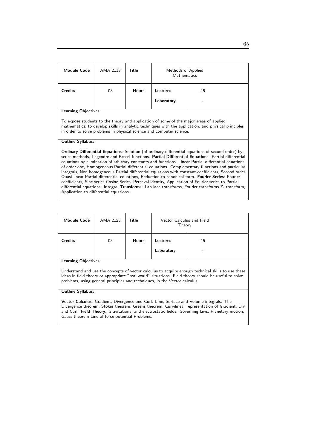| <b>Module Code</b>                                                                                                                                                                                                                                                                                                                                                                                                                                                                                                                                                                                                                                                                                                                                                                                                                                                                                                                 | AMA 2113 | Title        | Methods of Applied<br><b>Mathematics</b> |  |  |
|------------------------------------------------------------------------------------------------------------------------------------------------------------------------------------------------------------------------------------------------------------------------------------------------------------------------------------------------------------------------------------------------------------------------------------------------------------------------------------------------------------------------------------------------------------------------------------------------------------------------------------------------------------------------------------------------------------------------------------------------------------------------------------------------------------------------------------------------------------------------------------------------------------------------------------|----------|--------------|------------------------------------------|--|--|
| <b>Credits</b>                                                                                                                                                                                                                                                                                                                                                                                                                                                                                                                                                                                                                                                                                                                                                                                                                                                                                                                     | 03       | <b>Hours</b> | Lectures<br>45                           |  |  |
|                                                                                                                                                                                                                                                                                                                                                                                                                                                                                                                                                                                                                                                                                                                                                                                                                                                                                                                                    |          |              | Laboratory                               |  |  |
| <b>Learning Objectives:</b><br>To expose students to the theory and application of some of the major areas of applied<br>mathematics; to develop skills in analytic techniques with the application, and physical principles<br>in order to solve problems in physical science and computer science.                                                                                                                                                                                                                                                                                                                                                                                                                                                                                                                                                                                                                               |          |              |                                          |  |  |
| <b>Outline Syllabus:</b><br><b>Ordinary Differential Equations:</b> Solution (of ordinary differential equations of second order) by<br>series methods. Legendre and Bessel functions. Partial Differential Equations: Partial differential<br>equations by elimination of arbitrary constants and functions, Linear Partial differential equations<br>of order one, Homogeneous Partial differential equations. Complementary functions and particular<br>integrals, Non homogeneous Partial differential equations with constant coefficients, Second order<br>Quasi linear Partial differential equations, Reduction to canonical form. Fourier Series: Fourier<br>coefficients, Sine series Cosine Series, Perceval identity, Application of Fourier series to Partial<br>differential equations. <b>Integral Transforms</b> : Lap lace transforms, Fourier transforms Z- transform,<br>Application to differential equations. |          |              |                                          |  |  |

| <b>Module Code</b>          | AMA 2123 | <b>Title</b> | Vector Calculus and Field<br>Theory |         |  |
|-----------------------------|----------|--------------|-------------------------------------|---------|--|
| <b>Credits</b>              | 03       | <b>Hours</b> | Lectures<br>Laboratory              | 45<br>- |  |
| <b>Learning Objectives:</b> |          |              |                                     |         |  |

Understand and use the concepts of vector calculus to acquire enough technical skills to use these ideas in field theory or appropriate "real world" situations. Field theory should be useful to solve problems, using general principles and techniques, in the Vector calculus.

#### Outline Syllabus:

Vector Calculus: Gradient, Divergence and Curl. Line, Surface and Volume integrals. The Divergence theorem, Stokes theorem, Greens theorem, Curvilinear representation of Gradient, Div and Curl. Field Theory: Gravitational and electrostatic fields. Governing laws, Planetary motion, Gauss theorem Line of force potential Problems.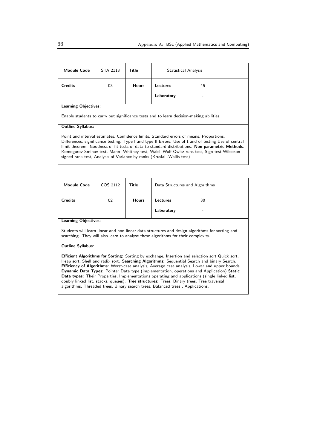| <b>Module Code</b>                                                                                                                                                                                                                                                                                                                                                                                                                                                        | STA 2113                    | Title        | Statistical Analysis |    |  |  |
|---------------------------------------------------------------------------------------------------------------------------------------------------------------------------------------------------------------------------------------------------------------------------------------------------------------------------------------------------------------------------------------------------------------------------------------------------------------------------|-----------------------------|--------------|----------------------|----|--|--|
| <b>Credits</b>                                                                                                                                                                                                                                                                                                                                                                                                                                                            | 03                          | <b>Hours</b> | Lectures             | 45 |  |  |
|                                                                                                                                                                                                                                                                                                                                                                                                                                                                           |                             |              | Laboratory           |    |  |  |
|                                                                                                                                                                                                                                                                                                                                                                                                                                                                           | <b>Learning Objectives:</b> |              |                      |    |  |  |
| Enable students to carry out significance tests and to learn decision-making abilities.                                                                                                                                                                                                                                                                                                                                                                                   |                             |              |                      |    |  |  |
| <b>Outline Syllabus:</b>                                                                                                                                                                                                                                                                                                                                                                                                                                                  |                             |              |                      |    |  |  |
| Point and interval estimates, Confidence limits, Standard errors of means, Proportions,<br>Differences, significance testing. Type I and type II Errors. Use of t and of testing Use of central<br>limit theorem. Goodness of fit tests of data to standard distributions. Non parametric Methods:<br>Komogorov-Sminov test, Mann- Whitney test, Wald -Wolf Owitz runs test, Sign test Wilcoxon<br>signed rank test, Analysis of Variance by ranks (Kruslal -Wallis test) |                             |              |                      |    |  |  |

| <b>Module Code</b>                                                                                                                                                                                                                                                                                                                                                                                                                                                                                                                                                                                                                                                                                       | COS 2112 | Title        | Data Structures and Algorithms |    |  |
|----------------------------------------------------------------------------------------------------------------------------------------------------------------------------------------------------------------------------------------------------------------------------------------------------------------------------------------------------------------------------------------------------------------------------------------------------------------------------------------------------------------------------------------------------------------------------------------------------------------------------------------------------------------------------------------------------------|----------|--------------|--------------------------------|----|--|
| <b>Credits</b>                                                                                                                                                                                                                                                                                                                                                                                                                                                                                                                                                                                                                                                                                           | 02       | <b>Hours</b> | Lectures                       | 30 |  |
|                                                                                                                                                                                                                                                                                                                                                                                                                                                                                                                                                                                                                                                                                                          |          |              | Laboratory                     |    |  |
| <b>Learning Objectives:</b>                                                                                                                                                                                                                                                                                                                                                                                                                                                                                                                                                                                                                                                                              |          |              |                                |    |  |
| Students will learn linear and non linear data structures and design algorithms for sorting and<br>searching. They will also learn to analyse these algorithms for their complexity.                                                                                                                                                                                                                                                                                                                                                                                                                                                                                                                     |          |              |                                |    |  |
| <b>Outline Syllabus:</b>                                                                                                                                                                                                                                                                                                                                                                                                                                                                                                                                                                                                                                                                                 |          |              |                                |    |  |
| <b>Efficient Algorithms for Sorting:</b> Sorting by exchange, Insertion and selection sort Quick sort,<br>Heap sort, Shell and radix sort. Searching Algorithms: Sequential Search and binary Search.<br><b>Efficiency of Algorithms:</b> Worst-case analysis, Average case analysis, Lower and upper bounds.<br><b>Dynamic Data Types:</b> Pointer Data type (implementation, operations and Application) Static<br><b>Data types:</b> Their Properties, Implementations operating and applications (single linked list,<br>doubly linked list, stacks, queues). Tree structures: Trees, Binary trees, Tree traversal<br>algorithms, Threaded trees, Binary search trees, Balanced trees, Applications. |          |              |                                |    |  |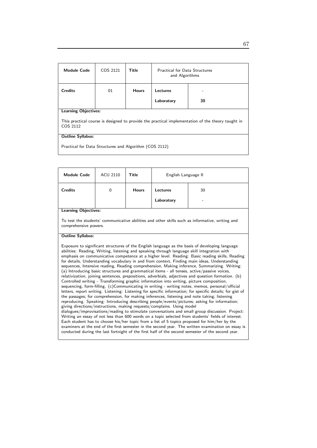| <b>Module Code</b>                                                                                            | COS 2121 | <b>Title</b> | <b>Practical for Data Structures</b><br>and Algorithms |    |  |
|---------------------------------------------------------------------------------------------------------------|----------|--------------|--------------------------------------------------------|----|--|
| <b>Credits</b>                                                                                                | 01       | <b>Hours</b> | Lectures                                               |    |  |
|                                                                                                               |          |              | Laboratory                                             | 30 |  |
| <b>Learning Objectives:</b>                                                                                   |          |              |                                                        |    |  |
| This practical course is designed to provide the practical implementation of the theory taught in<br>COS 2112 |          |              |                                                        |    |  |
| <b>Outline Syllabus:</b>                                                                                      |          |              |                                                        |    |  |
| Practical for Data Structures and Algorithm (COS 2112)                                                        |          |              |                                                        |    |  |

Module Code | ACU 2110 | Title | English Language II Credits 0 Hours Lectures 30 Laboratory | -Learning Objectives: To test the students' communicative abilities and other skills such as informative, writing and comprehensive powers. Outline Syllabus: Exposure to significant structures of the English language as the basis of developing language abilities: Reading, Writing, listening and speaking through language skill integration with emphasis on communicative competence at a higher level. Reading: Basic reading skills, Reading for details, Understanding vocabulary in and from context, Finding main ideas, Understanding sequences, Intensive reading, Reading comprehension, Making inference, Summarizing. Writing: (a) Introducing basic structures and grammatical items - all tenses, active/passive voices, relativization, joining sentences, prepositions, adverbials, adjectives and question formation. (b) Controlled writing - Transforming graphic information into writing, picture composition, sequencing, form-filling. (c)Communicating in writing - writing notes, memos, personal/official letters, report writing. Listening: Listening for specific information; for specific details; for gist of the passages; for comprehension, for making inferences, listening and note taking; listening reproducing. Speaking: Introducing describing people/events/pictures; asking for information; giving directions/instructions, making requests/complains. Using model dialogues/improvisations/reading to stimulate conversations and small group discussion. Project: Writing an essay of not less than 600 words on a topic selected from students' fields of interest. Each student has to choose his/her topic from a list of 5 topics proposed for him/her by the examiners at the end of the first semester in the second year. The written examination on essay is conducted during the last fortnight of the first half of the second semester of the second year.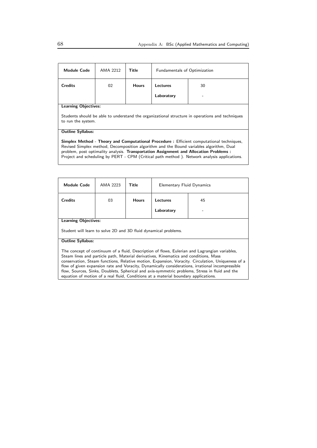| <b>Module Code</b>                                                                                                                                                                                                                                                                                                                                                                  | AMA 2212 | Title        | <b>Fundamentals of Optimization</b> |    |
|-------------------------------------------------------------------------------------------------------------------------------------------------------------------------------------------------------------------------------------------------------------------------------------------------------------------------------------------------------------------------------------|----------|--------------|-------------------------------------|----|
| <b>Credits</b>                                                                                                                                                                                                                                                                                                                                                                      | 02       | <b>Hours</b> | Lectures                            | 30 |
|                                                                                                                                                                                                                                                                                                                                                                                     |          |              | Laboratory                          |    |
| <b>Learning Objectives:</b>                                                                                                                                                                                                                                                                                                                                                         |          |              |                                     |    |
| Students should be able to understand the organizational structure in operations and techniques<br>to run the system.                                                                                                                                                                                                                                                               |          |              |                                     |    |
| <b>Outline Syllabus:</b>                                                                                                                                                                                                                                                                                                                                                            |          |              |                                     |    |
| <b>Simplex Method - Theory and Computational Procedure:</b> Efficient computational techniques,<br>Revised Simplex method, Decomposition algorithm and the Bound variables algorithm, Dual<br>problem, post optimality analysis. Transportation Assignment and Allocation Problems :<br>Project and scheduling by PERT - CPM (Critical path method). Network analysis applications. |          |              |                                     |    |

| Module Code                                                                                                                                                                                                                                                                                                                                                                                                                                                                                                                                                                             | AMA 2223 | Title        | Elementary Fluid Dynamics |    |
|-----------------------------------------------------------------------------------------------------------------------------------------------------------------------------------------------------------------------------------------------------------------------------------------------------------------------------------------------------------------------------------------------------------------------------------------------------------------------------------------------------------------------------------------------------------------------------------------|----------|--------------|---------------------------|----|
| <b>Credits</b>                                                                                                                                                                                                                                                                                                                                                                                                                                                                                                                                                                          | 03       | <b>Hours</b> | <b>Lectures</b>           | 45 |
|                                                                                                                                                                                                                                                                                                                                                                                                                                                                                                                                                                                         |          |              | Laboratory                |    |
| <b>Learning Objectives:</b>                                                                                                                                                                                                                                                                                                                                                                                                                                                                                                                                                             |          |              |                           |    |
| Student will learn to solve 2D and 3D fluid dynamical problems.                                                                                                                                                                                                                                                                                                                                                                                                                                                                                                                         |          |              |                           |    |
| <b>Outline Syllabus:</b>                                                                                                                                                                                                                                                                                                                                                                                                                                                                                                                                                                |          |              |                           |    |
| The concept of continuum of a fluid, Description of flows, Eulerian and Lagrangian variables,<br>Steam lines and particle path, Material derivatives, Kinematics and conditions, Mass<br>conservation, Steam functions, Relative motion, Expansion, Voracity. Circulation, Uniqueness of a<br>flow of given expansion rate and Voracity, Dynamically considerations, irrational incompressible<br>flow, Sources, Sinks, Doublets, Spherical and axis-symmetric problems, Stress in fluid and the<br>equation of motion of a real fluid, Conditions at a material boundary applications. |          |              |                           |    |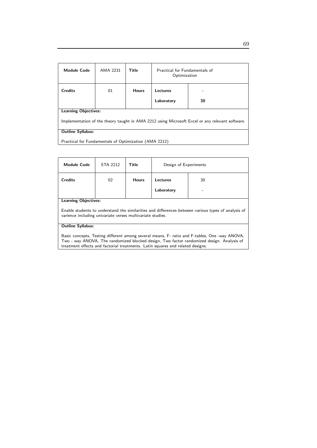| Module Code                                                                                                                    | AMA 2231 | Title        | Practical for Eundamentals of<br>Optimization |         |
|--------------------------------------------------------------------------------------------------------------------------------|----------|--------------|-----------------------------------------------|---------|
| <b>Credits</b>                                                                                                                 | 01       | <b>Hours</b> | Lectures<br>Laboratory                        | -<br>30 |
| <b>Learning Objectives:</b><br>Implementation of the theory taught in AMA 2212 using Microsoft Excel or any relevant software. |          |              |                                               |         |
| <b>Outline Syllabus:</b><br>Practical for Fundamentals of Optimization (AMA 2212)                                              |          |              |                                               |         |

| <b>Module Code</b>                                                                                                                                                                                                                                                           | STA 2212 | Title        | Design of Experiments |    |
|------------------------------------------------------------------------------------------------------------------------------------------------------------------------------------------------------------------------------------------------------------------------------|----------|--------------|-----------------------|----|
| <b>Credits</b>                                                                                                                                                                                                                                                               | 02       | <b>Hours</b> | Lectures              | 30 |
|                                                                                                                                                                                                                                                                              |          |              | Laboratory            |    |
| <b>Learning Objectives:</b>                                                                                                                                                                                                                                                  |          |              |                       |    |
| Enable students to understand the similarities and differences between various types of analysis of<br>varience including univariate verses multivariate studies.                                                                                                            |          |              |                       |    |
| <b>Outline Syllabus:</b>                                                                                                                                                                                                                                                     |          |              |                       |    |
| Basic concepts, Testing different among several means, F- ratio and F-tables, One -way ANOVA,<br>Two - way ANOVA, The randomized blocked design, Two factor randomized design. Analysis of<br>treatment effects and factorial treatments. Latin squares and related designs. |          |              |                       |    |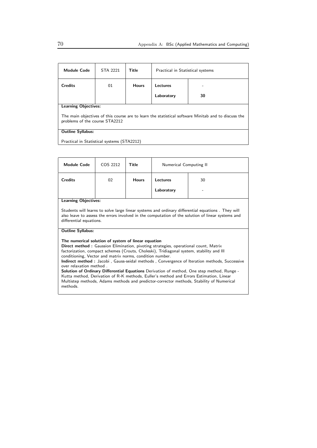| <b>Module Code</b>                                                                                                                    | STA 2221                    | Title        | Practical in Statistical systems |    |  |
|---------------------------------------------------------------------------------------------------------------------------------------|-----------------------------|--------------|----------------------------------|----|--|
| <b>Credits</b>                                                                                                                        | 01                          | <b>Hours</b> | Lectures                         |    |  |
|                                                                                                                                       |                             |              | Laboratory                       | 30 |  |
|                                                                                                                                       | <b>Learning Objectives:</b> |              |                                  |    |  |
| The main objectives of this course are to learn the statistical software Minitab and to discuss the<br>problems of the course STA2212 |                             |              |                                  |    |  |
| <b>Outline Syllabus:</b>                                                                                                              |                             |              |                                  |    |  |
| Practical in Statistical systems (STA2212)                                                                                            |                             |              |                                  |    |  |

| Module Code                                                                                                                                                                                                                                                                                                                                                                                                                                                                                                                                                                                                                                                                                                                                | COS 2212 | <b>Title</b> | Numerical Computing II |    |  |
|--------------------------------------------------------------------------------------------------------------------------------------------------------------------------------------------------------------------------------------------------------------------------------------------------------------------------------------------------------------------------------------------------------------------------------------------------------------------------------------------------------------------------------------------------------------------------------------------------------------------------------------------------------------------------------------------------------------------------------------------|----------|--------------|------------------------|----|--|
| <b>Credits</b>                                                                                                                                                                                                                                                                                                                                                                                                                                                                                                                                                                                                                                                                                                                             | 02       | <b>Hours</b> | Lectures               | 30 |  |
|                                                                                                                                                                                                                                                                                                                                                                                                                                                                                                                                                                                                                                                                                                                                            |          |              | Laboratory             |    |  |
| <b>Learning Objectives:</b>                                                                                                                                                                                                                                                                                                                                                                                                                                                                                                                                                                                                                                                                                                                |          |              |                        |    |  |
| Students will learns to solve large linear systems and ordinary differential equations. They will<br>also leave to assess the errors involved in the computation of the solution of linear systems and<br>differential equations.                                                                                                                                                                                                                                                                                                                                                                                                                                                                                                          |          |              |                        |    |  |
| <b>Outline Syllabus:</b>                                                                                                                                                                                                                                                                                                                                                                                                                                                                                                                                                                                                                                                                                                                   |          |              |                        |    |  |
| The numerical solution of system of linear equation<br><b>Direct method:</b> Gaussion Elimination, pivoting strategies, operational count, Matrix<br>factorization, compact schemes (Crouts, Choleski), Tridiagonal system, stability and III<br>conditioning, Vector and matrix norms, condition number.<br>Indirect method: Jacobi, Gauss-seidal methods, Convergence of Iteration methods, Successive<br>over relaxation method.<br><b>Solution of Ordinary Differential Equations</b> Derivation of method, One step method, Runge -<br>Kutta method, Derivation of R-K methods, Euller's method and Errors Estimation, Linear<br>Multistep methods, Adams methods and predictor-corrector methods, Stability of Numerical<br>methods. |          |              |                        |    |  |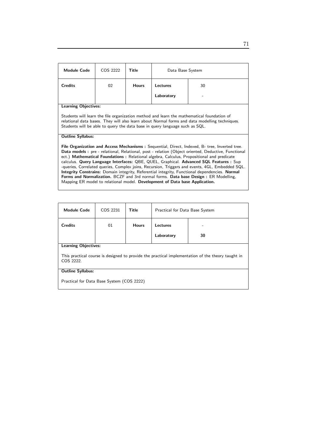| <b>Module Code</b>                                                                                                                                                                                                                                                                                                                                                                                                                                                                                                                                                                                                                       | COS 2222 | Title        | Data Base System |    |
|------------------------------------------------------------------------------------------------------------------------------------------------------------------------------------------------------------------------------------------------------------------------------------------------------------------------------------------------------------------------------------------------------------------------------------------------------------------------------------------------------------------------------------------------------------------------------------------------------------------------------------------|----------|--------------|------------------|----|
| <b>Credits</b>                                                                                                                                                                                                                                                                                                                                                                                                                                                                                                                                                                                                                           | 02       | <b>Hours</b> | Lectures         | 30 |
|                                                                                                                                                                                                                                                                                                                                                                                                                                                                                                                                                                                                                                          |          |              | Laboratory       |    |
| <b>Learning Objectives:</b>                                                                                                                                                                                                                                                                                                                                                                                                                                                                                                                                                                                                              |          |              |                  |    |
| Students will learn the file organization method and learn the mathematical foundation of<br>relational data bases. They will also learn about Normal forms and data modelling techniques.<br>Students will be able to query the data base in query language such as SQL.                                                                                                                                                                                                                                                                                                                                                                |          |              |                  |    |
| <b>Outline Syllabus:</b>                                                                                                                                                                                                                                                                                                                                                                                                                                                                                                                                                                                                                 |          |              |                  |    |
| File Organization and Access Mechanisms: Sequential, Direct, Indexed, B- tree, Inverted tree.<br>Data models: pre - relational, Relational, post - relation (Object oriented, Deductive, Functional<br>ect.) Mathematical Foundations: Relational algebra, Calculus, Propositional and predicate<br>calculus. Query Language Interfaces: QBE, QUEL, Graphical. Advanced SQL Features : Sup<br>-queries, Correlated queries, Complex joins, Recursion, Triggers and events, 4GL, Embedded SQL.<br><b>Integrity Constrains:</b> Domain integrity, Referential integrity, Functional dependencies. Normal<br>THE PLATF LOL LC BLI BY FOULLE |          |              |                  |    |

Forms and Normalization. BCZF and 3rd normal forms. Data base Design : ER Modelling, Mapping ER model to relational model. Development of Data base Application.

| <b>Module Code</b>                                                                                             | COS 2231                    | Title        | Practical for Data Base System |    |  |
|----------------------------------------------------------------------------------------------------------------|-----------------------------|--------------|--------------------------------|----|--|
| <b>Credits</b>                                                                                                 | 01                          | <b>Hours</b> | Lectures                       |    |  |
|                                                                                                                |                             |              | Laboratory                     | 30 |  |
|                                                                                                                | <b>Learning Objectives:</b> |              |                                |    |  |
| This practical course is designed to provide the practical implementation of the theory taught in<br>COS 2222. |                             |              |                                |    |  |
| <b>Outline Syllabus:</b>                                                                                       |                             |              |                                |    |  |
| Practical for Data Base System (COS 2222)                                                                      |                             |              |                                |    |  |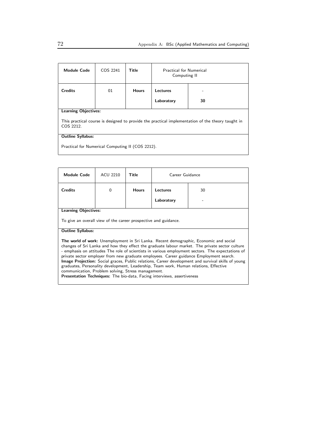| <b>Module Code</b>                                                                                             | COS 2241 | Title        | <b>Practical for Numerical</b><br>Computing II |    |  |
|----------------------------------------------------------------------------------------------------------------|----------|--------------|------------------------------------------------|----|--|
| <b>Credits</b>                                                                                                 | 01       | <b>Hours</b> | Lectures                                       |    |  |
|                                                                                                                |          |              | Laboratory                                     | 30 |  |
| <b>Learning Objectives:</b>                                                                                    |          |              |                                                |    |  |
| This practical course is designed to provide the practical implementation of the theory taught in<br>COS 2212. |          |              |                                                |    |  |
| <b>Outline Syllabus:</b>                                                                                       |          |              |                                                |    |  |
| Practical for Numerical Computing II (COS 2212).                                                               |          |              |                                                |    |  |

| <b>Module Code</b>                                                                                                                                                                                                                                                                                                                                                                                                                                                                                                                                                                                                                                                                                                                            | ACU 2210                                                        | Title        | Career Guidance |    |  |
|-----------------------------------------------------------------------------------------------------------------------------------------------------------------------------------------------------------------------------------------------------------------------------------------------------------------------------------------------------------------------------------------------------------------------------------------------------------------------------------------------------------------------------------------------------------------------------------------------------------------------------------------------------------------------------------------------------------------------------------------------|-----------------------------------------------------------------|--------------|-----------------|----|--|
| <b>Credits</b>                                                                                                                                                                                                                                                                                                                                                                                                                                                                                                                                                                                                                                                                                                                                | $\Omega$                                                        | <b>Hours</b> | Lectures        | 30 |  |
|                                                                                                                                                                                                                                                                                                                                                                                                                                                                                                                                                                                                                                                                                                                                               |                                                                 |              | Laboratory      |    |  |
| <b>Learning Objectives:</b>                                                                                                                                                                                                                                                                                                                                                                                                                                                                                                                                                                                                                                                                                                                   |                                                                 |              |                 |    |  |
|                                                                                                                                                                                                                                                                                                                                                                                                                                                                                                                                                                                                                                                                                                                                               | To give an overall view of the career prospective and guidance. |              |                 |    |  |
| <b>Outline Syllabus:</b>                                                                                                                                                                                                                                                                                                                                                                                                                                                                                                                                                                                                                                                                                                                      |                                                                 |              |                 |    |  |
| <b>The world of work:</b> Unemployment in Sri Lanka. Recent demographic, Economic and social<br>changes of Sri Lanka and how they effect the graduate labour market. The private sector culture<br>- emphasis on attitudes The role of scientists in various employment sectors. The expectations of<br>private sector employer from new graduate employees. Career guidance Employment search.<br><b>Image Projection:</b> Social graces, Public relations, Career development and survival skills of young<br>graduates, Personality development, Leadership, Team work, Human relations, Effective<br>communication, Problem solving, Stress management.<br><b>Presentation Techniques:</b> The bio-data, Facing interviews, assertiveness |                                                                 |              |                 |    |  |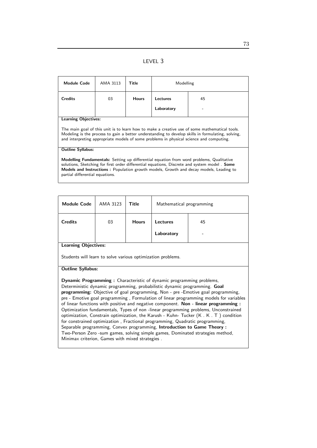| <b>Module Code</b>                                                                                                                                                                                                                                                                                                                         | AMA 3113 | Title        | Modelling  |    |
|--------------------------------------------------------------------------------------------------------------------------------------------------------------------------------------------------------------------------------------------------------------------------------------------------------------------------------------------|----------|--------------|------------|----|
| <b>Credits</b>                                                                                                                                                                                                                                                                                                                             | 03       | <b>Hours</b> | Lectures   | 45 |
|                                                                                                                                                                                                                                                                                                                                            |          |              | Laboratory |    |
| <b>Learning Objectives:</b>                                                                                                                                                                                                                                                                                                                |          |              |            |    |
| The main goal of this unit is to learn how to make a creative use of some mathematical tools.<br>Modeling is the process to gain a better understanding to develop skills in formulating, solving,<br>and interpreting appropriate models of some problems in physical science and computing.                                              |          |              |            |    |
| <b>Outline Syllabus:</b>                                                                                                                                                                                                                                                                                                                   |          |              |            |    |
| <b>Modelling Fundamentals:</b> Setting up differential equation from word problems, Qualitative<br>solutions, Sketching for first order differential equations, Discrete and system model. <b>Some</b><br><b>Models and Instructions:</b> Population growth models, Growth and decay models, Leading to<br>partial differential equations. |          |              |            |    |

| <b>Module Code</b>                                                                                                                                                                                                                                                                                                                                                                                                                                                                                                                                                                                                                                                                                                                                                                                                                                                                                            | AMA 3123 | <b>Title</b> | Mathematical programming |    |  |
|---------------------------------------------------------------------------------------------------------------------------------------------------------------------------------------------------------------------------------------------------------------------------------------------------------------------------------------------------------------------------------------------------------------------------------------------------------------------------------------------------------------------------------------------------------------------------------------------------------------------------------------------------------------------------------------------------------------------------------------------------------------------------------------------------------------------------------------------------------------------------------------------------------------|----------|--------------|--------------------------|----|--|
| <b>Credits</b>                                                                                                                                                                                                                                                                                                                                                                                                                                                                                                                                                                                                                                                                                                                                                                                                                                                                                                | 03       | <b>Hours</b> | Lectures                 | 45 |  |
|                                                                                                                                                                                                                                                                                                                                                                                                                                                                                                                                                                                                                                                                                                                                                                                                                                                                                                               |          |              | Laboratory               |    |  |
| <b>Learning Objectives:</b>                                                                                                                                                                                                                                                                                                                                                                                                                                                                                                                                                                                                                                                                                                                                                                                                                                                                                   |          |              |                          |    |  |
| Students will learn to solve various optimization problems.                                                                                                                                                                                                                                                                                                                                                                                                                                                                                                                                                                                                                                                                                                                                                                                                                                                   |          |              |                          |    |  |
| <b>Outline Syllabus:</b>                                                                                                                                                                                                                                                                                                                                                                                                                                                                                                                                                                                                                                                                                                                                                                                                                                                                                      |          |              |                          |    |  |
| <b>Dynamic Programming:</b> Characteristic of dynamic programming problems,<br>Deterministic dynamic programming, probabilistic dynamic programming. Goal<br>programming: Objective of goal programming, Non - pre -Emotive goal programming,<br>pre - Emotive goal programming, Formulation of linear programming models for variables<br>of linear functions with positive and negative component. Non - linear programming :<br>Optimization fundamentals, Types of non-linear programming problems, Unconstrained<br>optimization, Constrain optimization, the Karush - Kuhn- Tucker (K. K.T.) condition<br>for constrained optimization, Fractional programming, Quadratic programming,<br>Separable programming, Convex programming, Introduction to Game Theory :<br>Two-Person Zero -sum games, solving simple games, Dominated strategies method,<br>Minimax criterion, Games with mixed strategies. |          |              |                          |    |  |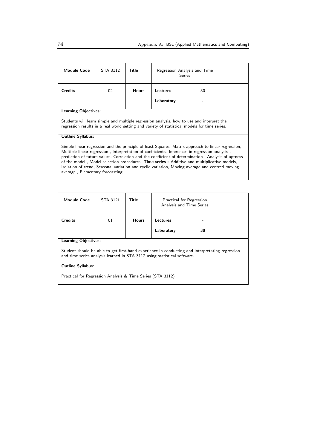| <b>Module Code</b>                                                                                                                                                                                                                                                                                                                                                                                                                                                                                         | STA 3112 | Title        | Regression Analysis and Time<br><b>Series</b> |    |
|------------------------------------------------------------------------------------------------------------------------------------------------------------------------------------------------------------------------------------------------------------------------------------------------------------------------------------------------------------------------------------------------------------------------------------------------------------------------------------------------------------|----------|--------------|-----------------------------------------------|----|
| <b>Credits</b>                                                                                                                                                                                                                                                                                                                                                                                                                                                                                             | 02       | <b>Hours</b> | Lectures                                      | 30 |
|                                                                                                                                                                                                                                                                                                                                                                                                                                                                                                            |          |              | Laboratory                                    |    |
| <b>Learning Objectives:</b>                                                                                                                                                                                                                                                                                                                                                                                                                                                                                |          |              |                                               |    |
| Students will learn simple and multiple regression analysis, how to use and interpret the<br>regression results in a real world setting and variety of statistical models for time series.                                                                                                                                                                                                                                                                                                                 |          |              |                                               |    |
| <b>Outline Syllabus:</b>                                                                                                                                                                                                                                                                                                                                                                                                                                                                                   |          |              |                                               |    |
| Simple linear regression and the principle of least Squares, Matrix approach to linear regression,<br>Multiple linear regression, Interpretation of coefficients. Inferences in regression analysis,<br>prediction of future values, Correlation and the coefficient of determination, Analysis of aptness<br>of the model, Model selection procedures. Time series: Additive and multiplicative models,<br>Isolation of trend, Seasonal variation and cyclic variation, Moving average and centred moving |          |              |                                               |    |

average , Elementary forecasting .

| <b>Module Code</b>                                                                                                                                                                                         | STA 3121 | Title        | Practical for Regression<br>Analysis and Time Series |    |  |
|------------------------------------------------------------------------------------------------------------------------------------------------------------------------------------------------------------|----------|--------------|------------------------------------------------------|----|--|
| <b>Credits</b>                                                                                                                                                                                             | 01       | <b>Hours</b> | Lectures<br>Laboratory                               | 30 |  |
| <b>Learning Objectives:</b><br>Student should be able to get first-hand experience in conducting and interpretating regression<br>and time series analysis learned in STA 3112 using statistical software. |          |              |                                                      |    |  |
| <b>Outline Syllabus:</b>                                                                                                                                                                                   |          |              |                                                      |    |  |

Practical for Regression Analysis & Time Series (STA 3112)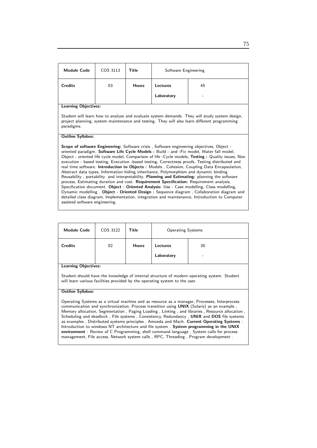| <b>Module Code</b>                                                                                                                                                                                                                                                                                                                                                                                                                                                                                       | COS 3113 | Title        | Software Engineering |    |  |
|----------------------------------------------------------------------------------------------------------------------------------------------------------------------------------------------------------------------------------------------------------------------------------------------------------------------------------------------------------------------------------------------------------------------------------------------------------------------------------------------------------|----------|--------------|----------------------|----|--|
| <b>Credits</b>                                                                                                                                                                                                                                                                                                                                                                                                                                                                                           | 03       | <b>Hours</b> | Lectures             | 45 |  |
|                                                                                                                                                                                                                                                                                                                                                                                                                                                                                                          |          |              | Laboratory           |    |  |
| <b>Learning Objectives:</b>                                                                                                                                                                                                                                                                                                                                                                                                                                                                              |          |              |                      |    |  |
| Student will learn how to analyze and evaluate system demands. They will study system design,<br>project planning, system maintenance and testing. They will also learn different programming<br>paradigms.                                                                                                                                                                                                                                                                                              |          |              |                      |    |  |
| <b>Outline Syllabus:</b>                                                                                                                                                                                                                                                                                                                                                                                                                                                                                 |          |              |                      |    |  |
| <b>Scope of software Engineering:</b> Software crisis, Software engineering objectives, Object -<br>oriented paradigm. Software Life Cycle Models : Build - and -Fix model, Water fall model,<br>Object - oriented life cycle model, Comparison of life - Cycle models, Testing: Quality issues, Non<br>execution - based testing, Execution -based testing, Correctness proofs, Testing distributed and<br>real time software. Introduction to Objects : Models, Cohesion, Coupling Data Encapsulation, |          |              |                      |    |  |

Abstract data types, Information hiding inheritance, Polymorphism and dynamic binding Reusability , portability. and interpretability. Planning and Estimating: planning the software process, Estimating duration and cost. Requirement Specification: Requirement analysis, Specification document. Object - Oriented Analysis: Use - Case modelling, Class modelling, Dynamic modelling . Object - Oriented Design : Sequence diagram , Collaboration diagram and detailed class diagram, Implementation, integration and maintenance, Introduction to Computer assisted software engineering.

| <b>Module Code</b>                                                                                                                                                                                        | COS 3122 | Title        | <b>Operating Systems</b> |    |  |
|-----------------------------------------------------------------------------------------------------------------------------------------------------------------------------------------------------------|----------|--------------|--------------------------|----|--|
| <b>Credits</b>                                                                                                                                                                                            | 02       | <b>Hours</b> | Lectures<br>Laboratory   | 30 |  |
| <b>Learning Objectives:</b><br>Student should have the knowledge of internal structure of modern operating system. Student<br>will learn various facilities provided by the operating system to the user. |          |              |                          |    |  |

#### Outline Syllabus:

Operating Systems as a virtual machine and as resource as a manager, Processes, Interprocess communication and synchronization, Process transition using UNIX (Solaris) as an example , Memory allocation, Segmentation , Paging Loading , Linking , and libraries , Resource allocation , Scheduling and deadlock, File systems, Consistency, Redundancy, UNIX and DOS file systems as examples , Distributed systems principles , Amoeda and Mach. Current Operating Systems : Introduction to windows NT architecture and file system . System programming in the UNIX environment : Review of C Programming, shell command language , System calls for process management, File access, Network system calls , RPC, Threading , Program development .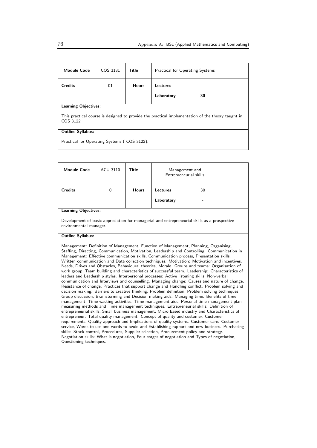| <b>Module Code</b>                                                                                            | COS 3131 | Title        | <b>Practical for Operating Systems</b> |    |  |
|---------------------------------------------------------------------------------------------------------------|----------|--------------|----------------------------------------|----|--|
| <b>Credits</b>                                                                                                | 01       | <b>Hours</b> | Lectures                               |    |  |
|                                                                                                               |          |              | Laboratory                             | 30 |  |
| <b>Learning Objectives:</b>                                                                                   |          |              |                                        |    |  |
| This practical course is designed to provide the practical implementation of the theory taught in<br>COS 3122 |          |              |                                        |    |  |
| <b>Outline Syllabus:</b>                                                                                      |          |              |                                        |    |  |
| Practical for Operating Systems (COS 3122).                                                                   |          |              |                                        |    |  |

| <b>Module Code</b>                                                                                                                                                                                                                                                                                                                                                                                                                                                                                                                                                                                                                                                                                                                                                                                                                                                                                                                                                                                                                                                                                                                                                                                                                                                                                                                                                                                                                                                                                                                                                                                                                                                                                                                                                                                                                                                                       | <b>ACU 3110</b> | Title        | Management and<br>Entrepreneurial skills |                                                                                              |  |
|------------------------------------------------------------------------------------------------------------------------------------------------------------------------------------------------------------------------------------------------------------------------------------------------------------------------------------------------------------------------------------------------------------------------------------------------------------------------------------------------------------------------------------------------------------------------------------------------------------------------------------------------------------------------------------------------------------------------------------------------------------------------------------------------------------------------------------------------------------------------------------------------------------------------------------------------------------------------------------------------------------------------------------------------------------------------------------------------------------------------------------------------------------------------------------------------------------------------------------------------------------------------------------------------------------------------------------------------------------------------------------------------------------------------------------------------------------------------------------------------------------------------------------------------------------------------------------------------------------------------------------------------------------------------------------------------------------------------------------------------------------------------------------------------------------------------------------------------------------------------------------------|-----------------|--------------|------------------------------------------|----------------------------------------------------------------------------------------------|--|
| <b>Credits</b>                                                                                                                                                                                                                                                                                                                                                                                                                                                                                                                                                                                                                                                                                                                                                                                                                                                                                                                                                                                                                                                                                                                                                                                                                                                                                                                                                                                                                                                                                                                                                                                                                                                                                                                                                                                                                                                                           | $\Omega$        | <b>Hours</b> | <b>Lectures</b>                          | 30                                                                                           |  |
|                                                                                                                                                                                                                                                                                                                                                                                                                                                                                                                                                                                                                                                                                                                                                                                                                                                                                                                                                                                                                                                                                                                                                                                                                                                                                                                                                                                                                                                                                                                                                                                                                                                                                                                                                                                                                                                                                          |                 |              | Laboratory                               |                                                                                              |  |
| <b>Learning Objectives:</b>                                                                                                                                                                                                                                                                                                                                                                                                                                                                                                                                                                                                                                                                                                                                                                                                                                                                                                                                                                                                                                                                                                                                                                                                                                                                                                                                                                                                                                                                                                                                                                                                                                                                                                                                                                                                                                                              |                 |              |                                          |                                                                                              |  |
| environmental manager.                                                                                                                                                                                                                                                                                                                                                                                                                                                                                                                                                                                                                                                                                                                                                                                                                                                                                                                                                                                                                                                                                                                                                                                                                                                                                                                                                                                                                                                                                                                                                                                                                                                                                                                                                                                                                                                                   |                 |              |                                          | Development of basic appreciation for managerial and entrepreneurial skills as a prospective |  |
| <b>Outline Syllabus:</b>                                                                                                                                                                                                                                                                                                                                                                                                                                                                                                                                                                                                                                                                                                                                                                                                                                                                                                                                                                                                                                                                                                                                                                                                                                                                                                                                                                                                                                                                                                                                                                                                                                                                                                                                                                                                                                                                 |                 |              |                                          |                                                                                              |  |
| Management: Definition of Management, Function of Management, Planning, Organising,<br>Staffing, Directing, Communication, Motivation, Leadership and Controlling. Communication in<br>Management: Effective communication skills, Communication process, Presentation skills,<br>Written communication and Data collection techniques. Motivation: Motivation and incentives,<br>Needs, Drives and Obstacles, Behavioural theories, Morale. Groups and teams: Organisation of<br>work group, Team building and characteristics of successful team. Leadership: Characteristics of<br>leaders and Leadership styles. Interpersonal processes: Active listening skills, Non-verbal<br>communication and Interviews and counselling. Managing change: Causes and nature of change,<br>Resistance of change, Practices that support change and Handling conflict. Problem solving and<br>decision making: Barriers to creative thinking, Problem definition, Problem solving techniques,<br>Group discussion, Brainstorming and Decision making aids. Managing time: Benefits of time<br>management, Time wasting activities, Time management aids, Personal time management plan<br>measuring methods and Time management techniques. Entrepreneurial skills: Definition of<br>entrepreneurial skills, Small business management, Micro based industry and Characteristics of<br>entrepreneur. Total quality management: Concept of quality and customer, Customer<br>requirements, Quality approach and Implications of quality systems. Customer care: Customer<br>service, Words to use and words to avoid and Establishing rapport and new business. Purchasing<br>skills: Stock control, Procedures, Supplier selection, Procurement policy and strategy.<br>Negotiation skills: What is negotiation, Four stages of negotiation and Types of negotiation,<br>Questioning techniques. |                 |              |                                          |                                                                                              |  |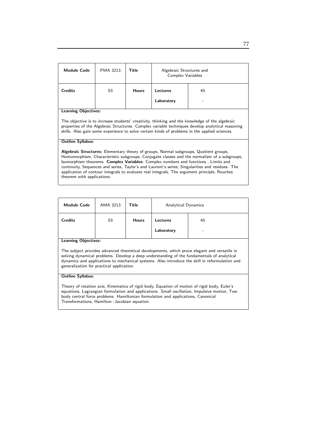| <b>Module Code</b>                                                                                                                                                                                                                                                                                  | PMA 3213                    | Title        | Algebraic Structures and<br>Complex Variables |    |  |  |
|-----------------------------------------------------------------------------------------------------------------------------------------------------------------------------------------------------------------------------------------------------------------------------------------------------|-----------------------------|--------------|-----------------------------------------------|----|--|--|
| <b>Credits</b>                                                                                                                                                                                                                                                                                      | 03                          | <b>Hours</b> | Lectures                                      | 45 |  |  |
|                                                                                                                                                                                                                                                                                                     |                             |              | Laboratory                                    |    |  |  |
|                                                                                                                                                                                                                                                                                                     | <b>Learning Objectives:</b> |              |                                               |    |  |  |
| The objective is to increase students' creativity, thinking and the knowledge of the algebraic<br>properties of the Algebraic Structures. Complex variable techniques develop analytical reasoning<br>skills. Also gain some experience to solve certain kinds of problems in the applied sciences. |                             |              |                                               |    |  |  |
| <b>Outline Syllabus:</b>                                                                                                                                                                                                                                                                            |                             |              |                                               |    |  |  |
| Algebraic Structures: Elementary theory of groups, Normal subgroups, Quotient groups,                                                                                                                                                                                                               |                             |              |                                               |    |  |  |

Homomorphism, Characteristic subgroups, Conjugate classes and the normalizer of a subgroups, Isomorphism theorems. Complex Variables: Complex numbers and functions , Limits and continuity, Sequences and series, Taylor's and Laurent's series, Singularities and residues. The application of contour integrals to evaluate real integrals, The argument principle, Rouches theorem with applications.

| <b>Module Code</b> | AMA 3213 | <b>Title</b> | <b>Analytical Dynamics</b> |    |
|--------------------|----------|--------------|----------------------------|----|
| <b>Credits</b>     | 03       | <b>Hours</b> | Lectures                   | 45 |
| carning Objectives |          |              | Laboratory                 | ۰  |

Learning Objectives:

The subject provides advanced theoretical developments, which prove elegant and versatile in solving dynamical problems. Develop a deep understanding of the fundamentals of analytical dynamics and applications to mechanical systems. Also introduce the skill in reformulation and generalization for practical application.

### Outline Syllabus:

Theory of rotation axis, Kinematics of rigid body, Equation of motion of rigid body, Euler's equations, Lagrangian formulation and applications. Small oscillation, Impulsive motion, Two body central force problems. Hamiltonian formulation and applications, Canonical Transformations, Hamilton -Jacobian equation.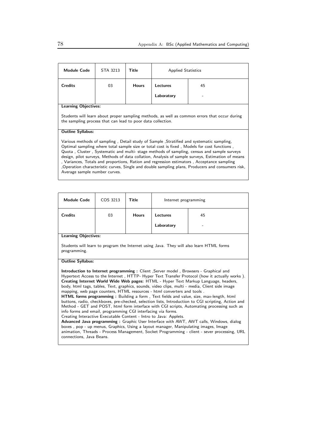| <b>Module Code</b>                                                                                                                                                                                                                                                                                                                                                                                                                                                                                                                                                                                                           | STA 3213 | Title        | <b>Applied Statistics</b> |    |
|------------------------------------------------------------------------------------------------------------------------------------------------------------------------------------------------------------------------------------------------------------------------------------------------------------------------------------------------------------------------------------------------------------------------------------------------------------------------------------------------------------------------------------------------------------------------------------------------------------------------------|----------|--------------|---------------------------|----|
| <b>Credits</b>                                                                                                                                                                                                                                                                                                                                                                                                                                                                                                                                                                                                               | 03       | <b>Hours</b> | Lectures                  | 45 |
|                                                                                                                                                                                                                                                                                                                                                                                                                                                                                                                                                                                                                              |          |              | Laboratory                |    |
| <b>Learning Objectives:</b>                                                                                                                                                                                                                                                                                                                                                                                                                                                                                                                                                                                                  |          |              |                           |    |
| Students will learn about proper sampling methods, as well as common errors that occur during<br>the sampling process that can lead to poor data collection.                                                                                                                                                                                                                                                                                                                                                                                                                                                                 |          |              |                           |    |
| <b>Outline Syllabus:</b>                                                                                                                                                                                                                                                                                                                                                                                                                                                                                                                                                                                                     |          |              |                           |    |
| Various methods of sampling, Detail study of Sample, Stratified and systematic sampling,<br>Optimal sampling where total sample size or total cost is fixed, Models for cost functions,<br>Quota, Cluster, Systematic and multi-stage methods of sampling, census and sample surveys<br>design, pilot surveys, Methods of data collation, Analysis of sample surveys, Estimation of means<br>, Variances, Totals and proportions, Ration and regression estimators, Acceptance sampling<br>Operation characteristic curves, Single and double sampling plans, Producers and consumers risk,<br>Average sample number curves. |          |              |                           |    |

| <b>Module Code</b>                                                                                                                                                                                                                                                                                                                                                                                                                                                                                                                                                                                                                                                                                                                                                                                                                                                                                                                                                                                                                                                                                                                                                                                                       | COS 3213 | Title        | Internet programming |    |  |
|--------------------------------------------------------------------------------------------------------------------------------------------------------------------------------------------------------------------------------------------------------------------------------------------------------------------------------------------------------------------------------------------------------------------------------------------------------------------------------------------------------------------------------------------------------------------------------------------------------------------------------------------------------------------------------------------------------------------------------------------------------------------------------------------------------------------------------------------------------------------------------------------------------------------------------------------------------------------------------------------------------------------------------------------------------------------------------------------------------------------------------------------------------------------------------------------------------------------------|----------|--------------|----------------------|----|--|
| <b>Credits</b>                                                                                                                                                                                                                                                                                                                                                                                                                                                                                                                                                                                                                                                                                                                                                                                                                                                                                                                                                                                                                                                                                                                                                                                                           | 03       | <b>Hours</b> | Lectures             | 45 |  |
|                                                                                                                                                                                                                                                                                                                                                                                                                                                                                                                                                                                                                                                                                                                                                                                                                                                                                                                                                                                                                                                                                                                                                                                                                          |          |              | Laboratory           |    |  |
| <b>Learning Objectives:</b>                                                                                                                                                                                                                                                                                                                                                                                                                                                                                                                                                                                                                                                                                                                                                                                                                                                                                                                                                                                                                                                                                                                                                                                              |          |              |                      |    |  |
| Students will learn to program the Internet using Java. They will also learn HTML forms<br>programming.                                                                                                                                                                                                                                                                                                                                                                                                                                                                                                                                                                                                                                                                                                                                                                                                                                                                                                                                                                                                                                                                                                                  |          |              |                      |    |  |
| <b>Outline Syllabus:</b>                                                                                                                                                                                                                                                                                                                                                                                                                                                                                                                                                                                                                                                                                                                                                                                                                                                                                                                                                                                                                                                                                                                                                                                                 |          |              |                      |    |  |
| Introduction to Internet programming: Client, Server model, Browsers - Graphical and<br>Hypertext Access to the Internet, HTTP- Hyper Text Transfer Protocol (how it actually works).<br>Creating Internet World Wide Web pages: HTML - Hyper Text Markup Language, headers,<br>body, html tags, tables, Text, graphics, sounds, video clips, multi - media, Client side image<br>mapping, web page counters, HTML resources - html converters and tools.<br><b>HTML forms programming:</b> Building a form, Text fields and value, size, max-length, html<br>buttons, radio, checkboxes, pre-checked, selection lists, Introduction to CGI scripting, Action and<br>Method - GET and POST, html form interface with CGI scripts, Automating processing such as<br>info forms and email, programming CGI interfacing via forms.<br>Creating Interactive Executable Content - Intro to Java: Applets.<br><b>Advanced Java programming:</b> Graphic User Interface with AWT, AWT calls, Windows, dialog<br>boxes, pop - up menus, Graphics, Using a layout manager, Manipulating images, Image<br>animation, Threads - Process Management, Socket Programming - client - sever processing, URL<br>connections, Java Beans. |          |              |                      |    |  |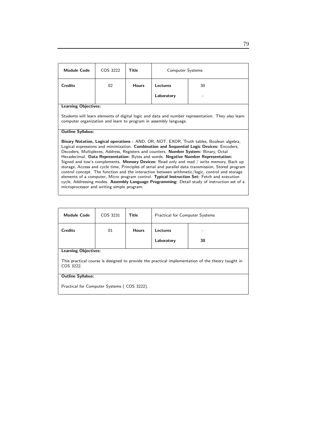| <b>Module Code</b>                                                                                                                                                                                                                                                                                                                                                                                                                                                                                                                                                                                                                                                                                                                                                                                                                                                                                                    | COS 3222 | <b>Title</b> | <b>Computer Systems</b>                                          |                                                                                                   |
|-----------------------------------------------------------------------------------------------------------------------------------------------------------------------------------------------------------------------------------------------------------------------------------------------------------------------------------------------------------------------------------------------------------------------------------------------------------------------------------------------------------------------------------------------------------------------------------------------------------------------------------------------------------------------------------------------------------------------------------------------------------------------------------------------------------------------------------------------------------------------------------------------------------------------|----------|--------------|------------------------------------------------------------------|---------------------------------------------------------------------------------------------------|
| <b>Credits</b>                                                                                                                                                                                                                                                                                                                                                                                                                                                                                                                                                                                                                                                                                                                                                                                                                                                                                                        | 02       | <b>Hours</b> | Lectures                                                         | 30                                                                                                |
|                                                                                                                                                                                                                                                                                                                                                                                                                                                                                                                                                                                                                                                                                                                                                                                                                                                                                                                       |          |              | Laboratory                                                       |                                                                                                   |
| <b>Learning Objectives:</b>                                                                                                                                                                                                                                                                                                                                                                                                                                                                                                                                                                                                                                                                                                                                                                                                                                                                                           |          |              |                                                                  |                                                                                                   |
|                                                                                                                                                                                                                                                                                                                                                                                                                                                                                                                                                                                                                                                                                                                                                                                                                                                                                                                       |          |              | computer organization and learn to program in assembly language. | Students will learn elements of digital logic and data and number representation. They also learn |
| <b>Outline Syllabus:</b>                                                                                                                                                                                                                                                                                                                                                                                                                                                                                                                                                                                                                                                                                                                                                                                                                                                                                              |          |              |                                                                  |                                                                                                   |
| Binary Notation, Logical operations: AND, OR, NOT, EXOR, Truth tables, Boolean algebra,<br>Logical expressions and minimization. Combination and Sequential Logic Devices: Encoders,<br>Decoders, Multiplexes, Address, Registers and counters. Number System: Binary, Octal<br>Hexadecimal. Data Representation: Bytes and words. Negative Number Representation:<br>Signed and tow's complements. Memory Devices: Read only and read / write memory, Back up<br>storage, Access and cycle time, Principles of serial and parallel data transmission, Stored program<br>control concept. The function and the interaction between arithmetic/logic, control and storage<br>elements of a computer, Micro program control. Typical Instruction Set: Fetch and execution<br>cycle, Addressing modes. Assembly Language Programming: Detail study of instruction set of a<br>microprocessor and writing simple program. |          |              |                                                                  |                                                                                                   |

| <b>Module Code</b>          | COS 3231                                                                                          | Title        | <b>Practical for Computer Systems</b> |    |  |
|-----------------------------|---------------------------------------------------------------------------------------------------|--------------|---------------------------------------|----|--|
| <b>Credits</b>              | 01                                                                                                | <b>Hours</b> | Lectures<br>Laboratory                | 30 |  |
| <b>Learning Objectives:</b> |                                                                                                   |              |                                       |    |  |
| COS 3222.                   | This practical course is designed to provide the practical implementation of the theory taught in |              |                                       |    |  |

## Outline Syllabus:

Practical for Computer Systems ( COS 3222).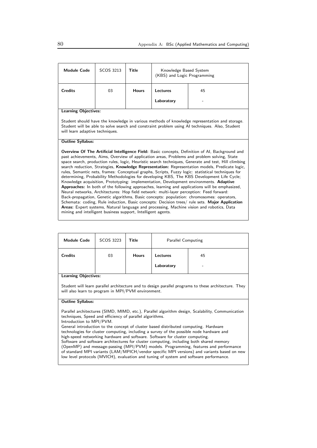| <b>Module Code</b>                                                                                                                                                                                                                                                                                                                                                                                                                                                                                                                                                                                                                                                                                                                                                                                                                                                                                                                                                                                                                                                                                                                                                                                                                                               | SCOS 3213 | Title        | Knowledge Based System<br>(KBS) and Logic Programming |    |  |
|------------------------------------------------------------------------------------------------------------------------------------------------------------------------------------------------------------------------------------------------------------------------------------------------------------------------------------------------------------------------------------------------------------------------------------------------------------------------------------------------------------------------------------------------------------------------------------------------------------------------------------------------------------------------------------------------------------------------------------------------------------------------------------------------------------------------------------------------------------------------------------------------------------------------------------------------------------------------------------------------------------------------------------------------------------------------------------------------------------------------------------------------------------------------------------------------------------------------------------------------------------------|-----------|--------------|-------------------------------------------------------|----|--|
| <b>Credits</b>                                                                                                                                                                                                                                                                                                                                                                                                                                                                                                                                                                                                                                                                                                                                                                                                                                                                                                                                                                                                                                                                                                                                                                                                                                                   | 03        | <b>Hours</b> | Lectures                                              | 45 |  |
|                                                                                                                                                                                                                                                                                                                                                                                                                                                                                                                                                                                                                                                                                                                                                                                                                                                                                                                                                                                                                                                                                                                                                                                                                                                                  |           |              | Laboratory                                            |    |  |
| <b>Learning Objectives:</b>                                                                                                                                                                                                                                                                                                                                                                                                                                                                                                                                                                                                                                                                                                                                                                                                                                                                                                                                                                                                                                                                                                                                                                                                                                      |           |              |                                                       |    |  |
| Student should have the knowledge in various methods of knowledge representation and storage.<br>Student will be able to solve search and constraint problem using AI techniques. Also, Student<br>will learn adaptive techniques.                                                                                                                                                                                                                                                                                                                                                                                                                                                                                                                                                                                                                                                                                                                                                                                                                                                                                                                                                                                                                               |           |              |                                                       |    |  |
| <b>Outline Syllabus:</b>                                                                                                                                                                                                                                                                                                                                                                                                                                                                                                                                                                                                                                                                                                                                                                                                                                                                                                                                                                                                                                                                                                                                                                                                                                         |           |              |                                                       |    |  |
| Overview Of The Artificial Intelligence Field: Basic concepts, Definition of AI, Background and<br>past achievements, Aims, Overview of application areas, Problems and problem solving, State<br>space search, production rules, logic, Heuristic search techniques, Generate and test, Hill climbing<br>search reduction, Strategies, Knowledge Representation: Representation models, Predicate logic,<br>rules, Semantic nets, frames: Conceptual graphs, Scripts, Fuzzy logic: statistical techniques for<br>determining, Probability Methodologies for developing KBS, The KBS Development Life Cycle;<br>Knowledge acquisition, Prototyping: implementation, Development environments. Adaptive<br>Approaches: In both of the following approaches, learning and applications will be emphasized,<br>Neural networks, Architectures: Hop field network: multi-layer perception: Feed forward:<br>Back-propagation, Genetic algorithms, Basic concepts: population: chromosomes: operators,<br>Schemata: coding, Rule induction, Basic concepts: Decision trees/ rule sets. Major Application<br>Areas: Expert systems, Natural language and processing, Machine vision and robotics, Data<br>mining and intelligent business support, Intelligent agents. |           |              |                                                       |    |  |

| <b>Module Code</b>                                                                                                                                                                                                                                                                                                                                                                                                                                                                                                                                                                                                                           | SCOS 3223                                                                                                                                                  | Title        | <b>Parallel Computing</b> |    |  |
|----------------------------------------------------------------------------------------------------------------------------------------------------------------------------------------------------------------------------------------------------------------------------------------------------------------------------------------------------------------------------------------------------------------------------------------------------------------------------------------------------------------------------------------------------------------------------------------------------------------------------------------------|------------------------------------------------------------------------------------------------------------------------------------------------------------|--------------|---------------------------|----|--|
| <b>Credits</b>                                                                                                                                                                                                                                                                                                                                                                                                                                                                                                                                                                                                                               | 03                                                                                                                                                         | <b>Hours</b> | Lectures                  | 45 |  |
|                                                                                                                                                                                                                                                                                                                                                                                                                                                                                                                                                                                                                                              |                                                                                                                                                            |              | Laboratory                |    |  |
| <b>Learning Objectives:</b>                                                                                                                                                                                                                                                                                                                                                                                                                                                                                                                                                                                                                  |                                                                                                                                                            |              |                           |    |  |
|                                                                                                                                                                                                                                                                                                                                                                                                                                                                                                                                                                                                                                              | Student will learn parallel architecture and to design parallel programs to these architecture. They<br>will also learn to program in MPI/PVM environment. |              |                           |    |  |
| <b>Outline Syllabus:</b>                                                                                                                                                                                                                                                                                                                                                                                                                                                                                                                                                                                                                     |                                                                                                                                                            |              |                           |    |  |
| Parallel architectures (SIMD, MIMD, etc.), Parallel algorithm design, Scalability, Communication<br>techniques, Speed and efficiency of parallel algorithms.<br>Introduction to MPI/PVM.                                                                                                                                                                                                                                                                                                                                                                                                                                                     |                                                                                                                                                            |              |                           |    |  |
| General introduction to the concept of cluster based distributed computing. Hardware<br>technologies for cluster computing, including a survey of the possible node hardware and<br>high-speed networking hardware and software. Software for cluster computing.<br>Software and software architectures for cluster computing, including both shared memory<br>(OpenMP) and message-passing (MPI/PVM) models. Programming, features and performance<br>of standard MPI variants (LAM/MPICH/vendor specific MPI versions) and variants based on new<br>low level protocols (MVICH), evaluation and tuning of system and software performance. |                                                                                                                                                            |              |                           |    |  |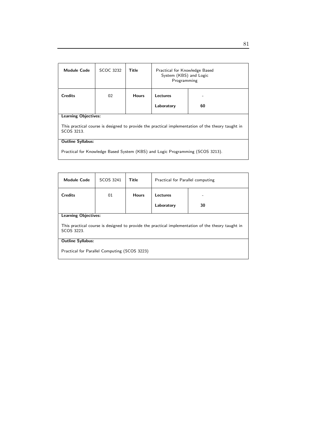| <b>Module Code</b>                                                                                              | SCOC 3232 | Title        | Practical for Knowledge Based<br>System (KBS) and Logic<br>Programming |    |
|-----------------------------------------------------------------------------------------------------------------|-----------|--------------|------------------------------------------------------------------------|----|
| <b>Credits</b>                                                                                                  | 02        | <b>Hours</b> | Lectures                                                               |    |
|                                                                                                                 |           |              | Laboratory                                                             | 60 |
| <b>Learning Objectives:</b>                                                                                     |           |              |                                                                        |    |
| This practical course is designed to provide the practical implementation of the theory taught in<br>SCOS 3213. |           |              |                                                                        |    |
| <b>Outline Syllabus:</b>                                                                                        |           |              |                                                                        |    |
| Practical for Knowledge Based System (KBS) and Logic Programming (SCOS 3213).                                   |           |              |                                                                        |    |

| <b>Module Code</b>                                                                                              | SCOS 3241                   | Title        | Practical for Parallel computing |    |  |
|-----------------------------------------------------------------------------------------------------------------|-----------------------------|--------------|----------------------------------|----|--|
| <b>Credits</b>                                                                                                  | 01                          | <b>Hours</b> | Lectures                         |    |  |
|                                                                                                                 |                             |              | Laboratory                       | 30 |  |
|                                                                                                                 | <b>Learning Objectives:</b> |              |                                  |    |  |
| This practical course is designed to provide the practical implementation of the theory taught in<br>SCOS 3223. |                             |              |                                  |    |  |
| <b>Outline Syllabus:</b>                                                                                        |                             |              |                                  |    |  |
| Practical for Parallel Computing (SCOS 3223)                                                                    |                             |              |                                  |    |  |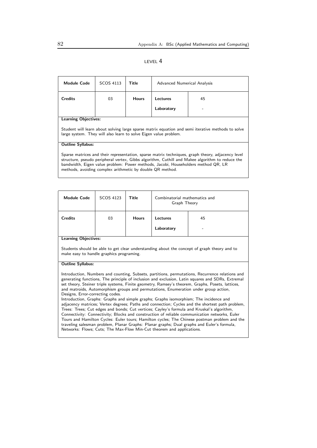| <b>Module Code</b>                                                                                                                                                                                                                                                                                                                                     | SCOS 4113                   | Title        | Advanced Numerical Analysis |    |  |
|--------------------------------------------------------------------------------------------------------------------------------------------------------------------------------------------------------------------------------------------------------------------------------------------------------------------------------------------------------|-----------------------------|--------------|-----------------------------|----|--|
| <b>Credits</b>                                                                                                                                                                                                                                                                                                                                         | 03                          | <b>Hours</b> | Lectures                    | 45 |  |
|                                                                                                                                                                                                                                                                                                                                                        |                             |              | Laboratory                  |    |  |
|                                                                                                                                                                                                                                                                                                                                                        | <b>Learning Objectives:</b> |              |                             |    |  |
| Student will learn about solving large sparse matrix equation and semi iterative methods to solve<br>large system. They will also learn to solve Eigen value problem.                                                                                                                                                                                  |                             |              |                             |    |  |
| <b>Outline Syllabus:</b>                                                                                                                                                                                                                                                                                                                               |                             |              |                             |    |  |
| Sparse matrices and their representation, sparse matrix techniques, graph theory, adjacency level<br>structure, pseudo peripheral vertex, Gibbs algorithm, Cuthill and Makee algorithm to reduce the<br>bandwidth, Eigen value problem: Power methods, Jacobi, Householders method QR, LR<br>methods, avoiding complex arithmetic by double QR method. |                             |              |                             |    |  |

| <b>Module Code</b>          | SCOS 4123 | <b>Title</b> | Combinatorial mathematics and<br>Graph Theory |    |
|-----------------------------|-----------|--------------|-----------------------------------------------|----|
| <b>Credits</b>              | 03        | <b>Hours</b> | Lectures                                      | 45 |
|                             |           |              | Laboratory                                    | -  |
| <b>Learning Objectives:</b> |           |              |                                               |    |

Students should be able to get clear understanding about the concept of graph theory and to make easy to handle graphics programing.

#### Outline Syllabus:

Introduction, Numbers and counting, Subsets, partitions, permutations, Recurrence relations and generating functions, The principle of inclusion and exclusion, Latin squares and SDRs, Extremal set theory, Steiner triple systems, Finite geometry, Ramsey's theorem, Graphs, Posets, lattices, and matroids, Automorphism groups and permutations, Enumeration under group action, Designs, Error-correcting codes.

Introduction, Graphs: Graphs and simple graphs; Graphs isomorphism; The incidence and adjacency matrices; Vertex degrees; Paths and connection; Cycles and the shortest path problem, Trees: Trees; Cut edges and bonds; Cut vertices; Cayley's formula and Kruskal's algorithm, Connectivity: Connectivity; Blocks and construction of reliable communication networks, Euler Tours and Hamilton Cycles: Euler tours; Hamilton cycles; The Chinese postman problem and the traveling salesman problem, Planar Graphs: Planar graphs; Dual graphs and Euler's formula, Networks: Flows; Cuts; The Max-Flow Min-Cut theorem and applications.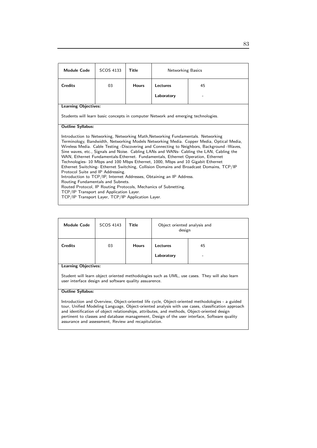| <b>Module Code</b>                                                                                                                                                                                                                                                                                                                                                                                                                                                                                                                                                                                                                                                                                                                                                                                                                                                                                                                                           | <b>SCOS 4133</b>                                                                  | <b>Title</b> | <b>Networking Basics</b> |    |  |
|--------------------------------------------------------------------------------------------------------------------------------------------------------------------------------------------------------------------------------------------------------------------------------------------------------------------------------------------------------------------------------------------------------------------------------------------------------------------------------------------------------------------------------------------------------------------------------------------------------------------------------------------------------------------------------------------------------------------------------------------------------------------------------------------------------------------------------------------------------------------------------------------------------------------------------------------------------------|-----------------------------------------------------------------------------------|--------------|--------------------------|----|--|
| <b>Credits</b>                                                                                                                                                                                                                                                                                                                                                                                                                                                                                                                                                                                                                                                                                                                                                                                                                                                                                                                                               | 03                                                                                | <b>Hours</b> | Lectures                 | 45 |  |
|                                                                                                                                                                                                                                                                                                                                                                                                                                                                                                                                                                                                                                                                                                                                                                                                                                                                                                                                                              |                                                                                   |              | Laboratory               |    |  |
| <b>Learning Objectives:</b>                                                                                                                                                                                                                                                                                                                                                                                                                                                                                                                                                                                                                                                                                                                                                                                                                                                                                                                                  |                                                                                   |              |                          |    |  |
|                                                                                                                                                                                                                                                                                                                                                                                                                                                                                                                                                                                                                                                                                                                                                                                                                                                                                                                                                              | Students will learn basic concepts in computer Network and emerging technologies. |              |                          |    |  |
| <b>Outline Syllabus:</b>                                                                                                                                                                                                                                                                                                                                                                                                                                                                                                                                                                                                                                                                                                                                                                                                                                                                                                                                     |                                                                                   |              |                          |    |  |
| Introduction to Networking, Networking Math, Networking Fundamentals. Networking<br>Terminology, Bandwidth, Networking Models Networking Media. Copper Media, Optical Media,<br>Wireless Media. Cable Testing -Discovering and Connecting to Neighbors, Background -Waves,<br>Sine waves, etc., Signals and Noise. Cabling LANs and WANs- Cabling the LAN, Cabling the<br>WAN, Ethernet Fundamentals-Ethernet. Fundamentals, Ethernet Operation, Ethernet<br>Technologies- 10 Mbps and 100 Mbps Ethernet, 1000, Mbps and 10 Gigabit Ethernet<br>Ethernet Switching- Ethernet Switching, Collision Domains and Broadcast Domains, TCP/IP<br>Protocol Suite and IP Addressing.<br>Introduction to TCP/IP, Internet Addresses, Obtaining an IP Address.<br>Routing Fundamentals and Subnets.<br>Routed Protocol, IP Routing Protocols, Mechanics of Subnetting.<br>TCP/IP Transport and Application Layer.<br>TCP/IP Transport Layer, TCP/IP Application Layer. |                                                                                   |              |                          |    |  |

| <b>Module Code</b>          | SCOS 4143 | <b>Title</b> | Object oriented analysis and<br>design |         |
|-----------------------------|-----------|--------------|----------------------------------------|---------|
| <b>Credits</b>              | 03        | <b>Hours</b> | <b>Lectures</b><br>Laboratory          | 45<br>۰ |
| <b>Learning Objectives:</b> |           |              |                                        |         |

Student will learn object oriented methodologies such as UML, use cases. They will also learn user interface design and software quality assuarence.

#### Outline Syllabus:

Introduction and Overview, Object-oriented life cycle, Object-oriented methodologies - a guided tour, Unified Modeling Language, Object-oriented analysis with use cases, classification approach and identification of object relationships, attributes, and methods, Object-oriented design pertinent to classes and database management, Design of the user interface, Software quality assurance and assessment, Review and recapitulation.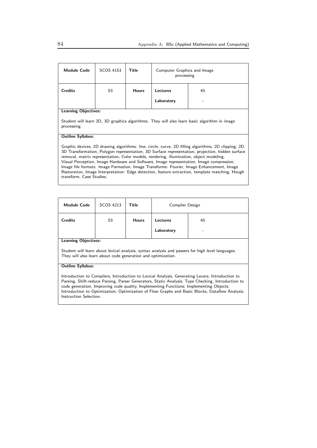| <b>Module Code</b>                                                                                                                                                                                                                                                                                                                                                                                                                                                                                                                                                                                                         | SCOS 4153 | Title        | Computer Graphics and Image<br>processing |    |  |
|----------------------------------------------------------------------------------------------------------------------------------------------------------------------------------------------------------------------------------------------------------------------------------------------------------------------------------------------------------------------------------------------------------------------------------------------------------------------------------------------------------------------------------------------------------------------------------------------------------------------------|-----------|--------------|-------------------------------------------|----|--|
| <b>Credits</b>                                                                                                                                                                                                                                                                                                                                                                                                                                                                                                                                                                                                             | 03        | <b>Hours</b> | Lectures                                  | 45 |  |
|                                                                                                                                                                                                                                                                                                                                                                                                                                                                                                                                                                                                                            |           |              | Laboratory                                |    |  |
| <b>Learning Objectives:</b>                                                                                                                                                                                                                                                                                                                                                                                                                                                                                                                                                                                                |           |              |                                           |    |  |
| Student will learn 2D, 3D graphics algorithms. They will also learn basic algorithm in image<br>processing.                                                                                                                                                                                                                                                                                                                                                                                                                                                                                                                |           |              |                                           |    |  |
| <b>Outline Syllabus:</b>                                                                                                                                                                                                                                                                                                                                                                                                                                                                                                                                                                                                   |           |              |                                           |    |  |
| Graphic devices, 2D drawing algorithms: line, circle, curve, 2D filling algorithms, 2D clipping, 2D,<br>3D Transformation, Polygon representation, 3D Surface representation, projection, hidden surface<br>removal, matrix representation, Color models, rendering, illumination, object modeling.<br>Visual Perception, Image Hardware and Software, Image representation, Image compression,<br>Image file formats. Image Formation, Image Transforms: Fourier, Image Enhancement, Image<br>Restoration, Image Interpretation: Edge detection, feature extraction, template matching, Hough<br>transform, Case Studies. |           |              |                                           |    |  |

| <b>Module Code</b>          | SCOS 4213 | <b>Title</b> | Compiler Design        |         |
|-----------------------------|-----------|--------------|------------------------|---------|
| <b>Credits</b>              | 03        | <b>Hours</b> | Lectures<br>Laboratory | 45<br>- |
| <b>Learning Objectives:</b> |           |              |                        |         |

Student will learn about lexical analysis, syntax analysis and passers for high level languages. They will also learn about code generation and optimization.

## Outline Syllabus:

Introduction to Compilers; Introduction to Lexical Analysis, Generating Lexers; Introduction to Parsing, Shift-reduce Parsing, Parser Generators, Static Analysis; Type Checking, Introduction to code generation, Improving code quality, Implementing Functions; Implementing Objects; Introduction to Optimization; Optimization of Flow Graphs and Basic Blocks, Dataflow Analysis; Instruction Selection.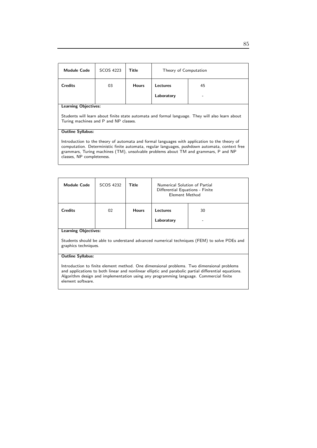| <b>Module Code</b>                                                                                                                                                                                                                                                                                                  | SCOS 4223 | Title        | Theory of Computation |    |
|---------------------------------------------------------------------------------------------------------------------------------------------------------------------------------------------------------------------------------------------------------------------------------------------------------------------|-----------|--------------|-----------------------|----|
| <b>Credits</b>                                                                                                                                                                                                                                                                                                      | 03        | <b>Hours</b> | Lectures              | 45 |
|                                                                                                                                                                                                                                                                                                                     |           |              | Laboratory            |    |
| <b>Learning Objectives:</b>                                                                                                                                                                                                                                                                                         |           |              |                       |    |
| Students will learn about finite state automata and formal language. They will also learn about<br>Turing machines and P and NP classes.                                                                                                                                                                            |           |              |                       |    |
| <b>Outline Syllabus:</b>                                                                                                                                                                                                                                                                                            |           |              |                       |    |
| Introduction to the theory of automata and formal languages with application to the theory of<br>computation. Deterministic finite automata, regular languages, pushdown automata, context free<br>grammars, Turing machines (TM), unsolvable problems about TM and grammars, P and NP<br>classes, NP completeness. |           |              |                       |    |

| <b>Module Code</b>          | SCOS 4232 | Title        | Numerical Solution of Partial<br>Differential Equations - Finite<br>Element Method |    |
|-----------------------------|-----------|--------------|------------------------------------------------------------------------------------|----|
| <b>Credits</b>              | 02        | <b>Hours</b> | Lectures                                                                           | 30 |
|                             |           |              | Laboratory                                                                         | -  |
| <b>Learning Objectives:</b> |           |              |                                                                                    |    |

Students should be able to understand advanced numerical techniques (FEM) to solve PDEs and graphics techniques.

## Outline Syllabus:

Introduction to finite element method. One dimensional problems. Two dimensional problems and applications to both linear and nonlinear elliptic and parabolic partial differential equations. Algorithm design and implementation using any programming language. Commercial finite element software.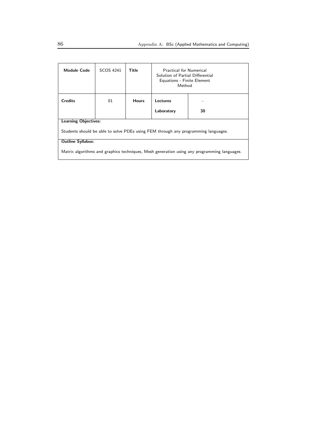| <b>Module Code</b>                                                                          | SCOS 4241 | Title        | <b>Practical for Numerical</b><br>Solution of Partial Differential<br>Equations - Finite Element<br>Method |    |
|---------------------------------------------------------------------------------------------|-----------|--------------|------------------------------------------------------------------------------------------------------------|----|
| <b>Credits</b>                                                                              | 01        | <b>Hours</b> | Lectures<br>Laboratory                                                                                     | 30 |
|                                                                                             |           |              |                                                                                                            |    |
| <b>Learning Objectives:</b>                                                                 |           |              |                                                                                                            |    |
| Students should be able to solve PDEs using FEM through any programming languages.          |           |              |                                                                                                            |    |
| <b>Outline Syllabus:</b>                                                                    |           |              |                                                                                                            |    |
| Matrix algorithms and graphics techniques, Mesh generation using any programming languages. |           |              |                                                                                                            |    |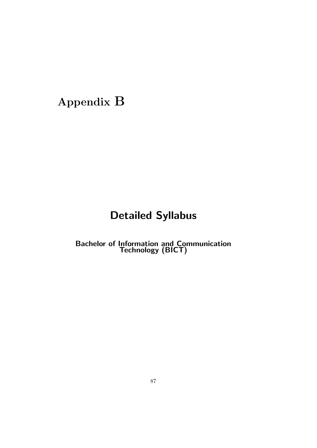# Appendix B

# Detailed Syllabus

**Bachelor of Information and Communication** Technology (BICT)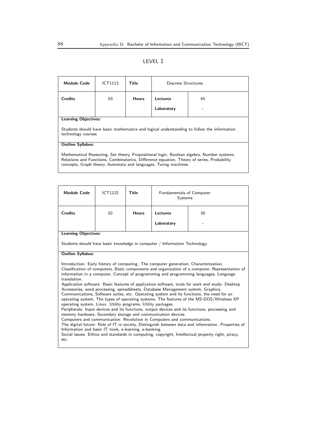| <b>Module Code</b>                                                                                                                                                                                                                                          | ICT1113 | Title        | Discrete Structures |    |  |
|-------------------------------------------------------------------------------------------------------------------------------------------------------------------------------------------------------------------------------------------------------------|---------|--------------|---------------------|----|--|
| <b>Credits</b>                                                                                                                                                                                                                                              | 03      | <b>Hours</b> | Lectures            | 45 |  |
|                                                                                                                                                                                                                                                             |         |              | Laboratory          |    |  |
| <b>Learning Objectives:</b>                                                                                                                                                                                                                                 |         |              |                     |    |  |
| Students should have basic mathematics and logical understanding to follow the information<br>technology courses.                                                                                                                                           |         |              |                     |    |  |
| <b>Outline Syllabus:</b>                                                                                                                                                                                                                                    |         |              |                     |    |  |
| Mathematical Reasoning, Set theory, Propositional logic, Boolean algebra, Number systems,<br>Relations and Functions, Combinatorics, Difference equation, Theory of series, Probability<br>concepts, Graph theory, Automata and languages, Turing machines. |         |              |                     |    |  |

| <b>Module Code</b>                                                                                                                                                                                                                                                                                                                                                                                                                                                                                                                                                                                                                                                                                                                                                                                                                                                                                                                                                                                                                                                                                                                                                                                                                                                           | ICT1122 | <b>Title</b> | <b>Fundamentals of Computer</b><br>Systems |    |  |
|------------------------------------------------------------------------------------------------------------------------------------------------------------------------------------------------------------------------------------------------------------------------------------------------------------------------------------------------------------------------------------------------------------------------------------------------------------------------------------------------------------------------------------------------------------------------------------------------------------------------------------------------------------------------------------------------------------------------------------------------------------------------------------------------------------------------------------------------------------------------------------------------------------------------------------------------------------------------------------------------------------------------------------------------------------------------------------------------------------------------------------------------------------------------------------------------------------------------------------------------------------------------------|---------|--------------|--------------------------------------------|----|--|
| <b>Credits</b>                                                                                                                                                                                                                                                                                                                                                                                                                                                                                                                                                                                                                                                                                                                                                                                                                                                                                                                                                                                                                                                                                                                                                                                                                                                               | 02      | <b>Hours</b> | Lectures                                   | 30 |  |
|                                                                                                                                                                                                                                                                                                                                                                                                                                                                                                                                                                                                                                                                                                                                                                                                                                                                                                                                                                                                                                                                                                                                                                                                                                                                              |         |              | Laboratory                                 |    |  |
| <b>Learning Objectives:</b>                                                                                                                                                                                                                                                                                                                                                                                                                                                                                                                                                                                                                                                                                                                                                                                                                                                                                                                                                                                                                                                                                                                                                                                                                                                  |         |              |                                            |    |  |
| Students should have basic knowledge in computer / Information Technology.                                                                                                                                                                                                                                                                                                                                                                                                                                                                                                                                                                                                                                                                                                                                                                                                                                                                                                                                                                                                                                                                                                                                                                                                   |         |              |                                            |    |  |
| <b>Outline Syllabus:</b>                                                                                                                                                                                                                                                                                                                                                                                                                                                                                                                                                                                                                                                                                                                                                                                                                                                                                                                                                                                                                                                                                                                                                                                                                                                     |         |              |                                            |    |  |
| Introduction: Early history of computing. The computer generation, Characterization,<br>Classification of computers, Basic components and organization of a computer, Representation of<br>information in a computer, Concept of programming and programming languages, Language<br>translation.<br>Application software: Basic features of application software, tools for work and study- Desktop<br>Accessories, word processing, spreadsheets, Database Management system, Graphics,<br>Communications, Software suites, etc. Operating system and its functions, the need for an<br>operating system, The types of operating systems, The features of the MS-DOS/Windows XP<br>operating system, Linux. Utility programs, Utility packages.<br>Peripherals: Input devices and its functions, output devices and its functions, processing and<br>memory hardware, Secondary storage and communication devices.<br>Computers and communication: Revolution in Computers and communications.<br>The digital future: Role of IT in society, Distinguish between data and information. Properties of<br>Information and basic IT tools, e-learning, e-banking.<br>Social issues: Ethics and standards in computing, copyright, Intellectual property right, piracy,<br>etc. |         |              |                                            |    |  |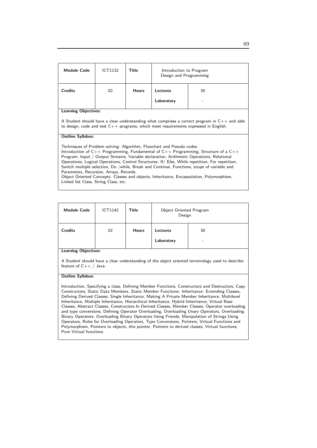| <b>Module Code</b>                                                                                                                                                                                                                                                                                                                                                                                                                                                                                                                                                                                                                                      | ICT1132                                                                                                                                                                                        | Title        | Introduction to Program<br>Design and Programming |    |  |
|---------------------------------------------------------------------------------------------------------------------------------------------------------------------------------------------------------------------------------------------------------------------------------------------------------------------------------------------------------------------------------------------------------------------------------------------------------------------------------------------------------------------------------------------------------------------------------------------------------------------------------------------------------|------------------------------------------------------------------------------------------------------------------------------------------------------------------------------------------------|--------------|---------------------------------------------------|----|--|
| <b>Credits</b>                                                                                                                                                                                                                                                                                                                                                                                                                                                                                                                                                                                                                                          | 02                                                                                                                                                                                             | <b>Hours</b> | Lectures                                          | 30 |  |
|                                                                                                                                                                                                                                                                                                                                                                                                                                                                                                                                                                                                                                                         |                                                                                                                                                                                                |              | Laboratory                                        |    |  |
| <b>Learning Objectives:</b>                                                                                                                                                                                                                                                                                                                                                                                                                                                                                                                                                                                                                             |                                                                                                                                                                                                |              |                                                   |    |  |
|                                                                                                                                                                                                                                                                                                                                                                                                                                                                                                                                                                                                                                                         | A Student should have a clear understanding what comprises a correct program in $C_{++}$ and able<br>to design, code and test $C_{++}$ programs, which meet requirements expressed in English. |              |                                                   |    |  |
| <b>Outline Syllabus:</b>                                                                                                                                                                                                                                                                                                                                                                                                                                                                                                                                                                                                                                |                                                                                                                                                                                                |              |                                                   |    |  |
| Techniques of Problem solving: Algorithm, Flowchart and Pseudo codes.<br>Introduction of $C_{++}$ Programming, Fundamental of $C_{++}$ Programming, Structure of a $C_{++}$<br>Program, Input / Output Streams, Variable declaration, Arithmetic Operations, Relational<br>Operations, Logical Operations, Control Structures: If Else, While repetition, For repetition,<br>Switch multiple selection, Do /while, Break and Continue, Functions, scope of variable and<br>Parameters, Recursion, Arrays, Records.<br>Object Oriented Concepts: Classes and objects, Inheritance, Encapsulation, Polymorphism,<br>Linked list Class, String Class, etc. |                                                                                                                                                                                                |              |                                                   |    |  |

| <b>Module Code</b>        | <b>ICT1142</b> | <b>Title</b> | Object Oriented Program<br>Design |         |  |
|---------------------------|----------------|--------------|-----------------------------------|---------|--|
| <b>Credits</b>            | 02             | <b>Hours</b> | Lectures<br>Laboratory            | 30<br>- |  |
| المحافظ والملاح والمستحدث |                |              |                                   |         |  |

Learning Objectives:

A Student should have a clear understanding of the object oriented terminology used to describe feature of  $C++/$  Java.

### Outline Syllabus:

Introduction, Specifying a class, Defining Member Functions, Constructors and Destructors, Copy Constructors, Static Data Members, Static Member Functions: Inheritance: Extending Classes, Defining Derived Classes, Single Inheritance, Making A Private Member Inheritance, Multilevel Inheritance, Multiple Inheritance, Hierarchical Inheritance, Hybrid Inheritance, Virtual Base Classes, Abstract Classes, Constructors In Derived Classes, Member Classes, Operator overloading and type conversions, Defining Operator Overloading, Overloading Unary Operators, Overloading Binary Operators, Overloading Binary Operators Using Friends, Manipulation of Strings Using Operators, Rules for Overloading Operators, Type Conversions, Pointers, Virtual Functions and Polymorphism, Pointers to objects, this pointer, Pointers to derived classes, Virtual functions, Pure Virtual functions.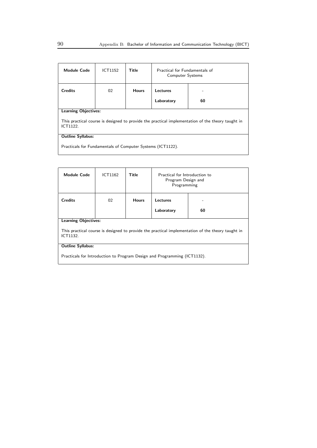| <b>Module Code</b>                                                                                            | <b>ICT1152</b> | Title        | Practical for Fundamentals of<br><b>Computer Systems</b> |    |
|---------------------------------------------------------------------------------------------------------------|----------------|--------------|----------------------------------------------------------|----|
| <b>Credits</b>                                                                                                | 02             | <b>Hours</b> | Lectures                                                 |    |
|                                                                                                               |                |              | Laboratory                                               | 60 |
| <b>Learning Objectives:</b>                                                                                   |                |              |                                                          |    |
| This practical course is designed to provide the practical implementation of the theory taught in<br>ICT1122. |                |              |                                                          |    |
| <b>Outline Syllabus:</b>                                                                                      |                |              |                                                          |    |
| Practicals for Fundamentals of Computer Systems (ICT1122).                                                    |                |              |                                                          |    |

| <b>Module Code</b>                                                                                            | ICT1162 | Title        | Practical for Introduction to<br>Program Design and<br>Programming |    |  |
|---------------------------------------------------------------------------------------------------------------|---------|--------------|--------------------------------------------------------------------|----|--|
| <b>Credits</b>                                                                                                | 02      | <b>Hours</b> | Lectures                                                           |    |  |
|                                                                                                               |         |              | Laboratory                                                         | 60 |  |
| <b>Learning Objectives:</b>                                                                                   |         |              |                                                                    |    |  |
| This practical course is designed to provide the practical implementation of the theory taught in<br>ICT1132. |         |              |                                                                    |    |  |
| <b>Outline Syllabus:</b>                                                                                      |         |              |                                                                    |    |  |
| Practicals for Introduction to Program Design and Programming (ICT1132).                                      |         |              |                                                                    |    |  |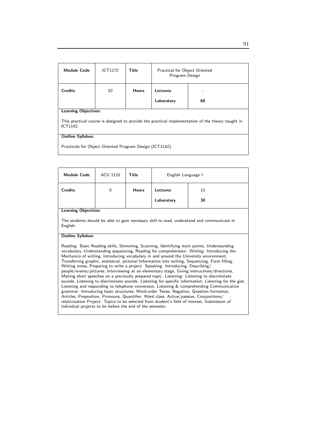| <b>Module Code</b>                                                                                                                                                       | <b>ICT1172</b> | Title        | Practical for Object Oriented<br>Program Design |    |  |
|--------------------------------------------------------------------------------------------------------------------------------------------------------------------------|----------------|--------------|-------------------------------------------------|----|--|
| <b>Credits</b>                                                                                                                                                           | 02             | <b>Hours</b> | Lectures<br>Laboratory                          | 60 |  |
| <b>Learning Objectives:</b><br>This practical course is designed to provide the practical implementation of the theory taught in<br>ICT1142.<br><b>Outline Syllabus:</b> |                |              |                                                 |    |  |

Practicals for Object Oriented Program Design (ICT1142).

| <b>Module Code</b>                                                                                                                                                                                                                                                                                                                                                                                                                                                                                                                                                                                                                                                                                                                                                                                                                                                                                                                                                                                                                                                                                                                                                                                                            | <b>ACU 1110</b> | Title        | English Language I |    |  |
|-------------------------------------------------------------------------------------------------------------------------------------------------------------------------------------------------------------------------------------------------------------------------------------------------------------------------------------------------------------------------------------------------------------------------------------------------------------------------------------------------------------------------------------------------------------------------------------------------------------------------------------------------------------------------------------------------------------------------------------------------------------------------------------------------------------------------------------------------------------------------------------------------------------------------------------------------------------------------------------------------------------------------------------------------------------------------------------------------------------------------------------------------------------------------------------------------------------------------------|-----------------|--------------|--------------------|----|--|
| <b>Credits</b>                                                                                                                                                                                                                                                                                                                                                                                                                                                                                                                                                                                                                                                                                                                                                                                                                                                                                                                                                                                                                                                                                                                                                                                                                | $\mathbf 0$     | <b>Hours</b> | Lectures           | 15 |  |
|                                                                                                                                                                                                                                                                                                                                                                                                                                                                                                                                                                                                                                                                                                                                                                                                                                                                                                                                                                                                                                                                                                                                                                                                                               |                 |              | Laboratory         | 30 |  |
| <b>Learning Objectives:</b>                                                                                                                                                                                                                                                                                                                                                                                                                                                                                                                                                                                                                                                                                                                                                                                                                                                                                                                                                                                                                                                                                                                                                                                                   |                 |              |                    |    |  |
| The students should be able to gain necessary skill to read, understand and communicate in<br>English.                                                                                                                                                                                                                                                                                                                                                                                                                                                                                                                                                                                                                                                                                                                                                                                                                                                                                                                                                                                                                                                                                                                        |                 |              |                    |    |  |
| <b>Outline Syllabus:</b>                                                                                                                                                                                                                                                                                                                                                                                                                                                                                                                                                                                                                                                                                                                                                                                                                                                                                                                                                                                                                                                                                                                                                                                                      |                 |              |                    |    |  |
| Reading: Basic Reading skills, Skimming, Scanning, Identifying main points, Understanding<br>vocabulary, Understanding sequencing, Reading for comprehension. Writing: Introducing the<br>Mechanics of writing, Introducing vocabulary in and around the University environment,<br>Transferring graphic, statistical, pictorial Information into writing, Sequencing, Form filling,<br>Writing notes, Preparing to write a project. Speaking: Introducing, Describing/<br>people/events/pictures, Interviewing at an elementary stage, Giving instructions/directions,<br>Making short speeches on a previously prepared topic. Listening: Listening to discriminate<br>sounds, Listening to discriminate sounds. Listening for specific information, Listening for the gist,<br>Listening and responding to telephone conversion, Listening & comprehending Communicative<br>grammar: Introducing basic structures, Word-order Tense, Negation, Question formation,<br>Articles, Preposition, Pronouns, Quantifier, Word class, Active/passive, Conjunctions/<br>relativization Project: Topics to be selected from student's field of interest, Submission of<br>individual projects to be before the end of the semester. |                 |              |                    |    |  |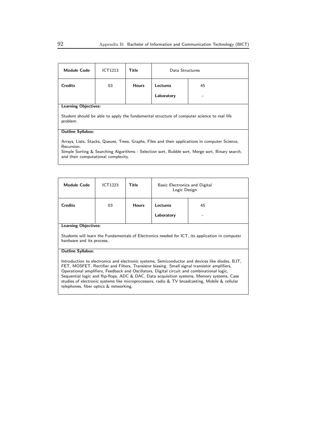| <b>Module Code</b>                                                                                                                                                                                                                                     | ICT1213 | Title        | Data Structures |    |  |
|--------------------------------------------------------------------------------------------------------------------------------------------------------------------------------------------------------------------------------------------------------|---------|--------------|-----------------|----|--|
| <b>Credits</b>                                                                                                                                                                                                                                         | 03      | <b>Hours</b> | Lectures        | 45 |  |
|                                                                                                                                                                                                                                                        |         |              | Laboratory      |    |  |
| Learning Objectives:                                                                                                                                                                                                                                   |         |              |                 |    |  |
| Student should be able to apply the fundamental structure of computer science to real life<br>problem.                                                                                                                                                 |         |              |                 |    |  |
| <b>Outline Syllabus:</b>                                                                                                                                                                                                                               |         |              |                 |    |  |
| Arrays, Lists, Stacks, Queues, Trees, Graphs, Files and their applications in computer Science,<br>Recursion.<br>Simple Sorting & Searching Algorithms: Selection sort, Bubble sort, Merge sort, Binary search,<br>and their computational complexity. |         |              |                 |    |  |

| <b>Module Code</b>                                                                                                                                                                                                                                                                                                                                                                                                                                                                                                                                                 | ICT1223 | Title        | Basic Electronics and Digital<br>Logic Design |  |
|--------------------------------------------------------------------------------------------------------------------------------------------------------------------------------------------------------------------------------------------------------------------------------------------------------------------------------------------------------------------------------------------------------------------------------------------------------------------------------------------------------------------------------------------------------------------|---------|--------------|-----------------------------------------------|--|
| <b>Credits</b>                                                                                                                                                                                                                                                                                                                                                                                                                                                                                                                                                     | 03      | <b>Hours</b> | Lectures<br>45                                |  |
|                                                                                                                                                                                                                                                                                                                                                                                                                                                                                                                                                                    |         |              | Laboratory                                    |  |
| <b>Learning Objectives:</b><br>Students will learn the Fundamentals of Electronics needed for ICT, its application in computer<br>hardware and its process.                                                                                                                                                                                                                                                                                                                                                                                                        |         |              |                                               |  |
| <b>Outline Syllabus:</b><br>Introduction to electronics and electronic systems, Semiconductor and devices like diodes, BJT,<br>FET, MOSFET, Rectifier and Filters, Transistor biasing. Small signal transistor amplifiers,<br>Operational amplifiers, Feedback and Oscillators, Digital circuit and combinational logic,<br>Sequential logic and flip-flops, ADC & DAC, Data acquisition systems, Memory systems, Case<br>studies of electronic systems like microprocessors, radio & TV broadcasting, Mobile & cellular<br>telephones, fiber optics & networking. |         |              |                                               |  |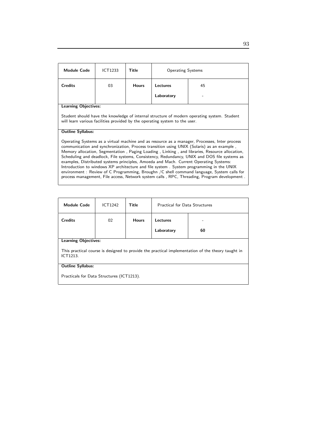| <b>Module Code</b>                                                                                                                                                                                                                                                                                                                                                                                                                                                                                                                                                                                                                                                                                                                                                          | <b>ICT1233</b> | Title        | <b>Operating Systems</b> |    |  |
|-----------------------------------------------------------------------------------------------------------------------------------------------------------------------------------------------------------------------------------------------------------------------------------------------------------------------------------------------------------------------------------------------------------------------------------------------------------------------------------------------------------------------------------------------------------------------------------------------------------------------------------------------------------------------------------------------------------------------------------------------------------------------------|----------------|--------------|--------------------------|----|--|
| <b>Credits</b>                                                                                                                                                                                                                                                                                                                                                                                                                                                                                                                                                                                                                                                                                                                                                              | 03             | <b>Hours</b> | Lectures                 | 45 |  |
|                                                                                                                                                                                                                                                                                                                                                                                                                                                                                                                                                                                                                                                                                                                                                                             |                |              | Laboratory               |    |  |
| <b>Learning Objectives:</b>                                                                                                                                                                                                                                                                                                                                                                                                                                                                                                                                                                                                                                                                                                                                                 |                |              |                          |    |  |
| Student should have the knowledge of internal structure of modern operating system. Student<br>will learn various facilities provided by the operating system to the user.                                                                                                                                                                                                                                                                                                                                                                                                                                                                                                                                                                                                  |                |              |                          |    |  |
| <b>Outline Syllabus:</b>                                                                                                                                                                                                                                                                                                                                                                                                                                                                                                                                                                                                                                                                                                                                                    |                |              |                          |    |  |
| Operating Systems as a virtual machine and as resource as a manager, Processes, Inter process<br>communication and synchronization, Process transition using UNIX (Solaris) as an example,<br>Memory allocation, Segmentation, Paging Loading, Linking, and libraries, Resource allocation,<br>Scheduling and deadlock, File systems, Consistency, Redundancy, UNIX and DOS file systems as<br>examples, Distributed systems principles, Amoeda and Mach. Current Operating Systems:<br>Introduction to windows XP architecture and file system. System programming in the UNIX<br>environment: Review of C Programming, Broughn /C shell command language, System calls for<br>process management, File access, Network system calls, RPC, Threading, Program development. |                |              |                          |    |  |

| <b>Module Code</b>                                                                                            | ICT1242 | <b>Title</b> | <b>Practical for Data Structures</b> |    |
|---------------------------------------------------------------------------------------------------------------|---------|--------------|--------------------------------------|----|
| <b>Credits</b>                                                                                                | 02      | <b>Hours</b> | Lectures                             |    |
|                                                                                                               |         |              | Laboratory                           | 60 |
| <b>Learning Objectives:</b>                                                                                   |         |              |                                      |    |
| This practical course is designed to provide the practical implementation of the theory taught in<br>ICT1213. |         |              |                                      |    |
| <b>Outline Syllabus:</b>                                                                                      |         |              |                                      |    |
| Practicals for Data Structures (ICT1213).                                                                     |         |              |                                      |    |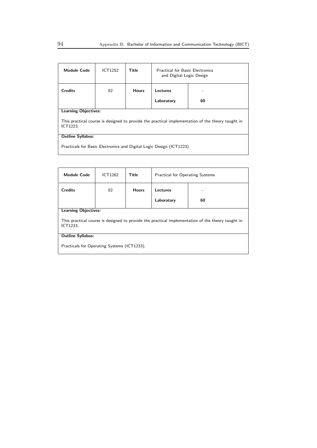| <b>Module Code</b>                                                                                            | ICT1252                     | Title        | <b>Practical for Basic Electronics</b><br>and Digital Logic Design |    |  |
|---------------------------------------------------------------------------------------------------------------|-----------------------------|--------------|--------------------------------------------------------------------|----|--|
| <b>Credits</b>                                                                                                | 02                          | <b>Hours</b> | Lectures                                                           |    |  |
|                                                                                                               |                             |              | Laboratory                                                         | 60 |  |
|                                                                                                               | <b>Learning Objectives:</b> |              |                                                                    |    |  |
| This practical course is designed to provide the practical implementation of the theory taught in<br>ICT1223. |                             |              |                                                                    |    |  |
| <b>Outline Syllabus:</b>                                                                                      |                             |              |                                                                    |    |  |
| Practicals for Basic Electronics and Digital Logic Design (ICT1223).                                          |                             |              |                                                                    |    |  |

| <b>Module Code</b>                                                                                            | ICT1262 | Title        | Practical for Operating Systems |    |  |
|---------------------------------------------------------------------------------------------------------------|---------|--------------|---------------------------------|----|--|
| <b>Credits</b>                                                                                                | 02      | <b>Hours</b> | Lectures                        |    |  |
|                                                                                                               |         |              | Laboratory                      | 60 |  |
| <b>Learning Objectives:</b>                                                                                   |         |              |                                 |    |  |
| This practical course is designed to provide the practical implementation of the theory taught in<br>ICT1233. |         |              |                                 |    |  |
| <b>Outline Syllabus:</b>                                                                                      |         |              |                                 |    |  |
| Practicals for Operating Systems (ICT1233).                                                                   |         |              |                                 |    |  |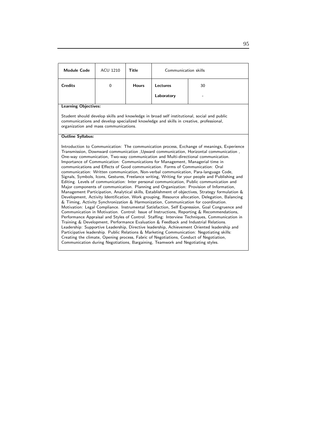| <b>Module Code</b>                                                                                                                                                                                                                                                                                                                                                                                                                                                                                                                                                                                                                                                                                                                                                                                                                                                                                                                                                                                                                                                                                                                                                                                                                                                                                                                                                                                                                                                                                                                                                                                                                                                                                                                                                                                                                                                                            | <b>ACU 1210</b>                                                                                                                                                                                                               | <b>Title</b> | Communication skills |    |  |  |
|-----------------------------------------------------------------------------------------------------------------------------------------------------------------------------------------------------------------------------------------------------------------------------------------------------------------------------------------------------------------------------------------------------------------------------------------------------------------------------------------------------------------------------------------------------------------------------------------------------------------------------------------------------------------------------------------------------------------------------------------------------------------------------------------------------------------------------------------------------------------------------------------------------------------------------------------------------------------------------------------------------------------------------------------------------------------------------------------------------------------------------------------------------------------------------------------------------------------------------------------------------------------------------------------------------------------------------------------------------------------------------------------------------------------------------------------------------------------------------------------------------------------------------------------------------------------------------------------------------------------------------------------------------------------------------------------------------------------------------------------------------------------------------------------------------------------------------------------------------------------------------------------------|-------------------------------------------------------------------------------------------------------------------------------------------------------------------------------------------------------------------------------|--------------|----------------------|----|--|--|
| <b>Credits</b>                                                                                                                                                                                                                                                                                                                                                                                                                                                                                                                                                                                                                                                                                                                                                                                                                                                                                                                                                                                                                                                                                                                                                                                                                                                                                                                                                                                                                                                                                                                                                                                                                                                                                                                                                                                                                                                                                | $\Omega$                                                                                                                                                                                                                      | <b>Hours</b> | <b>Lectures</b>      | 30 |  |  |
|                                                                                                                                                                                                                                                                                                                                                                                                                                                                                                                                                                                                                                                                                                                                                                                                                                                                                                                                                                                                                                                                                                                                                                                                                                                                                                                                                                                                                                                                                                                                                                                                                                                                                                                                                                                                                                                                                               |                                                                                                                                                                                                                               |              | Laboratory           |    |  |  |
|                                                                                                                                                                                                                                                                                                                                                                                                                                                                                                                                                                                                                                                                                                                                                                                                                                                                                                                                                                                                                                                                                                                                                                                                                                                                                                                                                                                                                                                                                                                                                                                                                                                                                                                                                                                                                                                                                               | <b>Learning Objectives:</b>                                                                                                                                                                                                   |              |                      |    |  |  |
|                                                                                                                                                                                                                                                                                                                                                                                                                                                                                                                                                                                                                                                                                                                                                                                                                                                                                                                                                                                                                                                                                                                                                                                                                                                                                                                                                                                                                                                                                                                                                                                                                                                                                                                                                                                                                                                                                               | Student should develop skills and knowledge in broad self institutional, social and public<br>communications and develop specialized knowledge and skills in creative, professional,<br>organization and mass communications. |              |                      |    |  |  |
| <b>Outline Syllabus:</b>                                                                                                                                                                                                                                                                                                                                                                                                                                                                                                                                                                                                                                                                                                                                                                                                                                                                                                                                                                                                                                                                                                                                                                                                                                                                                                                                                                                                                                                                                                                                                                                                                                                                                                                                                                                                                                                                      |                                                                                                                                                                                                                               |              |                      |    |  |  |
| Introduction to Communication: The communication process, Exchange of meanings, Experience<br>Transmission, Downward communication , Upward communication, Horizontal communication,<br>One-way communication, Two-way communication and Multi-directional communication.<br>Importance of Communication: Communications for Management, Managerial time in<br>communications and Effects of Good communication. Forms of Communication: Oral<br>communication: Written communication, Non-verbal communication, Para-language Code,<br>Signals, Symbols, Icons, Gestures, Freelance writing, Writing for your people and Publishing and<br>Editing. Levels of communication: Inter personal communication, Public communication and<br>Major components of communication. Planning and Organization: Provision of Information,<br>Management Participation, Analytical skills, Establishment of objectives, Strategy formulation &<br>Development, Activity Identification, Work grouping, Resource allocation, Delegation, Balancing<br>& Timing, Activity Synchronization & Harmonization, Communication for coordination.<br>Motivation: Legal Compliance. Instrumental Satisfaction, Self Expression, Goal Congruence and<br>Communication in Motivation. Control: Issue of Instructions, Reporting & Recommendations,<br>Performance Appraisal and Styles of Control. Staffing: Interview Techniques, Communication in<br>Training & Development, Performance Evaluation & Feedback and Industrial Relations.<br>Leadership: Supportive Leadership, Directive leadership, Achievement Oriented leadership and<br>Participative leadership. Public Relations & Marketing Communication: Negotiating skills:<br>Creating the climate, Opening process, Fabric of Negotiations, Conduct of Negotiation,<br>Communication during Negotiations, Bargaining, Teamwork and Negotiating styles. |                                                                                                                                                                                                                               |              |                      |    |  |  |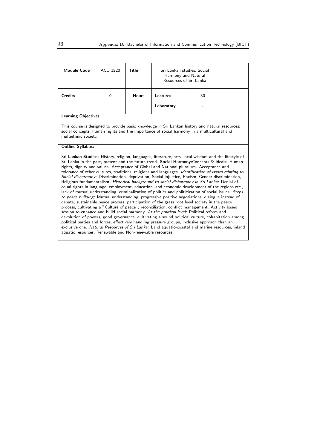| <b>Module Code</b>                                                                                                                                                                                                                                                                                                                                                                                                                                                                                                                                                                                                                                                                                                                                                                                                                                                                                                                                                                                                                                                                                                                                                                                                                                                                                                                                                                                                                                                                                                                                                                                  | ACU 1220                                                                                                                                                                                                             | <b>Title</b> | Sri Lankan studies, Social<br>Harmony and Natural<br>Resources of Sri Lanka |    |  |  |
|-----------------------------------------------------------------------------------------------------------------------------------------------------------------------------------------------------------------------------------------------------------------------------------------------------------------------------------------------------------------------------------------------------------------------------------------------------------------------------------------------------------------------------------------------------------------------------------------------------------------------------------------------------------------------------------------------------------------------------------------------------------------------------------------------------------------------------------------------------------------------------------------------------------------------------------------------------------------------------------------------------------------------------------------------------------------------------------------------------------------------------------------------------------------------------------------------------------------------------------------------------------------------------------------------------------------------------------------------------------------------------------------------------------------------------------------------------------------------------------------------------------------------------------------------------------------------------------------------------|----------------------------------------------------------------------------------------------------------------------------------------------------------------------------------------------------------------------|--------------|-----------------------------------------------------------------------------|----|--|--|
| <b>Credits</b>                                                                                                                                                                                                                                                                                                                                                                                                                                                                                                                                                                                                                                                                                                                                                                                                                                                                                                                                                                                                                                                                                                                                                                                                                                                                                                                                                                                                                                                                                                                                                                                      | $\Omega$                                                                                                                                                                                                             | <b>Hours</b> | Lectures                                                                    | 30 |  |  |
|                                                                                                                                                                                                                                                                                                                                                                                                                                                                                                                                                                                                                                                                                                                                                                                                                                                                                                                                                                                                                                                                                                                                                                                                                                                                                                                                                                                                                                                                                                                                                                                                     |                                                                                                                                                                                                                      |              | Laboratory                                                                  |    |  |  |
| <b>Learning Objectives:</b>                                                                                                                                                                                                                                                                                                                                                                                                                                                                                                                                                                                                                                                                                                                                                                                                                                                                                                                                                                                                                                                                                                                                                                                                                                                                                                                                                                                                                                                                                                                                                                         |                                                                                                                                                                                                                      |              |                                                                             |    |  |  |
|                                                                                                                                                                                                                                                                                                                                                                                                                                                                                                                                                                                                                                                                                                                                                                                                                                                                                                                                                                                                                                                                                                                                                                                                                                                                                                                                                                                                                                                                                                                                                                                                     | This course is designed to provide basic knowledge in Sri Lankan history and natural resources;<br>social concepts; human rights and the importance of social harmony in a multicultural and<br>multiethnic society. |              |                                                                             |    |  |  |
| <b>Outline Syllabus:</b>                                                                                                                                                                                                                                                                                                                                                                                                                                                                                                                                                                                                                                                                                                                                                                                                                                                                                                                                                                                                                                                                                                                                                                                                                                                                                                                                                                                                                                                                                                                                                                            |                                                                                                                                                                                                                      |              |                                                                             |    |  |  |
| Sri Lankan Studies: History, religion, languages, literature, arts, local wisdom and the lifestyle of<br>Sri Lanka in the past, present and the future trend. Social Harmony: Concepts & Ideals: Human<br>rights, dignity and values. Acceptance of Global and National pluralism. Acceptance and<br>tolerance of other cultures, traditions, religions and languages. Identification of issues relating to<br>Social disharmony: Discrimination, deprivation, Social injustice, Racism, Gender discrimination,<br>Religious fundamentalism. Historical background to social disharmony in Sri Lanka: Denial of<br>equal rights in language, employment, education, and economic development of the regions etc.,<br>lack of mutual understanding, criminalization of politics and politicization of social issues. Steps<br>to peace building: Mutual understanding, progressive positive negotiations, dialogue instead of<br>debate, sustainable peace process, participation of the grass root level society in the peace<br>process, cultivating a "Culture of peace", reconciliation, conflict management. Activity based<br>session to enhance and build social harmony. At the political level: Political reform and<br>devolution of powers, good governance, cultivating a sound political culture, cohabitation among<br>political parties and forces, effectively handling pressure groups, inclusive approach than an<br>exclusive one. Natural Resources of Sri Lanka: Land aquatic-coastal and marine resources, inland<br>aquatic resources, Renewable and Non-renewable resources. |                                                                                                                                                                                                                      |              |                                                                             |    |  |  |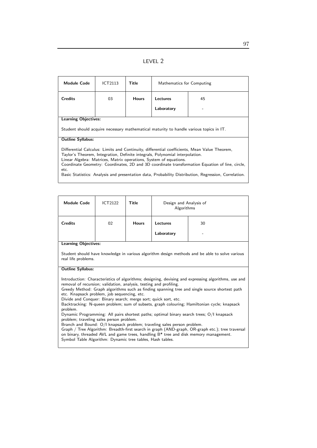| <b>Module Code</b>                                                                                                                                                                                                                                                                                                                                                                                                                                                   | ICT2113 | Title        | Mathematics for Computing |                                                                                        |  |
|----------------------------------------------------------------------------------------------------------------------------------------------------------------------------------------------------------------------------------------------------------------------------------------------------------------------------------------------------------------------------------------------------------------------------------------------------------------------|---------|--------------|---------------------------|----------------------------------------------------------------------------------------|--|
| <b>Credits</b>                                                                                                                                                                                                                                                                                                                                                                                                                                                       | 03      | <b>Hours</b> | Lectures                  | 45                                                                                     |  |
|                                                                                                                                                                                                                                                                                                                                                                                                                                                                      |         |              | Laboratory                |                                                                                        |  |
| <b>Learning Objectives:</b>                                                                                                                                                                                                                                                                                                                                                                                                                                          |         |              |                           |                                                                                        |  |
|                                                                                                                                                                                                                                                                                                                                                                                                                                                                      |         |              |                           | Student should acquire necessary mathematical maturity to handle various topics in IT. |  |
| <b>Outline Syllabus:</b>                                                                                                                                                                                                                                                                                                                                                                                                                                             |         |              |                           |                                                                                        |  |
| Differential Calculus: Limits and Continuity, differential coefficients, Mean Value Theorem,<br>Taylor's Theorem, Integration, Definite integrals, Polynomial interpolation.<br>Linear Algebra: Matrices, Matrix operations, System of equations.<br>Coordinate Geometry: Coordinates, 2D and 3D coordinate transformation Equation of line, circle,<br>etc.<br>Basic Statistics: Analysis and presentation data, Probability Distribution, Regression, Correlation. |         |              |                           |                                                                                        |  |

| <b>Module Code</b>                                                                                                                                                                                                                                                                                                                                                                                                                                                                                                                                                                                                                                                                                                                                     | ICT2122 | Title        | Design and Analysis of<br>Algorithms |    |  |
|--------------------------------------------------------------------------------------------------------------------------------------------------------------------------------------------------------------------------------------------------------------------------------------------------------------------------------------------------------------------------------------------------------------------------------------------------------------------------------------------------------------------------------------------------------------------------------------------------------------------------------------------------------------------------------------------------------------------------------------------------------|---------|--------------|--------------------------------------|----|--|
| <b>Credits</b>                                                                                                                                                                                                                                                                                                                                                                                                                                                                                                                                                                                                                                                                                                                                         | 02      | <b>Hours</b> | Lectures                             | 30 |  |
|                                                                                                                                                                                                                                                                                                                                                                                                                                                                                                                                                                                                                                                                                                                                                        |         |              | Laboratory                           |    |  |
| <b>Learning Objectives:</b><br>Student should have knowledge in various algorithm design methods and be able to solve various<br>real life problems.                                                                                                                                                                                                                                                                                                                                                                                                                                                                                                                                                                                                   |         |              |                                      |    |  |
| <b>Outline Syllabus:</b><br>Introduction: Characteristics of algorithms; designing, devising and expressing algorithms, use and<br>removal of recursion; validation, analysis, testing and profiling.<br>Greedy Method: Graph algorithms such as finding spanning tree and single source shortest path<br>etc. Knapsack problem, job sequencing, etc.<br>Divide and Conquer: Binary search; merge sort; quick sort, etc.<br>Backtracking: N-queen problem; sum of subsets, graph colouring; Hamiltonian cycle; knapsack<br>problem.<br>Dynamic Programming: All pairs shortest paths; optimal binary search trees; O/I knapsack<br>problem; traveling sales person problem.<br>Branch and Bound: O/I knapsack problem; traveling sales person problem. |         |              |                                      |    |  |

Graph / Tree Algorithm: Breadth-first search in graph (AND-graph, OR-graph etc.); tree traversal on binary, threaded AVL and game trees, handling  $B^*$  tree and disk memory management. Symbol Table Algorithm: Dynamic tree tables, Hash tables.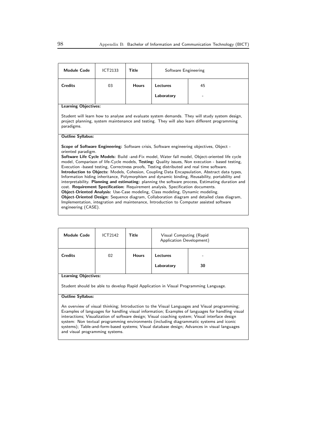| <b>Module Code</b>                                                                                                                                                                                                                                                                                                                                                                                                                                                                                                                                                                                                                                                                                                              | <b>ICT2133</b> | <b>Title</b> | Software Engineering |    |
|---------------------------------------------------------------------------------------------------------------------------------------------------------------------------------------------------------------------------------------------------------------------------------------------------------------------------------------------------------------------------------------------------------------------------------------------------------------------------------------------------------------------------------------------------------------------------------------------------------------------------------------------------------------------------------------------------------------------------------|----------------|--------------|----------------------|----|
| <b>Credits</b>                                                                                                                                                                                                                                                                                                                                                                                                                                                                                                                                                                                                                                                                                                                  | 03             | <b>Hours</b> | Lectures             | 45 |
|                                                                                                                                                                                                                                                                                                                                                                                                                                                                                                                                                                                                                                                                                                                                 |                |              | Laboratory           |    |
| <b>Learning Objectives:</b>                                                                                                                                                                                                                                                                                                                                                                                                                                                                                                                                                                                                                                                                                                     |                |              |                      |    |
| Student will learn how to analyse and evaluate system demands. They will study system design,<br>project planning, system maintenance and testing. They will also learn different programming<br>paradigms.                                                                                                                                                                                                                                                                                                                                                                                                                                                                                                                     |                |              |                      |    |
| <b>Outline Syllabus:</b>                                                                                                                                                                                                                                                                                                                                                                                                                                                                                                                                                                                                                                                                                                        |                |              |                      |    |
| <b>Scope of Software Engineering:</b> Software crisis, Software engineering objectives, Object -<br>oriented paradigm.<br>Software Life Cycle Models: Build -and-Fix model, Water fall model, Object-oriented life cycle<br>model, Comparison of life-Cycle models, Testing: Quality issues, Non execution - based testing,<br>Execution -based testing, Correctness proofs, Testing distributed and real time software.<br>Introduction to Objects: Models, Cohesion, Coupling Data Encapsulation, Abstract data types,<br>Information hiding inheritance, Polymorphism and dynamic binding, Reusability, portability and<br>interpretability. Planning and estimating: planning the software process, Estimating duration and |                |              |                      |    |
| cost. Requirement Specification: Requirement analysis, Specification documents.                                                                                                                                                                                                                                                                                                                                                                                                                                                                                                                                                                                                                                                 |                |              |                      |    |
| Object-Oriented Analysis: Use-Case modeling, Class modeling, Dynamic modeling.                                                                                                                                                                                                                                                                                                                                                                                                                                                                                                                                                                                                                                                  |                |              |                      |    |
| Object-Oriented Design: Sequence diagram, Collaboration diagram and detailed class diagram,<br>Implementation, integration and maintenance, Introduction to Computer assisted software                                                                                                                                                                                                                                                                                                                                                                                                                                                                                                                                          |                |              |                      |    |

engineering (CASE).

and visual programming systems.

| <b>Module Code</b>                                                                                                                                                                                                                                                                                                                                                                                                                                                                             | ICT2142 | Title        | Visual Computing (Rapid<br>Application Development) |    |
|------------------------------------------------------------------------------------------------------------------------------------------------------------------------------------------------------------------------------------------------------------------------------------------------------------------------------------------------------------------------------------------------------------------------------------------------------------------------------------------------|---------|--------------|-----------------------------------------------------|----|
| <b>Credits</b>                                                                                                                                                                                                                                                                                                                                                                                                                                                                                 | 02      | <b>Hours</b> | Lectures                                            |    |
|                                                                                                                                                                                                                                                                                                                                                                                                                                                                                                |         |              | Laboratory                                          | 30 |
| <b>Learning Objectives:</b>                                                                                                                                                                                                                                                                                                                                                                                                                                                                    |         |              |                                                     |    |
| Student should be able to develop Rapid Application in Visual Programming Language.                                                                                                                                                                                                                                                                                                                                                                                                            |         |              |                                                     |    |
| <b>Outline Syllabus:</b>                                                                                                                                                                                                                                                                                                                                                                                                                                                                       |         |              |                                                     |    |
| An overview of visual thinking; Introduction to the Visual Languages and Visual programming;<br>Examples of languages for handling visual information; Examples of languages for handling visual<br>interactions; Visualization of software design; Visual coaching system; Visual interface design<br>system: Non textual programming environments (including diagrammatic systems and iconic<br>systems); Table-and-form-based systems; Visual database design; Advances in visual languages |         |              |                                                     |    |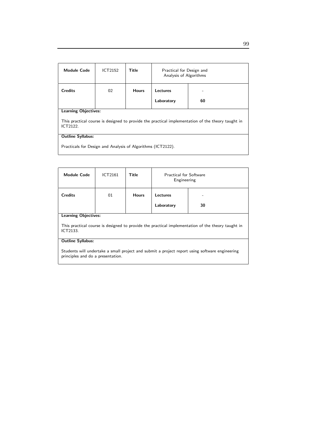| <b>Module Code</b>                                                                                            | ICT2152                     | Title        | Practical for Design and<br>Analysis of Algorithms |    |  |  |
|---------------------------------------------------------------------------------------------------------------|-----------------------------|--------------|----------------------------------------------------|----|--|--|
| <b>Credits</b>                                                                                                | 02                          | <b>Hours</b> | Lectures                                           |    |  |  |
|                                                                                                               |                             |              | Laboratory                                         | 60 |  |  |
|                                                                                                               | <b>Learning Objectives:</b> |              |                                                    |    |  |  |
| This practical course is designed to provide the practical implementation of the theory taught in<br>ICT2122. |                             |              |                                                    |    |  |  |
| <b>Outline Syllabus:</b>                                                                                      |                             |              |                                                    |    |  |  |
| Practicals for Design and Analysis of Algorithms (ICT2122).                                                   |                             |              |                                                    |    |  |  |

| <b>Module Code</b>                                                                                                                  | ICT2161                     | Title        | <b>Practical for Software</b><br>Engineering |    |  |
|-------------------------------------------------------------------------------------------------------------------------------------|-----------------------------|--------------|----------------------------------------------|----|--|
| <b>Credits</b>                                                                                                                      | 01                          | <b>Hours</b> | Lectures                                     |    |  |
|                                                                                                                                     |                             |              | Laboratory                                   | 30 |  |
|                                                                                                                                     | <b>Learning Objectives:</b> |              |                                              |    |  |
| This practical course is designed to provide the practical implementation of the theory taught in<br>ICT2133.                       |                             |              |                                              |    |  |
| <b>Outline Syllabus:</b>                                                                                                            |                             |              |                                              |    |  |
| Students will undertake a small project and submit a project report using software engineering<br>principles and do a presentation. |                             |              |                                              |    |  |

# 99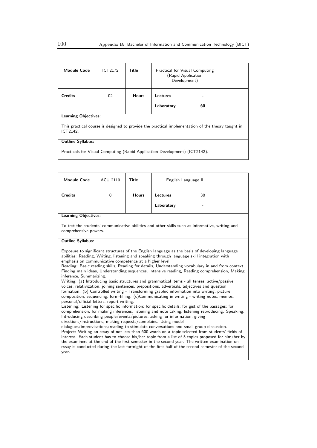| <b>Module Code</b>                                                                                            | ICT2172 | Title        | Practical for Visual Computing<br>(Rapid Application<br>Development) |    |
|---------------------------------------------------------------------------------------------------------------|---------|--------------|----------------------------------------------------------------------|----|
| <b>Credits</b>                                                                                                | 02      | <b>Hours</b> | Lectures                                                             |    |
|                                                                                                               |         |              | Laboratory                                                           | 60 |
| <b>Learning Objectives:</b>                                                                                   |         |              |                                                                      |    |
| This practical course is designed to provide the practical implementation of the theory taught in<br>ICT2142. |         |              |                                                                      |    |
| <b>Outline Syllabus:</b>                                                                                      |         |              |                                                                      |    |
| Practicals for Visual Computing (Rapid Application Development) (ICT2142).                                    |         |              |                                                                      |    |

| <b>Module Code</b>                                                                                                                                                                                                                                                                                                                                                                                                                                                                                                                                                                                                                                                                                                                                                                                                                                                                                                                                                                                                                                                                                                                                                                                                                                                                                                                                                                                                                                                                                                                                                                                                                                                                                                                                                                                                        | <b>ACU 2110</b> | <b>Title</b> | English Language II |    |  |
|---------------------------------------------------------------------------------------------------------------------------------------------------------------------------------------------------------------------------------------------------------------------------------------------------------------------------------------------------------------------------------------------------------------------------------------------------------------------------------------------------------------------------------------------------------------------------------------------------------------------------------------------------------------------------------------------------------------------------------------------------------------------------------------------------------------------------------------------------------------------------------------------------------------------------------------------------------------------------------------------------------------------------------------------------------------------------------------------------------------------------------------------------------------------------------------------------------------------------------------------------------------------------------------------------------------------------------------------------------------------------------------------------------------------------------------------------------------------------------------------------------------------------------------------------------------------------------------------------------------------------------------------------------------------------------------------------------------------------------------------------------------------------------------------------------------------------|-----------------|--------------|---------------------|----|--|
| <b>Credits</b>                                                                                                                                                                                                                                                                                                                                                                                                                                                                                                                                                                                                                                                                                                                                                                                                                                                                                                                                                                                                                                                                                                                                                                                                                                                                                                                                                                                                                                                                                                                                                                                                                                                                                                                                                                                                            | $\Omega$        | <b>Hours</b> | Lectures            | 30 |  |
|                                                                                                                                                                                                                                                                                                                                                                                                                                                                                                                                                                                                                                                                                                                                                                                                                                                                                                                                                                                                                                                                                                                                                                                                                                                                                                                                                                                                                                                                                                                                                                                                                                                                                                                                                                                                                           |                 |              | Laboratory          |    |  |
| <b>Learning Objectives:</b>                                                                                                                                                                                                                                                                                                                                                                                                                                                                                                                                                                                                                                                                                                                                                                                                                                                                                                                                                                                                                                                                                                                                                                                                                                                                                                                                                                                                                                                                                                                                                                                                                                                                                                                                                                                               |                 |              |                     |    |  |
| To test the students' communicative abilities and other skills such as informative, writing and<br>comprehensive powers.                                                                                                                                                                                                                                                                                                                                                                                                                                                                                                                                                                                                                                                                                                                                                                                                                                                                                                                                                                                                                                                                                                                                                                                                                                                                                                                                                                                                                                                                                                                                                                                                                                                                                                  |                 |              |                     |    |  |
| <b>Outline Syllabus:</b>                                                                                                                                                                                                                                                                                                                                                                                                                                                                                                                                                                                                                                                                                                                                                                                                                                                                                                                                                                                                                                                                                                                                                                                                                                                                                                                                                                                                                                                                                                                                                                                                                                                                                                                                                                                                  |                 |              |                     |    |  |
| Exposure to significant structures of the English language as the basis of developing language<br>abilities: Reading, Writing, listening and speaking through language skill integration with<br>emphasis on communicative competence at a higher level.<br>Reading: Basic reading skills, Reading for details, Understanding vocabulary in and from context,<br>Finding main ideas, Understanding sequences, Intensive reading, Reading comprehension, Making<br>inference, Summarizing.<br>Writing: (a) Introducing basic structures and grammatical items - all tenses, active/passive<br>voices, relativization, joining sentences, prepositions, adverbials, adjectives and question<br>formation. (b) Controlled writing - Transforming graphic information into writing, picture<br>composition, sequencing, form-filling. (c)Communicating in writing - writing notes, memos,<br>personal/official letters, report writing.<br>Listening: Listening for specific information; for specific details; for gist of the passages; for<br>comprehension, for making inferences, listening and note taking; listening reproducing. Speaking:<br>Introducing describing people/events/pictures; asking for information; giving<br>directions/instructions, making requests/complains. Using model<br>dialogues/improvisations/reading to stimulate conversations and small group discussion.<br>Project: Writing an essay of not less than 600 words on a topic selected from students' fields of<br>interest. Each student has to choose his/her topic from a list of 5 topics proposed for him/her by<br>the examiners at the end of the first semester in the second year. The written examination on<br>essay is conducted during the last fortnight of the first half of the second semester of the second<br>year. |                 |              |                     |    |  |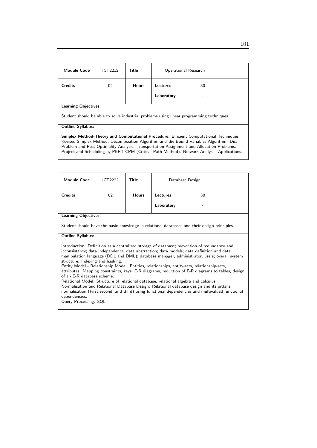| <b>Module Code</b>          | ICT2212 | Title        | Operational Research          |         |
|-----------------------------|---------|--------------|-------------------------------|---------|
| <b>Credits</b>              | 02      | <b>Hours</b> | <b>Lectures</b><br>Laboratory | 30<br>- |
| <b>Learning Objectives:</b> |         |              |                               |         |

Student should be able to solve industrial problems using linear programming techniques.

#### Outline Syllabus:

Simplex Method-Theory and Computational Procedure: Efficient Computational Techniques. Revised Simplex Method, Decomposition Algorithm and the Bound Variables Algorithm. Dual Problem and Post Optimality Analysis. Transportation Assignment and Allocation Problems: Project and Scheduling by PERT-CPM (Critical Path Method). Network Analysis, Applications.

| <b>Module Code</b>                                                                                                                                                                                                                                                                                                                                                                                                                                                                                                                                                                                                                                                                                                                                                                                                                                                                               | ICT2222 | Title        | Database Design |    |  |
|--------------------------------------------------------------------------------------------------------------------------------------------------------------------------------------------------------------------------------------------------------------------------------------------------------------------------------------------------------------------------------------------------------------------------------------------------------------------------------------------------------------------------------------------------------------------------------------------------------------------------------------------------------------------------------------------------------------------------------------------------------------------------------------------------------------------------------------------------------------------------------------------------|---------|--------------|-----------------|----|--|
| <b>Credits</b>                                                                                                                                                                                                                                                                                                                                                                                                                                                                                                                                                                                                                                                                                                                                                                                                                                                                                   | 02      | <b>Hours</b> | Lectures        | 30 |  |
|                                                                                                                                                                                                                                                                                                                                                                                                                                                                                                                                                                                                                                                                                                                                                                                                                                                                                                  |         |              | Laboratory      |    |  |
| <b>Learning Objectives:</b>                                                                                                                                                                                                                                                                                                                                                                                                                                                                                                                                                                                                                                                                                                                                                                                                                                                                      |         |              |                 |    |  |
| Student should have the basic knowledge in relational databases and their design principles.                                                                                                                                                                                                                                                                                                                                                                                                                                                                                                                                                                                                                                                                                                                                                                                                     |         |              |                 |    |  |
| <b>Outline Syllabus:</b>                                                                                                                                                                                                                                                                                                                                                                                                                                                                                                                                                                                                                                                                                                                                                                                                                                                                         |         |              |                 |    |  |
| Introduction: Definition as a centralized storage of database; prevention of redundancy and<br>inconsistency; data independence; data abstraction; data models; data definition and data<br>manipulation language (DDL and DML); database manager, administrator, users; overall system<br>structure: Indexing and hashing.<br>Entity Model - Relationship Model: Entities, relationships, entity-sets, relationship-sets,<br>attributes. Mapping constraints, keys, E-R diagrams, reduction of E-R diagrams to tables, design<br>of an E-R database scheme.<br>Relational Model: Structure of relational database, relational algebra and calculus;<br>Normalisation and Relational Database Design: Relational database design and its pitfalls;<br>normalisation (First second, and third) using functional dependencies and multivalued functional<br>dependencies.<br>Query Processing: SQL |         |              |                 |    |  |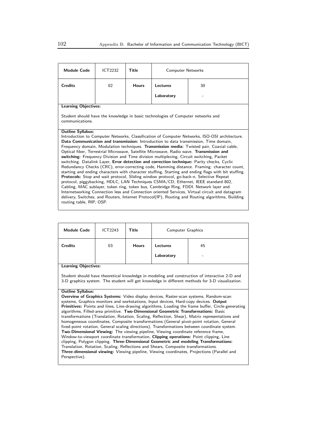| <b>Module Code</b>                                                                                                                                                                      | <b>ICT2232</b>                                                                                                                                                                        | Title        | <b>Computer Networks</b> |                                                                                                  |  |
|-----------------------------------------------------------------------------------------------------------------------------------------------------------------------------------------|---------------------------------------------------------------------------------------------------------------------------------------------------------------------------------------|--------------|--------------------------|--------------------------------------------------------------------------------------------------|--|
| <b>Credits</b>                                                                                                                                                                          | 02                                                                                                                                                                                    | <b>Hours</b> | Lectures                 | 30                                                                                               |  |
|                                                                                                                                                                                         |                                                                                                                                                                                       |              | Laboratory               |                                                                                                  |  |
| <b>Learning Objectives:</b>                                                                                                                                                             |                                                                                                                                                                                       |              |                          |                                                                                                  |  |
| Student should have the knowledge in basic technologies of Computer networks and<br>communications.                                                                                     |                                                                                                                                                                                       |              |                          |                                                                                                  |  |
| <b>Outline Syllabus:</b>                                                                                                                                                                |                                                                                                                                                                                       |              |                          |                                                                                                  |  |
| Introduction to Computer Networks, Classification of Computer Networks, ISO-OSI architecture.                                                                                           |                                                                                                                                                                                       |              |                          |                                                                                                  |  |
| Data Communication and transmission: Introduction to data transmission, Time domain,                                                                                                    |                                                                                                                                                                                       |              |                          |                                                                                                  |  |
| Frequency domain, Modulation techniques. Transmission media: Twisted pair, Coaxial cable,<br>Optical fiber, Terrestrial Microwave, Satellite Microwave, Radio wave. Transmission and    |                                                                                                                                                                                       |              |                          |                                                                                                  |  |
|                                                                                                                                                                                         |                                                                                                                                                                                       |              |                          |                                                                                                  |  |
|                                                                                                                                                                                         | switching: Frequency Division and Time division multiplexing, Circuit switching, Packet<br>switching. Datalink Layer, Error detection and correction technique: Parity checks, Cyclic |              |                          |                                                                                                  |  |
| Redundancy Checks (CRC), error-correcting code, Hamming distance. Framing: character count,                                                                                             |                                                                                                                                                                                       |              |                          |                                                                                                  |  |
| starting and ending characters with character stuffing, Starting and ending flags with bit stuffing.                                                                                    |                                                                                                                                                                                       |              |                          |                                                                                                  |  |
| Protocols: Stop and wait protocol, Sliding window protocol, go-back-n, Selective Repeat                                                                                                 |                                                                                                                                                                                       |              |                          |                                                                                                  |  |
| protocol, piggybacking, HDLC, LAN Techniques CSMA/CD, Ethernet, IEEE standard 802,                                                                                                      |                                                                                                                                                                                       |              |                          |                                                                                                  |  |
| Cabling, MAC sublayer, token ring, token bus, Cambridge Ring, FDDI. Network layer and<br>Internetworking Connection less and Connection oriented Services, Virtual circuit and datagram |                                                                                                                                                                                       |              |                          |                                                                                                  |  |
|                                                                                                                                                                                         |                                                                                                                                                                                       |              |                          | delivery, Switches, and Routers, Internet Protocol(IP), Routing and Routing algorithms, Building |  |
| routing table, RIP, OSP.                                                                                                                                                                |                                                                                                                                                                                       |              |                          |                                                                                                  |  |
|                                                                                                                                                                                         |                                                                                                                                                                                       |              |                          |                                                                                                  |  |

| <b>Module Code</b>                                                                                                                                                                                                                                                                                                                                                                        | ICT2243 | <b>Title</b> | <b>Computer Graphics</b> |  |  |
|-------------------------------------------------------------------------------------------------------------------------------------------------------------------------------------------------------------------------------------------------------------------------------------------------------------------------------------------------------------------------------------------|---------|--------------|--------------------------|--|--|
| <b>Credits</b>                                                                                                                                                                                                                                                                                                                                                                            | 03      | <b>Hours</b> | <b>Lectures</b><br>45    |  |  |
|                                                                                                                                                                                                                                                                                                                                                                                           |         |              | Laboratory               |  |  |
| <b>Learning Objectives:</b>                                                                                                                                                                                                                                                                                                                                                               |         |              |                          |  |  |
| Student should have theoretical knowledge in modeling and construction of interactive 2-D and<br>3-D graphics system. The student will get knowledge in different methods for 3-D visualization.                                                                                                                                                                                          |         |              |                          |  |  |
| <b>Outline Syllabus:</b>                                                                                                                                                                                                                                                                                                                                                                  |         |              |                          |  |  |
| <b>Overview of Graphics Systems:</b> Video display devices, Raster-scan systems, Random-scan                                                                                                                                                                                                                                                                                              |         |              |                          |  |  |
| systems, Graphics monitors and workstations, Input devices, Hard-copy devices. Output                                                                                                                                                                                                                                                                                                     |         |              |                          |  |  |
| Primitives: Points and lines, Line-drawing algorithms, Loading the frame buffer, Circle-generating<br>algorithms, Filled-area primitive. Two-Dimensional Geometric Transformations: Basic<br>transformations (Translation, Rotation, Scaling, Reflection, Shear), Matrix representations and<br>homogeneous coordinates, Composite transformations (General pivot-point rotation, General |         |              |                          |  |  |
| fixed-point rotation, General scaling directions), Transformations between coordinate system.                                                                                                                                                                                                                                                                                             |         |              |                          |  |  |
| <b>Two-Dimensional Viewing:</b> The viewing pipeline, Viewing coordinate reference frame,                                                                                                                                                                                                                                                                                                 |         |              |                          |  |  |
| Window-to-viewport coordinate transformation, Clipping operations: Point clipping, Line                                                                                                                                                                                                                                                                                                   |         |              |                          |  |  |

clipping, Polygon clipping. Three-Dimensional Geometric and modeling Transformations: Translation, Rotation, Scaling, Reflections and Shears, Composite transformations.

Three-dimensional viewing: Viewing pipeline, Viewing coordinates, Projections (Parallel and Perspective).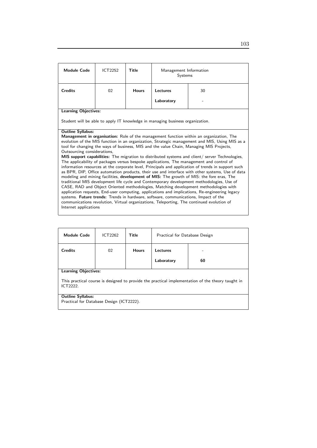| <b>Module Code</b>                                                                                                                                                                     | ICT2252 | Title        | Management Information<br>Systems                                                   |                                                                                                                                                                                                |  |
|----------------------------------------------------------------------------------------------------------------------------------------------------------------------------------------|---------|--------------|-------------------------------------------------------------------------------------|------------------------------------------------------------------------------------------------------------------------------------------------------------------------------------------------|--|
| <b>Credits</b>                                                                                                                                                                         | 02      | <b>Hours</b> | Lectures<br>30                                                                      |                                                                                                                                                                                                |  |
|                                                                                                                                                                                        |         |              | Laboratory                                                                          |                                                                                                                                                                                                |  |
| <b>Learning Objectives:</b>                                                                                                                                                            |         |              |                                                                                     |                                                                                                                                                                                                |  |
|                                                                                                                                                                                        |         |              | Student will be able to apply IT knowledge in managing business organization.       |                                                                                                                                                                                                |  |
| <b>Outline Syllabus:</b>                                                                                                                                                               |         |              |                                                                                     |                                                                                                                                                                                                |  |
|                                                                                                                                                                                        |         |              |                                                                                     | Management in organisation: Role of the management function within an organization, The<br>evolution of the MIS function in an organization, Strategic management and MIS, Using MIS as a      |  |
|                                                                                                                                                                                        |         |              |                                                                                     | tool for changing the ways of business, MIS and the value Chain, Managing MIS Projects,                                                                                                        |  |
| Outsourcing considerations,                                                                                                                                                            |         |              |                                                                                     |                                                                                                                                                                                                |  |
|                                                                                                                                                                                        |         |              |                                                                                     | MIS support capabilities: The migration to distributed systems and client/ server Technologies,                                                                                                |  |
|                                                                                                                                                                                        |         |              |                                                                                     | The applicability of packages versus bespoke applications, The management and control of<br>information resources at the corporate level, Principals and application of trends in support such |  |
|                                                                                                                                                                                        |         |              |                                                                                     | as BPR, DIP, Office automation products, their use and interface with other systems, Use of data                                                                                               |  |
| modeling and mining facilities, development of MIS: The growth of MIS: the fore eras, The                                                                                              |         |              |                                                                                     |                                                                                                                                                                                                |  |
| traditional MIS development life cycle and Contemporary development methodologies, Use of                                                                                              |         |              |                                                                                     |                                                                                                                                                                                                |  |
| CASE, RAD and Object Oriented methodologies, Matching development methodologies with<br>application requests, End-user computing, applications and implications, Re-engineering legacy |         |              |                                                                                     |                                                                                                                                                                                                |  |
|                                                                                                                                                                                        |         |              | systems. Future trends: Trends in hardware, software, communications, Impact of the |                                                                                                                                                                                                |  |
|                                                                                                                                                                                        |         |              |                                                                                     | communications revolution, Virtual organizations, Teleporting, The continued evolution of                                                                                                      |  |
| Internet applications                                                                                                                                                                  |         |              |                                                                                     |                                                                                                                                                                                                |  |

| <b>Module Code</b>                                                                                           | ICT2262 | <b>Title</b> | Practical for Database Design |    |  |
|--------------------------------------------------------------------------------------------------------------|---------|--------------|-------------------------------|----|--|
| <b>Credits</b>                                                                                               | 02      | <b>Hours</b> | Lectures                      |    |  |
|                                                                                                              |         |              | Laboratory                    | 60 |  |
| <b>Learning Objectives:</b>                                                                                  |         |              |                               |    |  |
| This practical course is designed to provide the practical implementation of the theory taught in<br>ICT2222 |         |              |                               |    |  |
| <b>Outline Syllabus:</b>                                                                                     |         |              |                               |    |  |
| Practical for Database Design (ICT2222).                                                                     |         |              |                               |    |  |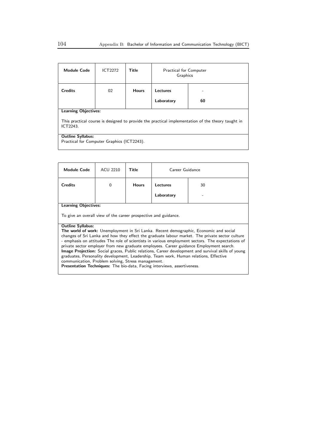| <b>Module Code</b>                                                                                            | ICT2272 | Title        | <b>Practical for Computer</b><br>Graphics |    |  |
|---------------------------------------------------------------------------------------------------------------|---------|--------------|-------------------------------------------|----|--|
| <b>Credits</b>                                                                                                | 02      | <b>Hours</b> | Lectures                                  |    |  |
|                                                                                                               |         |              | Laboratory                                | 60 |  |
| <b>Learning Objectives:</b>                                                                                   |         |              |                                           |    |  |
| This practical course is designed to provide the practical implementation of the theory taught in<br>ICT2243. |         |              |                                           |    |  |
| <b>Outline Syllabus:</b>                                                                                      |         |              |                                           |    |  |
| Practical for Computer Graphics (ICT2243).                                                                    |         |              |                                           |    |  |

| <b>Module Code</b>                                                                                                                                                                                                                                                                                                                                                                                                                                                                                                                                                                                                                                                                                                                                           | ACU 2210    | Title        | Career Guidance |    |  |
|--------------------------------------------------------------------------------------------------------------------------------------------------------------------------------------------------------------------------------------------------------------------------------------------------------------------------------------------------------------------------------------------------------------------------------------------------------------------------------------------------------------------------------------------------------------------------------------------------------------------------------------------------------------------------------------------------------------------------------------------------------------|-------------|--------------|-----------------|----|--|
| <b>Credits</b>                                                                                                                                                                                                                                                                                                                                                                                                                                                                                                                                                                                                                                                                                                                                               | $\mathbf 0$ | <b>Hours</b> | Lectures        | 30 |  |
|                                                                                                                                                                                                                                                                                                                                                                                                                                                                                                                                                                                                                                                                                                                                                              |             |              | Laboratory      |    |  |
| <b>Learning Objectives:</b>                                                                                                                                                                                                                                                                                                                                                                                                                                                                                                                                                                                                                                                                                                                                  |             |              |                 |    |  |
| To give an overall view of the career prospective and guidance.                                                                                                                                                                                                                                                                                                                                                                                                                                                                                                                                                                                                                                                                                              |             |              |                 |    |  |
| <b>Outline Syllabus:</b><br>The world of work: Unemployment in Sri Lanka. Recent demographic, Economic and social<br>changes of Sri Lanka and how they effect the graduate labour market. The private sector culture<br>- emphasis on attitudes The role of scientists in various employment sectors. The expectations of<br>private sector employer from new graduate employees. Career guidance Employment search.<br>Image Projection: Social graces, Public relations, Career development and survival skills of young<br>graduates, Personality development, Leadership, Team work, Human relations, Effective<br>communication, Problem solving, Stress management.<br><b>Presentation Techniques:</b> The bio-data, Facing interviews, assertiveness. |             |              |                 |    |  |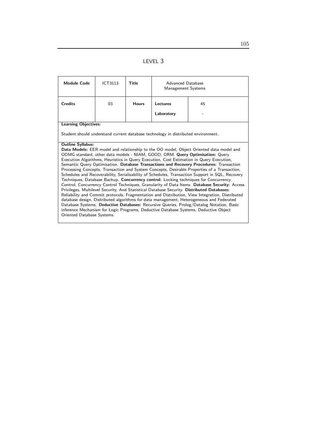|--|--|

| <b>Module Code</b>                                                                                                                                                                                                                                                                                                                                                                                                                                                                                                                                                                                                                                                                                                                                                                                                                                                                                                                                                                                                                                                                                                                                                                                                                                                        | <b>ICT3113</b>                                                                    | Title        | Advanced Database<br>Management Systems |    |
|---------------------------------------------------------------------------------------------------------------------------------------------------------------------------------------------------------------------------------------------------------------------------------------------------------------------------------------------------------------------------------------------------------------------------------------------------------------------------------------------------------------------------------------------------------------------------------------------------------------------------------------------------------------------------------------------------------------------------------------------------------------------------------------------------------------------------------------------------------------------------------------------------------------------------------------------------------------------------------------------------------------------------------------------------------------------------------------------------------------------------------------------------------------------------------------------------------------------------------------------------------------------------|-----------------------------------------------------------------------------------|--------------|-----------------------------------------|----|
| <b>Credits</b>                                                                                                                                                                                                                                                                                                                                                                                                                                                                                                                                                                                                                                                                                                                                                                                                                                                                                                                                                                                                                                                                                                                                                                                                                                                            | 03                                                                                | <b>Hours</b> | Lectures                                | 45 |
|                                                                                                                                                                                                                                                                                                                                                                                                                                                                                                                                                                                                                                                                                                                                                                                                                                                                                                                                                                                                                                                                                                                                                                                                                                                                           |                                                                                   |              | Laboratory                              |    |
| <b>Learning Objectives:</b>                                                                                                                                                                                                                                                                                                                                                                                                                                                                                                                                                                                                                                                                                                                                                                                                                                                                                                                                                                                                                                                                                                                                                                                                                                               |                                                                                   |              |                                         |    |
|                                                                                                                                                                                                                                                                                                                                                                                                                                                                                                                                                                                                                                                                                                                                                                                                                                                                                                                                                                                                                                                                                                                                                                                                                                                                           | Student should understand current database technology in distributed environment. |              |                                         |    |
| <b>Outline Syllabus:</b><br>Data Models: EER model and relationship to the OO model, Object Oriented data model and<br>ODMG standard, other data models - NIAM, GOOD, ORM. Query Optimisation: Query<br>Execution Algorithms, Heuristics in Query Execution, Cost Estimation in Query Execution,<br>Semantic Query Optimisation. Database Transactions and Recovery Procedures: Transaction<br>Processing Concepts, Transaction and System Concepts, Desirable Properties of a Transaction,<br>Schedules and Recoverability, Serialisability of Schedules, Transaction Support in SQL, Recovery<br>Techniques, Database Backup. Concurrency control: Locking techniques for Concurrency<br>Control, Concurrency Control Techniques, Granularity of Data Items. Database Security: Access<br>Privileges, Multilevel Security, And Statistical Database Security. Distributed Databases:<br>Reliability and Commit protocols, Fragmentation and Distribution, View Integration, Distributed<br>database design, Distributed algorithms for data management, Heterogeneous and Federated<br>Database Systems. Deductive Databases: Recursive Queries, Prolog/Datalog Notation, Basic<br>inference Mechanism for Logic Programs, Deductive Database Systems, Deductive Object |                                                                                   |              |                                         |    |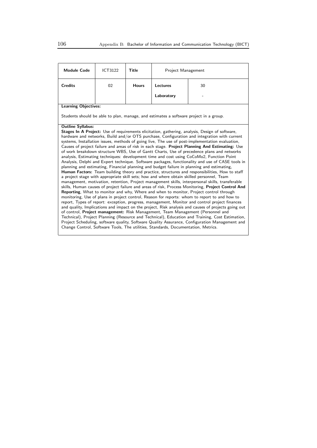| <b>Module Code</b>                                                                                                                                                                                 | <b>ICT3122</b>                                                                                                                                                                         | Title        | Project Management                                                                |                                                                                                                                                                                         |  |  |  |
|----------------------------------------------------------------------------------------------------------------------------------------------------------------------------------------------------|----------------------------------------------------------------------------------------------------------------------------------------------------------------------------------------|--------------|-----------------------------------------------------------------------------------|-----------------------------------------------------------------------------------------------------------------------------------------------------------------------------------------|--|--|--|
| <b>Credits</b>                                                                                                                                                                                     | 02                                                                                                                                                                                     | <b>Hours</b> | <b>Lectures</b>                                                                   | 30                                                                                                                                                                                      |  |  |  |
|                                                                                                                                                                                                    |                                                                                                                                                                                        |              | Laboratory                                                                        |                                                                                                                                                                                         |  |  |  |
| <b>Learning Objectives:</b>                                                                                                                                                                        |                                                                                                                                                                                        |              |                                                                                   |                                                                                                                                                                                         |  |  |  |
|                                                                                                                                                                                                    |                                                                                                                                                                                        |              |                                                                                   | Students should be able to plan, manage, and estimates a software project in a group.                                                                                                   |  |  |  |
| <b>Outline Syllabus:</b>                                                                                                                                                                           |                                                                                                                                                                                        |              |                                                                                   |                                                                                                                                                                                         |  |  |  |
| Stages In A Project: Use of requirements elicitation, gathering, analysis, Design of software,                                                                                                     |                                                                                                                                                                                        |              |                                                                                   |                                                                                                                                                                                         |  |  |  |
| hardware and networks, Build and/or OTS purchase, Configuration and integration with current                                                                                                       |                                                                                                                                                                                        |              |                                                                                   |                                                                                                                                                                                         |  |  |  |
| systems, Installation issues, methods of going live, The use of post-implementation evaluation,<br>Causes of project failure and areas of risk in each stage. Project Planning And Estimating: Use |                                                                                                                                                                                        |              |                                                                                   |                                                                                                                                                                                         |  |  |  |
|                                                                                                                                                                                                    |                                                                                                                                                                                        |              |                                                                                   | of work breakdown structure WBS, Use of Gantt Charts, Use of precedence plans and networks                                                                                              |  |  |  |
|                                                                                                                                                                                                    |                                                                                                                                                                                        |              |                                                                                   | analysis, Estimating techniques: development time and cost using CoCoMo2, Function Point                                                                                                |  |  |  |
|                                                                                                                                                                                                    |                                                                                                                                                                                        |              |                                                                                   | Analysis, Delphi and Expert technique. Software packages, functionality and use of CASE tools in                                                                                        |  |  |  |
|                                                                                                                                                                                                    |                                                                                                                                                                                        |              |                                                                                   | planning and estimating, Financial planning and budget failure in planning and estimating,                                                                                              |  |  |  |
|                                                                                                                                                                                                    |                                                                                                                                                                                        |              |                                                                                   | <b>Human Factors:</b> Team building theory and practice, structures and responsibilities, How to staff                                                                                  |  |  |  |
|                                                                                                                                                                                                    |                                                                                                                                                                                        |              |                                                                                   | a project stage with appropriate skill sets; how and where obtain skilled personnel, Team                                                                                               |  |  |  |
|                                                                                                                                                                                                    |                                                                                                                                                                                        |              |                                                                                   | management, motivation, retention, Project management skills, interpersonal skills, transferable                                                                                        |  |  |  |
|                                                                                                                                                                                                    |                                                                                                                                                                                        |              |                                                                                   | skills, Human causes of project failure and areas of risk, Process Monitoring, Project Control And                                                                                      |  |  |  |
|                                                                                                                                                                                                    |                                                                                                                                                                                        |              |                                                                                   | Reporting, What to monitor and why, Where and when to monitor, Project control through<br>monitoring, Use of plans in project control, Reason for reports: whom to report to and how to |  |  |  |
|                                                                                                                                                                                                    |                                                                                                                                                                                        |              |                                                                                   | report, Types of report: exception, progress, management, Monitor and control project finances                                                                                          |  |  |  |
|                                                                                                                                                                                                    |                                                                                                                                                                                        |              |                                                                                   |                                                                                                                                                                                         |  |  |  |
|                                                                                                                                                                                                    | and quality, Implications and impact on the project, Risk analysis and causes of projects going out<br>of control, Project management: Risk Management, Team Management (Personnel and |              |                                                                                   |                                                                                                                                                                                         |  |  |  |
|                                                                                                                                                                                                    |                                                                                                                                                                                        |              |                                                                                   | Technical), Project Planning (Resource and Technical), Education and Training, Cost Estimation,                                                                                         |  |  |  |
|                                                                                                                                                                                                    |                                                                                                                                                                                        |              |                                                                                   | Project Scheduling, software quality, Software Quality Assurance, Configuration Management and                                                                                          |  |  |  |
|                                                                                                                                                                                                    |                                                                                                                                                                                        |              | Change Control, Software Tools, The utilities, Standards, Documentation, Metrics. |                                                                                                                                                                                         |  |  |  |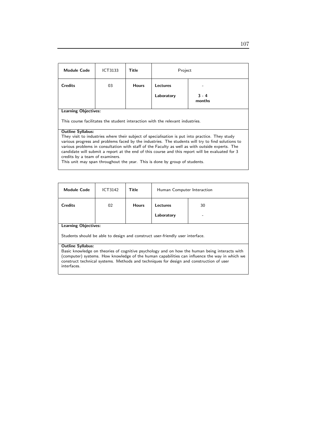| <b>Module Code</b>                                                                                                                                                                                                                                                                                                                                                                                                                                                         | <b>ICT3133</b> | Title        | Project         |                   |  |
|----------------------------------------------------------------------------------------------------------------------------------------------------------------------------------------------------------------------------------------------------------------------------------------------------------------------------------------------------------------------------------------------------------------------------------------------------------------------------|----------------|--------------|-----------------|-------------------|--|
| <b>Credits</b>                                                                                                                                                                                                                                                                                                                                                                                                                                                             | 03             | <b>Hours</b> | <b>Lectures</b> |                   |  |
|                                                                                                                                                                                                                                                                                                                                                                                                                                                                            |                |              | Laboratory      | $3 - 4$<br>months |  |
| <b>Learning Objectives:</b><br>This course facilitates the student interaction with the relevant industries.                                                                                                                                                                                                                                                                                                                                                               |                |              |                 |                   |  |
| <b>Outline Syllabus:</b><br>They visit to industries where their subject of specialisation is put into practice. They study<br>various progress and problems faced by the industries. The students will try to find solutions to<br>various problems in consultation with staff of the Faculty as well as with outside experts. The<br>candidate will submit a report at the end of this course and this report will be evaluated for 3<br>credits by a team of examiners. |                |              |                 |                   |  |

This unit may span throughout the year. This is done by group of students.

| <b>Module Code</b>                                                                                     | ICT3142 | Title        | Human Computer Interaction |    |  |
|--------------------------------------------------------------------------------------------------------|---------|--------------|----------------------------|----|--|
| <b>Credits</b>                                                                                         | 02      | <b>Hours</b> | Lectures                   | 30 |  |
|                                                                                                        |         |              | Laboratory                 |    |  |
| <b>Learning Objectives:</b>                                                                            |         |              |                            |    |  |
| Students should be able to design and construct user-friendly user interface.                          |         |              |                            |    |  |
| <b>Outline Syllabus:</b>                                                                               |         |              |                            |    |  |
| Basic knowledge on theories of cognitive psychology and on how the human being interacts with          |         |              |                            |    |  |
| (computer) systems. How knowledge of the human capabilities can influence the way in which we          |         |              |                            |    |  |
| construct technical systems. Methods and techniques for design and construction of user<br>interfaces. |         |              |                            |    |  |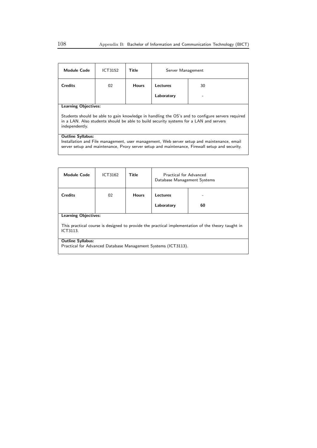| <b>Module Code</b>                                                                                                                                                                                                       | ICT3152 | Title        | Server Management |    |
|--------------------------------------------------------------------------------------------------------------------------------------------------------------------------------------------------------------------------|---------|--------------|-------------------|----|
| <b>Credits</b>                                                                                                                                                                                                           | 02      | <b>Hours</b> | Lectures          | 30 |
|                                                                                                                                                                                                                          |         |              | Laboratory        |    |
| <b>Learning Objectives:</b>                                                                                                                                                                                              |         |              |                   |    |
| Students should be able to gain knowledge in handling the OS's and to configure servers required<br>in a LAN. Also students should be able to build security systems for a LAN and servers<br>independently.             |         |              |                   |    |
| <b>Outline Syllabus:</b><br>Installation and File management, user management, Web server setup and maintenance, email<br>server setup and maintenance, Proxy server setup and maintenance, Firewall setup and security. |         |              |                   |    |
|                                                                                                                                                                                                                          |         |              |                   |    |

| <b>Module Code</b>                                                                                            | ICT3162                                                       | Title        | Practical for Advanced<br>Database Management Systems |    |  |
|---------------------------------------------------------------------------------------------------------------|---------------------------------------------------------------|--------------|-------------------------------------------------------|----|--|
| <b>Credits</b>                                                                                                | 02                                                            | <b>Hours</b> | Lectures                                              |    |  |
|                                                                                                               |                                                               |              | Laboratory                                            | 60 |  |
| <b>Learning Objectives:</b>                                                                                   |                                                               |              |                                                       |    |  |
| This practical course is designed to provide the practical implementation of the theory taught in<br>ICT3113. |                                                               |              |                                                       |    |  |
| <b>Outline Syllabus:</b>                                                                                      |                                                               |              |                                                       |    |  |
|                                                                                                               | Practical for Advanced Database Management Systems (ICT3113). |              |                                                       |    |  |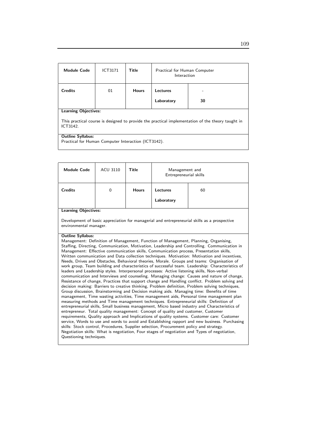| <b>Module Code</b>                                                                                                                           | <b>ICT3171</b> | Title        | Practical for Human Computer<br>Interaction |    |  |
|----------------------------------------------------------------------------------------------------------------------------------------------|----------------|--------------|---------------------------------------------|----|--|
| <b>Credits</b>                                                                                                                               | 01             | <b>Hours</b> | Lectures                                    |    |  |
|                                                                                                                                              |                |              | Laboratory                                  | 30 |  |
| <b>Learning Objectives:</b><br>This practical course is designed to provide the practical implementation of the theory taught in<br>ICT3142. |                |              |                                             |    |  |
| <b>Outline Syllabus:</b><br>Practical for Human Computer Interaction (ICT3142).                                                              |                |              |                                             |    |  |

| <b>Module Code</b>                                                                                                                                                                                                                                                                                                                                                                                                                                                                                                                                                                                                                                                                                                                                                                                                                                                                                                                                                                                                                                                                                                                                                                                                                                                                                                                                                                                                                                                                                                                                                                                                                                                                                                                                                                                                                                                                                                 | <b>ACU 3110</b>                                                                                                        | Title        | Management and<br>Entrepreneurial skills |    |  |
|--------------------------------------------------------------------------------------------------------------------------------------------------------------------------------------------------------------------------------------------------------------------------------------------------------------------------------------------------------------------------------------------------------------------------------------------------------------------------------------------------------------------------------------------------------------------------------------------------------------------------------------------------------------------------------------------------------------------------------------------------------------------------------------------------------------------------------------------------------------------------------------------------------------------------------------------------------------------------------------------------------------------------------------------------------------------------------------------------------------------------------------------------------------------------------------------------------------------------------------------------------------------------------------------------------------------------------------------------------------------------------------------------------------------------------------------------------------------------------------------------------------------------------------------------------------------------------------------------------------------------------------------------------------------------------------------------------------------------------------------------------------------------------------------------------------------------------------------------------------------------------------------------------------------|------------------------------------------------------------------------------------------------------------------------|--------------|------------------------------------------|----|--|
| <b>Credits</b>                                                                                                                                                                                                                                                                                                                                                                                                                                                                                                                                                                                                                                                                                                                                                                                                                                                                                                                                                                                                                                                                                                                                                                                                                                                                                                                                                                                                                                                                                                                                                                                                                                                                                                                                                                                                                                                                                                     | $\mathbf{0}$                                                                                                           | <b>Hours</b> | <b>Lectures</b>                          | 60 |  |
|                                                                                                                                                                                                                                                                                                                                                                                                                                                                                                                                                                                                                                                                                                                                                                                                                                                                                                                                                                                                                                                                                                                                                                                                                                                                                                                                                                                                                                                                                                                                                                                                                                                                                                                                                                                                                                                                                                                    |                                                                                                                        |              | Laboratory                               |    |  |
| <b>Learning Objectives:</b>                                                                                                                                                                                                                                                                                                                                                                                                                                                                                                                                                                                                                                                                                                                                                                                                                                                                                                                                                                                                                                                                                                                                                                                                                                                                                                                                                                                                                                                                                                                                                                                                                                                                                                                                                                                                                                                                                        |                                                                                                                        |              |                                          |    |  |
|                                                                                                                                                                                                                                                                                                                                                                                                                                                                                                                                                                                                                                                                                                                                                                                                                                                                                                                                                                                                                                                                                                                                                                                                                                                                                                                                                                                                                                                                                                                                                                                                                                                                                                                                                                                                                                                                                                                    | Development of basic appreciation for managerial and entrepreneurial skills as a prospective<br>environmental manager. |              |                                          |    |  |
| <b>Outline Syllabus:</b><br>Management: Definition of Management, Function of Management, Planning, Organising,<br>Staffing, Directing, Communication, Motivation, Leadership and Controlling. Communication in<br>Management: Effective communication skills, Communication process, Presentation skills,<br>Written communication and Data collection techniques. Motivation: Motivation and incentives,<br>Needs, Drives and Obstacles, Behavioral theories, Morale. Groups and teams: Organisation of<br>work group, Team building and characteristics of successful team. Leadership: Characteristics of<br>leaders and Leadership styles. Interpersonal processes: Active listening skills, Non-verbal<br>communication and Interviews and counseling. Managing change: Causes and nature of change,<br>Resistance of change, Practices that support change and Handling conflict. Problem solving and<br>decision making: Barriers to creative thinking, Problem definition, Problem solving techniques,<br>Group discussion, Brainstorming and Decision making aids. Managing time: Benefits of time<br>management, Time wasting activities, Time management aids, Personal time management plan<br>measuring methods and Time management techniques. Entrepreneurial skills: Definition of<br>entrepreneurial skills, Small business management, Micro based industry and Characteristics of<br>entrepreneur. Total quality management: Concept of quality and customer, Customer<br>requirements, Quality approach and Implications of quality systems. Customer care: Customer<br>service, Words to use and words to avoid and Establishing rapport and new business. Purchasing<br>skills: Stock control, Procedures, Supplier selection, Procurement policy and strategy.<br>Negotiation skills: What is negotiation, Four stages of negotiation and Types of negotiation,<br>Questioning techniques. |                                                                                                                        |              |                                          |    |  |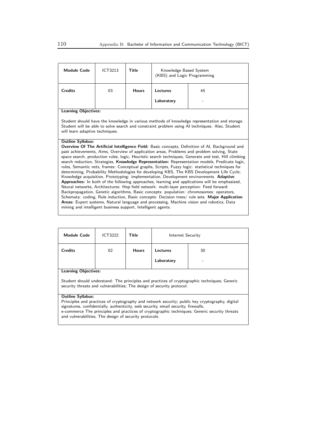| <b>Module Code</b>                                                                                                                                                                                                                                                                                                                                                                                                                                                                                                                                                                                                                                                                                                                                                                                                                                                                                                                                                                                                                                                                                                                                                                                                                                                                                 | ICT3213 | Title        | Knowledge Based System<br>(KBS) and Logic Programming |    |  |
|----------------------------------------------------------------------------------------------------------------------------------------------------------------------------------------------------------------------------------------------------------------------------------------------------------------------------------------------------------------------------------------------------------------------------------------------------------------------------------------------------------------------------------------------------------------------------------------------------------------------------------------------------------------------------------------------------------------------------------------------------------------------------------------------------------------------------------------------------------------------------------------------------------------------------------------------------------------------------------------------------------------------------------------------------------------------------------------------------------------------------------------------------------------------------------------------------------------------------------------------------------------------------------------------------|---------|--------------|-------------------------------------------------------|----|--|
| <b>Credits</b>                                                                                                                                                                                                                                                                                                                                                                                                                                                                                                                                                                                                                                                                                                                                                                                                                                                                                                                                                                                                                                                                                                                                                                                                                                                                                     | 03      | <b>Hours</b> | Lectures                                              | 45 |  |
|                                                                                                                                                                                                                                                                                                                                                                                                                                                                                                                                                                                                                                                                                                                                                                                                                                                                                                                                                                                                                                                                                                                                                                                                                                                                                                    |         |              | Laboratory                                            |    |  |
| <b>Learning Objectives:</b>                                                                                                                                                                                                                                                                                                                                                                                                                                                                                                                                                                                                                                                                                                                                                                                                                                                                                                                                                                                                                                                                                                                                                                                                                                                                        |         |              |                                                       |    |  |
| Student should have the knowledge in various methods of knowledge representation and storage.<br>Student will be able to solve search and constraint problem using AI techniques. Also, Student<br>will learn adaptive techniques.                                                                                                                                                                                                                                                                                                                                                                                                                                                                                                                                                                                                                                                                                                                                                                                                                                                                                                                                                                                                                                                                 |         |              |                                                       |    |  |
| <b>Outline Syllabus:</b><br><b>Overview Of The Artificial Intelligence Field:</b> Basic concepts, Definition of AI, Background and<br>past achievements, Aims, Overview of application areas, Problems and problem solving, State<br>space search, production rules, logic, Heuristic search techniques, Generate and test, Hill climbing<br>search reduction, Strategies, Knowledge Representation: Representation models, Predicate logic,<br>rules, Semantic nets, frames: Conceptual graphs, Scripts, Fuzzy logic: statistical techniques for<br>determining, Probability Methodologies for developing KBS, The KBS Development Life Cycle;<br>Knowledge acquisition, Prototyping: implementation, Development environments. Adaptive<br>Approaches: In both of the following approaches, learning and applications will be emphasized,<br>Neural networks, Architectures: Hop field network: multi-layer perception: Feed forward:<br>Backpropagation, Genetic algorithms, Basic concepts: population: chromosomes: operators,<br>Schemata: coding, Rule induction, Basic concepts: Decision trees/ rule sets. Major Application<br>Areas: Expert systems, Natural language and processing, Machine vision and robotics, Data<br>mining and intelligent business support, Intelligent agents. |         |              |                                                       |    |  |

| <b>Module Code</b>                                                                                                                                                                  | ICT3222 | Title        | Internet Security |    |  |
|-------------------------------------------------------------------------------------------------------------------------------------------------------------------------------------|---------|--------------|-------------------|----|--|
| <b>Credits</b>                                                                                                                                                                      | 02      | <b>Hours</b> | Lectures          | 30 |  |
|                                                                                                                                                                                     |         |              | Laboratory        |    |  |
| <b>Learning Objectives:</b>                                                                                                                                                         |         |              |                   |    |  |
| Student should understand: The principles and practices of cryptographic techniques; Generic<br>security threats and vulnerabilities. The design of security protocol.              |         |              |                   |    |  |
| <b>Outline Syllabus:</b>                                                                                                                                                            |         |              |                   |    |  |
| Principles and practices of cryptography and network security; public key cryptography, digital                                                                                     |         |              |                   |    |  |
| signatures, confidentially, authenticity, web security, email security, firewalls,<br>e-commerce The principles and practices of cryptographic techniques; Generic security threats |         |              |                   |    |  |
| and vulnerabilities; The design of security protocols.                                                                                                                              |         |              |                   |    |  |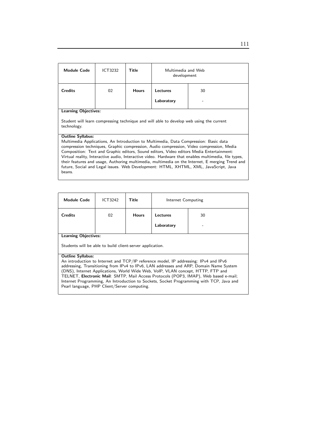| <b>Module Code</b>                                                                                                                                                                                                                                                                                                                                                                                                                                                                                                                                                                                                    | ICT3232 | Title        | Multimedia and Web<br>development |    |  |
|-----------------------------------------------------------------------------------------------------------------------------------------------------------------------------------------------------------------------------------------------------------------------------------------------------------------------------------------------------------------------------------------------------------------------------------------------------------------------------------------------------------------------------------------------------------------------------------------------------------------------|---------|--------------|-----------------------------------|----|--|
| <b>Credits</b>                                                                                                                                                                                                                                                                                                                                                                                                                                                                                                                                                                                                        | 02      | <b>Hours</b> | <b>Lectures</b>                   | 30 |  |
|                                                                                                                                                                                                                                                                                                                                                                                                                                                                                                                                                                                                                       |         |              | Laboratory                        |    |  |
| <b>Learning Objectives:</b><br>Student will learn compressing technique and will able to develop web using the current<br>technology.                                                                                                                                                                                                                                                                                                                                                                                                                                                                                 |         |              |                                   |    |  |
| <b>Outline Syllabus:</b><br>Multimedia Applications, An Introduction to Multimedia, Data Compression: Basic data<br>compression techniques, Graphic compression, Audio compression, Video compression, Media<br>Composition: Text and Graphic editors, Sound editors, Video editors Media Entertainment:<br>Virtual reality, Interactive audio, Interactive video. Hardware that enables multimedia, file types,<br>their features and usage, Authoring multimedia, multimedia on the Internet, E merging Trend and<br>future, Social and Legal issues. Web Development: HTML, XHTML, XML, JavaScript, Java<br>beans. |         |              |                                   |    |  |

| <b>Module Code</b>                                                                                                                                                      | ICT3242                                                                              | Title        | Internet Computing |    |  |  |
|-------------------------------------------------------------------------------------------------------------------------------------------------------------------------|--------------------------------------------------------------------------------------|--------------|--------------------|----|--|--|
| <b>Credits</b>                                                                                                                                                          | 02                                                                                   | <b>Hours</b> | Lectures           | 30 |  |  |
|                                                                                                                                                                         |                                                                                      |              | Laboratory         |    |  |  |
|                                                                                                                                                                         | <b>Learning Objectives:</b>                                                          |              |                    |    |  |  |
|                                                                                                                                                                         | Students will be able to build client-server application.                            |              |                    |    |  |  |
| <b>Outline Syllabus:</b>                                                                                                                                                |                                                                                      |              |                    |    |  |  |
|                                                                                                                                                                         | An introduction to Internet and TCP/IP reference model, IP addressing: IPv4 and IPv6 |              |                    |    |  |  |
| addressing, Transitioning from IPv4 to IPv6, LAN addresses and ARP, Domain Name System                                                                                  |                                                                                      |              |                    |    |  |  |
| (DNS), Internet Applications, World Wide Web, VoIP, VLAN concept, HTTP, FTP and<br>TELNET, Electronic Mail: SMTP, Mail Access Protocols (POP3, IMAP), Web based e-mail; |                                                                                      |              |                    |    |  |  |
| Internet Programming, An Introduction to Sockets, Socket Programming with TCP, Java and                                                                                 |                                                                                      |              |                    |    |  |  |
| Pearl language, PHP Client/Server computing.                                                                                                                            |                                                                                      |              |                    |    |  |  |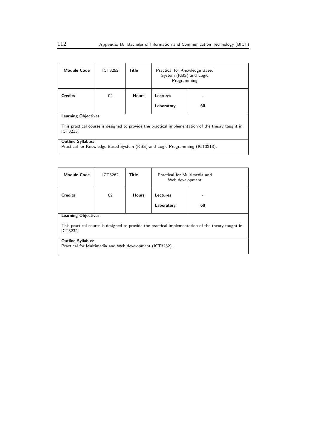| <b>Module Code</b>                                                                                                                           | ICT3252 | Title        | Practical for Knowledge Based<br>System (KBS) and Logic<br>Programming |    |
|----------------------------------------------------------------------------------------------------------------------------------------------|---------|--------------|------------------------------------------------------------------------|----|
| <b>Credits</b>                                                                                                                               | 02      | <b>Hours</b> | Lectures<br>Laboratory                                                 | 60 |
| <b>Learning Objectives:</b><br>This practical course is designed to provide the practical implementation of the theory taught in<br>ICT3213. |         |              |                                                                        |    |
| <b>Outline Syllabus:</b><br>Practical for Knowledge Based System (KBS) and Logic Programming (ICT3213).                                      |         |              |                                                                        |    |

| <b>Module Code</b>                                                                                            | ICT3262 | Title        | Practical for Multimedia and<br>Web development |    |  |
|---------------------------------------------------------------------------------------------------------------|---------|--------------|-------------------------------------------------|----|--|
| <b>Credits</b>                                                                                                | 02      | <b>Hours</b> | Lectures                                        |    |  |
|                                                                                                               |         |              | Laboratory                                      | 60 |  |
| <b>Learning Objectives:</b>                                                                                   |         |              |                                                 |    |  |
| This practical course is designed to provide the practical implementation of the theory taught in<br>ICT3232. |         |              |                                                 |    |  |
| <b>Outline Syllabus:</b>                                                                                      |         |              |                                                 |    |  |
| Practical for Multimedia and Web development (ICT3232).                                                       |         |              |                                                 |    |  |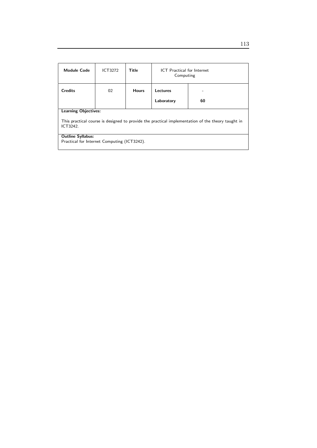| <b>Module Code</b>                                                                                            | <b>ICT3272</b> | <b>Title</b> | <b>ICT</b> Practical for Internet<br>Computing |    |  |
|---------------------------------------------------------------------------------------------------------------|----------------|--------------|------------------------------------------------|----|--|
| <b>Credits</b>                                                                                                | 02             | <b>Hours</b> | Lectures                                       |    |  |
|                                                                                                               |                |              | Laboratory                                     | 60 |  |
| <b>Learning Objectives:</b>                                                                                   |                |              |                                                |    |  |
| This practical course is designed to provide the practical implementation of the theory taught in<br>ICT3242. |                |              |                                                |    |  |
| <b>Outline Syllabus:</b>                                                                                      |                |              |                                                |    |  |
| Practical for Internet Computing (ICT3242).                                                                   |                |              |                                                |    |  |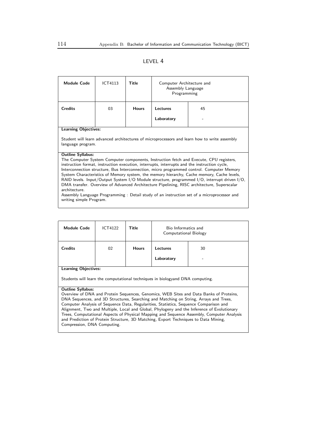### LEVEL 4

| <b>Module Code</b>                                                                                                                                                                                                                                                                                                                                                                                                                                                                                                                                                                                                                                                                                                                                  | ICT4113 | Title        | Computer Architecture and<br>Assembly Language<br>Programming |    |  |
|-----------------------------------------------------------------------------------------------------------------------------------------------------------------------------------------------------------------------------------------------------------------------------------------------------------------------------------------------------------------------------------------------------------------------------------------------------------------------------------------------------------------------------------------------------------------------------------------------------------------------------------------------------------------------------------------------------------------------------------------------------|---------|--------------|---------------------------------------------------------------|----|--|
| <b>Credits</b>                                                                                                                                                                                                                                                                                                                                                                                                                                                                                                                                                                                                                                                                                                                                      | 03      | <b>Hours</b> | Lectures                                                      | 45 |  |
|                                                                                                                                                                                                                                                                                                                                                                                                                                                                                                                                                                                                                                                                                                                                                     |         |              | Laboratory                                                    |    |  |
| <b>Learning Objectives:</b><br>Student will learn advanced architectures of microprocessors and learn how to write assembly<br>language program.                                                                                                                                                                                                                                                                                                                                                                                                                                                                                                                                                                                                    |         |              |                                                               |    |  |
| <b>Outline Syllabus:</b><br>The Computer System Computer components, Instruction fetch and Execute, CPU registers,<br>instruction format, instruction execution, interrupts, interrupts and the instruction cycle,<br>Interconnection structure, Bus Interconnection, micro programmed control. Computer Memory<br>System Characteristics of Memory system, the memory hierarchy, Cache memory, Cache levels,<br>RAID levels. Input/Output System I/O Module structure, programmed I/O, interrupt driven I/O,<br>DMA transfer. Overview of Advanced Architecture Pipelining, RISC architecture, Superscalar<br>architecture<br>Assembly Language Programming: Detail study of an instruction set of a microprocessor and<br>writing simple Program. |         |              |                                                               |    |  |

| <b>Module Code</b>                                                                                           | <b>ICT4122</b> | Title        | Bio Informatics and<br>Computational Biology |         |
|--------------------------------------------------------------------------------------------------------------|----------------|--------------|----------------------------------------------|---------|
| <b>Credits</b>                                                                                               | 02             | <b>Hours</b> | Lectures<br>Laboratory                       | 30<br>۰ |
| <b>Learning Objectives:</b><br>Students will learn the computational techniques in biologyand DNA computing. |                |              |                                              |         |

### Outline Syllabus:

Overview of DNA and Protein Sequences, Genomics, WEB Sites and Data Banks of Proteins, DNA Sequences, and 3D Structures, Searching and Matching on String, Arrays and Trees, Computer Analysis of Sequence Data, Regularities, Statistics, Sequence Comparison and Alignment, Two and Multiple, Local and Global, Phylogeny and the Inference of Evolutionary Trees, Computational Aspects of Physical Mapping and Sequence Assembly, Computer Analysis and Prediction of Protein Structure, 3D Matching, Export Techniques to Data Mining, Compression, DNA Computing.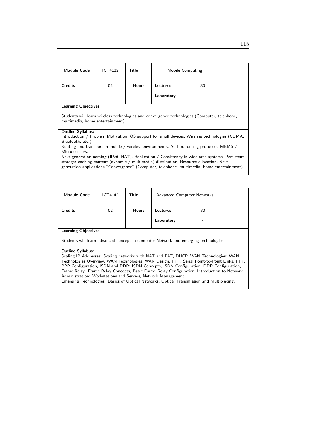| <b>Module Code</b>                                                                                                                                                                                                                                                                                          | ICT4132 | Title        | Mobile Computing |    |
|-------------------------------------------------------------------------------------------------------------------------------------------------------------------------------------------------------------------------------------------------------------------------------------------------------------|---------|--------------|------------------|----|
| <b>Credits</b>                                                                                                                                                                                                                                                                                              | 02      | <b>Hours</b> | Lectures         | 30 |
|                                                                                                                                                                                                                                                                                                             |         |              | Laboratory       |    |
| <b>Learning Objectives:</b>                                                                                                                                                                                                                                                                                 |         |              |                  |    |
| Students will learn wireless technologies and convergence technologies (Computer, telephone,<br>multimedia, home entertainment).                                                                                                                                                                            |         |              |                  |    |
| <b>Outline Syllabus:</b><br>Introduction / Problem Motivation, OS support for small devices, Wireless technologies (CDMA,<br>Bluetooth, etc.)<br>Routing and transport in mobile / wireless environments, Ad hoc routing protocols, MEMS /                                                                  |         |              |                  |    |
| Micro sensors.<br>Next generation naming (IPv6, NAT), Replication / Consistency in wide-area systems, Persistent<br>storage: caching content (dynamic / multimedia) distribution, Resource allocation, Next<br>generation applications "Convergence" (Computer, telephone, multimedia, home entertainment). |         |              |                  |    |

| <b>Module Code</b>                                                                                                                                                                    | ICT4142                                                                             | Title        | <b>Advanced Computer Networks</b> |                                                                                           |  |  |
|---------------------------------------------------------------------------------------------------------------------------------------------------------------------------------------|-------------------------------------------------------------------------------------|--------------|-----------------------------------|-------------------------------------------------------------------------------------------|--|--|
| <b>Credits</b>                                                                                                                                                                        | 02                                                                                  | <b>Hours</b> | <b>Lectures</b>                   | 30                                                                                        |  |  |
|                                                                                                                                                                                       |                                                                                     |              | Laboratory                        |                                                                                           |  |  |
| <b>Learning Objectives:</b>                                                                                                                                                           |                                                                                     |              |                                   |                                                                                           |  |  |
|                                                                                                                                                                                       | Students will learn advanced concept in computer Network and emerging technologies. |              |                                   |                                                                                           |  |  |
| <b>Outline Syllabus:</b>                                                                                                                                                              |                                                                                     |              |                                   |                                                                                           |  |  |
| Scaling IP Addresses: Scaling networks with NAT and PAT, DHCP, WAN Technologies: WAN                                                                                                  |                                                                                     |              |                                   |                                                                                           |  |  |
| Technologies Overview, WAN Technologies, WAN Design, PPP: Serial Point-to-Point Links, PPP,                                                                                           |                                                                                     |              |                                   |                                                                                           |  |  |
| PPP Configuration, ISDN and DDR: ISDN Concepts, ISDN Configuration, DDR Configuration,<br>Frame Relay: Frame Relay Concepts, Basic Frame Relay Configuration, Introduction to Network |                                                                                     |              |                                   |                                                                                           |  |  |
| Administration: Workstations and Servers, Network Management.                                                                                                                         |                                                                                     |              |                                   |                                                                                           |  |  |
|                                                                                                                                                                                       |                                                                                     |              |                                   | Emerging Technologies: Basics of Optical Networks, Optical Transmission and Multiplexing. |  |  |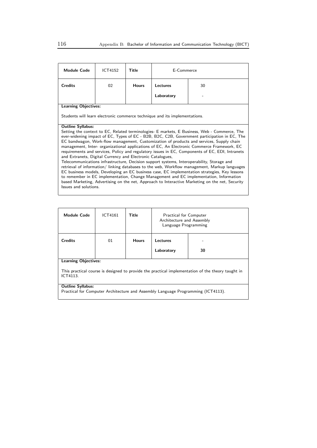| <b>Module Code</b>                                                                                                                                                                                                                                                                                                                                                                                                                                                                                                                                                                                                                                                                                                                                                                                                                                                                                                                                                                                                                                                                                       | <b>ICT4152</b> | Title        | E-Commerce |    |  |
|----------------------------------------------------------------------------------------------------------------------------------------------------------------------------------------------------------------------------------------------------------------------------------------------------------------------------------------------------------------------------------------------------------------------------------------------------------------------------------------------------------------------------------------------------------------------------------------------------------------------------------------------------------------------------------------------------------------------------------------------------------------------------------------------------------------------------------------------------------------------------------------------------------------------------------------------------------------------------------------------------------------------------------------------------------------------------------------------------------|----------------|--------------|------------|----|--|
| <b>Credits</b>                                                                                                                                                                                                                                                                                                                                                                                                                                                                                                                                                                                                                                                                                                                                                                                                                                                                                                                                                                                                                                                                                           | 02             | <b>Hours</b> | Lectures   | 30 |  |
|                                                                                                                                                                                                                                                                                                                                                                                                                                                                                                                                                                                                                                                                                                                                                                                                                                                                                                                                                                                                                                                                                                          |                |              | Laboratory |    |  |
| <b>Learning Objectives:</b>                                                                                                                                                                                                                                                                                                                                                                                                                                                                                                                                                                                                                                                                                                                                                                                                                                                                                                                                                                                                                                                                              |                |              |            |    |  |
| Students will learn electronic commerce technique and its implementations.                                                                                                                                                                                                                                                                                                                                                                                                                                                                                                                                                                                                                                                                                                                                                                                                                                                                                                                                                                                                                               |                |              |            |    |  |
| <b>Outline Syllabus:</b><br>Setting the context to EC, Related terminologies- E markets, E Business, Web - Commerce, The<br>ever-widening impact of EC, Types of EC - B2B, B2C, C2B, Government participation in EC, The<br>EC bandwagon, Work-flow management, Customization of products and services, Supply chain<br>management, Inter- organizational applications of EC, An Electronic Commerce Framework, EC<br>requirements and services, Policy and regulatory issues in EC, Components of EC, EDI, Intranets<br>and Extranets, Digital Currency and Electronic Catalogues,<br>Telecommunications infrastructure, Decision support systems, Interoperability, Storage and<br>retrieval of information/linking databases to the web, Workflow management, Markup languages<br>EC business models, Developing an EC business case, EC implementation strategies, Key lessons<br>to remember in EC implementation, Change Management and EC implementation, Information<br>based Marketing, Advertising on the net, Approach to Interactive Marketing on the net, Security<br>Issues and solutions. |                |              |            |    |  |

| <b>Module Code</b>                                                                                                                           | <b>ICT4161</b> | Title        | <b>Practical for Computer</b><br>Architecture and Assembly<br>Language Programming |    |  |
|----------------------------------------------------------------------------------------------------------------------------------------------|----------------|--------------|------------------------------------------------------------------------------------|----|--|
| <b>Credits</b>                                                                                                                               | 01             | <b>Hours</b> | Lectures<br>Laboratory                                                             | 30 |  |
| <b>Learning Objectives:</b><br>This practical course is designed to provide the practical implementation of the theory taught in<br>ICT4113. |                |              |                                                                                    |    |  |

### Outline Syllabus:

Practical for Computer Architecture and Assembly Language Programming (ICT4113).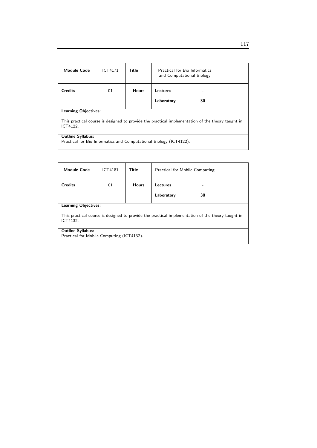| <b>Module Code</b>                                                                                            | <b>ICT4171</b> | Title        | <b>Practical for Bio Informatics</b><br>and Computational Biology |    |  |
|---------------------------------------------------------------------------------------------------------------|----------------|--------------|-------------------------------------------------------------------|----|--|
| <b>Credits</b>                                                                                                | 01             | <b>Hours</b> | Lectures                                                          |    |  |
|                                                                                                               |                |              | Laboratory                                                        | 30 |  |
| <b>Learning Objectives:</b>                                                                                   |                |              |                                                                   |    |  |
| This practical course is designed to provide the practical implementation of the theory taught in<br>ICT4122. |                |              |                                                                   |    |  |
| <b>Outline Syllabus:</b>                                                                                      |                |              |                                                                   |    |  |
| Practical for Bio Informatics and Computational Biology (ICT4122).                                            |                |              |                                                                   |    |  |

| <b>Module Code</b>                                                                                            | <b>ICT4181</b> | Title        | Practical for Mobile Computing |    |  |
|---------------------------------------------------------------------------------------------------------------|----------------|--------------|--------------------------------|----|--|
| <b>Credits</b>                                                                                                | 01             | <b>Hours</b> | Lectures                       |    |  |
|                                                                                                               |                |              | Laboratory                     | 30 |  |
| <b>Learning Objectives:</b>                                                                                   |                |              |                                |    |  |
| This practical course is designed to provide the practical implementation of the theory taught in<br>ICT4132. |                |              |                                |    |  |
| <b>Outline Syllabus:</b>                                                                                      |                |              |                                |    |  |
| Practical for Mobile Computing (ICT4132).                                                                     |                |              |                                |    |  |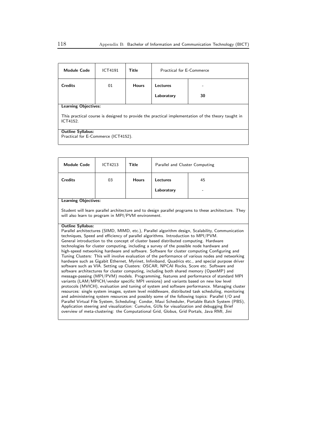| <b>Module Code</b>                                                                                            | <b>ICT4191</b>                      | Title        | Practical for F-Commerce |    |  |  |
|---------------------------------------------------------------------------------------------------------------|-------------------------------------|--------------|--------------------------|----|--|--|
| <b>Credits</b>                                                                                                | 01                                  | <b>Hours</b> | Lectures                 |    |  |  |
|                                                                                                               |                                     |              | Laboratory               | 30 |  |  |
| <b>Learning Objectives:</b>                                                                                   |                                     |              |                          |    |  |  |
| This practical course is designed to provide the practical implementation of the theory taught in<br>ICT4152. |                                     |              |                          |    |  |  |
| <b>Outline Syllabus:</b>                                                                                      |                                     |              |                          |    |  |  |
|                                                                                                               | Practical for E-Commerce (ICT4152). |              |                          |    |  |  |
|                                                                                                               |                                     |              |                          |    |  |  |

| <b>Module Code</b>                                                                                                                                                                                                                                                                                                                                                                                                                                                                                                                                                                                                                                                                                                                                                                                                                                                                                                                                                                                                                                                                                                                                                                                                                                                                                                                                                                                                                                                                                                                                                                                                                                                                           | ICT4213 | <b>Title</b> | Parallel and Cluster Computing |                                                                                                      |  |  |
|----------------------------------------------------------------------------------------------------------------------------------------------------------------------------------------------------------------------------------------------------------------------------------------------------------------------------------------------------------------------------------------------------------------------------------------------------------------------------------------------------------------------------------------------------------------------------------------------------------------------------------------------------------------------------------------------------------------------------------------------------------------------------------------------------------------------------------------------------------------------------------------------------------------------------------------------------------------------------------------------------------------------------------------------------------------------------------------------------------------------------------------------------------------------------------------------------------------------------------------------------------------------------------------------------------------------------------------------------------------------------------------------------------------------------------------------------------------------------------------------------------------------------------------------------------------------------------------------------------------------------------------------------------------------------------------------|---------|--------------|--------------------------------|------------------------------------------------------------------------------------------------------|--|--|
| <b>Credits</b>                                                                                                                                                                                                                                                                                                                                                                                                                                                                                                                                                                                                                                                                                                                                                                                                                                                                                                                                                                                                                                                                                                                                                                                                                                                                                                                                                                                                                                                                                                                                                                                                                                                                               | 03      | <b>Hours</b> | Lectures                       | 45                                                                                                   |  |  |
|                                                                                                                                                                                                                                                                                                                                                                                                                                                                                                                                                                                                                                                                                                                                                                                                                                                                                                                                                                                                                                                                                                                                                                                                                                                                                                                                                                                                                                                                                                                                                                                                                                                                                              |         |              | Laboratory                     |                                                                                                      |  |  |
| <b>Learning Objectives:</b>                                                                                                                                                                                                                                                                                                                                                                                                                                                                                                                                                                                                                                                                                                                                                                                                                                                                                                                                                                                                                                                                                                                                                                                                                                                                                                                                                                                                                                                                                                                                                                                                                                                                  |         |              |                                |                                                                                                      |  |  |
| will also learn to program in MPI/PVM environment.                                                                                                                                                                                                                                                                                                                                                                                                                                                                                                                                                                                                                                                                                                                                                                                                                                                                                                                                                                                                                                                                                                                                                                                                                                                                                                                                                                                                                                                                                                                                                                                                                                           |         |              |                                | Student will learn parallel architecture and to design parallel programs to these architecture. They |  |  |
| <b>Outline Syllabus:</b><br>Parallel architectures (SIMD, MIMD, etc.), Parallel algorithm design, Scalability, Communication<br>techniques, Speed and efficiency of parallel algorithms. Introduction to MPI/PVM.<br>General introduction to the concept of cluster based distributed computing. Hardware<br>technologies for cluster computing, including a survey of the possible node hardware and<br>high-speed networking hardware and software. Software for cluster computing Configuring and<br>Tuning Clusters: This will involve evaluation of the performance of various nodes and networking<br>hardware such as Gigabit Ethernet, Myrinet, Infiniband, Quadrics etc., and special purpose driver<br>software such as VIA. Setting up Clusters: OSCAR, NPCAI Rocks, Score etc. Software and<br>software architectures for cluster computing, including both shared memory (OpenMP) and<br>message-passing (MPI/PVM) models. Programming, features and performance of standard MPI<br>variants (LAM/MPICH/vendor specific MPI versions) and variants based on new low level<br>protocols (MVICH), evaluation and tuning of system and software performance. Managing cluster<br>resources: single system images, system level middleware, distributed task scheduling, monitoring<br>and administering system resources and possibly some of the following topics: Parallel I/O and<br>Parallel Virtual File System, Scheduling: Condor, Maui Scheduler, Portable Batch System (PBS),<br>Application steering and visualization: Cumulvs, GUIs for visualization and debugging Brief<br>overview of meta-clustering: the Computational Grid, Globus, Grid Portals, Java RMI, Jini |         |              |                                |                                                                                                      |  |  |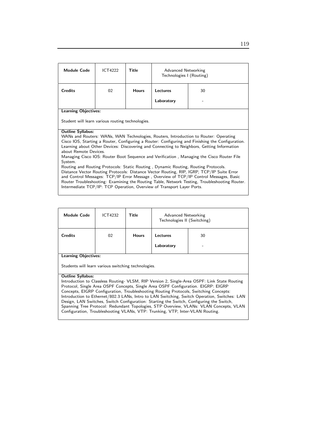| <b>Module Code</b>                                                                                                                                                                                                                                                                                              | <b>ICT4222</b> | Title        | Advanced Networking<br>Technologies I (Routing)                        |                                                                                               |
|-----------------------------------------------------------------------------------------------------------------------------------------------------------------------------------------------------------------------------------------------------------------------------------------------------------------|----------------|--------------|------------------------------------------------------------------------|-----------------------------------------------------------------------------------------------|
| <b>Credits</b>                                                                                                                                                                                                                                                                                                  | 02             | <b>Hours</b> | Lectures                                                               | 30                                                                                            |
|                                                                                                                                                                                                                                                                                                                 |                |              | Laboratory                                                             |                                                                                               |
| <b>Learning Objectives:</b>                                                                                                                                                                                                                                                                                     |                |              |                                                                        |                                                                                               |
| Student will learn various routing technologies.                                                                                                                                                                                                                                                                |                |              |                                                                        |                                                                                               |
| <b>Outline Syllabus:</b>                                                                                                                                                                                                                                                                                        |                |              |                                                                        |                                                                                               |
| WANs and Routers: WANs, WAN Technologies, Routers, Introduction to Router: Operating<br>Cisco IOS, Starting a Router, Configuring a Router: Configuring and Finishing the Configuration.<br>Learning about Other Devices: Discovering and Connecting to Neighbors, Getting Information<br>about Remote Devices. |                |              |                                                                        |                                                                                               |
|                                                                                                                                                                                                                                                                                                                 |                |              |                                                                        | Managing Cisco IOS: Router Boot Sequence and Verification, Managing the Cisco Router File     |
| System.                                                                                                                                                                                                                                                                                                         |                |              |                                                                        |                                                                                               |
| Routing and Routing Protocols: Static Routing, Dynamic Routing, Routing Protocols.                                                                                                                                                                                                                              |                |              |                                                                        |                                                                                               |
| Distance Vector Routing Protocols: Distance Vector Routing, RIP, IGRP, TCP/IP Suite Error<br>and Control Messages: TCP/IP Error Message, Overview of TCP/IP Control Messages, Basic                                                                                                                             |                |              |                                                                        |                                                                                               |
|                                                                                                                                                                                                                                                                                                                 |                |              |                                                                        | Router Troubleshooting: Examining the Routing Table, Network Testing, Troubleshooting Router. |
|                                                                                                                                                                                                                                                                                                                 |                |              | Intermediate TCP/IP: TCP Operation, Overview of Transport Layer Ports. |                                                                                               |

| <b>Module Code</b>          | <b>ICT4232</b> | <b>Title</b> | Advanced Networking<br>Technologies II (Switching) |         |
|-----------------------------|----------------|--------------|----------------------------------------------------|---------|
| <b>Credits</b>              | 02             | <b>Hours</b> | Lectures<br>Laboratory                             | 30<br>- |
| <b>Learning Objectives:</b> |                |              |                                                    |         |

Students will learn various switching technologies.

### Outline Syllabus:

Introduction to Classless Routing- VLSM, RIP Version 2, Single-Area OSPF: Link State Routing Protocol, Single Area OSPF Concepts, Single Area OSPF Configuration. EIGRP: EIGRP Concepts, EIGRP Configuration, Troubleshooting Routing Protocols, Switching Concepts: Introduction to Ethernet/802.3 LANs, Intro to LAN Switching, Switch Operation, Switches: LAN Design, LAN Switches, Switch Configuration: Starting the Switch, Configuring the Switch, Spanning Tree Protocol: Redundant Topologies, STP Overview, VLANs: VLAN Concepts, VLAN Configuration, Troubleshooting VLANs, VTP: Trunking, VTP, Inter-VLAN Routing.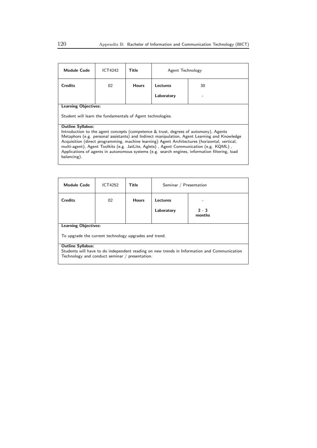| <b>Module Code</b>                                                                                                                                                                                                                                                                                                                                                                                                                                                                                                          | <b>ICT4242</b> | Title        | Agent Technology |    |  |
|-----------------------------------------------------------------------------------------------------------------------------------------------------------------------------------------------------------------------------------------------------------------------------------------------------------------------------------------------------------------------------------------------------------------------------------------------------------------------------------------------------------------------------|----------------|--------------|------------------|----|--|
| <b>Credits</b>                                                                                                                                                                                                                                                                                                                                                                                                                                                                                                              | 02             | <b>Hours</b> | Lectures         | 30 |  |
|                                                                                                                                                                                                                                                                                                                                                                                                                                                                                                                             |                |              | Laboratory       |    |  |
| <b>Learning Objectives:</b>                                                                                                                                                                                                                                                                                                                                                                                                                                                                                                 |                |              |                  |    |  |
| Student will learn the fundamentals of Agent technologies.                                                                                                                                                                                                                                                                                                                                                                                                                                                                  |                |              |                  |    |  |
| <b>Outline Syllabus:</b><br>Introduction to the agent concepts (competence & trust, degrees of automony), Agents<br>Metaphors (e.g. personal assistants) and Indirect manipulation, Agent Learning and Knowledge<br>Acquisition (direct programming, machine learning) Agent Architectures (horizontal, vertical,<br>multi-agent), Agent Toolkits (e.g. JatLite, Aglets), Agent Communication (e.g. KQML),<br>Applications of agents in autonomous systems (e.g. search engines, information filtering, load<br>balancing). |                |              |                  |    |  |

| <b>Module Code</b>                                                                                                                            | ICT4252 | Title        | Seminar / Presentation |                   |  |
|-----------------------------------------------------------------------------------------------------------------------------------------------|---------|--------------|------------------------|-------------------|--|
| <b>Credits</b>                                                                                                                                | 02      | <b>Hours</b> | Lectures               |                   |  |
|                                                                                                                                               |         |              | Laboratory             | $2 - 3$<br>months |  |
| <b>Learning Objectives:</b>                                                                                                                   |         |              |                        |                   |  |
| To upgrade the current technology upgrades and trend.                                                                                         |         |              |                        |                   |  |
| <b>Outline Syllabus:</b>                                                                                                                      |         |              |                        |                   |  |
| Students will have to do independent reading on new trends in Information and Communication<br>Technology and conduct seminar / presentation. |         |              |                        |                   |  |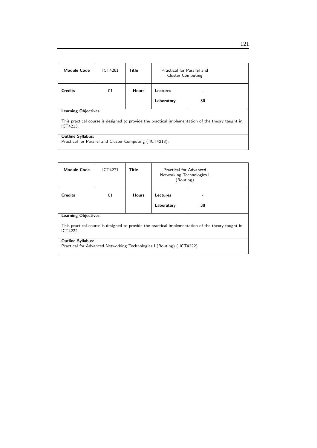| <b>Module Code</b>                                                                                            | ICT4261                                                 | Title        | Practical for Parallel and<br><b>Cluster Computing</b> |    |  |  |
|---------------------------------------------------------------------------------------------------------------|---------------------------------------------------------|--------------|--------------------------------------------------------|----|--|--|
| <b>Credits</b>                                                                                                | 01                                                      | <b>Hours</b> | Lectures                                               |    |  |  |
|                                                                                                               |                                                         |              | Laboratory                                             | 30 |  |  |
| <b>Learning Objectives:</b>                                                                                   |                                                         |              |                                                        |    |  |  |
| This practical course is designed to provide the practical implementation of the theory taught in<br>ICT4213. |                                                         |              |                                                        |    |  |  |
| <b>Outline Syllabus:</b>                                                                                      |                                                         |              |                                                        |    |  |  |
|                                                                                                               | Practical for Parallel and Cluster Computing (ICT4213). |              |                                                        |    |  |  |

| <b>Module Code</b>                                                                                                                           | ICT4271 | Title        | Practical for Advanced<br>Networking Technologies I<br>(Routing) |    |  |
|----------------------------------------------------------------------------------------------------------------------------------------------|---------|--------------|------------------------------------------------------------------|----|--|
| <b>Credits</b>                                                                                                                               | 01      | <b>Hours</b> | Lectures<br>Laboratory                                           | 30 |  |
| <b>Learning Objectives:</b><br>This practical course is designed to provide the practical implementation of the theory taught in<br>ICT4222. |         |              |                                                                  |    |  |
| <b>Outline Syllabus:</b><br>Practical for Advanced Networking Technologies I (Routing) (ICT4222).                                            |         |              |                                                                  |    |  |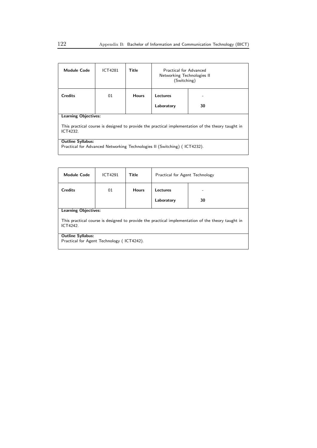| <b>Module Code</b>                                                                                                                           | <b>ICT4281</b> | Title        | Practical for Advanced<br>Networking Technologies II<br>(Switching) |    |  |
|----------------------------------------------------------------------------------------------------------------------------------------------|----------------|--------------|---------------------------------------------------------------------|----|--|
| <b>Credits</b>                                                                                                                               | 01             | <b>Hours</b> | Lectures<br>Laboratory                                              | 30 |  |
| <b>Learning Objectives:</b><br>This practical course is designed to provide the practical implementation of the theory taught in<br>ICT4232. |                |              |                                                                     |    |  |
| <b>Outline Syllabus:</b><br>Practical for Advanced Networking Technologies II (Switching) (ICT4232).                                         |                |              |                                                                     |    |  |

| <b>Module Code</b>                                                                                            | ICT4291 | Title        | Practical for Agent Technology |    |  |
|---------------------------------------------------------------------------------------------------------------|---------|--------------|--------------------------------|----|--|
| <b>Credits</b>                                                                                                | 01      | <b>Hours</b> | Lectures                       |    |  |
|                                                                                                               |         |              | Laboratory                     | 30 |  |
| <b>Learning Objectives:</b>                                                                                   |         |              |                                |    |  |
| This practical course is designed to provide the practical implementation of the theory taught in<br>ICT4242. |         |              |                                |    |  |
| <b>Outline Syllabus:</b>                                                                                      |         |              |                                |    |  |
| Practical for Agent Technology (ICT4242).                                                                     |         |              |                                |    |  |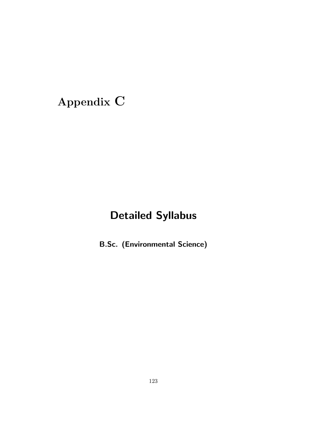# Appendix C

## Detailed Syllabus

B.Sc. (Environmental Science)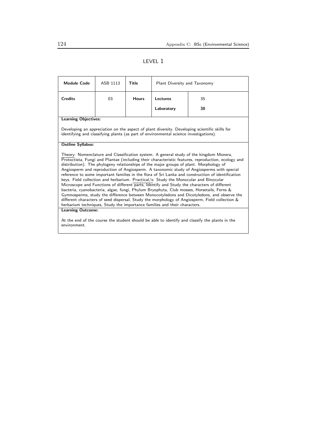## LEVEL 1

| <b>Module Code</b>                                                                                                                                                                                                                                                                                                                                                                                                                                                                                                                                                                                                                                                                                                                                                                                                                                                                                                                                                                                                                                       | ASB 1113 | Title        | Plant Diversity and Taxonomy |    |  |
|----------------------------------------------------------------------------------------------------------------------------------------------------------------------------------------------------------------------------------------------------------------------------------------------------------------------------------------------------------------------------------------------------------------------------------------------------------------------------------------------------------------------------------------------------------------------------------------------------------------------------------------------------------------------------------------------------------------------------------------------------------------------------------------------------------------------------------------------------------------------------------------------------------------------------------------------------------------------------------------------------------------------------------------------------------|----------|--------------|------------------------------|----|--|
| <b>Credits</b>                                                                                                                                                                                                                                                                                                                                                                                                                                                                                                                                                                                                                                                                                                                                                                                                                                                                                                                                                                                                                                           | 03       | <b>Hours</b> | Lectures                     | 35 |  |
|                                                                                                                                                                                                                                                                                                                                                                                                                                                                                                                                                                                                                                                                                                                                                                                                                                                                                                                                                                                                                                                          |          |              | Laboratory                   | 30 |  |
| <b>Learning Objectives:</b>                                                                                                                                                                                                                                                                                                                                                                                                                                                                                                                                                                                                                                                                                                                                                                                                                                                                                                                                                                                                                              |          |              |                              |    |  |
| Developing an appreciation on the aspect of plant diversity. Developing scientific skills for<br>identifying and classifying plants (as part of environmental science investigations).                                                                                                                                                                                                                                                                                                                                                                                                                                                                                                                                                                                                                                                                                                                                                                                                                                                                   |          |              |                              |    |  |
| <b>Outline Syllabus:</b>                                                                                                                                                                                                                                                                                                                                                                                                                                                                                                                                                                                                                                                                                                                                                                                                                                                                                                                                                                                                                                 |          |              |                              |    |  |
| Theory: Nomenclature and Classification system. A general study of the kingdom Monera,<br>Protoctista, Fungi and Plantae (including their characteristic features, reproduction, ecology and<br>distribution). The phylogeny relationships of the major groups of plant. Morphology of<br>Angiosperm and reproduction of Angiosperm. A taxonomic study of Angiosperms with special<br>reference to some important families in the flora of Sri Lanka and construction of identification<br>keys. Field collection and herbarium. Practical/s: Study the Monocular and Binocular<br>Microscope and Functions of different parts, Identify and Study the characters of different<br>bacteria, cyanobacteria, algae, fungi, Phylum Bryophyta, Club mosses, Horsetails, Ferns &<br>Gymnosperms, study the difference between Monocotyledons and Dicotyledons, and observe the<br>different characters of seed dispersal, Study the morphology of Angiosperm, Field collection &<br>herbarium techniques, Study the importance families and their characters. |          |              |                              |    |  |
| <b>Learning Outcome:</b>                                                                                                                                                                                                                                                                                                                                                                                                                                                                                                                                                                                                                                                                                                                                                                                                                                                                                                                                                                                                                                 |          |              |                              |    |  |
| At the end of the course the student should be able to identify and classify the plants in the<br>environment.                                                                                                                                                                                                                                                                                                                                                                                                                                                                                                                                                                                                                                                                                                                                                                                                                                                                                                                                           |          |              |                              |    |  |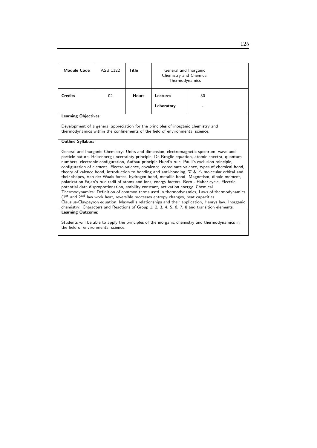| <b>Module Code</b>                                                                                                                                                                                                                                                                                                                                                                                                                                                                                                                                                                                                                                                                                                                                                                                                                                                                                                                                                                                                                                                                                                                                                                                     | ASB 1122 | Title        | General and Inorganic<br>Chemistry and Chemical<br>Thermodynamics |    |  |
|--------------------------------------------------------------------------------------------------------------------------------------------------------------------------------------------------------------------------------------------------------------------------------------------------------------------------------------------------------------------------------------------------------------------------------------------------------------------------------------------------------------------------------------------------------------------------------------------------------------------------------------------------------------------------------------------------------------------------------------------------------------------------------------------------------------------------------------------------------------------------------------------------------------------------------------------------------------------------------------------------------------------------------------------------------------------------------------------------------------------------------------------------------------------------------------------------------|----------|--------------|-------------------------------------------------------------------|----|--|
| <b>Credits</b>                                                                                                                                                                                                                                                                                                                                                                                                                                                                                                                                                                                                                                                                                                                                                                                                                                                                                                                                                                                                                                                                                                                                                                                         | 02       | <b>Hours</b> | Lectures<br>Laboratory                                            | 30 |  |
| <b>Learning Objectives:</b>                                                                                                                                                                                                                                                                                                                                                                                                                                                                                                                                                                                                                                                                                                                                                                                                                                                                                                                                                                                                                                                                                                                                                                            |          |              |                                                                   |    |  |
| Development of a general appreciation for the principles of inorganic chemistry and<br>thermodynamics within the confinements of the field of environmental science.                                                                                                                                                                                                                                                                                                                                                                                                                                                                                                                                                                                                                                                                                                                                                                                                                                                                                                                                                                                                                                   |          |              |                                                                   |    |  |
| <b>Outline Syllabus:</b>                                                                                                                                                                                                                                                                                                                                                                                                                                                                                                                                                                                                                                                                                                                                                                                                                                                                                                                                                                                                                                                                                                                                                                               |          |              |                                                                   |    |  |
| General and Inorganic Chemistry: Units and dimension, electromagnetic spectrum, wave and<br>particle nature, Heisenberg uncertainty principle, De-Broglie equation, atomic spectra, quantum<br>numbers, electronic configuration, Aufbau principle Hund's rule, Pauli's exclusion principle,<br>configuration of element. Electro valence, covalence, coordinate valence, types of chemical bond,<br>theory of valence bond, introduction to bonding and anti-bonding, $\nabla \& \triangle$ molecular orbital and<br>their shapes, Van der Waals forces, hydrogen bond, metallic bond. Magnetism, dipole moment,<br>polarization Fajan's rule radii of atoms and ions, energy factors, Born - Haber cycle, Electric<br>potential date disproportionation, stability constant, activation energy. Chemical<br>Thermodynamics: Definition of common terms used in thermodynamics, Laws of thermodynamics<br>$(1st$ and $2nd$ law work heat, reversible processes entropy changes, heat capacities<br>Clausius-Claypeyron equation, Maxwell's relationships and their application, Henrys law. Inorganic<br>chemistry: Characters and Reactions of Group 1, 2, 3, 4, 5, 6, 7, 8 and transition elements. |          |              |                                                                   |    |  |
| <b>Learning Outcome:</b>                                                                                                                                                                                                                                                                                                                                                                                                                                                                                                                                                                                                                                                                                                                                                                                                                                                                                                                                                                                                                                                                                                                                                                               |          |              |                                                                   |    |  |
| Students will be able to apply the principles of the inorganic chemistry and thermodynamics in                                                                                                                                                                                                                                                                                                                                                                                                                                                                                                                                                                                                                                                                                                                                                                                                                                                                                                                                                                                                                                                                                                         |          |              |                                                                   |    |  |

the field of environmental science.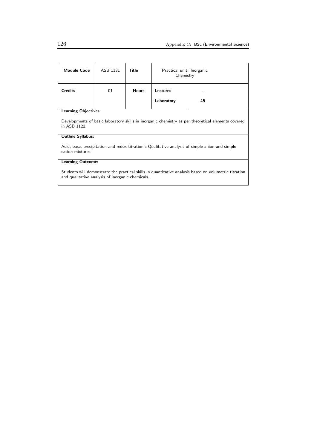| Module Code                                                                                                                                               | ASB 1131 | Title        | Practical unit: Inorganic<br>Chemistry |    |
|-----------------------------------------------------------------------------------------------------------------------------------------------------------|----------|--------------|----------------------------------------|----|
| <b>Credits</b>                                                                                                                                            | 01       | <b>Hours</b> | Lectures                               |    |
|                                                                                                                                                           |          |              | Laboratory                             | 45 |
| <b>Learning Objectives:</b>                                                                                                                               |          |              |                                        |    |
| Developments of basic laboratory skills in inorganic chemistry as per theoretical elements covered<br>in ASB 1122.                                        |          |              |                                        |    |
| <b>Outline Syllabus:</b>                                                                                                                                  |          |              |                                        |    |
| Acid, base, precipitation and redox titration's Qualitative analysis of simple anion and simple<br>cation mixtures.                                       |          |              |                                        |    |
| <b>Learning Outcome:</b>                                                                                                                                  |          |              |                                        |    |
| Students will demonstrate the practical skills in quantitative analysis based on volumetric titration<br>and qualitative analysis of inorganic chemicals. |          |              |                                        |    |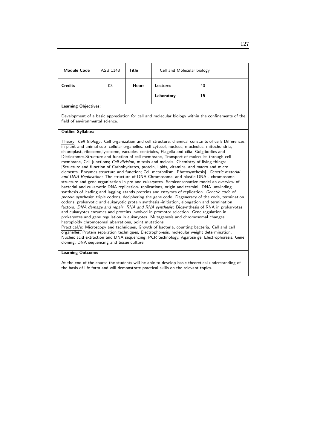| <b>Module Code</b>                                                                                                                   | ASB 1143                                                                                                                                                                                                                                                                                                                                                                                                                                                                                                                                                                                                                                                                                                                                                                                                                                                                                                                                                                                                                                                                                                                                                                                                                                                                                                                                                                                                                                                                                                                                                                                                                                                                                                                                                                                                                                                                                                                                                             | Title        | Cell and Molecular biology |    |  |  |
|--------------------------------------------------------------------------------------------------------------------------------------|----------------------------------------------------------------------------------------------------------------------------------------------------------------------------------------------------------------------------------------------------------------------------------------------------------------------------------------------------------------------------------------------------------------------------------------------------------------------------------------------------------------------------------------------------------------------------------------------------------------------------------------------------------------------------------------------------------------------------------------------------------------------------------------------------------------------------------------------------------------------------------------------------------------------------------------------------------------------------------------------------------------------------------------------------------------------------------------------------------------------------------------------------------------------------------------------------------------------------------------------------------------------------------------------------------------------------------------------------------------------------------------------------------------------------------------------------------------------------------------------------------------------------------------------------------------------------------------------------------------------------------------------------------------------------------------------------------------------------------------------------------------------------------------------------------------------------------------------------------------------------------------------------------------------------------------------------------------------|--------------|----------------------------|----|--|--|
| <b>Credits</b>                                                                                                                       | 03                                                                                                                                                                                                                                                                                                                                                                                                                                                                                                                                                                                                                                                                                                                                                                                                                                                                                                                                                                                                                                                                                                                                                                                                                                                                                                                                                                                                                                                                                                                                                                                                                                                                                                                                                                                                                                                                                                                                                                   | <b>Hours</b> | <b>Lectures</b>            | 40 |  |  |
|                                                                                                                                      |                                                                                                                                                                                                                                                                                                                                                                                                                                                                                                                                                                                                                                                                                                                                                                                                                                                                                                                                                                                                                                                                                                                                                                                                                                                                                                                                                                                                                                                                                                                                                                                                                                                                                                                                                                                                                                                                                                                                                                      |              | Laboratory                 | 15 |  |  |
| <b>Learning Objectives:</b>                                                                                                          |                                                                                                                                                                                                                                                                                                                                                                                                                                                                                                                                                                                                                                                                                                                                                                                                                                                                                                                                                                                                                                                                                                                                                                                                                                                                                                                                                                                                                                                                                                                                                                                                                                                                                                                                                                                                                                                                                                                                                                      |              |                            |    |  |  |
| Development of a basic appreciation for cell and molecular biology within the confinements of the<br>field of environmental science. |                                                                                                                                                                                                                                                                                                                                                                                                                                                                                                                                                                                                                                                                                                                                                                                                                                                                                                                                                                                                                                                                                                                                                                                                                                                                                                                                                                                                                                                                                                                                                                                                                                                                                                                                                                                                                                                                                                                                                                      |              |                            |    |  |  |
| <b>Outline Syllabus:</b>                                                                                                             |                                                                                                                                                                                                                                                                                                                                                                                                                                                                                                                                                                                                                                                                                                                                                                                                                                                                                                                                                                                                                                                                                                                                                                                                                                                                                                                                                                                                                                                                                                                                                                                                                                                                                                                                                                                                                                                                                                                                                                      |              |                            |    |  |  |
| <b>Learning Outcome:</b>                                                                                                             | Theory: Cell Biology: Cell organization and cell structure, chemical constants of cells Differences<br>in plant and animal sub- cellular organelles: cell cytosol, nucleus, mucleolus, mitochondria,<br>chloroplast, ribosome, lysosome, vacuoles, centrioles, Flagella and cilia, Golgibodies and<br>Dictiozomes. Structure and function of cell membrane, Transport of molecules through cell<br>membrane, Cell junctions; Cell division, mitosis and meiosis. Chemistry of living things:<br>Structure and function of Carbohydrates, protein, lipids, vitamins, and macro and micro<br>elements. Enzymes structure and function; Cell metabolism. Photosynthesis]. Genetic material<br>and DNA Replication: The structure of DNA Chromosomal and plastic DNA - chromosome<br>structure and gene organization in pro and eukaryotes. Semiconservative model an overview of<br>bacterial and eukaryotic DNA replication- replications, origin and termini. DNA unwinding<br>synthesis of leading and lagging atands proteins and enzymes of replication. Genetic code of<br>protein synthesis: triple codons, deciphering the gene code. Degeneracy of the code, termination<br>codons, prokaryotic and eukaryotic protein synthesis -initiation, elongation and termination<br>factors. DNA damage and repair; RNA and RNA synthesis: Biosynthesis of RNA in prokaryotes<br>and eukaryotes enzymes and proteins involved in promotor selection. Gene regulation in<br>prokaryotes and gene regulation in eukaryotes. Mutagenesis and chromosomal changes:<br>hetroploidy chromosomal aberrations, point mutations.<br>Practical/s: Microscopy and techniques, Growth of bacteria, counting bacteria, Cell and cell<br>organelles, Protein separation techniques, Electrophoresis, molecular weight determination,<br>Nucleic acid extraction and DNA sequencing, PCR technology, Agarose gel Electrophoresis, Gene<br>cloning, DNA sequencing and tissue culture. |              |                            |    |  |  |
|                                                                                                                                      |                                                                                                                                                                                                                                                                                                                                                                                                                                                                                                                                                                                                                                                                                                                                                                                                                                                                                                                                                                                                                                                                                                                                                                                                                                                                                                                                                                                                                                                                                                                                                                                                                                                                                                                                                                                                                                                                                                                                                                      |              |                            |    |  |  |

At the end of the course the students will be able to develop basic theoretical understanding of the basis of life form and will demonstrate practical skills on the relevant topics.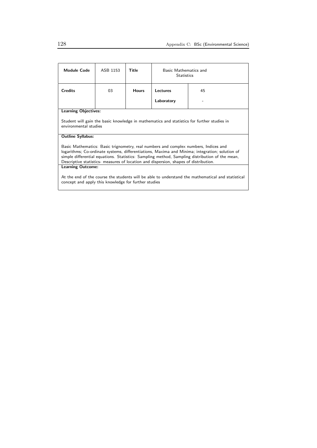| Module Code                                                                                                                                                                                                                                                                                                                                                                     | ASB 1153 | Title        | Basic Mathematics and<br><b>Statistics</b> |    |  |
|---------------------------------------------------------------------------------------------------------------------------------------------------------------------------------------------------------------------------------------------------------------------------------------------------------------------------------------------------------------------------------|----------|--------------|--------------------------------------------|----|--|
| <b>Credits</b>                                                                                                                                                                                                                                                                                                                                                                  | 03       | <b>Hours</b> | Lectures                                   | 45 |  |
|                                                                                                                                                                                                                                                                                                                                                                                 |          |              | Laboratory                                 |    |  |
| <b>Learning Objectives:</b>                                                                                                                                                                                                                                                                                                                                                     |          |              |                                            |    |  |
| Student will gain the basic knowledge in mathematics and statistics for further studies in<br>environmental studies                                                                                                                                                                                                                                                             |          |              |                                            |    |  |
| <b>Outline Syllabus:</b>                                                                                                                                                                                                                                                                                                                                                        |          |              |                                            |    |  |
| Basic Mathematics: Basic trignometry, real numbers and complex numbers, Indices and<br>logarithms; Co-ordinate systems, differentiations, Maxima and Minima; integration; solution of<br>simple differential equations. Statistics: Sampling method, Sampling distribution of the mean,<br>Descriptive statistics- measures of location and dispersion, shapes of distribution. |          |              |                                            |    |  |
| Learning Outcome:                                                                                                                                                                                                                                                                                                                                                               |          |              |                                            |    |  |
| At the end of the course the students will be able to understand the mathematical and statistical<br>concept and apply this knowledge for further studies                                                                                                                                                                                                                       |          |              |                                            |    |  |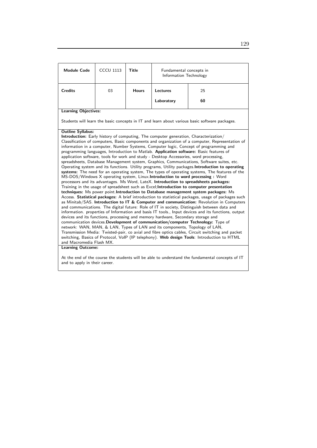| <b>CCCU 1113</b>                                                                                                                                                                                                                                                                                                                                                                                                                                                                                                                                                                                                                                                                                                                                                                                                                                                                                                                                                                                                                                                                                                                                                                                                                                                                                                                                                                                                                                                                                                                                                                                                                                                                                                                                                                                                                                                                                                                                                                                                                    | <b>Title</b>                                         | Fundamental concepts in<br>Information Technology |    |  |  |
|-------------------------------------------------------------------------------------------------------------------------------------------------------------------------------------------------------------------------------------------------------------------------------------------------------------------------------------------------------------------------------------------------------------------------------------------------------------------------------------------------------------------------------------------------------------------------------------------------------------------------------------------------------------------------------------------------------------------------------------------------------------------------------------------------------------------------------------------------------------------------------------------------------------------------------------------------------------------------------------------------------------------------------------------------------------------------------------------------------------------------------------------------------------------------------------------------------------------------------------------------------------------------------------------------------------------------------------------------------------------------------------------------------------------------------------------------------------------------------------------------------------------------------------------------------------------------------------------------------------------------------------------------------------------------------------------------------------------------------------------------------------------------------------------------------------------------------------------------------------------------------------------------------------------------------------------------------------------------------------------------------------------------------------|------------------------------------------------------|---------------------------------------------------|----|--|--|
| 03                                                                                                                                                                                                                                                                                                                                                                                                                                                                                                                                                                                                                                                                                                                                                                                                                                                                                                                                                                                                                                                                                                                                                                                                                                                                                                                                                                                                                                                                                                                                                                                                                                                                                                                                                                                                                                                                                                                                                                                                                                  | <b>Hours</b>                                         | <b>Lectures</b>                                   | 25 |  |  |
|                                                                                                                                                                                                                                                                                                                                                                                                                                                                                                                                                                                                                                                                                                                                                                                                                                                                                                                                                                                                                                                                                                                                                                                                                                                                                                                                                                                                                                                                                                                                                                                                                                                                                                                                                                                                                                                                                                                                                                                                                                     |                                                      | Laboratory                                        | 60 |  |  |
| <b>Learning Objectives:</b>                                                                                                                                                                                                                                                                                                                                                                                                                                                                                                                                                                                                                                                                                                                                                                                                                                                                                                                                                                                                                                                                                                                                                                                                                                                                                                                                                                                                                                                                                                                                                                                                                                                                                                                                                                                                                                                                                                                                                                                                         |                                                      |                                                   |    |  |  |
| Students will learn the basic concepts in IT and learn about various basic software packages.                                                                                                                                                                                                                                                                                                                                                                                                                                                                                                                                                                                                                                                                                                                                                                                                                                                                                                                                                                                                                                                                                                                                                                                                                                                                                                                                                                                                                                                                                                                                                                                                                                                                                                                                                                                                                                                                                                                                       |                                                      |                                                   |    |  |  |
| <b>Outline Syllabus:</b><br>Introduction: Early history of computing, The computer generation, Characterization/<br>Classification of computers, Basic components and organization of a computer, Representation of<br>information in a computer, Number Systems, Computer logic, Concept of programming and<br>programming languages, Introduction to Matlab. Application software: Basic features of<br>application software, tools for work and study - Desktop Accessories, word processing,<br>spreadsheets, Database Management system, Graphics, Communications, Software suites, etc.<br>Operating system and its functions. Utility programs, Utility packages Introduction to operating<br>systems: The need for an operating system, The types of operating systems, The features of the<br>MS-DOS/Windows X operating system, Linux.Introduction to word processing: Word<br>processors and its advantages. Ms Word, LateX. Introduction to spreadsheets packages:<br>Training in the usage of spreadsheet such as Excel; Introduction to computer presentation<br>techniques: Ms power point. Introduction to Database management system packages: Ms<br>Access. Statistical packages: A brief introduction to statistical packages, usage of packages such<br>as Minitab/SAS. Introduction to IT & Computer and communication: Revolution in Computers<br>and communications. The digital future: Role of IT in society, Distinguish between data and<br>information. properties of Information and basis IT tools., Input devices and its functions, output<br>devices and its functions, processing and memory hardware, Secondary storage and<br>communication devices. Development of communication/computer Technology: Type of<br>network: WAN, MAN, & LAN, Types of LAN and its components, Topology of LAN,<br>Transmission Media: Twisted-pair, co axial and fibre optics cables, Circuit switching and packet<br>switching, Basics of Protocol, VoIP (IP telephony). Web design Tools: Introduction to HTML |                                                      |                                                   |    |  |  |
|                                                                                                                                                                                                                                                                                                                                                                                                                                                                                                                                                                                                                                                                                                                                                                                                                                                                                                                                                                                                                                                                                                                                                                                                                                                                                                                                                                                                                                                                                                                                                                                                                                                                                                                                                                                                                                                                                                                                                                                                                                     |                                                      |                                                   |    |  |  |
|                                                                                                                                                                                                                                                                                                                                                                                                                                                                                                                                                                                                                                                                                                                                                                                                                                                                                                                                                                                                                                                                                                                                                                                                                                                                                                                                                                                                                                                                                                                                                                                                                                                                                                                                                                                                                                                                                                                                                                                                                                     | and Macromedia Flash MX.<br><b>Learning Outcome:</b> |                                                   |    |  |  |

At the end of the course the students will be able to understand the fundamental concepts of IT and to apply in their career.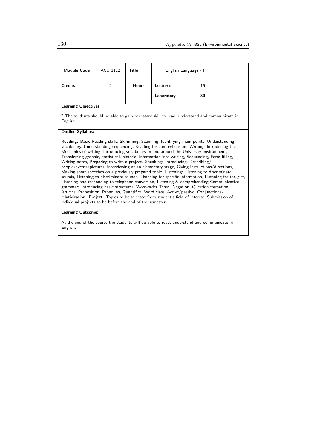| <b>Module Code</b>                                                                                                                                                                                                                                                                                                                                                                                                                                                                                                                                                                                                                                                                                                                                                                                                                                                                                                                                                                                                                                                                                                                                                                                                             | <b>ACU 1112</b> | Title        | English Language - I |    |  |
|--------------------------------------------------------------------------------------------------------------------------------------------------------------------------------------------------------------------------------------------------------------------------------------------------------------------------------------------------------------------------------------------------------------------------------------------------------------------------------------------------------------------------------------------------------------------------------------------------------------------------------------------------------------------------------------------------------------------------------------------------------------------------------------------------------------------------------------------------------------------------------------------------------------------------------------------------------------------------------------------------------------------------------------------------------------------------------------------------------------------------------------------------------------------------------------------------------------------------------|-----------------|--------------|----------------------|----|--|
| <b>Credits</b>                                                                                                                                                                                                                                                                                                                                                                                                                                                                                                                                                                                                                                                                                                                                                                                                                                                                                                                                                                                                                                                                                                                                                                                                                 | 2               | <b>Hours</b> | Lectures             | 15 |  |
|                                                                                                                                                                                                                                                                                                                                                                                                                                                                                                                                                                                                                                                                                                                                                                                                                                                                                                                                                                                                                                                                                                                                                                                                                                |                 |              | Laboratory           | 30 |  |
| <b>Learning Objectives:</b>                                                                                                                                                                                                                                                                                                                                                                                                                                                                                                                                                                                                                                                                                                                                                                                                                                                                                                                                                                                                                                                                                                                                                                                                    |                 |              |                      |    |  |
| " The students should be able to gain necessary skill to read, understand and communicate in<br>English.                                                                                                                                                                                                                                                                                                                                                                                                                                                                                                                                                                                                                                                                                                                                                                                                                                                                                                                                                                                                                                                                                                                       |                 |              |                      |    |  |
| <b>Outline Syllabus:</b>                                                                                                                                                                                                                                                                                                                                                                                                                                                                                                                                                                                                                                                                                                                                                                                                                                                                                                                                                                                                                                                                                                                                                                                                       |                 |              |                      |    |  |
| Reading: Basic Reading skills, Skimming, Scanning, Identifying main points, Understanding<br>vocabulary, Understanding sequencing, Reading for comprehension. Writing: Introducing the<br>Mechanics of writing, Introducing vocabulary in and around the University environment,<br>Transferring graphic, statistical, pictorial Information into writing, Sequencing, Form filling,<br>Writing notes, Preparing to write a project. Speaking: Introducing, Describing/<br>people/events/pictures, Interviewing at an elementary stage, Giving instructions/directions,<br>Making short speeches on a previously prepared topic. Listening: Listening to discriminate<br>sounds, Listening to discriminate sounds. Listening for specific information, Listening for the gist,<br>Listening and responding to telephone conversion, Listening & comprehending Communicative<br>grammar: Introducing basic structures, Word-order Tense, Negation, Question formation,<br>Articles, Preposition, Pronouns, Quantifier, Word class, Active/passive, Conjunctions/<br>relativization. Project: Topics to be selected from student's field of interest, Submission of<br>individual projects to be before the end of the semester. |                 |              |                      |    |  |

At the end of the course the students will be able to read, understand and communicate in English.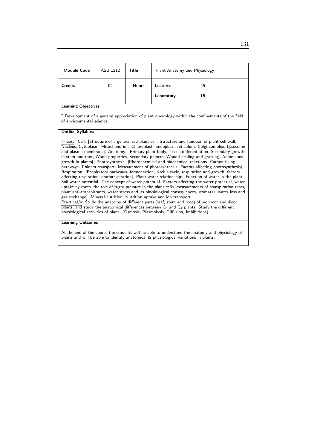| <b>Module Code</b>   | ASB 1212 | Title        | Plant Anatomy and Physiology  |          |
|----------------------|----------|--------------|-------------------------------|----------|
| <b>Credits</b>       | 02       | <b>Hours</b> | <b>Lectures</b><br>Laboratory | 25<br>15 |
| $\sim \cdot$ $\cdot$ |          |              |                               |          |

### Learning Objectives:

" Development of a general appreciation of plant physiology within the confinements of the field of environmental science.

### Outline Syllabus:

Theory: Cell: [Structure of a generalized plant cell. Structure and function of plant cell wall, Nucleus, Cytoplasm, Mitochondrion, Chloroplast, Endoplasm reticulum, Golgi complex, Lysosome and plasma membrane]. Anatomy: [Primary plant body, Tissue differentiation, Secondary growth in stem and root, Wood properties, Secondary phloem, Wound healing and grafting. Anomalous growth in plants]. Photosynthesis: [Photochemical and biochemical reactions. Carbon fixing pathways. Phloem transport. Measurement of photosynthesis. Factors affecting photosynthesis]. Respiration: [Respiratory pathways- fermentation, Kreb's cycle, respiration and growth, factors affecting respiration, photorespiration]. Plant water relationship: [Function of water in the plant. Soil water potential. The concept of water potential. Factors affecting the water potential, water uptake by roots, the role of tugor pressure in the plant cells, measurements of transpiration rates, plant anti-transpitrants, water stress and its physiological consequences, stomatas, water loss and gas exchange]. Mineral nutrition, Nutrition uptake and ion transport. Practical/s: Study the anatomy of different parts (leaf, stem and root) of monocot and dicot

 $\overline{plants}$ , and study the anatomical differences between  $C_3$  and  $C_4$  plants. Study the different physiological activities of plant. (Osmosis, Plasmolysis, Diffusion, Imbibitions)

#### Learning Outcome:

At the end of the course the students will be able to understand the anatomy and physiology of plants and will be able to identify anatomical & physiological variations in plants.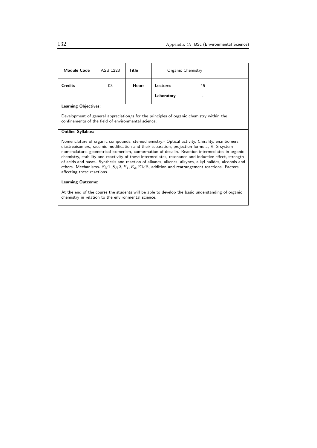| <b>Module Code</b>                                                                                                                                                                                                                                                                                                                                                                                                                                                                                                                                                                                                                                            | ASB 1223 | Title        | Organic Chemistry |    |  |
|---------------------------------------------------------------------------------------------------------------------------------------------------------------------------------------------------------------------------------------------------------------------------------------------------------------------------------------------------------------------------------------------------------------------------------------------------------------------------------------------------------------------------------------------------------------------------------------------------------------------------------------------------------------|----------|--------------|-------------------|----|--|
| <b>Credits</b>                                                                                                                                                                                                                                                                                                                                                                                                                                                                                                                                                                                                                                                | 03       | <b>Hours</b> | <b>Lectures</b>   | 45 |  |
|                                                                                                                                                                                                                                                                                                                                                                                                                                                                                                                                                                                                                                                               |          |              | Laboratory        |    |  |
| Learning Objectives:                                                                                                                                                                                                                                                                                                                                                                                                                                                                                                                                                                                                                                          |          |              |                   |    |  |
| Development of general appreciation/s for the principles of organic chemistry within the<br>confinements of the field of environmental science.                                                                                                                                                                                                                                                                                                                                                                                                                                                                                                               |          |              |                   |    |  |
| <b>Outline Syllabus:</b>                                                                                                                                                                                                                                                                                                                                                                                                                                                                                                                                                                                                                                      |          |              |                   |    |  |
| Nomenclature of organic compounds, stereochemistry:- Optical activity, Chirality, enantiomers,<br>diastreoisomers, racemic modification and their separation, projection formula, R, S system<br>nomenclature, geometrical isomerism, conformation of decalin. Reaction intermediates in organic<br>chemistry, stability and reactivity of these intermediates, resonance and inductive effect, strength<br>of acids and bases. Synthesis and reaction of alkanes, alkenes, alkynes, alkyl halides, alcohols and<br>ethers. Mechanisms- $S_N 1$ , $S_N 2$ , $E_1$ , $E_2$ , E1cB, addition and rearrangement reactions. Factors<br>affecting these reactions. |          |              |                   |    |  |
| <b>Learning Outcome:</b>                                                                                                                                                                                                                                                                                                                                                                                                                                                                                                                                                                                                                                      |          |              |                   |    |  |
| At the end of the course the students will be able to develop the basic understanding of organic<br>chemistry in relation to the environmental science.                                                                                                                                                                                                                                                                                                                                                                                                                                                                                                       |          |              |                   |    |  |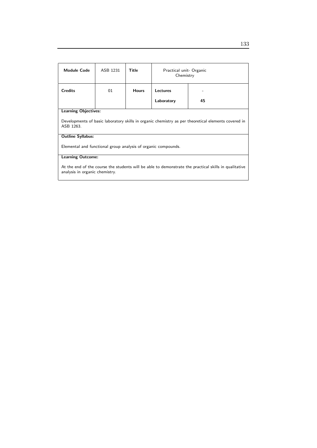| <b>Module Code</b>                                                                                                                      | ASB 1231 | <b>Title</b> | Practical unit- Organic<br>Chemistry |    |  |
|-----------------------------------------------------------------------------------------------------------------------------------------|----------|--------------|--------------------------------------|----|--|
| <b>Credits</b>                                                                                                                          | 01       | <b>Hours</b> | Lectures                             |    |  |
|                                                                                                                                         |          |              | Laboratory                           | 45 |  |
| <b>Learning Objectives:</b>                                                                                                             |          |              |                                      |    |  |
| Developments of basic laboratory skills in organic chemistry as per theoretical elements covered in<br>ASB 1263.                        |          |              |                                      |    |  |
| <b>Outline Syllabus:</b>                                                                                                                |          |              |                                      |    |  |
| Elemental and functional group analysis of organic compounds.                                                                           |          |              |                                      |    |  |
| <b>Learning Outcome:</b>                                                                                                                |          |              |                                      |    |  |
| At the end of the course the students will be able to demonstrate the practical skills in qualitative<br>analysis in organic chemistry. |          |              |                                      |    |  |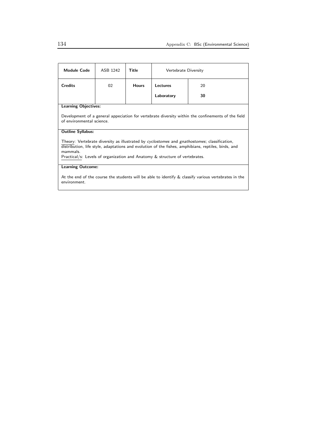| Module Code                                                                                                                                                                                                                                                                                    | ASB 1242 | Title        | Vertebrate Diversity |    |
|------------------------------------------------------------------------------------------------------------------------------------------------------------------------------------------------------------------------------------------------------------------------------------------------|----------|--------------|----------------------|----|
| <b>Credits</b>                                                                                                                                                                                                                                                                                 | 02       | <b>Hours</b> | Lectures             | 20 |
|                                                                                                                                                                                                                                                                                                |          |              | Laboratory           | 30 |
| <b>Learning Objectives:</b>                                                                                                                                                                                                                                                                    |          |              |                      |    |
| Development of a general appeciation for vertebrate diversity within the confinements of the field<br>of environmental science.                                                                                                                                                                |          |              |                      |    |
| <b>Outline Syllabus:</b>                                                                                                                                                                                                                                                                       |          |              |                      |    |
| Theory: Vertebrate diversity as illustrated by cyclostomes and gnathostomes; classification,<br>distribution, life style, adaptations and evolution of the fishes, amphibians, reptiles, birds, and<br>mammals.<br>Practical/s: Levels of organization and Anatomy & structure of vertebrates. |          |              |                      |    |
| <b>Learning Outcome:</b>                                                                                                                                                                                                                                                                       |          |              |                      |    |
| At the end of the course the students will be able to identify $\&$ classify various vertebrates in the<br>environment.                                                                                                                                                                        |          |              |                      |    |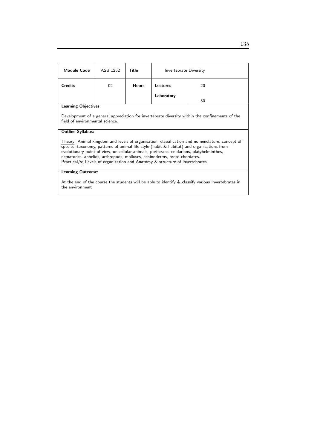| <b>Module Code</b>                                                                                                                                                                                                                                                                                                                                                                                                                                       | ASB 1252 | Title        | Invertebrate Diversity |    |  |
|----------------------------------------------------------------------------------------------------------------------------------------------------------------------------------------------------------------------------------------------------------------------------------------------------------------------------------------------------------------------------------------------------------------------------------------------------------|----------|--------------|------------------------|----|--|
| <b>Credits</b>                                                                                                                                                                                                                                                                                                                                                                                                                                           | 02       | <b>Hours</b> | Lectures               | 20 |  |
|                                                                                                                                                                                                                                                                                                                                                                                                                                                          |          |              | Laboratory             | 30 |  |
| <b>Learning Objectives:</b>                                                                                                                                                                                                                                                                                                                                                                                                                              |          |              |                        |    |  |
| Development of a general appreciation for invertebrate diversity within the confinements of the<br>field of environmental science.                                                                                                                                                                                                                                                                                                                       |          |              |                        |    |  |
| <b>Outline Syllabus:</b>                                                                                                                                                                                                                                                                                                                                                                                                                                 |          |              |                        |    |  |
| Theory: Animal kingdom and levels of organisation; classification and nomenclature; concept of<br>species, taxonomy, patterns of animal life style (habit $\&$ habitat) and organisations from<br>evolutionary point-of-view, unicellular animals, poriferans, cnidarians, platyhelminthes,<br>nematodes, annelids, arthropods, molluscs, echinoderms, proto-chordates.<br>Practical/s: Levels of organization and Anatomy & structure of invertebrates. |          |              |                        |    |  |
| <b>Learning Outcome:</b>                                                                                                                                                                                                                                                                                                                                                                                                                                 |          |              |                        |    |  |
| At the end of the course the students will be able to identify & classify various Invertebrates in<br>the environment                                                                                                                                                                                                                                                                                                                                    |          |              |                        |    |  |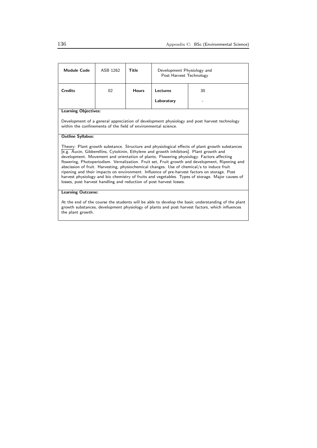| <b>Module Code</b>                                                                                                                                                                                                                                                                                                                                                                                                                                                                                                                                                                                                                                                                                                                                                | ASB 1262 | Title        | Development Physiology and<br>Post Harvest Technology |    |
|-------------------------------------------------------------------------------------------------------------------------------------------------------------------------------------------------------------------------------------------------------------------------------------------------------------------------------------------------------------------------------------------------------------------------------------------------------------------------------------------------------------------------------------------------------------------------------------------------------------------------------------------------------------------------------------------------------------------------------------------------------------------|----------|--------------|-------------------------------------------------------|----|
| <b>Credits</b>                                                                                                                                                                                                                                                                                                                                                                                                                                                                                                                                                                                                                                                                                                                                                    | 02       | <b>Hours</b> | Lectures                                              | 30 |
|                                                                                                                                                                                                                                                                                                                                                                                                                                                                                                                                                                                                                                                                                                                                                                   |          |              | Laboratory                                            |    |
| <b>Learning Objectives:</b>                                                                                                                                                                                                                                                                                                                                                                                                                                                                                                                                                                                                                                                                                                                                       |          |              |                                                       |    |
| Development of a general appreciation of development physiology and post harvest technology<br>within the confinements of the field of environmental science.                                                                                                                                                                                                                                                                                                                                                                                                                                                                                                                                                                                                     |          |              |                                                       |    |
| <b>Outline Syllabus:</b>                                                                                                                                                                                                                                                                                                                                                                                                                                                                                                                                                                                                                                                                                                                                          |          |              |                                                       |    |
| Theory: Plant growth substance. Structure and physiological effects of plant growth substances<br>[e.g. Auxin, Gibberellins, Cytokinin, Ethylene and growth inhibitors]. Plant growth and<br>development. Movement and orientation of plants. Flowering physiology. Factors affecting<br>flowering, Photoperiodism. Vernalization. Fruit set, Fruit growth and development, Ripening and<br>abscission of fruit. Harvesting, physiochemical changes. Use of chemical/s to induce fruit<br>ripening and their impacts on environment. Influence of pre-harvest factors on storage. Post<br>harvest physiology and bio chemistry of fruits and vegetables. Types of storage. Major causes of<br>losses, post harvest handling and reduction of post harvest losses. |          |              |                                                       |    |
| <b>Learning Outcome:</b>                                                                                                                                                                                                                                                                                                                                                                                                                                                                                                                                                                                                                                                                                                                                          |          |              |                                                       |    |
| At the end of the course the students will be able to develop the basic understanding of the plant<br>growth substances, development physiology of plants and post harvest factors, which influences                                                                                                                                                                                                                                                                                                                                                                                                                                                                                                                                                              |          |              |                                                       |    |

the plant growth.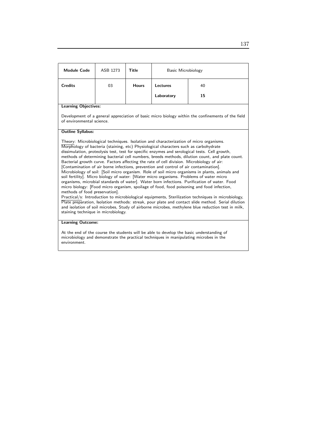| <b>Module Code</b>                                                                                                                                                                                                                                                                                                                                                                                                                                                                                                                                                                                                                                                                                                                                                                                                                                                                                                                                                                                                                                                                                                                                                                                                                                                                                                                                              | ASB 1273 | <b>Title</b> | Basic Microbiology |    |
|-----------------------------------------------------------------------------------------------------------------------------------------------------------------------------------------------------------------------------------------------------------------------------------------------------------------------------------------------------------------------------------------------------------------------------------------------------------------------------------------------------------------------------------------------------------------------------------------------------------------------------------------------------------------------------------------------------------------------------------------------------------------------------------------------------------------------------------------------------------------------------------------------------------------------------------------------------------------------------------------------------------------------------------------------------------------------------------------------------------------------------------------------------------------------------------------------------------------------------------------------------------------------------------------------------------------------------------------------------------------|----------|--------------|--------------------|----|
| <b>Credits</b>                                                                                                                                                                                                                                                                                                                                                                                                                                                                                                                                                                                                                                                                                                                                                                                                                                                                                                                                                                                                                                                                                                                                                                                                                                                                                                                                                  | 03       | <b>Hours</b> | Lectures           | 40 |
|                                                                                                                                                                                                                                                                                                                                                                                                                                                                                                                                                                                                                                                                                                                                                                                                                                                                                                                                                                                                                                                                                                                                                                                                                                                                                                                                                                 |          |              | Laboratory         | 15 |
| <b>Learning Objectives:</b>                                                                                                                                                                                                                                                                                                                                                                                                                                                                                                                                                                                                                                                                                                                                                                                                                                                                                                                                                                                                                                                                                                                                                                                                                                                                                                                                     |          |              |                    |    |
| Development of a general appreciation of basic micro biology within the confinements of the field<br>of environmental science.                                                                                                                                                                                                                                                                                                                                                                                                                                                                                                                                                                                                                                                                                                                                                                                                                                                                                                                                                                                                                                                                                                                                                                                                                                  |          |              |                    |    |
| <b>Outline Syllabus:</b>                                                                                                                                                                                                                                                                                                                                                                                                                                                                                                                                                                                                                                                                                                                                                                                                                                                                                                                                                                                                                                                                                                                                                                                                                                                                                                                                        |          |              |                    |    |
| Theory: Microbiological techniques. Isolation and characterization of micro organisms.<br>Morphology of bacteria (staining, etc) Physiological characters such as carbohydrate<br>dissimulation, proteolysis test, test for specific enzymes and serological tests. Cell growth,<br>methods of determining bacterial cell numbers, breeds methods, dilution count, and plate count.<br>Bacterial growth curve. Factors affecting the rate of cell division. Microbiology of air:<br>[Contamination of air borne infections, prevention and control of air contamination].<br>Microbiology of soil: [Soil micro organism. Role of soil micro organisms in plants, animals and<br>soil fertility]. Micro biology of water: [Water micro organisms. Problems of water micro<br>organisms, microbial standards of water]. Water born infections. Purification of water. Food<br>micro biology: [Food micro organism, spoilage of food, food poisoning and food infection,<br>methods of food preservation.<br>Practical/s: Introduction to microbiological equipments, Sterilization techniques in microbiology,<br>Plate preparation, Isolation methods: streak, pour plate and contact slide method. Serial dilution<br>and isolation of soil microbes, Study of airborne microbes, methylene blue reduction test in milk,<br>staining technique in microbiology. |          |              |                    |    |
| <b>Learning Outcome:</b>                                                                                                                                                                                                                                                                                                                                                                                                                                                                                                                                                                                                                                                                                                                                                                                                                                                                                                                                                                                                                                                                                                                                                                                                                                                                                                                                        |          |              |                    |    |
| At the end of the course the students will be able to develop the basic understanding of<br>microbiology and demonstrate the practical techniques in manipulating microbes in the                                                                                                                                                                                                                                                                                                                                                                                                                                                                                                                                                                                                                                                                                                                                                                                                                                                                                                                                                                                                                                                                                                                                                                               |          |              |                    |    |

environment.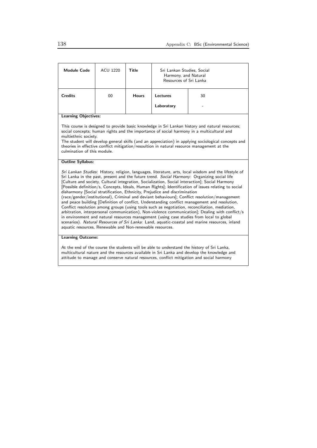| <b>Module Code</b>                                                                                                                                                                                                                                                                                                                                                                                                                                                                                                                                                                                                                                                                                                                                                                                                                                                                                                                                                                                                                                                                                                                                            | <b>ACU 1220</b> | Title        | Sri Lankan Studies, Social<br>Harmony, and Natural<br>Resources of Sri Lanka |    |
|---------------------------------------------------------------------------------------------------------------------------------------------------------------------------------------------------------------------------------------------------------------------------------------------------------------------------------------------------------------------------------------------------------------------------------------------------------------------------------------------------------------------------------------------------------------------------------------------------------------------------------------------------------------------------------------------------------------------------------------------------------------------------------------------------------------------------------------------------------------------------------------------------------------------------------------------------------------------------------------------------------------------------------------------------------------------------------------------------------------------------------------------------------------|-----------------|--------------|------------------------------------------------------------------------------|----|
| <b>Credits</b>                                                                                                                                                                                                                                                                                                                                                                                                                                                                                                                                                                                                                                                                                                                                                                                                                                                                                                                                                                                                                                                                                                                                                | 00              | <b>Hours</b> | Lectures                                                                     | 30 |
|                                                                                                                                                                                                                                                                                                                                                                                                                                                                                                                                                                                                                                                                                                                                                                                                                                                                                                                                                                                                                                                                                                                                                               |                 |              | Laboratory                                                                   |    |
| <b>Learning Objectives:</b>                                                                                                                                                                                                                                                                                                                                                                                                                                                                                                                                                                                                                                                                                                                                                                                                                                                                                                                                                                                                                                                                                                                                   |                 |              |                                                                              |    |
| This course is designed to provide basic knowledge in Sri Lankan history and natural resources;<br>social concepts; human rights and the importance of social harmony in a multicultural and<br>multiethnic society.<br>The student will develop general skills (and an appreciation) in applying sociological concepts and<br>theories in effective conflict mitigation/resoultion in natural resource management at the<br>culmination of this module.                                                                                                                                                                                                                                                                                                                                                                                                                                                                                                                                                                                                                                                                                                      |                 |              |                                                                              |    |
| <b>Outline Syllabus:</b>                                                                                                                                                                                                                                                                                                                                                                                                                                                                                                                                                                                                                                                                                                                                                                                                                                                                                                                                                                                                                                                                                                                                      |                 |              |                                                                              |    |
| Sri Lankan Studies: History, religion, languages, literature, arts, local wisdom and the lifestyle of<br>Sri Lanka in the past, present and the future trend. Social Harmony: Organizing social life<br>[Culture and society, Cultural integration, Socialization, Social interaction]; Social Harmony<br>[Possible definition/s, Concepts, Ideals, Human Rights]; Identification of issues relating to social<br>disharmony [Social stratification, Ethnicity, Prejudice and discrimination<br>(race/gender/institutional), Criminal and deviant behaviours]; Conflict resolution/management<br>and peace building [Definition of conflict, Understanding conflict management and resolution,<br>Conflict resolution among groups (using tools such as negotiation, reconciliation, mediation,<br>arbitration, interpersonal communication), Non-violence communication]; Dealing with conflict/s<br>in environment and natural resources management (using case studies from local to global<br>scenarios). Natural Resources of Sri Lanka: Land, aquatic-coastal and marine resources, inland<br>aquatic resources, Renewable and Non-renewable resources. |                 |              |                                                                              |    |
| <b>Learning Outcome:</b>                                                                                                                                                                                                                                                                                                                                                                                                                                                                                                                                                                                                                                                                                                                                                                                                                                                                                                                                                                                                                                                                                                                                      |                 |              |                                                                              |    |
| At the end of the course the students will be able to understand the history of Sri Lanka,<br>multicultural nature and the resources available in Sri Lanka and develop the knowledge and<br>attitude to manage and conserve natural resources, conflict mitigation and social harmony                                                                                                                                                                                                                                                                                                                                                                                                                                                                                                                                                                                                                                                                                                                                                                                                                                                                        |                 |              |                                                                              |    |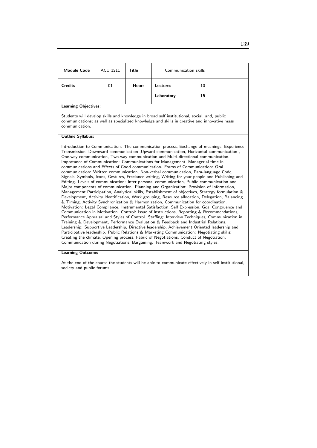| <b>Module Code</b>                                                                                                                                                                                                                                                                                                                                                                                                                                                                                                                                                                                                                                                                                                                                                                                                                                                                                                                                                                                                                                                                                                                                                                                                                                                                                                                                                                                                                                                                                                                                                                                                                                                                                                                                                                                                                                                                            | <b>ACU 1211</b> | Title        | Communication skills |    |  |  |
|-----------------------------------------------------------------------------------------------------------------------------------------------------------------------------------------------------------------------------------------------------------------------------------------------------------------------------------------------------------------------------------------------------------------------------------------------------------------------------------------------------------------------------------------------------------------------------------------------------------------------------------------------------------------------------------------------------------------------------------------------------------------------------------------------------------------------------------------------------------------------------------------------------------------------------------------------------------------------------------------------------------------------------------------------------------------------------------------------------------------------------------------------------------------------------------------------------------------------------------------------------------------------------------------------------------------------------------------------------------------------------------------------------------------------------------------------------------------------------------------------------------------------------------------------------------------------------------------------------------------------------------------------------------------------------------------------------------------------------------------------------------------------------------------------------------------------------------------------------------------------------------------------|-----------------|--------------|----------------------|----|--|--|
| <b>Credits</b>                                                                                                                                                                                                                                                                                                                                                                                                                                                                                                                                                                                                                                                                                                                                                                                                                                                                                                                                                                                                                                                                                                                                                                                                                                                                                                                                                                                                                                                                                                                                                                                                                                                                                                                                                                                                                                                                                | 01              | <b>Hours</b> | Lectures             | 10 |  |  |
|                                                                                                                                                                                                                                                                                                                                                                                                                                                                                                                                                                                                                                                                                                                                                                                                                                                                                                                                                                                                                                                                                                                                                                                                                                                                                                                                                                                                                                                                                                                                                                                                                                                                                                                                                                                                                                                                                               |                 |              | Laboratory           | 15 |  |  |
| <b>Learning Objectives:</b>                                                                                                                                                                                                                                                                                                                                                                                                                                                                                                                                                                                                                                                                                                                                                                                                                                                                                                                                                                                                                                                                                                                                                                                                                                                                                                                                                                                                                                                                                                                                                                                                                                                                                                                                                                                                                                                                   |                 |              |                      |    |  |  |
| Students will develop skills and knowledge in broad self institutional, social, and, public<br>communications; as well as specialized knowledge and skills in creative and innovative mass<br>communication.                                                                                                                                                                                                                                                                                                                                                                                                                                                                                                                                                                                                                                                                                                                                                                                                                                                                                                                                                                                                                                                                                                                                                                                                                                                                                                                                                                                                                                                                                                                                                                                                                                                                                  |                 |              |                      |    |  |  |
| <b>Outline Syllabus:</b>                                                                                                                                                                                                                                                                                                                                                                                                                                                                                                                                                                                                                                                                                                                                                                                                                                                                                                                                                                                                                                                                                                                                                                                                                                                                                                                                                                                                                                                                                                                                                                                                                                                                                                                                                                                                                                                                      |                 |              |                      |    |  |  |
| Introduction to Communication: The communication process, Exchange of meanings, Experience<br>Transmission, Downward communication , Upward communication, Horizontal communication,<br>One-way communication, Two-way communication and Multi-directional communication.<br>Importance of Communication: Communications for Management, Managerial time in<br>communications and Effects of Good communication. Forms of Communication: Oral<br>communication: Written communication, Non-verbal communication, Para-language Code,<br>Signals, Symbols, Icons, Gestures, Freelance writing, Writing for your people and Publishing and<br>Editing. Levels of communication: Inter personal communication, Public communication and<br>Major components of communication. Planning and Organization: Provision of Information,<br>Management Participation, Analytical skills, Establishment of objectives, Strategy formulation &<br>Development, Activity Identification, Work grouping, Resource allocation, Delegation, Balancing<br>& Timing, Activity Synchronization & Harmonization, Communication for coordination.<br>Motivation: Legal Compliance. Instrumental Satisfaction, Self Expression, Goal Congruence and<br>Communication in Motivation. Control: Issue of Instructions, Reporting & Recommendations,<br>Performance Appraisal and Styles of Control. Staffing: Interview Techniques, Communication in<br>Training & Development, Performance Evaluation & Feedback and Industrial Relations.<br>Leadership: Supportive Leadership, Directive leadership, Achievement Oriented leadership and<br>Participative leadership. Public Relations & Marketing Communication: Negotiating skills:<br>Creating the climate, Opening process, Fabric of Negotiations, Conduct of Negotiation,<br>Communication during Negotiations, Bargaining, Teamwork and Negotiating styles. |                 |              |                      |    |  |  |

#### Learning Outcome:

At the end of the course the students will be able to communicate effectively in self institutional, society and public forums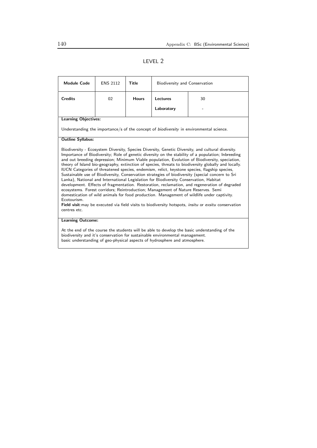# LEVEL 2

| <b>Module Code</b>                                                                                                                                                                                                                                                                                                                                                                                                                                                                                                                                                                                                                                                                                                                                                                                                                                                                                                                                                                                                                                                                                                                                | <b>ENS 2112</b>                                                                                | Title        | Biodiversity and Conservation |    |  |
|---------------------------------------------------------------------------------------------------------------------------------------------------------------------------------------------------------------------------------------------------------------------------------------------------------------------------------------------------------------------------------------------------------------------------------------------------------------------------------------------------------------------------------------------------------------------------------------------------------------------------------------------------------------------------------------------------------------------------------------------------------------------------------------------------------------------------------------------------------------------------------------------------------------------------------------------------------------------------------------------------------------------------------------------------------------------------------------------------------------------------------------------------|------------------------------------------------------------------------------------------------|--------------|-------------------------------|----|--|
| <b>Credits</b>                                                                                                                                                                                                                                                                                                                                                                                                                                                                                                                                                                                                                                                                                                                                                                                                                                                                                                                                                                                                                                                                                                                                    | 02                                                                                             | <b>Hours</b> | <b>Lectures</b>               | 30 |  |
|                                                                                                                                                                                                                                                                                                                                                                                                                                                                                                                                                                                                                                                                                                                                                                                                                                                                                                                                                                                                                                                                                                                                                   |                                                                                                |              | Laboratory                    |    |  |
| <b>Learning Objectives:</b>                                                                                                                                                                                                                                                                                                                                                                                                                                                                                                                                                                                                                                                                                                                                                                                                                                                                                                                                                                                                                                                                                                                       |                                                                                                |              |                               |    |  |
|                                                                                                                                                                                                                                                                                                                                                                                                                                                                                                                                                                                                                                                                                                                                                                                                                                                                                                                                                                                                                                                                                                                                                   | Understanding the importance/s of the concept of <i>biodiversity</i> in environmental science. |              |                               |    |  |
| <b>Outline Syllabus:</b>                                                                                                                                                                                                                                                                                                                                                                                                                                                                                                                                                                                                                                                                                                                                                                                                                                                                                                                                                                                                                                                                                                                          |                                                                                                |              |                               |    |  |
| Biodiversity - Ecosystem Diversity, Species Diversity, Genetic Diversity, and cultural diversity.<br>Importance of Biodiversity; Role of genetic diversity on the stability of a population; Inbreeding<br>and out breeding depression; Minimum Viable population, Evolution of Biodiversity, speciation,<br>theory of Island bio-geography, extinction of species, threats to biodiversity globally and locally.<br>IUCN Categories of threatened species, endemism, relict, keystone species, flagship species,<br>Sustainable use of Biodiversity, Conservation strategies of biodiversity (special concern to Sri<br>Lanka), National and International Legislation for Biodiversity Conservation, Habitat<br>development. Effects of fragmentation. Restoration, reclamation, and regeneration of degraded<br>ecosystems. Forest corridors; Reintroduction; Management of Nature Reserves. Semi<br>domestication of wild animals for food production. Management of wildlife under captivity.<br>Ecotourism.<br>Field visit: may be executed via field visits to biodiversity hotspots, <i>insitu</i> or exsitu conservation<br>centres etc. |                                                                                                |              |                               |    |  |
| <b>Learning Outcome:</b>                                                                                                                                                                                                                                                                                                                                                                                                                                                                                                                                                                                                                                                                                                                                                                                                                                                                                                                                                                                                                                                                                                                          |                                                                                                |              |                               |    |  |
| At the end of the course the students will be able to develop the basic understanding of the<br>biodiversity and it's conservation for sustainable environmental management.<br>basic understanding of geo-physical aspects of hydrosphere and atmosphere.                                                                                                                                                                                                                                                                                                                                                                                                                                                                                                                                                                                                                                                                                                                                                                                                                                                                                        |                                                                                                |              |                               |    |  |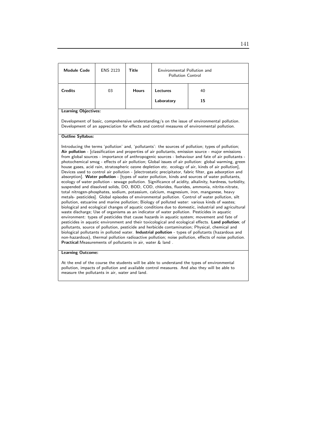| <b>Module Code</b>          | <b>ENS 2123</b> | Title        | Environmental Pollution and<br><b>Pollution Control</b> |    |
|-----------------------------|-----------------|--------------|---------------------------------------------------------|----|
| <b>Credits</b>              | 03              | <b>Hours</b> | <b>Lectures</b>                                         | 40 |
|                             |                 |              | Laboratory                                              | 15 |
| <b>Learning Objectives:</b> |                 |              |                                                         |    |

Development of basic, comprehensive understanding/s on the issue of environmental pollution. Development of an appreciation for effects and control measures of environmental pollution.

#### Outline Syllabus:

Introducing the terms 'pollution' and, 'pollutants': the sources of pollution; types of pollution; Air pollution - [classification and properties of air pollutants, emission source - major emissions from global sources - importance of anthropogenic sources - behaviour and fate of air pollutants photochemical smog - effects of air pollution; Global issues of air pollution: global warming, green house gases, acid rain, stratospheric ozone depletion etc. ecology of air, kinds of air pollution], Devices used to control air pollution - [electrostatic precipitator, fabric filter, gas adsorption and absorption]. Water pollution - [types of water pollution, kinds and sources of water pollutants, ecology of water pollution - sewage pollution. Significance of acidity, alkalinity, hardness, turbidity, suspended and dissolved solids, DO, BOD, COD, chlorides, fluorides, ammonia, nitrite-nitrate, total nitrogen-phosphates, sodium, potassium, calcium, magnesium, iron, manganese, heavy metals- pesticides]. Global episodes of environmental pollution. Control of water pollution, silt pollution, estuarine and marine pollution; Biology of polluted water: various kinds of wastes; biological and ecological changes of aquatic conditions due to domestic, industrial and agricultural waste discharge; Use of organisms as an indicator of water pollution. Pesticides in aquatic environment: types of pesticides that cause hazards in aquatic system; movement and fate of pesticides in aquatic environment and their toxicological and ecological effects. Land pollution; of pollutants, source of pollution, pesticide and herbicide contamination; Physical, chemical and biological pollutants in polluted water. Industrial pollution - types of pollutants (hazardous and non-hazardous), thermal pollution radioactive pollution; noise pollution, effects of noise pollution. Practical:Measurements of pollutants in air, water & land .

#### Learning Outcome:

At the end of the course the students will be able to understand the types of environmental pollution, impacts of pollution and available control measures. And also they will be able to measure the pollutants in air, water and land.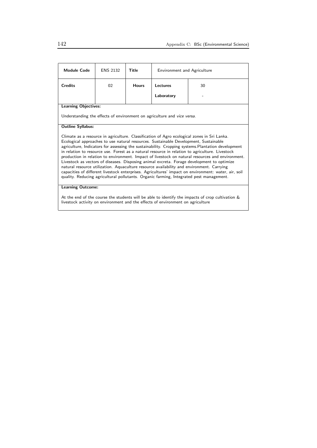| <b>Module Code</b>                                                                                                                                                                                                                                                                                                                                                                                                                                                                                                                                                                                                                                                                                                                                                                                                                                                                            | <b>ENS 2132</b> | Title        | <b>Environment and Agriculture</b> |    |
|-----------------------------------------------------------------------------------------------------------------------------------------------------------------------------------------------------------------------------------------------------------------------------------------------------------------------------------------------------------------------------------------------------------------------------------------------------------------------------------------------------------------------------------------------------------------------------------------------------------------------------------------------------------------------------------------------------------------------------------------------------------------------------------------------------------------------------------------------------------------------------------------------|-----------------|--------------|------------------------------------|----|
| <b>Credits</b>                                                                                                                                                                                                                                                                                                                                                                                                                                                                                                                                                                                                                                                                                                                                                                                                                                                                                | 02              | <b>Hours</b> | Lectures                           | 30 |
|                                                                                                                                                                                                                                                                                                                                                                                                                                                                                                                                                                                                                                                                                                                                                                                                                                                                                               |                 |              | Laboratory                         |    |
| <b>Learning Objectives:</b>                                                                                                                                                                                                                                                                                                                                                                                                                                                                                                                                                                                                                                                                                                                                                                                                                                                                   |                 |              |                                    |    |
| Understanding the effects of environment on agriculture and vice versa.                                                                                                                                                                                                                                                                                                                                                                                                                                                                                                                                                                                                                                                                                                                                                                                                                       |                 |              |                                    |    |
| <b>Outline Syllabus:</b>                                                                                                                                                                                                                                                                                                                                                                                                                                                                                                                                                                                                                                                                                                                                                                                                                                                                      |                 |              |                                    |    |
| Climate as a resource in agriculture. Classification of Agro ecological zones in Sri Lanka.<br>Ecological approaches to use natural resources. Sustainable Development, Sustainable<br>agriculture, Indicators for assessing the sustainability. Cropping systems.Plantation development<br>in relation to resource use. Forest as a natural resource in relation to agriculture. Livestock<br>production in relation to environment. Impact of livestock on natural resources and environment.<br>Livestock as vectors of diseases. Disposing animal excreta. Forage development to optimize<br>natural resource utilization. Aquaculture resource availability and environment. Carrying<br>capacities of different livestock enterprises. Agricultures' impact on environment: water, air, soil<br>quality. Reducing agricultural pollutants. Organic farming, Integrated pest management. |                 |              |                                    |    |
| <b>Learning Outcome:</b>                                                                                                                                                                                                                                                                                                                                                                                                                                                                                                                                                                                                                                                                                                                                                                                                                                                                      |                 |              |                                    |    |
|                                                                                                                                                                                                                                                                                                                                                                                                                                                                                                                                                                                                                                                                                                                                                                                                                                                                                               |                 |              |                                    |    |

At the end of the course the students will be able to identify the impacts of crop cultivation & livestock activity on environment and the effects of environment on agriculture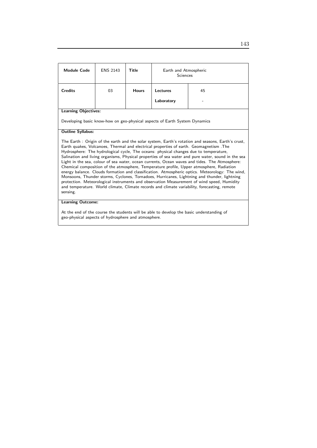| <b>Module Code</b>                                                                                                                                                                                                                                                                                                                                                                                                                                                                                                                                                                                                                                                                                                                                                                                                                                                                                                                                                                                                               | <b>ENS 2143</b> | Title        | Earth and Atmospheric<br><b>Sciences</b>                                   |    |  |
|----------------------------------------------------------------------------------------------------------------------------------------------------------------------------------------------------------------------------------------------------------------------------------------------------------------------------------------------------------------------------------------------------------------------------------------------------------------------------------------------------------------------------------------------------------------------------------------------------------------------------------------------------------------------------------------------------------------------------------------------------------------------------------------------------------------------------------------------------------------------------------------------------------------------------------------------------------------------------------------------------------------------------------|-----------------|--------------|----------------------------------------------------------------------------|----|--|
| <b>Credits</b>                                                                                                                                                                                                                                                                                                                                                                                                                                                                                                                                                                                                                                                                                                                                                                                                                                                                                                                                                                                                                   | 03              | <b>Hours</b> | Lectures                                                                   | 45 |  |
|                                                                                                                                                                                                                                                                                                                                                                                                                                                                                                                                                                                                                                                                                                                                                                                                                                                                                                                                                                                                                                  |                 |              | Laboratory                                                                 |    |  |
| <b>Learning Objectives:</b>                                                                                                                                                                                                                                                                                                                                                                                                                                                                                                                                                                                                                                                                                                                                                                                                                                                                                                                                                                                                      |                 |              |                                                                            |    |  |
|                                                                                                                                                                                                                                                                                                                                                                                                                                                                                                                                                                                                                                                                                                                                                                                                                                                                                                                                                                                                                                  |                 |              | Developing basic know-how on geo-physical aspects of Earth System Dynamics |    |  |
| <b>Outline Syllabus:</b>                                                                                                                                                                                                                                                                                                                                                                                                                                                                                                                                                                                                                                                                                                                                                                                                                                                                                                                                                                                                         |                 |              |                                                                            |    |  |
| The Earth: Origin of the earth and the solar system, Earth's rotation and seasons, Earth's crust,<br>Earth quakes, Volcanoes, Thermal and electrical properties of earth. Geomagnetism . The<br>Hydrosphere: The hydrological cycle, The oceans: physical changes due to temperature,<br>Salination and living organisms, Physical properties of sea water and pure water, sound in the sea<br>Light in the sea, colour of sea water, ocean currents, Ocean waves and tides. The Atmosphere:<br>Chemical composition of the atmosphere, Temperature profile, Upper atmosphere, Radiation<br>energy balance. Clouds formation and classification. Atmospheric optics. Meteorology: The wind,<br>Monsoons, Thunder storms, Cyclones, Tornadoes, Hurricanes, Lightning and thunder, lightning<br>protection. Meteorological instruments and observation Measurement of wind speed, Humidity<br>and temperature. World climate, Climate records and climate variability, forecasting, remote<br>sensing.<br><b>Learning Outcome:</b> |                 |              |                                                                            |    |  |
| Am mhair an dheafhair a chuid mhair am cheangaidh bha a bha mar chuidhean mhair ba ata cuidheann a dhe an a fh                                                                                                                                                                                                                                                                                                                                                                                                                                                                                                                                                                                                                                                                                                                                                                                                                                                                                                                   |                 |              |                                                                            |    |  |

At the end of the course the students will be able to develop the basic understanding of geo-physical aspects of hydrosphere and atmosphere.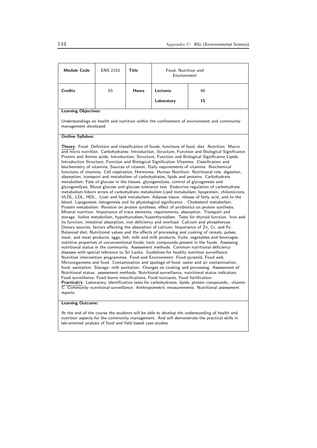| <b>Module Code</b>                                                                                                                                                                                                                                                                                                                                                                                                                                                                                                                                                                                                                                                                                                                                                                                                                                                                                                                                                                                                                                                                                                                                                                                                                                                                                                                                                                                                                                                                                                                                                                                                                                                                                                                                                                                                                                                                                                                                                                                                                                                                                                                                                                                                                                                                                                                                                                                                                                                                                                                                                                                                                                                                                                                                                                                                                                                                           | <b>ENS 2153</b> | Title        | Food, Nutrition and<br>Environment |                                                                                            |  |
|----------------------------------------------------------------------------------------------------------------------------------------------------------------------------------------------------------------------------------------------------------------------------------------------------------------------------------------------------------------------------------------------------------------------------------------------------------------------------------------------------------------------------------------------------------------------------------------------------------------------------------------------------------------------------------------------------------------------------------------------------------------------------------------------------------------------------------------------------------------------------------------------------------------------------------------------------------------------------------------------------------------------------------------------------------------------------------------------------------------------------------------------------------------------------------------------------------------------------------------------------------------------------------------------------------------------------------------------------------------------------------------------------------------------------------------------------------------------------------------------------------------------------------------------------------------------------------------------------------------------------------------------------------------------------------------------------------------------------------------------------------------------------------------------------------------------------------------------------------------------------------------------------------------------------------------------------------------------------------------------------------------------------------------------------------------------------------------------------------------------------------------------------------------------------------------------------------------------------------------------------------------------------------------------------------------------------------------------------------------------------------------------------------------------------------------------------------------------------------------------------------------------------------------------------------------------------------------------------------------------------------------------------------------------------------------------------------------------------------------------------------------------------------------------------------------------------------------------------------------------------------------------|-----------------|--------------|------------------------------------|--------------------------------------------------------------------------------------------|--|
| <b>Credits</b>                                                                                                                                                                                                                                                                                                                                                                                                                                                                                                                                                                                                                                                                                                                                                                                                                                                                                                                                                                                                                                                                                                                                                                                                                                                                                                                                                                                                                                                                                                                                                                                                                                                                                                                                                                                                                                                                                                                                                                                                                                                                                                                                                                                                                                                                                                                                                                                                                                                                                                                                                                                                                                                                                                                                                                                                                                                                               | 03              | <b>Hours</b> | Lectures                           | 40                                                                                         |  |
|                                                                                                                                                                                                                                                                                                                                                                                                                                                                                                                                                                                                                                                                                                                                                                                                                                                                                                                                                                                                                                                                                                                                                                                                                                                                                                                                                                                                                                                                                                                                                                                                                                                                                                                                                                                                                                                                                                                                                                                                                                                                                                                                                                                                                                                                                                                                                                                                                                                                                                                                                                                                                                                                                                                                                                                                                                                                                              |                 |              | Laboratory                         | 15                                                                                         |  |
| <b>Learning Objectives:</b>                                                                                                                                                                                                                                                                                                                                                                                                                                                                                                                                                                                                                                                                                                                                                                                                                                                                                                                                                                                                                                                                                                                                                                                                                                                                                                                                                                                                                                                                                                                                                                                                                                                                                                                                                                                                                                                                                                                                                                                                                                                                                                                                                                                                                                                                                                                                                                                                                                                                                                                                                                                                                                                                                                                                                                                                                                                                  |                 |              |                                    |                                                                                            |  |
| management developed.                                                                                                                                                                                                                                                                                                                                                                                                                                                                                                                                                                                                                                                                                                                                                                                                                                                                                                                                                                                                                                                                                                                                                                                                                                                                                                                                                                                                                                                                                                                                                                                                                                                                                                                                                                                                                                                                                                                                                                                                                                                                                                                                                                                                                                                                                                                                                                                                                                                                                                                                                                                                                                                                                                                                                                                                                                                                        |                 |              |                                    | Understandings on health and nutrition within the confinement of environment and community |  |
| <b>Outline Syllabus:</b>                                                                                                                                                                                                                                                                                                                                                                                                                                                                                                                                                                                                                                                                                                                                                                                                                                                                                                                                                                                                                                                                                                                                                                                                                                                                                                                                                                                                                                                                                                                                                                                                                                                                                                                                                                                                                                                                                                                                                                                                                                                                                                                                                                                                                                                                                                                                                                                                                                                                                                                                                                                                                                                                                                                                                                                                                                                                     |                 |              |                                    |                                                                                            |  |
| <b>Theory:</b> Food: Definition and classification of foods, functions of food, diet. Nutrition: Macro<br>and micro nutrition. Carbohydrates- Introduction, Structure, Function and Biological Significance<br>Protein and Amino acids- Introduction, Structure, Function and Biological Significance Lipids-<br>Introduction Structure, Function and Biological Signification Vitamins: Classification and<br>biochemistry of vitamins, Sources of vitamin, Daily requirements of vitamins. Biochemical<br>functions of vitamins. Cell respiration, Hormones. Human Nutrition: Nutritional role, digestion,<br>absorption, transport and metabolism of carbohydrates, lipids and proteins. Carbohydrate<br>metabolism; Fate of glucose in the tissues, glycogenolysis, control of glycogenesis and<br>glycogenelysis, Blood glucose and glucose tolerance test. Endocrine regulation of carbohydrate<br>metabolism. Inborn errors of carbohydrate metabolism. Lipid metabolism; lipoprotein, chilomicrons,<br>VLDL, LDL, HDL,. Liver and lipid metabolism, Adipose tissue, release of fatty acid, and to the<br>blood. Lipogenesis, ketogenesis and its physiological significance. Cholesterol metabolism.<br>Protein metabolism: Revision on protein synthesis, effect of antibiotics on protein synthesis.<br>Mineral nutrition: Importance of trace elements, requirements, absorption. Transport and<br>storage. Iodine metabolism, hypothyrodism/hyperthyroidism. Tests for thyroid function. Iron and<br>its function, intestinal absorption, iron deficiency and overload. Calcium and phosphorous:<br>Dietary sources, factors affecting the absorption of calcium; Importance of Zn, Cr, and Fe.<br>Balanced diet, Nutritional values and the effects of processing and cooking of cereals, pulses,<br>meat, and meat products, eggs, fish, milk and milk products, fruits, vegetables and beverages;<br>nutritive properties of unconventional foods; toxic compounds present in the foods. Assessing<br>nutritional status in the community. Assessment methods. Common nutritional deficiency<br>diseases with special reference to Sri Lanka. Guidelines for healthy nutrition surveillance.<br>Nutrition intervention programmes. Food and Environment: Food pyramid, Food web.<br>Microorganisms and food. Contamination and spoilage of food, water and air contamination,<br>food, sanitation. Storage- milk sanitation. Changes on cooking and processing. Assessment of<br>Nutritional status: assessment methods, Nutritional surveillance, nutritional status indicators.<br>Food surveillance, Food borne intoxifications, Food toxicants, Food fortification.<br>Practical/s: Laboratory, identification tests for carbohydrates, lipids, protein compounds., vitamin<br>C. Community nutritional surveillance: Anthropometric measurements. Nutritional assessment |                 |              |                                    |                                                                                            |  |

#### Learning Outcome:

At the end of the course the students will be able to develop the understanding of health and nutrition aspects for the community management. And will demonstrate the practical skills in lab-oriented analysis of food and field based case studies.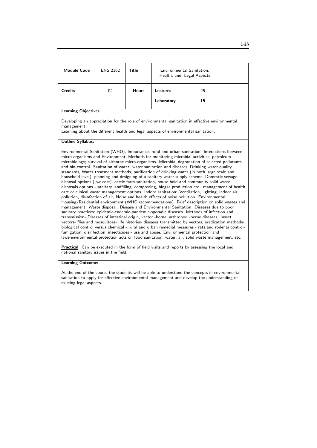| <b>Module Code</b>                                                                                                                                                                                                                                                                                                                                                                                                                                                                                                                                                                                                                                                                                                                                                                                                                                                                                                                                                                                                                                                                                                                                                                                                                                                                                                                                                                                                                                                                                                                                                                                                                                                                                                                                                                                                                                                                             | <b>ENS 2162</b> | <b>Title</b> | Environmental Sanitation,<br>Health, and, Legal Aspects |    |  |
|------------------------------------------------------------------------------------------------------------------------------------------------------------------------------------------------------------------------------------------------------------------------------------------------------------------------------------------------------------------------------------------------------------------------------------------------------------------------------------------------------------------------------------------------------------------------------------------------------------------------------------------------------------------------------------------------------------------------------------------------------------------------------------------------------------------------------------------------------------------------------------------------------------------------------------------------------------------------------------------------------------------------------------------------------------------------------------------------------------------------------------------------------------------------------------------------------------------------------------------------------------------------------------------------------------------------------------------------------------------------------------------------------------------------------------------------------------------------------------------------------------------------------------------------------------------------------------------------------------------------------------------------------------------------------------------------------------------------------------------------------------------------------------------------------------------------------------------------------------------------------------------------|-----------------|--------------|---------------------------------------------------------|----|--|
| <b>Credits</b>                                                                                                                                                                                                                                                                                                                                                                                                                                                                                                                                                                                                                                                                                                                                                                                                                                                                                                                                                                                                                                                                                                                                                                                                                                                                                                                                                                                                                                                                                                                                                                                                                                                                                                                                                                                                                                                                                 | 02              | <b>Hours</b> | <b>Lectures</b>                                         | 25 |  |
|                                                                                                                                                                                                                                                                                                                                                                                                                                                                                                                                                                                                                                                                                                                                                                                                                                                                                                                                                                                                                                                                                                                                                                                                                                                                                                                                                                                                                                                                                                                                                                                                                                                                                                                                                                                                                                                                                                |                 |              | Laboratory                                              | 15 |  |
| <b>Learning Objectives:</b>                                                                                                                                                                                                                                                                                                                                                                                                                                                                                                                                                                                                                                                                                                                                                                                                                                                                                                                                                                                                                                                                                                                                                                                                                                                                                                                                                                                                                                                                                                                                                                                                                                                                                                                                                                                                                                                                    |                 |              |                                                         |    |  |
| Developing an appreciation for the role of environmental sanitation in effective environmental<br>management<br>Learning about the different health and legal aspects of environmental sanitation.                                                                                                                                                                                                                                                                                                                                                                                                                                                                                                                                                                                                                                                                                                                                                                                                                                                                                                                                                                                                                                                                                                                                                                                                                                                                                                                                                                                                                                                                                                                                                                                                                                                                                             |                 |              |                                                         |    |  |
| <b>Outline Syllabus:</b>                                                                                                                                                                                                                                                                                                                                                                                                                                                                                                                                                                                                                                                                                                                                                                                                                                                                                                                                                                                                                                                                                                                                                                                                                                                                                                                                                                                                                                                                                                                                                                                                                                                                                                                                                                                                                                                                       |                 |              |                                                         |    |  |
| Environmental Sanitation (WHO), Importance, rural and urban sanitation. Interactions between<br>micro-organisms and Environment, Methods for monitoring microbial activities; petroleum<br>microbiology; survival of airborne micro-organisms. Microbial degradation of selected pollutants<br>and bio-control. Sanitation of water: water sanitation and diseases, Drinking water quality<br>standards, Water treatment methods, purification of drinking water (in both large scale and<br>household level), planning and designing of a sanitary water supply scheme, Domestic sewage<br>disposal options (low cost), cattle farm sanitation, house hold and community solid waste<br>disposals options - sanitary landfilling, composting, biogas production etc., management of health<br>care or clinical waste management options. Indoor sanitation: Ventilation, lighting, indoor air<br>pollution, disinfection of air, Noise and health effects of noise pollution. Environmental<br>Housing/Residential environment (WHO recommendations). Brief description on solid wastes and<br>management. Waste disposal. Disease and Environmental Sanitation: Diseases due to poor<br>sanitary practices: epidemic-endemic-pandemic-sporadic diseases. Methods of infection and<br>transmission- Diseases of intestinal origin, vector -borne, arthropod -borne diseases. Insect<br>vectors- flies and mosquitoes- life histories- diseases transmitted by vectors, eradication methods-<br>biological control versus chemical - rural and urban remedial measures - rats and rodents control-<br>fumigation, disinfection, insecticides - use and abuse. Environmental protection and<br>laws-environmental protection acts on food sanitation, water, air, solid waste management, etc.<br>Practical: Can be executed in the form of field visits and reports by assessing the local and |                 |              |                                                         |    |  |

### Learning Outcome:

At the end of the course the students will be able to understand the concepts in environmental sanitation to apply for effective environmental management and develop the understanding of existing legal aspects.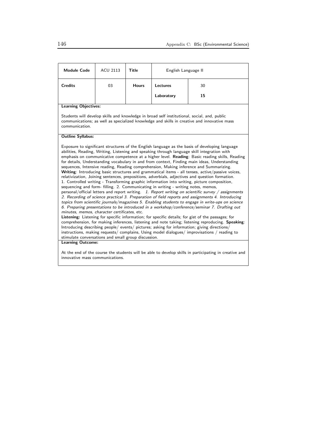| <b>Module Code</b>                                                                                                                                                                                                                                                                                                                                                                                                                                                                                                                                                                                                                                                                                                                                                                                                                                                                                                                                                                                                                                                                                                                                                                                                                                                                                                                                                                                                                                                                                                                                                                                                                                                                                                                                                                                             | <b>ACU 2113</b> | Title        | English Language II |    |  |
|----------------------------------------------------------------------------------------------------------------------------------------------------------------------------------------------------------------------------------------------------------------------------------------------------------------------------------------------------------------------------------------------------------------------------------------------------------------------------------------------------------------------------------------------------------------------------------------------------------------------------------------------------------------------------------------------------------------------------------------------------------------------------------------------------------------------------------------------------------------------------------------------------------------------------------------------------------------------------------------------------------------------------------------------------------------------------------------------------------------------------------------------------------------------------------------------------------------------------------------------------------------------------------------------------------------------------------------------------------------------------------------------------------------------------------------------------------------------------------------------------------------------------------------------------------------------------------------------------------------------------------------------------------------------------------------------------------------------------------------------------------------------------------------------------------------|-----------------|--------------|---------------------|----|--|
| <b>Credits</b>                                                                                                                                                                                                                                                                                                                                                                                                                                                                                                                                                                                                                                                                                                                                                                                                                                                                                                                                                                                                                                                                                                                                                                                                                                                                                                                                                                                                                                                                                                                                                                                                                                                                                                                                                                                                 | 03              | <b>Hours</b> | Lectures            | 30 |  |
|                                                                                                                                                                                                                                                                                                                                                                                                                                                                                                                                                                                                                                                                                                                                                                                                                                                                                                                                                                                                                                                                                                                                                                                                                                                                                                                                                                                                                                                                                                                                                                                                                                                                                                                                                                                                                |                 |              | Laboratory          | 15 |  |
| <b>Learning Objectives:</b>                                                                                                                                                                                                                                                                                                                                                                                                                                                                                                                                                                                                                                                                                                                                                                                                                                                                                                                                                                                                                                                                                                                                                                                                                                                                                                                                                                                                                                                                                                                                                                                                                                                                                                                                                                                    |                 |              |                     |    |  |
| Students will develop skills and knowledge in broad self institutional, social, and, public<br>communications; as well as specialized knowledge and skills in creative and innovative mass<br>communication.                                                                                                                                                                                                                                                                                                                                                                                                                                                                                                                                                                                                                                                                                                                                                                                                                                                                                                                                                                                                                                                                                                                                                                                                                                                                                                                                                                                                                                                                                                                                                                                                   |                 |              |                     |    |  |
| <b>Outline Syllabus:</b>                                                                                                                                                                                                                                                                                                                                                                                                                                                                                                                                                                                                                                                                                                                                                                                                                                                                                                                                                                                                                                                                                                                                                                                                                                                                                                                                                                                                                                                                                                                                                                                                                                                                                                                                                                                       |                 |              |                     |    |  |
| Exposure to significant structures of the English language as the basis of developing language<br>abilities, Reading, Writing, Listening and speaking through language skill integration with<br>emphasis on communicative competence at a higher level. Reading: Basic reading skills, Reading<br>for details, Understanding vocabulary in and from context, Finding main ideas, Understanding<br>sequences, Intensive reading, Reading comprehension, Making inference and Summarizing.<br>Writing: Introducing basic structures and grammatical items - all tenses, active/passive voices,<br>relativization, Joining sentences, prepositions, adverbials, adjectives and question formation.<br>1. Controlled writing - Transforming graphic information into writing, picture composition,<br>sequencing and form-filling. 2. Communicating in writing - writing notes, memos,<br>personal/official letters and report writing. 1. Report writing on scientific survey / assignments<br>2. Recording of science practical 3. Preparation of field reports and assignments 4. Introducing<br>topics from scientific journals/magazines 5. Enabling students to engage in write-ups on science<br>6. Preparing presentations to be introduced in a workshop/conference/seminar 7. Drafting out<br>minutes, memos, character certificates, etc.<br>Listening: Listening for specific information; for specific details; for gist of the passages; for<br>comprehension, for making inferences, listening and note taking; listening reproducing. Speaking:<br>Introducing describing people/events/pictures; asking for information; giving directions/<br>instructions, making requests/complains, Using model dialogues/improvisations / reading to<br>stimulate conversations and small group discussion. |                 |              |                     |    |  |
| <b>Learning Outcome:</b><br>At the end of the course the students will be able to develop skills in participating in creative and<br>innovative mass communications.                                                                                                                                                                                                                                                                                                                                                                                                                                                                                                                                                                                                                                                                                                                                                                                                                                                                                                                                                                                                                                                                                                                                                                                                                                                                                                                                                                                                                                                                                                                                                                                                                                           |                 |              |                     |    |  |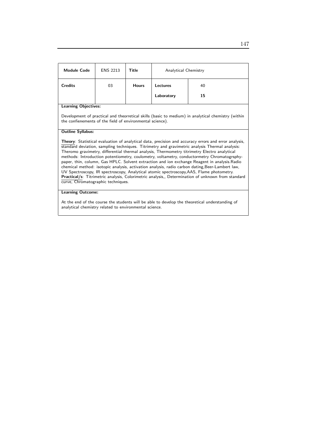| <b>Module Code</b>                                                                                                                                                                                                                                                                                                                                                                                                                                                                                                                                                                                                                                                                                                                                                                                                                                      | <b>ENS 2213</b> | Title        | Analytical Chemistry |    |
|---------------------------------------------------------------------------------------------------------------------------------------------------------------------------------------------------------------------------------------------------------------------------------------------------------------------------------------------------------------------------------------------------------------------------------------------------------------------------------------------------------------------------------------------------------------------------------------------------------------------------------------------------------------------------------------------------------------------------------------------------------------------------------------------------------------------------------------------------------|-----------------|--------------|----------------------|----|
| <b>Credits</b>                                                                                                                                                                                                                                                                                                                                                                                                                                                                                                                                                                                                                                                                                                                                                                                                                                          | 03              | <b>Hours</b> | Lectures             | 40 |
|                                                                                                                                                                                                                                                                                                                                                                                                                                                                                                                                                                                                                                                                                                                                                                                                                                                         |                 |              | Laboratory           | 15 |
| <b>Learning Objectives:</b>                                                                                                                                                                                                                                                                                                                                                                                                                                                                                                                                                                                                                                                                                                                                                                                                                             |                 |              |                      |    |
| Development of practical and theorretical skills (basic to medium) in analytical chemistry (within<br>the confienements of the field of environmental science).                                                                                                                                                                                                                                                                                                                                                                                                                                                                                                                                                                                                                                                                                         |                 |              |                      |    |
| <b>Outline Syllabus:</b>                                                                                                                                                                                                                                                                                                                                                                                                                                                                                                                                                                                                                                                                                                                                                                                                                                |                 |              |                      |    |
| <b>Theory:</b> Statistical evaluation of analytical data, precision and accuracy errors and error analysis,<br>standard deviation, sampling techniques. Titrimetry and gravimetric analysis Thermal analysis:<br>Theromo gravimetry, differential thermal analysis, Thermometry titrimetry Electro analytical<br>methods: Introduction potentiometry, coulometry, voltametry, conductormetry Chromatogrsphy-<br>paper, thin, column, Gas HPLC. Solvent extraction and ion exchange Reagent in analysis. Radio<br>chemical method: isotopic analysis, activation analysis, radio carbon dating, Beer-Lambert law,<br>UV Spectroscopy, IR spectroscopy, Analytical atomic spectroscopy, AAS, Flame photometry.<br>Practical/s: Titrimetric analysis, Colorimetric analysis,, Determination of unknown from standard<br>curve, Chromatographic techniques. |                 |              |                      |    |
| <b>Learning Outcome:</b>                                                                                                                                                                                                                                                                                                                                                                                                                                                                                                                                                                                                                                                                                                                                                                                                                                |                 |              |                      |    |

At the end of the course the students will be able to develop the theoretical understanding of analytical chemistry related to environmental science.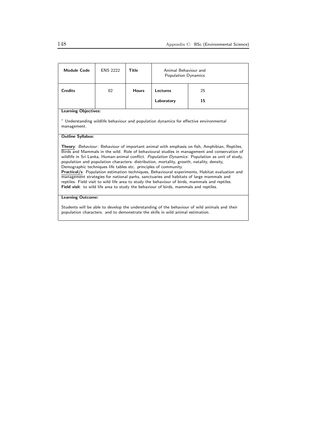| <b>Module Code</b>                                                                                                                                                                                                                                                                                                                                                                                                                                                                                                                                                                                                                                                                                                                                                                                                                                              | <b>ENS 2222</b> | Title        | Animal Behaviour and<br>Population Dynamics                                                                                                                                                                                   |    |  |
|-----------------------------------------------------------------------------------------------------------------------------------------------------------------------------------------------------------------------------------------------------------------------------------------------------------------------------------------------------------------------------------------------------------------------------------------------------------------------------------------------------------------------------------------------------------------------------------------------------------------------------------------------------------------------------------------------------------------------------------------------------------------------------------------------------------------------------------------------------------------|-----------------|--------------|-------------------------------------------------------------------------------------------------------------------------------------------------------------------------------------------------------------------------------|----|--|
| <b>Credits</b>                                                                                                                                                                                                                                                                                                                                                                                                                                                                                                                                                                                                                                                                                                                                                                                                                                                  | 02              | <b>Hours</b> | <b>Lectures</b>                                                                                                                                                                                                               | 25 |  |
|                                                                                                                                                                                                                                                                                                                                                                                                                                                                                                                                                                                                                                                                                                                                                                                                                                                                 |                 |              | Laboratory                                                                                                                                                                                                                    | 15 |  |
| <b>Learning Objectives:</b>                                                                                                                                                                                                                                                                                                                                                                                                                                                                                                                                                                                                                                                                                                                                                                                                                                     |                 |              |                                                                                                                                                                                                                               |    |  |
| " Understanding wildlife behaviour and population dynamics for effective environmental<br>management.                                                                                                                                                                                                                                                                                                                                                                                                                                                                                                                                                                                                                                                                                                                                                           |                 |              |                                                                                                                                                                                                                               |    |  |
| <b>Outline Syllabus:</b>                                                                                                                                                                                                                                                                                                                                                                                                                                                                                                                                                                                                                                                                                                                                                                                                                                        |                 |              |                                                                                                                                                                                                                               |    |  |
| <b>Theory:</b> Behaviour: Behaviour of important animal with emphasis on fish, Amphibian, Reptiles,<br>Birds and Mammals in the wild. Role of behavioural studies in management and conservation of<br>wildlife in Sri Lanka, Human-animal conflict. Population Dynamics: Population as unit of study,<br>population and population characters- distribution, mortality, growth, natality, density,<br>Demographic techniques life tables etc. principles of community.<br>Practical/s: Population estimation techniques, Behavioural experiments, Habitat evaluation and<br>management strategies for national parks, sanctuaries and habitats of large mammals and<br>reptiles. Field visit to wild life area to study the behaviour of birds, mammals and reptiles.<br>Field visit: to wild life area to study the behaviour of birds, mammals and reptiles. |                 |              |                                                                                                                                                                                                                               |    |  |
| <b>Learning Outcome:</b>                                                                                                                                                                                                                                                                                                                                                                                                                                                                                                                                                                                                                                                                                                                                                                                                                                        |                 |              |                                                                                                                                                                                                                               |    |  |
|                                                                                                                                                                                                                                                                                                                                                                                                                                                                                                                                                                                                                                                                                                                                                                                                                                                                 |                 |              | 0. I. THE HEATH IS A REPORT OF THE RESIDENCE OF THE RESIDENCE OF THE RESIDENCE OF THE RESIDENCE OF THE RESIDENCE OF THE RESIDENCE OF THE RESIDENCE OF THE RESIDENCE OF THE RESIDENCE OF THE RESIDENCE OF THE RESIDENCE OF THE |    |  |

Students will be able to develop the understanding of the behaviour of wild animals and their population characters. and to demonstrate the skills in wild animal estimation.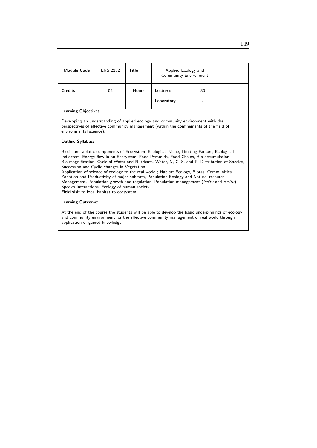| <b>Module Code</b>                                                                                                                                                                                                                                                                                                                                                                                                                                                                                                                                                                                                                                                                                                            | <b>ENS 2232</b> | Title        | Applied Ecology and<br>Community Environment |    |  |
|-------------------------------------------------------------------------------------------------------------------------------------------------------------------------------------------------------------------------------------------------------------------------------------------------------------------------------------------------------------------------------------------------------------------------------------------------------------------------------------------------------------------------------------------------------------------------------------------------------------------------------------------------------------------------------------------------------------------------------|-----------------|--------------|----------------------------------------------|----|--|
| <b>Credits</b>                                                                                                                                                                                                                                                                                                                                                                                                                                                                                                                                                                                                                                                                                                                | 02              | <b>Hours</b> | <b>Lectures</b>                              | 30 |  |
|                                                                                                                                                                                                                                                                                                                                                                                                                                                                                                                                                                                                                                                                                                                               |                 |              | Laboratory                                   |    |  |
| <b>Learning Objectives:</b>                                                                                                                                                                                                                                                                                                                                                                                                                                                                                                                                                                                                                                                                                                   |                 |              |                                              |    |  |
| Developing an understanding of applied ecology and community environment with the<br>perspectives of effective community management (within the confinements of the field of<br>environmental science).                                                                                                                                                                                                                                                                                                                                                                                                                                                                                                                       |                 |              |                                              |    |  |
| <b>Outline Syllabus:</b>                                                                                                                                                                                                                                                                                                                                                                                                                                                                                                                                                                                                                                                                                                      |                 |              |                                              |    |  |
| Biotic and abiotic components of Ecosystem, Ecological Niche, Limiting Factors, Ecological<br>Indicators, Energy flow in an Ecosystem, Food Pyramids, Food Chains, Bio-accumulation,<br>Bio-magnification, Cycle of Water and Nutrients, Water, N, C, S, and P; Distribution of Species,<br>Succession and Cyclic changes in Vegetation.<br>Application of science of ecology to the real world; Habitat Ecology, Biotas, Communities,<br>Zonation and Productivity of major habitats, Population Ecology and Natural resource<br>Management, Population growth and regulation; Population management (insitu and exsitu),<br>Species Interactions; Ecology of human society.<br>Field visit to local habitat to ecosystem. . |                 |              |                                              |    |  |
| <b>Learning Outcome:</b>                                                                                                                                                                                                                                                                                                                                                                                                                                                                                                                                                                                                                                                                                                      |                 |              |                                              |    |  |
| At the end of the course the students will be able to develop the basic underpinnings of ecology                                                                                                                                                                                                                                                                                                                                                                                                                                                                                                                                                                                                                              |                 |              |                                              |    |  |

and community environment for the effective community management of real world through application of gained knowledge.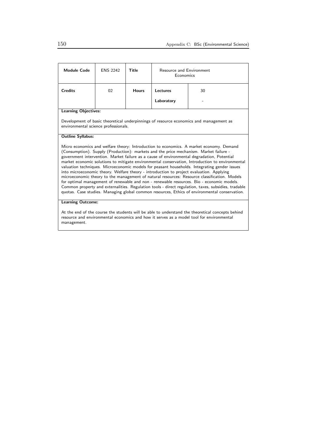| <b>Module Code</b>                                                                                                                                                                                                                                                                                                                                                                                                                                                                                                                                                                                                                                                                                                                                                                                                                                                                                                                                                                 | <b>ENS 2242</b> | Title        | Resource and Environment<br>Economics |    |  |
|------------------------------------------------------------------------------------------------------------------------------------------------------------------------------------------------------------------------------------------------------------------------------------------------------------------------------------------------------------------------------------------------------------------------------------------------------------------------------------------------------------------------------------------------------------------------------------------------------------------------------------------------------------------------------------------------------------------------------------------------------------------------------------------------------------------------------------------------------------------------------------------------------------------------------------------------------------------------------------|-----------------|--------------|---------------------------------------|----|--|
| <b>Credits</b>                                                                                                                                                                                                                                                                                                                                                                                                                                                                                                                                                                                                                                                                                                                                                                                                                                                                                                                                                                     | 02              | <b>Hours</b> | <b>Lectures</b>                       | 30 |  |
|                                                                                                                                                                                                                                                                                                                                                                                                                                                                                                                                                                                                                                                                                                                                                                                                                                                                                                                                                                                    |                 |              | Laboratory                            |    |  |
| <b>Learning Objectives:</b>                                                                                                                                                                                                                                                                                                                                                                                                                                                                                                                                                                                                                                                                                                                                                                                                                                                                                                                                                        |                 |              |                                       |    |  |
| Development of basic theoretical underpinnings of resource economics and management as<br>environmental science professionals.                                                                                                                                                                                                                                                                                                                                                                                                                                                                                                                                                                                                                                                                                                                                                                                                                                                     |                 |              |                                       |    |  |
| <b>Outline Syllabus:</b>                                                                                                                                                                                                                                                                                                                                                                                                                                                                                                                                                                                                                                                                                                                                                                                                                                                                                                                                                           |                 |              |                                       |    |  |
| Micro economics and welfare theory: Introduction to economics. A market economy. Demand<br>(Consumption). Supply (Production): markets and the price mechanism. Market failure -<br>government intervention. Market failure as a cause of environmental degradation, Potential<br>market economic solutions to mitigate environmental conservation, Introduction to environmental<br>valuation techniques. Microeconomic models for peasant households. Integrating gender issues<br>into microeconomic theory. Welfare theory - introduction to project evaluation. Applying<br>microeconomic theory to the management of natural resources: Resource classification. Models<br>for optimal management of renewable and non - renewable resources. Bio - economic models.<br>Common property and externalities. Regulation tools - direct regulation, taxes, subsidies, tradable<br>quotas. Case studies. Managing global common resources, Ethics of environmental conservation. |                 |              |                                       |    |  |
| <b>Learning Outcome:</b>                                                                                                                                                                                                                                                                                                                                                                                                                                                                                                                                                                                                                                                                                                                                                                                                                                                                                                                                                           |                 |              |                                       |    |  |
| At the end of the course the students will be able to understand the theoretical concepts behind                                                                                                                                                                                                                                                                                                                                                                                                                                                                                                                                                                                                                                                                                                                                                                                                                                                                                   |                 |              |                                       |    |  |

resource and environmental economics and how it serves as a model tool for environmental management.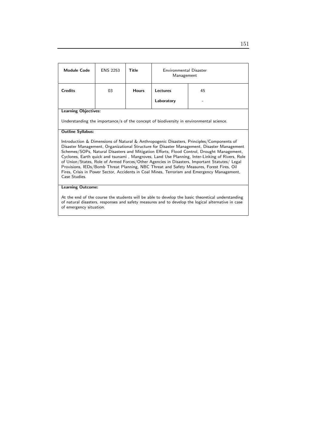| <b>Module Code</b>                                                                                                                                                                                                                | <b>ENS 2253</b>          | Title        | Environmental Disaster<br>Management |                                                                                                                                                                                          |  |
|-----------------------------------------------------------------------------------------------------------------------------------------------------------------------------------------------------------------------------------|--------------------------|--------------|--------------------------------------|------------------------------------------------------------------------------------------------------------------------------------------------------------------------------------------|--|
| <b>Credits</b>                                                                                                                                                                                                                    | 03                       | <b>Hours</b> | Lectures                             | 45                                                                                                                                                                                       |  |
|                                                                                                                                                                                                                                   |                          |              | Laboratory                           |                                                                                                                                                                                          |  |
| <b>Learning Objectives:</b>                                                                                                                                                                                                       |                          |              |                                      |                                                                                                                                                                                          |  |
|                                                                                                                                                                                                                                   |                          |              |                                      | Understanding the importance/s of the concept of biodiversity in environmental science.                                                                                                  |  |
| <b>Outline Syllabus:</b>                                                                                                                                                                                                          |                          |              |                                      |                                                                                                                                                                                          |  |
|                                                                                                                                                                                                                                   |                          |              |                                      | Introduction & Dimensions of Natural & Anthropogenic Disasters, Principles/Components of<br>Disaster Management, Organizational Structure for Disaster Management, Disaster Management   |  |
|                                                                                                                                                                                                                                   |                          |              |                                      | Schemes/SOPs, Natural Disasters and Mitigation Efforts, Flood Control, Drought Management,                                                                                               |  |
|                                                                                                                                                                                                                                   |                          |              |                                      | Cyclones, Earth quick and tsunami, Mangroves, Land Use Planning, Inter-Linking of Rivers, Role                                                                                           |  |
|                                                                                                                                                                                                                                   |                          |              |                                      | of Union/States, Role of Armed Forces/Other Agencies in Disasters, Important Statutes/ Legal<br>Provisions, IEDs/Bomb Threat Planning, NBC Threat and Safety Measures, Forest Fires, Oil |  |
| Fires, Crisis in Power Sector, Accidents in Coal Mines, Terrorism and Emergency Management,                                                                                                                                       |                          |              |                                      |                                                                                                                                                                                          |  |
| Case Studies.                                                                                                                                                                                                                     |                          |              |                                      |                                                                                                                                                                                          |  |
|                                                                                                                                                                                                                                   | <b>Learning Outcome:</b> |              |                                      |                                                                                                                                                                                          |  |
| $\mathbf{A}$ , and the contract of the contract of the contract of the contract of the contract of the contract of the contract of the contract of the contract of the contract of the contract of the contract of the contract o |                          |              |                                      |                                                                                                                                                                                          |  |

At the end of the course the students will be able to develop the basic theoretical understanding of natural disasters, responses and safety measures and to develop the logical alternative in case of emergency situation.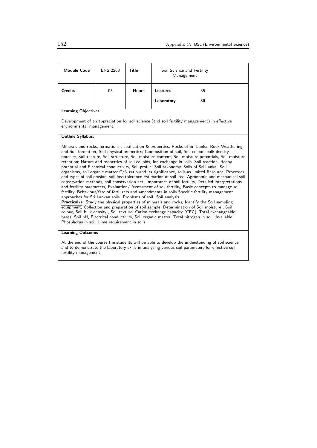| <b>Module Code</b>                                                                                                                                                                                                                                                                                                                                                                                                                                                                                                                                                                                                                                                                                                                                                                                                                                                                                                                                                                                                                                                                                                                                                                                                                                                                                                                                                                                                                                                                                                                                                | <b>ENS 2263</b> | <b>Title</b> | Soil Science and Fertility<br>Management |    |  |
|-------------------------------------------------------------------------------------------------------------------------------------------------------------------------------------------------------------------------------------------------------------------------------------------------------------------------------------------------------------------------------------------------------------------------------------------------------------------------------------------------------------------------------------------------------------------------------------------------------------------------------------------------------------------------------------------------------------------------------------------------------------------------------------------------------------------------------------------------------------------------------------------------------------------------------------------------------------------------------------------------------------------------------------------------------------------------------------------------------------------------------------------------------------------------------------------------------------------------------------------------------------------------------------------------------------------------------------------------------------------------------------------------------------------------------------------------------------------------------------------------------------------------------------------------------------------|-----------------|--------------|------------------------------------------|----|--|
| <b>Credits</b>                                                                                                                                                                                                                                                                                                                                                                                                                                                                                                                                                                                                                                                                                                                                                                                                                                                                                                                                                                                                                                                                                                                                                                                                                                                                                                                                                                                                                                                                                                                                                    | 03              | <b>Hours</b> | Lectures                                 | 35 |  |
|                                                                                                                                                                                                                                                                                                                                                                                                                                                                                                                                                                                                                                                                                                                                                                                                                                                                                                                                                                                                                                                                                                                                                                                                                                                                                                                                                                                                                                                                                                                                                                   |                 |              | Laboratory                               | 30 |  |
| <b>Learning Objectives:</b>                                                                                                                                                                                                                                                                                                                                                                                                                                                                                                                                                                                                                                                                                                                                                                                                                                                                                                                                                                                                                                                                                                                                                                                                                                                                                                                                                                                                                                                                                                                                       |                 |              |                                          |    |  |
| Development of an appreciation for soil science (and soil fertility management) in effective<br>environmental management.                                                                                                                                                                                                                                                                                                                                                                                                                                                                                                                                                                                                                                                                                                                                                                                                                                                                                                                                                                                                                                                                                                                                                                                                                                                                                                                                                                                                                                         |                 |              |                                          |    |  |
| <b>Outline Syllabus:</b>                                                                                                                                                                                                                                                                                                                                                                                                                                                                                                                                                                                                                                                                                                                                                                                                                                                                                                                                                                                                                                                                                                                                                                                                                                                                                                                                                                                                                                                                                                                                          |                 |              |                                          |    |  |
| Minerals and rocks, formation, classification & properties, Rocks of Sri Lanka, Rock Weathering<br>and Soil formation, Soil physical properties; Composition of soil, Soil colour, bulk density,<br>porosity, Soil texture, Soil structure, Soil moisture content, Soil moisture potentials, Soil moisture<br>retention; Nature and properties of soil colloids, Ion exchange in soils, Soil reaction, Redox<br>potential and Electrical conductivity, Soil profile, Soil taxonomy, Soils of Sri Lanka. Soil<br>organisms, soil organic matter C/N ratio and its significance, soils as limited Resource, Processes<br>and types of soil erosion, soil loss tolerance Estimation of soil loss, Agronomic and mechanical soil<br>conservation methods, soil conservation act. Importance of soil fertility, Detailed interpretations<br>and fertility parameters, Evaluation/ Assessment of soil fertility, Basic concepts to manage soil<br>fertility, Behaviour/fate of fertilizers and amendments in soils Specific fertility management<br>approaches for Sri Lankan soils. Problems of soil. Soil analysis.<br>Practical/s: Study the physical properties of minerals and rocks, Identify the Soil sampling<br>equipment, Collection and preparation of soil sample, Determination of Soil moisture, Soil<br>colour, Soil bulk density, Soil texture, Cation exchange capacity (CEC), Total exchangeable<br>bases, Soil pH, Electrical conductivity, Soil organic matter, Total nitrogen in soil, Available<br>Phosphorus in soil, Lime requirement in soils. |                 |              |                                          |    |  |
| <b>Learning Outcome:</b>                                                                                                                                                                                                                                                                                                                                                                                                                                                                                                                                                                                                                                                                                                                                                                                                                                                                                                                                                                                                                                                                                                                                                                                                                                                                                                                                                                                                                                                                                                                                          |                 |              |                                          |    |  |
| At the end of the course the students will be able to develop the understanding of soil science<br>and to demonstrate the laboratory skills in analysing various soil parameters for effective soil<br>fertility management.                                                                                                                                                                                                                                                                                                                                                                                                                                                                                                                                                                                                                                                                                                                                                                                                                                                                                                                                                                                                                                                                                                                                                                                                                                                                                                                                      |                 |              |                                          |    |  |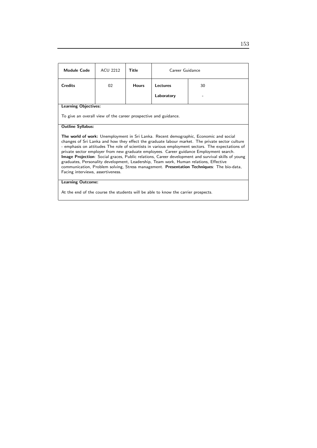| <b>Module Code</b>                                                                                                                                                                                                                                                                                                                                                                                                                                                                                                                                                                                                                                                                                                        | <b>ACU 2212</b> | Title        | Career Guidance |    |
|---------------------------------------------------------------------------------------------------------------------------------------------------------------------------------------------------------------------------------------------------------------------------------------------------------------------------------------------------------------------------------------------------------------------------------------------------------------------------------------------------------------------------------------------------------------------------------------------------------------------------------------------------------------------------------------------------------------------------|-----------------|--------------|-----------------|----|
| <b>Credits</b>                                                                                                                                                                                                                                                                                                                                                                                                                                                                                                                                                                                                                                                                                                            | 02              | <b>Hours</b> | Lectures        | 30 |
|                                                                                                                                                                                                                                                                                                                                                                                                                                                                                                                                                                                                                                                                                                                           |                 |              | Laboratory      |    |
| <b>Learning Objectives:</b>                                                                                                                                                                                                                                                                                                                                                                                                                                                                                                                                                                                                                                                                                               |                 |              |                 |    |
| To give an overall view of the career prospective and guidance.                                                                                                                                                                                                                                                                                                                                                                                                                                                                                                                                                                                                                                                           |                 |              |                 |    |
| <b>Outline Syllabus:</b>                                                                                                                                                                                                                                                                                                                                                                                                                                                                                                                                                                                                                                                                                                  |                 |              |                 |    |
| The world of work: Unemployment in Sri Lanka. Recent demographic, Economic and social<br>changes of Sri Lanka and how they effect the graduate labour market. The private sector culture<br>- emphasis on attitudes The role of scientists in various employment sectors. The expectations of<br>private sector employer from new graduate employees. Career guidance Employment search.<br>Image Projection: Social graces, Public relations, Career development and survival skills of young<br>graduates, Personality development, Leadership, Team work, Human relations, Effective<br>communication, Problem solving, Stress management. Presentation Techniques: The bio-data,<br>Facing interviews, assertiveness. |                 |              |                 |    |
| <b>Learning Outcome:</b>                                                                                                                                                                                                                                                                                                                                                                                                                                                                                                                                                                                                                                                                                                  |                 |              |                 |    |

At the end of the course the students will be able to know the carrier prospects.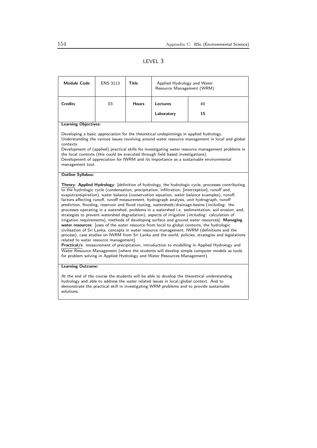# LEVEL 3

| <b>Module Code</b>                                                                                                                                                                                                                                                                                                                                                                                                                                                                                                                                                                                                                                                                                                                                                                                                                                                                                                                                                                                                                                                                                                                                                                                                                                                                                                                                                                                                                    | <b>ENS 3113</b> | Title        | Applied Hydrology and Water<br>Resource Management (WRM) |    |  |
|---------------------------------------------------------------------------------------------------------------------------------------------------------------------------------------------------------------------------------------------------------------------------------------------------------------------------------------------------------------------------------------------------------------------------------------------------------------------------------------------------------------------------------------------------------------------------------------------------------------------------------------------------------------------------------------------------------------------------------------------------------------------------------------------------------------------------------------------------------------------------------------------------------------------------------------------------------------------------------------------------------------------------------------------------------------------------------------------------------------------------------------------------------------------------------------------------------------------------------------------------------------------------------------------------------------------------------------------------------------------------------------------------------------------------------------|-----------------|--------------|----------------------------------------------------------|----|--|
| <b>Credits</b>                                                                                                                                                                                                                                                                                                                                                                                                                                                                                                                                                                                                                                                                                                                                                                                                                                                                                                                                                                                                                                                                                                                                                                                                                                                                                                                                                                                                                        | 03              | <b>Hours</b> | Lectures                                                 | 40 |  |
|                                                                                                                                                                                                                                                                                                                                                                                                                                                                                                                                                                                                                                                                                                                                                                                                                                                                                                                                                                                                                                                                                                                                                                                                                                                                                                                                                                                                                                       |                 |              | Laboratory                                               | 15 |  |
| <b>Learning Objectives:</b>                                                                                                                                                                                                                                                                                                                                                                                                                                                                                                                                                                                                                                                                                                                                                                                                                                                                                                                                                                                                                                                                                                                                                                                                                                                                                                                                                                                                           |                 |              |                                                          |    |  |
| Developing a basic appreciation for the theoretical undepinnings in applied hydrology.<br>Understanding the various issues revolving around water resource management in local and global<br>contexts.<br>Development of (applied) practical skills for investigating water resource management problems in<br>the local contexts (this could be executed through field based investigations).<br>Development of appreciation for IWRM and its importance as a sustainable environmental<br>management tool.                                                                                                                                                                                                                                                                                                                                                                                                                                                                                                                                                                                                                                                                                                                                                                                                                                                                                                                          |                 |              |                                                          |    |  |
| <b>Outline Syllabus:</b>                                                                                                                                                                                                                                                                                                                                                                                                                                                                                                                                                                                                                                                                                                                                                                                                                                                                                                                                                                                                                                                                                                                                                                                                                                                                                                                                                                                                              |                 |              |                                                          |    |  |
| Theory: Applied Hydrology: [definition of hydrology, the hydrologic cycle, processes contributing<br>to the hydrologic cycle (condensation, precipitation, infiltration, [interception], runoff and,<br>evapotransipiration), water balance (conservation equation, water balance examples), runoff,<br>factors affecting runoff, runoff measurement, hydrograph analysis, unit hydrograph, runoff<br>prediction, flooding, reservoir and flood routing, watersheds/drainage-basins (including: the<br>processes operating in a watershed, problems in a watershed i.e. sedimentation, soil erosion; and,<br>strategies to prevent watershed degradation), aspects of irrigation (including: calculation of<br>irrigation requirements), methods of developing surface and ground water resources]. Managing<br>water resources: [uses of the water resource from local to global contexts, the hydrologic<br>civilisation of Sri Lanka, concepts in water resource management, IWRM (definitions and the<br>process), case studies on IWRM from Sri Lanka and the world, policies, strategies and legislations<br>related to water resource management].<br>Practical/s: measurement of precipitation, introduction to modelling in Applied Hydrology and<br>Water Resource Management (where the students will develop simple computer models as tools<br>for problem solving in Applied Hydrology and Water Resources Management). |                 |              |                                                          |    |  |
| <b>Learning Outcome:</b>                                                                                                                                                                                                                                                                                                                                                                                                                                                                                                                                                                                                                                                                                                                                                                                                                                                                                                                                                                                                                                                                                                                                                                                                                                                                                                                                                                                                              |                 |              |                                                          |    |  |
| At the end of the course the students will be able to develop the theoretical understanding<br>hydrology and able to address the water related issues in local/global context. And to<br>demonstrate the practical skill in investigating WRM problems and to provide sustainable<br>solutions.                                                                                                                                                                                                                                                                                                                                                                                                                                                                                                                                                                                                                                                                                                                                                                                                                                                                                                                                                                                                                                                                                                                                       |                 |              |                                                          |    |  |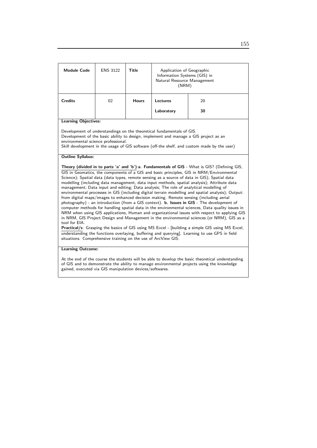| <b>Module Code</b>                                                             | <b>ENS 3122</b>                                                                                                                                                                                                                                                                                     | Title        | Application of Geographic<br>Information Systems (GIS) in<br>Natural Resource Management<br>(NRM) |                                                                                                                                                                                                                                                                                                                                                                                                                                                                                                                                                                                                                                                                                                                                                                                                                                                                                                                                                                                                                                                                                                                                                                                               |  |  |
|--------------------------------------------------------------------------------|-----------------------------------------------------------------------------------------------------------------------------------------------------------------------------------------------------------------------------------------------------------------------------------------------------|--------------|---------------------------------------------------------------------------------------------------|-----------------------------------------------------------------------------------------------------------------------------------------------------------------------------------------------------------------------------------------------------------------------------------------------------------------------------------------------------------------------------------------------------------------------------------------------------------------------------------------------------------------------------------------------------------------------------------------------------------------------------------------------------------------------------------------------------------------------------------------------------------------------------------------------------------------------------------------------------------------------------------------------------------------------------------------------------------------------------------------------------------------------------------------------------------------------------------------------------------------------------------------------------------------------------------------------|--|--|
| <b>Credits</b>                                                                 | 02                                                                                                                                                                                                                                                                                                  | <b>Hours</b> | Lectures                                                                                          | 20                                                                                                                                                                                                                                                                                                                                                                                                                                                                                                                                                                                                                                                                                                                                                                                                                                                                                                                                                                                                                                                                                                                                                                                            |  |  |
|                                                                                |                                                                                                                                                                                                                                                                                                     |              | Laboratory                                                                                        | 30                                                                                                                                                                                                                                                                                                                                                                                                                                                                                                                                                                                                                                                                                                                                                                                                                                                                                                                                                                                                                                                                                                                                                                                            |  |  |
| <b>Learning Objectives:</b>                                                    |                                                                                                                                                                                                                                                                                                     |              |                                                                                                   |                                                                                                                                                                                                                                                                                                                                                                                                                                                                                                                                                                                                                                                                                                                                                                                                                                                                                                                                                                                                                                                                                                                                                                                               |  |  |
|                                                                                | Development of understandings on the theoretical fundamentals of GIS.<br>Development of the basic ability to design, implement and manage a GIS project as an<br>environmental science professional.<br>Skill development in the usage of GIS software (off-the shelf, and custom made by the user) |              |                                                                                                   |                                                                                                                                                                                                                                                                                                                                                                                                                                                                                                                                                                                                                                                                                                                                                                                                                                                                                                                                                                                                                                                                                                                                                                                               |  |  |
| <b>Outline Syllabus:</b>                                                       |                                                                                                                                                                                                                                                                                                     |              |                                                                                                   |                                                                                                                                                                                                                                                                                                                                                                                                                                                                                                                                                                                                                                                                                                                                                                                                                                                                                                                                                                                                                                                                                                                                                                                               |  |  |
|                                                                                |                                                                                                                                                                                                                                                                                                     |              |                                                                                                   | Theory (divided in to parts 'a' and 'b'): a. Fundamentals of GIS - What is GIS? (Defining GIS,                                                                                                                                                                                                                                                                                                                                                                                                                                                                                                                                                                                                                                                                                                                                                                                                                                                                                                                                                                                                                                                                                                |  |  |
| tool for EIA.<br>situations. Comprehensive training on the use of ArcView GIS. |                                                                                                                                                                                                                                                                                                     |              |                                                                                                   | GIS in Geomatics, the components of a GIS and basic principles, GIS in NRM/Environmental<br>Science); Spatial data (data types, remote sensing as a source of data in GIS); Spatial data<br>modelling (including data management, data input methods, spatial analysis); Attribute data<br>management; Data input and editing; Data analysis; The role of analytical modelling of<br>environmental processes in GIS (including digital terrain modelling and spatial analysis); Output:<br>from digital maps/images to enhanced decision making. Remote sensing (including aerial<br>photography) - an introduction (from a GIS context). <b>b. Issues in GIS</b> - The development of<br>computer methods for handling spatial data in the environmental sciences, Data quality issues in<br>NRM when using GIS applications, Human and organizational issues with respect to applying GIS<br>in NRM, GIS Project Design and Management in the environmental sciences (or NRM), GIS as a<br>Practical/s: Grasping the basics of GIS using MS Excel - [building a simple GIS using MS Excel,<br>understanding the functions overlaying, buffering and querying]. Learning to use GPS in field |  |  |
| <b>Learning Outcome:</b>                                                       |                                                                                                                                                                                                                                                                                                     |              |                                                                                                   |                                                                                                                                                                                                                                                                                                                                                                                                                                                                                                                                                                                                                                                                                                                                                                                                                                                                                                                                                                                                                                                                                                                                                                                               |  |  |
|                                                                                |                                                                                                                                                                                                                                                                                                     |              |                                                                                                   |                                                                                                                                                                                                                                                                                                                                                                                                                                                                                                                                                                                                                                                                                                                                                                                                                                                                                                                                                                                                                                                                                                                                                                                               |  |  |

At the end of the course the students will be able to develop the basic theoretical understanding of GIS and to demonstrate the ability to manage environmental projects using the knowledge gained, executed via GIS manipulation devices/softwares.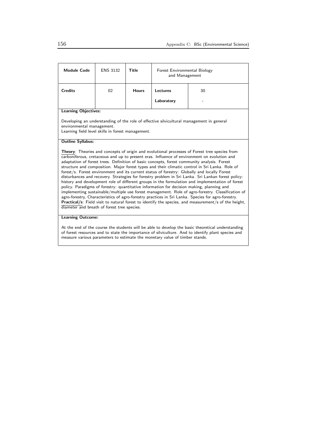| <b>Module Code</b>                                                                                                                                                                                                                                                                                                                                                                                                                                                                                                                                                                                                                                                                                                                                                                                                                                                                                                                                                                                                                                                                                                                                                            | <b>ENS 3132</b> | Title        | Forest Environmental Biology<br>and Management |    |  |
|-------------------------------------------------------------------------------------------------------------------------------------------------------------------------------------------------------------------------------------------------------------------------------------------------------------------------------------------------------------------------------------------------------------------------------------------------------------------------------------------------------------------------------------------------------------------------------------------------------------------------------------------------------------------------------------------------------------------------------------------------------------------------------------------------------------------------------------------------------------------------------------------------------------------------------------------------------------------------------------------------------------------------------------------------------------------------------------------------------------------------------------------------------------------------------|-----------------|--------------|------------------------------------------------|----|--|
| <b>Credits</b>                                                                                                                                                                                                                                                                                                                                                                                                                                                                                                                                                                                                                                                                                                                                                                                                                                                                                                                                                                                                                                                                                                                                                                | 02              | <b>Hours</b> | Lectures                                       | 30 |  |
|                                                                                                                                                                                                                                                                                                                                                                                                                                                                                                                                                                                                                                                                                                                                                                                                                                                                                                                                                                                                                                                                                                                                                                               |                 |              | Laboratory                                     |    |  |
| <b>Learning Objectives:</b>                                                                                                                                                                                                                                                                                                                                                                                                                                                                                                                                                                                                                                                                                                                                                                                                                                                                                                                                                                                                                                                                                                                                                   |                 |              |                                                |    |  |
| Developing an understanding of the role of effective silvicultural management in general<br>environmental management.<br>Learning field level skills in forest management.                                                                                                                                                                                                                                                                                                                                                                                                                                                                                                                                                                                                                                                                                                                                                                                                                                                                                                                                                                                                    |                 |              |                                                |    |  |
| <b>Outline Syllabus:</b>                                                                                                                                                                                                                                                                                                                                                                                                                                                                                                                                                                                                                                                                                                                                                                                                                                                                                                                                                                                                                                                                                                                                                      |                 |              |                                                |    |  |
| <b>Theory:</b> Theories and concepts of origin and evolutional processes of Forest tree species from<br>carboniferous, cretaceous and up to present eras. Influence of environment on evolution and<br>adaptation of forest trees. Definition of basic concepts, forest community analysis. Forest<br>structure and composition. Major forest types and their climatic control in Sri Lanka. Role of<br>forest/s. Forest environment and its current status of forestry: Globally and locally Forest<br>disturbances and recovery. Strategies for forestry problem in Sri Lanka. Sri Lankan forest policy:<br>history and development role of different groups in the formulation and implementation of forest<br>policy. Paradigms of forestry: quantitative information for decision making, planning and<br>implementing sustainable/multiple use forest management. Role of agro-forestry. Classification of<br>agro-forestry, Characteristics of agro-forestry practices in Sri Lanka. Species for agro-forestry.<br>Practical/s: Field visit to natural forest to identify the species, and measurement/s of the height,<br>diameter and breath of forest tree species. |                 |              |                                                |    |  |
| <b>Learning Outcome:</b>                                                                                                                                                                                                                                                                                                                                                                                                                                                                                                                                                                                                                                                                                                                                                                                                                                                                                                                                                                                                                                                                                                                                                      |                 |              |                                                |    |  |
| $\Lambda$ t the end of the course the students will be able to develop the basis theoretical understanding                                                                                                                                                                                                                                                                                                                                                                                                                                                                                                                                                                                                                                                                                                                                                                                                                                                                                                                                                                                                                                                                    |                 |              |                                                |    |  |

At the end of the course the students will be able to develop the basic theoretical understanding of forest resources and to state the importance of silviculture. And to identify plant species and measure various parameters to estimate the monetary value of timber stands.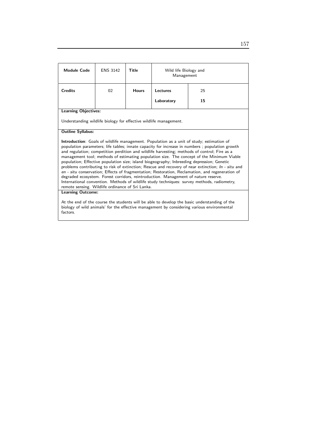| Module Code                                                                                                                                                                                                                                                                                                                                                                                                                                                                                                                                                                                                                                                                                                                                                                                                                                                                                                                              | <b>ENS 3142</b>                                                   | Title        | Wild life Biology and<br>Management |    |  |  |
|------------------------------------------------------------------------------------------------------------------------------------------------------------------------------------------------------------------------------------------------------------------------------------------------------------------------------------------------------------------------------------------------------------------------------------------------------------------------------------------------------------------------------------------------------------------------------------------------------------------------------------------------------------------------------------------------------------------------------------------------------------------------------------------------------------------------------------------------------------------------------------------------------------------------------------------|-------------------------------------------------------------------|--------------|-------------------------------------|----|--|--|
| <b>Credits</b>                                                                                                                                                                                                                                                                                                                                                                                                                                                                                                                                                                                                                                                                                                                                                                                                                                                                                                                           | 02                                                                | <b>Hours</b> | <b>Lectures</b>                     | 25 |  |  |
|                                                                                                                                                                                                                                                                                                                                                                                                                                                                                                                                                                                                                                                                                                                                                                                                                                                                                                                                          |                                                                   |              | Laboratory                          | 15 |  |  |
| <b>Learning Objectives:</b>                                                                                                                                                                                                                                                                                                                                                                                                                                                                                                                                                                                                                                                                                                                                                                                                                                                                                                              |                                                                   |              |                                     |    |  |  |
|                                                                                                                                                                                                                                                                                                                                                                                                                                                                                                                                                                                                                                                                                                                                                                                                                                                                                                                                          | Understanding wildlife biology for effective wildlife management. |              |                                     |    |  |  |
| <b>Outline Syllabus:</b>                                                                                                                                                                                                                                                                                                                                                                                                                                                                                                                                                                                                                                                                                                                                                                                                                                                                                                                 |                                                                   |              |                                     |    |  |  |
| Introduction: Goals of wildlife management. Population as a unit of study; estimation of<br>population parameters; life tables; innate capacity for increase in numbers; population growth<br>and regulation; competition perdition and wildlife harvesting; methods of control; Fire as a<br>management tool; methods of estimating population size. The concept of the Minimum Viable<br>population; Effective population size; island biogeography; Inbreeding depression; Genetic<br>problems contributing to risk of extinction; Rescue and recovery of near extinction; In - situ and<br>en - situ conservation; Effects of fragmentation; Restoration, Reclamation, and regeneration of<br>degraded ecosystem. Forest corridors, reintroduction. Management of nature reserve.<br>International convention. Methods of wildlife study techniques: survey methods, radiometry,<br>remote sensing. Wildlife ordinance of Sri Lanka. |                                                                   |              |                                     |    |  |  |
| <b>Learning Outcome:</b>                                                                                                                                                                                                                                                                                                                                                                                                                                                                                                                                                                                                                                                                                                                                                                                                                                                                                                                 |                                                                   |              |                                     |    |  |  |
| At the end of the course the students will be able to develop the basic understanding of the<br>biology of wild animals' for the effective management by considering various environmental                                                                                                                                                                                                                                                                                                                                                                                                                                                                                                                                                                                                                                                                                                                                               |                                                                   |              |                                     |    |  |  |

factors.

157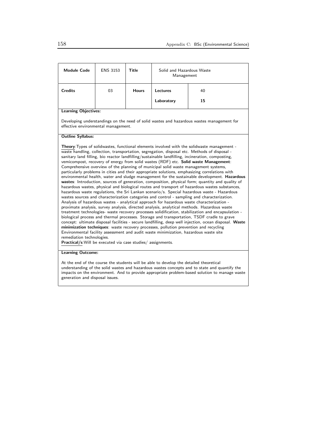| <b>Module Code</b>                                                                                                                                                                                                                                                                                                                                                                                                                                                                                                                                                                                                                                                                                                                                                                                                                                                                                                                                                                                                                                                                                                                                                                                                                                                                                                                                                                                                                                                                                                                                                                                                                                                                                                                                                                                                                                                           | <b>ENS 3153</b> | <b>Title</b> | Solid and Hazardous Waste<br>Management |    |  |
|------------------------------------------------------------------------------------------------------------------------------------------------------------------------------------------------------------------------------------------------------------------------------------------------------------------------------------------------------------------------------------------------------------------------------------------------------------------------------------------------------------------------------------------------------------------------------------------------------------------------------------------------------------------------------------------------------------------------------------------------------------------------------------------------------------------------------------------------------------------------------------------------------------------------------------------------------------------------------------------------------------------------------------------------------------------------------------------------------------------------------------------------------------------------------------------------------------------------------------------------------------------------------------------------------------------------------------------------------------------------------------------------------------------------------------------------------------------------------------------------------------------------------------------------------------------------------------------------------------------------------------------------------------------------------------------------------------------------------------------------------------------------------------------------------------------------------------------------------------------------------|-----------------|--------------|-----------------------------------------|----|--|
| <b>Credits</b>                                                                                                                                                                                                                                                                                                                                                                                                                                                                                                                                                                                                                                                                                                                                                                                                                                                                                                                                                                                                                                                                                                                                                                                                                                                                                                                                                                                                                                                                                                                                                                                                                                                                                                                                                                                                                                                               | 03              | <b>Hours</b> | Lectures                                | 40 |  |
|                                                                                                                                                                                                                                                                                                                                                                                                                                                                                                                                                                                                                                                                                                                                                                                                                                                                                                                                                                                                                                                                                                                                                                                                                                                                                                                                                                                                                                                                                                                                                                                                                                                                                                                                                                                                                                                                              |                 |              | Laboratory                              | 15 |  |
| <b>Learning Objectives:</b>                                                                                                                                                                                                                                                                                                                                                                                                                                                                                                                                                                                                                                                                                                                                                                                                                                                                                                                                                                                                                                                                                                                                                                                                                                                                                                                                                                                                                                                                                                                                                                                                                                                                                                                                                                                                                                                  |                 |              |                                         |    |  |
| Developing understandings on the need of solid wastes and hazardous wastes management for<br>effective environmental management.                                                                                                                                                                                                                                                                                                                                                                                                                                                                                                                                                                                                                                                                                                                                                                                                                                                                                                                                                                                                                                                                                                                                                                                                                                                                                                                                                                                                                                                                                                                                                                                                                                                                                                                                             |                 |              |                                         |    |  |
| <b>Outline Syllabus:</b>                                                                                                                                                                                                                                                                                                                                                                                                                                                                                                                                                                                                                                                                                                                                                                                                                                                                                                                                                                                                                                                                                                                                                                                                                                                                                                                                                                                                                                                                                                                                                                                                                                                                                                                                                                                                                                                     |                 |              |                                         |    |  |
| Theory: Types of solidwastes, functional elements involved with the solidwaste management -<br>waste handling, collection, transportation, segregation, disposal etc. Methods of disposal -<br>sanitary land filling, bio reactor landfilling/sustainable landfilling, incineration, composting,<br>vemicompost, recovery of energy from solid wastes (RDF) etc. Solid waste Management:<br>Comprehensive overview of the planning of municipal solid waste management systems,<br>particularly problems in cities and their appropriate solutions, emphasizing correlations with<br>environmental health, water and sludge management for the sustainable development. Hazardous<br>wastes: Introduction, sources of generation, composition, physical form; quantity and quality of<br>hazardous wastes, physical and biological routes and transport of hazardous wastes substances,<br>hazardous waste regulations, the Sri Lankan scenario/s. Special hazardous waste - Hazardous<br>wastes sources and characterization categories and control - sampling and characterization.<br>Analysis of hazardous wastes - analytical approach for hazardous waste characterization -<br>proximate analysis, survey analysis, directed analysis, analytical methods. Hazardous waste<br>treatment technologies- waste recovery processes solidification, stabilization and encapsulation -<br>biological process and thermal processes. Storage and transportation, TSDF cradle to grave<br>concept: ultimate disposal facilities - secure landfilling, deep well injection, ocean disposal. Waste<br>minimization techniques: waste recovery processes, pollution prevention and recycling<br>Environmental facility assessment and audit waste minimization, hazardous waste site<br>remediation technologies.<br>Practical/s: Will be executed via case studies/assignments. |                 |              |                                         |    |  |

At the end of the course the students will be able to develop the detailed theoretical understanding of the solid wastes and hazardous wastes concepts and to state and quantify the impacts on the environment. And to provide appropriate problem-based solution to manage waste generation and disposal issues.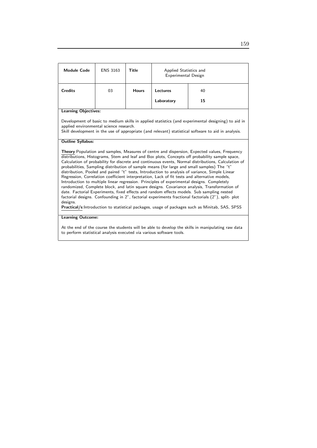| <b>Module Code</b>                                                                                                                                                                                                                                                                                                                                                                                                                                                                                                                                                                                                                                                                                                                                                                                                                                                                                                                                                                                                                                                                                                      | <b>ENS 3163</b> | <b>Title</b> | Applied Statistics and<br>Experimental Design |    |  |
|-------------------------------------------------------------------------------------------------------------------------------------------------------------------------------------------------------------------------------------------------------------------------------------------------------------------------------------------------------------------------------------------------------------------------------------------------------------------------------------------------------------------------------------------------------------------------------------------------------------------------------------------------------------------------------------------------------------------------------------------------------------------------------------------------------------------------------------------------------------------------------------------------------------------------------------------------------------------------------------------------------------------------------------------------------------------------------------------------------------------------|-----------------|--------------|-----------------------------------------------|----|--|
| <b>Credits</b>                                                                                                                                                                                                                                                                                                                                                                                                                                                                                                                                                                                                                                                                                                                                                                                                                                                                                                                                                                                                                                                                                                          | 03              | <b>Hours</b> | <b>Lectures</b>                               | 40 |  |
|                                                                                                                                                                                                                                                                                                                                                                                                                                                                                                                                                                                                                                                                                                                                                                                                                                                                                                                                                                                                                                                                                                                         |                 |              | Laboratory                                    | 15 |  |
| <b>Learning Objectives:</b>                                                                                                                                                                                                                                                                                                                                                                                                                                                                                                                                                                                                                                                                                                                                                                                                                                                                                                                                                                                                                                                                                             |                 |              |                                               |    |  |
| Development of basic to medium skills in applied statistics (and experimental designing) to aid in<br>applied environmental science research.<br>Skill development in the use of appropriate (and relevant) statistical software to aid in analysis.                                                                                                                                                                                                                                                                                                                                                                                                                                                                                                                                                                                                                                                                                                                                                                                                                                                                    |                 |              |                                               |    |  |
| <b>Outline Syllabus:</b>                                                                                                                                                                                                                                                                                                                                                                                                                                                                                                                                                                                                                                                                                                                                                                                                                                                                                                                                                                                                                                                                                                |                 |              |                                               |    |  |
| Theory: Population and samples, Measures of centre and dispersion, Expected values, Frequency<br>distributions, Histograms, Stem and leaf and Box plots, Concepts off probability sample space,<br>Calculation of probability for discrete and continuous events, Normal distributions, Calculation of<br>probabilities, Sampling distribution of sample means (for large and small samples) The "t"<br>distribution, Pooled and paired "t" tests, Introduction to analysis of variance, Simple Linear<br>Regression, Correlation coefficient interpretation, Lack of fit tests and alternative models,<br>Introduction to multiple linear regression. Principles of experimental designs. Completely<br>randomized, Complete block, and latin square designs. Covariance analysis, Transformation of<br>date. Factorial Experiments, fixed effects and random effects models. Sub sampling nested<br>factorial designs. Confounding in 2", factorial experiments fractional factorials (2"), split- plot<br>designs.<br>Practical/s:Introduction to statistical packages, usage of packages such as Minitab, SAS, SPSS |                 |              |                                               |    |  |
| <b>Learning Outcome:</b>                                                                                                                                                                                                                                                                                                                                                                                                                                                                                                                                                                                                                                                                                                                                                                                                                                                                                                                                                                                                                                                                                                |                 |              |                                               |    |  |
| At the end of the course the students will be able to develop the skills in manipulating raw data<br>to perform statistical analysis executed via various software tools.                                                                                                                                                                                                                                                                                                                                                                                                                                                                                                                                                                                                                                                                                                                                                                                                                                                                                                                                               |                 |              |                                               |    |  |
|                                                                                                                                                                                                                                                                                                                                                                                                                                                                                                                                                                                                                                                                                                                                                                                                                                                                                                                                                                                                                                                                                                                         |                 |              |                                               |    |  |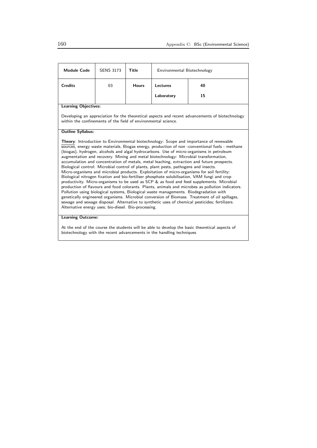| <b>Module Code</b>                                                                                                                                                                                                                                                                                                                                                                                                                                                                                                                                                                                                                                                                                                                                                                                                                                                                                                                                                                                                                                                                                                                                                                                                                                                                                                             | <b>SENS 3173</b> | Title        | Environmental Biotechnology |    |  |  |
|--------------------------------------------------------------------------------------------------------------------------------------------------------------------------------------------------------------------------------------------------------------------------------------------------------------------------------------------------------------------------------------------------------------------------------------------------------------------------------------------------------------------------------------------------------------------------------------------------------------------------------------------------------------------------------------------------------------------------------------------------------------------------------------------------------------------------------------------------------------------------------------------------------------------------------------------------------------------------------------------------------------------------------------------------------------------------------------------------------------------------------------------------------------------------------------------------------------------------------------------------------------------------------------------------------------------------------|------------------|--------------|-----------------------------|----|--|--|
| <b>Credits</b>                                                                                                                                                                                                                                                                                                                                                                                                                                                                                                                                                                                                                                                                                                                                                                                                                                                                                                                                                                                                                                                                                                                                                                                                                                                                                                                 | 03               | <b>Hours</b> | 40<br><b>Lectures</b>       |    |  |  |
|                                                                                                                                                                                                                                                                                                                                                                                                                                                                                                                                                                                                                                                                                                                                                                                                                                                                                                                                                                                                                                                                                                                                                                                                                                                                                                                                |                  |              | Laboratory                  | 15 |  |  |
| <b>Learning Objectives:</b>                                                                                                                                                                                                                                                                                                                                                                                                                                                                                                                                                                                                                                                                                                                                                                                                                                                                                                                                                                                                                                                                                                                                                                                                                                                                                                    |                  |              |                             |    |  |  |
| Developing an appreciation for the theoretical aspects and recent advancements of biotechnology<br>within the confinements of the field of environmental science.                                                                                                                                                                                                                                                                                                                                                                                                                                                                                                                                                                                                                                                                                                                                                                                                                                                                                                                                                                                                                                                                                                                                                              |                  |              |                             |    |  |  |
| <b>Outline Syllabus:</b>                                                                                                                                                                                                                                                                                                                                                                                                                                                                                                                                                                                                                                                                                                                                                                                                                                                                                                                                                                                                                                                                                                                                                                                                                                                                                                       |                  |              |                             |    |  |  |
| <b>Theory:</b> Introduction to Environmental biotechnology: Scope and importance of renewable<br>sources, energy waste materials, Biogas energy, production of non-conventional fuels - methane<br>(biogas), hydrogen, alcohols and algal hydrocarbons. Use of micro-organisms in petroleum<br>augmentation and recovery. Mining and metal biotechnology: Microbial transformation,<br>accumulation and concentration of metals, metal leaching, extraction and future prospects.<br>Biological control: Microbial control of plants, plant pests, pathogens and insects.<br>Micro-organisms and microbial products. Exploitation of micro-organisms for soil fertility:<br>Biological nitrogen fixation and bio-fertiliser phosphate solubilisation, VAM fungi and crop<br>productivity. Micro-organisms to be used as SCP & as food and feed supplements. Microbial<br>production of flavours and food colorants. Plants, animals and microbes as pollution indicators.<br>Pollution using biological systems, Biological waste managements. Biodegradation with<br>genetically engineered organisms. Microbial conversion of Biomass. Treatment of oil spillages,<br>sewage and sewage disposal. Alternative to synthetic uses of chemical pesticides; fertilizers.<br>Alternative energy uses; bio-diesel. Bio-processing. |                  |              |                             |    |  |  |

At the end of the course the students will be able to develop the basic theoretical aspects of biotechnology with the recent advancements in the handling techniques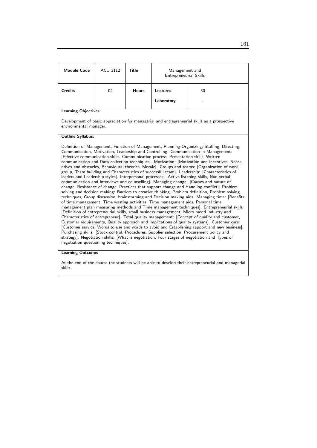| <b>Module Code</b>                                                                                                                                                                                                                                                                                                                                                                                                                                                                                                                                                                                                                                                                                                                                                                                                                                                                                                                                                                                                                                                                                                                                                                                                                                                                                                                                                                                                                                                                                                                                                                                                                                                                                                                                                                                                                                                                                 | <b>ACU 3112</b>                                                                                                        | Title        | Management and<br><b>Entrepreneurial Skills</b> |    |  |
|----------------------------------------------------------------------------------------------------------------------------------------------------------------------------------------------------------------------------------------------------------------------------------------------------------------------------------------------------------------------------------------------------------------------------------------------------------------------------------------------------------------------------------------------------------------------------------------------------------------------------------------------------------------------------------------------------------------------------------------------------------------------------------------------------------------------------------------------------------------------------------------------------------------------------------------------------------------------------------------------------------------------------------------------------------------------------------------------------------------------------------------------------------------------------------------------------------------------------------------------------------------------------------------------------------------------------------------------------------------------------------------------------------------------------------------------------------------------------------------------------------------------------------------------------------------------------------------------------------------------------------------------------------------------------------------------------------------------------------------------------------------------------------------------------------------------------------------------------------------------------------------------------|------------------------------------------------------------------------------------------------------------------------|--------------|-------------------------------------------------|----|--|
| <b>Credits</b>                                                                                                                                                                                                                                                                                                                                                                                                                                                                                                                                                                                                                                                                                                                                                                                                                                                                                                                                                                                                                                                                                                                                                                                                                                                                                                                                                                                                                                                                                                                                                                                                                                                                                                                                                                                                                                                                                     | 02                                                                                                                     | <b>Hours</b> | Lectures                                        | 30 |  |
|                                                                                                                                                                                                                                                                                                                                                                                                                                                                                                                                                                                                                                                                                                                                                                                                                                                                                                                                                                                                                                                                                                                                                                                                                                                                                                                                                                                                                                                                                                                                                                                                                                                                                                                                                                                                                                                                                                    |                                                                                                                        |              | Laboratory                                      |    |  |
| <b>Learning Objectives:</b>                                                                                                                                                                                                                                                                                                                                                                                                                                                                                                                                                                                                                                                                                                                                                                                                                                                                                                                                                                                                                                                                                                                                                                                                                                                                                                                                                                                                                                                                                                                                                                                                                                                                                                                                                                                                                                                                        |                                                                                                                        |              |                                                 |    |  |
|                                                                                                                                                                                                                                                                                                                                                                                                                                                                                                                                                                                                                                                                                                                                                                                                                                                                                                                                                                                                                                                                                                                                                                                                                                                                                                                                                                                                                                                                                                                                                                                                                                                                                                                                                                                                                                                                                                    | Development of basic appreciation for managerial and entrepreneurial skills as a prospective<br>environmental manager. |              |                                                 |    |  |
| <b>Outline Syllabus:</b>                                                                                                                                                                                                                                                                                                                                                                                                                                                                                                                                                                                                                                                                                                                                                                                                                                                                                                                                                                                                                                                                                                                                                                                                                                                                                                                                                                                                                                                                                                                                                                                                                                                                                                                                                                                                                                                                           |                                                                                                                        |              |                                                 |    |  |
| Definition of Management, Function of Management, Planning Organizing, Staffing, Directing,<br>Communication, Motivation, Leadership and Controlling. Communication in Management:<br>[Effective communication skills, Communication process, Presentation skills, Written<br>communication and Data collection techniques]. Motivation: [Motivation and incentives, Needs,<br>drives and obstacles, Behavioural theories, Morale]. Groups and teams: [Organization of work<br>group, Team building and Characteristics of successful team]. Leadership: [Characteristics of<br>leaders and Leadership styles]. Interpersonal processes: [Active listening skills, Non-verbal<br>communication and Interviews and counselling]. Managing change: [Causes and nature of<br>change, Resistance of change, Practices that support change and Handling conflict]. Problem<br>solving and decision making: Barriers to creative thinking, Problem definition, Problem solving<br>techniques, Group discussion, brainstorming and Decision making aids. Managing time: [Benefits<br>of time management, Time wasting activities, Time management aids, Personal time<br>management plan measuring methods and Time management techniques]. Entrepreneurial skills:<br>[Definition of entrepreneurial skills, small business management, Micro based industry and<br>Characteristics of entrepreneur]. Total quality management: [Concept of quality and customer,<br>Customer requirements, Quality approach and Implications of quality systems]. Customer care:<br>[Customer service, Words to use and words to avoid and Establishing rapport and new business].<br>Purchasing skills: [Stock control, Procedures, Supplier selection, Procurement policy and<br>strategy]. Negotiation skills: [What is negotiation, Four stages of negotiation and Types of<br>negotiation questioning techniques]. |                                                                                                                        |              |                                                 |    |  |

#### Learning Outcome:

At the end of the course the students will be able to develop their entrepreneurial and managerial skills.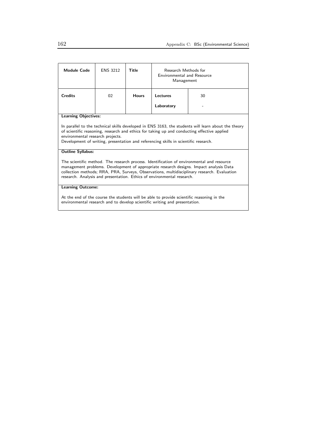| <b>Module Code</b>                                                                                                                                                                                                                                                                                                                                           | <b>ENS 3212</b> | Title        | Research Methods for<br><b>Environmental and Resource</b><br>Management |    |
|--------------------------------------------------------------------------------------------------------------------------------------------------------------------------------------------------------------------------------------------------------------------------------------------------------------------------------------------------------------|-----------------|--------------|-------------------------------------------------------------------------|----|
| <b>Credits</b>                                                                                                                                                                                                                                                                                                                                               | 02              | <b>Hours</b> | Lectures                                                                | 30 |
|                                                                                                                                                                                                                                                                                                                                                              |                 |              | Laboratory                                                              |    |
| <b>Learning Objectives:</b>                                                                                                                                                                                                                                                                                                                                  |                 |              |                                                                         |    |
| In parallel to the technical skills developed in ENS 3163, the students will learn about the theory<br>of scientific reasoning, research and ethics for taking up and conducting effective applied<br>environmental research projects.<br>Development of writing, presentation and referencing skills in scientific research.                                |                 |              |                                                                         |    |
| <b>Outline Syllabus:</b>                                                                                                                                                                                                                                                                                                                                     |                 |              |                                                                         |    |
| The scientific method. The research process. Identification of environmental and resource<br>management problems. Development of appropriate research designs. Impact analysis Data<br>collection methods; RRA, PRA, Surveys, Observations, multidisciplinary research. Evaluation<br>research. Analysis and presentation. Ethics of environmental research. |                 |              |                                                                         |    |
| <b>Learning Outcome:</b>                                                                                                                                                                                                                                                                                                                                     |                 |              |                                                                         |    |
| At the end of the course the students will be able to provide scientific reasoning in the<br>environmental research and to develop scientific writing and presentation.                                                                                                                                                                                      |                 |              |                                                                         |    |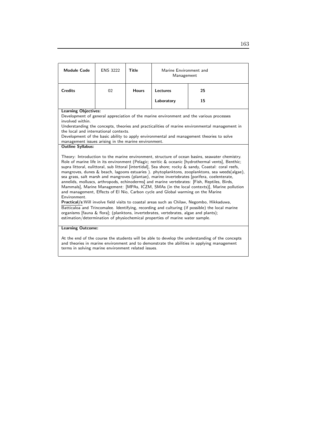| <b>Module Code</b>                                                                                                                                                                                                                                   | <b>ENS 3222</b> | Title        | Marine Environment and<br>Management                                                                                                                                                                                                                       |                                                                                                                                                                                                                                                                                                                                                                                                                                                                                                                                                                                                                                                                                                                                                                                                                                                                                                               |
|------------------------------------------------------------------------------------------------------------------------------------------------------------------------------------------------------------------------------------------------------|-----------------|--------------|------------------------------------------------------------------------------------------------------------------------------------------------------------------------------------------------------------------------------------------------------------|---------------------------------------------------------------------------------------------------------------------------------------------------------------------------------------------------------------------------------------------------------------------------------------------------------------------------------------------------------------------------------------------------------------------------------------------------------------------------------------------------------------------------------------------------------------------------------------------------------------------------------------------------------------------------------------------------------------------------------------------------------------------------------------------------------------------------------------------------------------------------------------------------------------|
| <b>Credits</b>                                                                                                                                                                                                                                       | 02              | <b>Hours</b> | Lectures                                                                                                                                                                                                                                                   | 25                                                                                                                                                                                                                                                                                                                                                                                                                                                                                                                                                                                                                                                                                                                                                                                                                                                                                                            |
|                                                                                                                                                                                                                                                      |                 |              | Laboratory                                                                                                                                                                                                                                                 | 15                                                                                                                                                                                                                                                                                                                                                                                                                                                                                                                                                                                                                                                                                                                                                                                                                                                                                                            |
| <b>Learning Objectives:</b><br>involved within.<br>the local and international contexts.                                                                                                                                                             |                 |              |                                                                                                                                                                                                                                                            | Development of general appreciation of the marine environment and the various processes<br>Understanding the concepts, theories and practicalities of marine environmental management in<br>Development of the basic ability to apply environmental and management theories to solve                                                                                                                                                                                                                                                                                                                                                                                                                                                                                                                                                                                                                          |
| management issues arising in the marine environment.<br><b>Outline Syllabus:</b>                                                                                                                                                                     |                 |              |                                                                                                                                                                                                                                                            |                                                                                                                                                                                                                                                                                                                                                                                                                                                                                                                                                                                                                                                                                                                                                                                                                                                                                                               |
| Environment.                                                                                                                                                                                                                                         |                 |              | and management, Effects of El Nio, Carbon cycle and Global warming on the Marine<br>organisms [fauna & flora]; (planktons, invertebrates, vertebrates, algae and plants);<br>estimation/determination of physiochemical properties of marine water sample. | Theory: Introduction to the marine environment, structure of ocean basins, seawater chemistry.<br>Role of marine life in its environment (Pelagic; neritic & oceanic [hydrothermal vents], Benthic;<br>supra littoral, eulittoral, sub littoral [intertidal], Sea shore; rocky & sandy, Coastal: coral reefs,<br>mangroves, dunes & beach, lagoons estuaries). phytoplanktons, zooplanktons, sea weeds(algae),<br>sea grass, salt marsh and mangroves (plantae), marine invertebrates [porifera, coelenterate,<br>annelids, molluscs, arthropods, echinoderms] and marine vertebrates: [Fish, Reptiles, Birds,<br>Mammals], Marine Management: [MPAs, ICZM, SMAs (in the local contexts)], Marine pollution<br>Practical/s: Will involve field visits to coastal areas such as Chilaw, Negombo, Hikkaduwa,<br>Batticaloa and Trincomalee. Identifying, recording and culturing (if possible) the local marine |
| <b>Learning Outcome:</b>                                                                                                                                                                                                                             |                 |              |                                                                                                                                                                                                                                                            |                                                                                                                                                                                                                                                                                                                                                                                                                                                                                                                                                                                                                                                                                                                                                                                                                                                                                                               |
| At the end of the course the students will be able to develop the understanding of the concepts<br>and theories in marine environment and to demonstrate the abilities in applying management<br>terms in solving marine environment related issues. |                 |              |                                                                                                                                                                                                                                                            |                                                                                                                                                                                                                                                                                                                                                                                                                                                                                                                                                                                                                                                                                                                                                                                                                                                                                                               |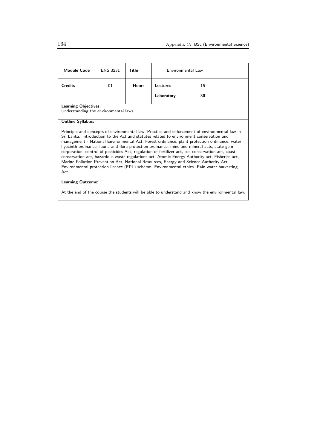| <b>Module Code</b>                   | <b>ENS 3231</b> | Title        | Environmental Law |                                                                                                                                                                                                                                                                                                                                                                                                                                                                                                                                                                                                                                                                                                                                                                                        |
|--------------------------------------|-----------------|--------------|-------------------|----------------------------------------------------------------------------------------------------------------------------------------------------------------------------------------------------------------------------------------------------------------------------------------------------------------------------------------------------------------------------------------------------------------------------------------------------------------------------------------------------------------------------------------------------------------------------------------------------------------------------------------------------------------------------------------------------------------------------------------------------------------------------------------|
| <b>Credits</b>                       | 01              | <b>Hours</b> | Lectures          | 15                                                                                                                                                                                                                                                                                                                                                                                                                                                                                                                                                                                                                                                                                                                                                                                     |
|                                      |                 |              | Laboratory        | 30                                                                                                                                                                                                                                                                                                                                                                                                                                                                                                                                                                                                                                                                                                                                                                                     |
| <b>Learning Objectives:</b>          |                 |              |                   |                                                                                                                                                                                                                                                                                                                                                                                                                                                                                                                                                                                                                                                                                                                                                                                        |
| Understanding the environmental laws |                 |              |                   |                                                                                                                                                                                                                                                                                                                                                                                                                                                                                                                                                                                                                                                                                                                                                                                        |
|                                      |                 |              |                   |                                                                                                                                                                                                                                                                                                                                                                                                                                                                                                                                                                                                                                                                                                                                                                                        |
| <b>Outline Syllabus:</b>             |                 |              |                   |                                                                                                                                                                                                                                                                                                                                                                                                                                                                                                                                                                                                                                                                                                                                                                                        |
| Act.                                 |                 |              |                   | Principle and concepts of environmental law, Practice and enforcement of environmental law in<br>Sri Lanka. Introduction to the Act and statutes related to environment conservation and<br>management - National Environmental Act, Forest ordinance, plant protection ordinance, water<br>hyacinth ordinance, fauna and flora protection ordinance, mine and mineral acts, state gem<br>corporation, control of pesticides Act, regulation of fertilizer act, soil conservation act, coast<br>conservation act, hazardous waste regulations act, Atomic Energy Authority act, Fisheries act,<br>Marine Pollution Prevention Act, National Resources, Energy and Science Authority Act,<br>Environmental protection licence (EPL) scheme. Environmental ethics. Rain water harvesting |
| <b>Learning Outcome:</b>             |                 |              |                   |                                                                                                                                                                                                                                                                                                                                                                                                                                                                                                                                                                                                                                                                                                                                                                                        |
|                                      |                 |              |                   | At the end of the course the students will be able to understand and know the environmental law.                                                                                                                                                                                                                                                                                                                                                                                                                                                                                                                                                                                                                                                                                       |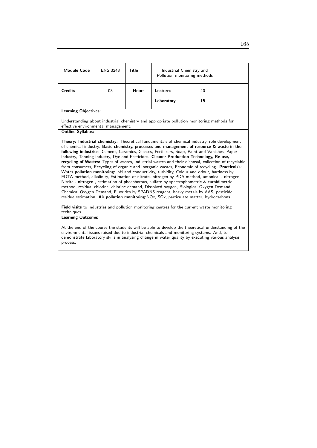| <b>Module Code</b>                  | <b>ENS 3243</b> | <b>Title</b> | Industrial Chemistry and<br>Pollution monitoring methods |                                                                                                                                                                                                                                                                                                                                                                                                                                                                                                                                                                                                                                                                                                                                                                                                                                                                                                                                                                                                                                                                                                                                                                                                                                                                                                      |
|-------------------------------------|-----------------|--------------|----------------------------------------------------------|------------------------------------------------------------------------------------------------------------------------------------------------------------------------------------------------------------------------------------------------------------------------------------------------------------------------------------------------------------------------------------------------------------------------------------------------------------------------------------------------------------------------------------------------------------------------------------------------------------------------------------------------------------------------------------------------------------------------------------------------------------------------------------------------------------------------------------------------------------------------------------------------------------------------------------------------------------------------------------------------------------------------------------------------------------------------------------------------------------------------------------------------------------------------------------------------------------------------------------------------------------------------------------------------------|
| <b>Credits</b>                      | 03              | <b>Hours</b> | Lectures                                                 | 40                                                                                                                                                                                                                                                                                                                                                                                                                                                                                                                                                                                                                                                                                                                                                                                                                                                                                                                                                                                                                                                                                                                                                                                                                                                                                                   |
|                                     |                 |              | Laboratory                                               | 15                                                                                                                                                                                                                                                                                                                                                                                                                                                                                                                                                                                                                                                                                                                                                                                                                                                                                                                                                                                                                                                                                                                                                                                                                                                                                                   |
| <b>Learning Objectives:</b>         |                 |              |                                                          |                                                                                                                                                                                                                                                                                                                                                                                                                                                                                                                                                                                                                                                                                                                                                                                                                                                                                                                                                                                                                                                                                                                                                                                                                                                                                                      |
| effective environmental management. |                 |              |                                                          | Understanding about industrial chemistry and appropriate pollution monitoring methods for                                                                                                                                                                                                                                                                                                                                                                                                                                                                                                                                                                                                                                                                                                                                                                                                                                                                                                                                                                                                                                                                                                                                                                                                            |
| <b>Outline Syllabus:</b>            |                 |              |                                                          |                                                                                                                                                                                                                                                                                                                                                                                                                                                                                                                                                                                                                                                                                                                                                                                                                                                                                                                                                                                                                                                                                                                                                                                                                                                                                                      |
| techniques.                         |                 |              |                                                          | Theory: Industrial chemistry: Theoretical fundamentals of chemical industry, role development<br>of chemical industry. Basic chemistry, processes and management of resource & waste in the<br>following industries: Cement, Ceramics, Glasses, Fertilizers, Soap, Paint and Vanishes, Paper<br>industry, Tanning industry, Dye and Pesticides. Cleaner Production Technology, Re-use,<br>recycling of Wastes: Types of wastes, industrial wastes and their disposal, collection of recyclable<br>from consumers, Recycling of organic and inorganic wastes, Economic of recycling. Practical/s:<br>Water pollution monitoring: pH and conductivity, turbidity, Colour and odour, hardness by<br>EDTA method, alkalinity, Estimation of nitrate- nitrogen by PDA method, amonical - nitrogen,<br>Nitrite - nitrogen, estimation of phosphorous, sulfate by spectrophometric & turbidimetric<br>method, residual chlorine, chlorine demand, Dissolved oxygen, Biological Oxygen Demand,<br>Chemical Oxygen Demand, Fluorides by SPADNS reagent, heavy metals by AAS, pesticide<br>residue estimation. Air pollution monitoring: NO <sub>x</sub> , SO <sub>x</sub> , particulate matter, hydrocarbons.<br>Field visits to industries and pollution monitoring centres for the current waste monitoring |
| <b>Learning Outcome:</b>            |                 |              |                                                          | At the end of the course the students will be able to develop the theoretical understanding of the<br>environmental issues raised due to industrial chemicals and monitoring systems. And, to<br>demonstrate laboratory skills in analysing change in water quality by executing various analysis                                                                                                                                                                                                                                                                                                                                                                                                                                                                                                                                                                                                                                                                                                                                                                                                                                                                                                                                                                                                    |
| process.                            |                 |              |                                                          |                                                                                                                                                                                                                                                                                                                                                                                                                                                                                                                                                                                                                                                                                                                                                                                                                                                                                                                                                                                                                                                                                                                                                                                                                                                                                                      |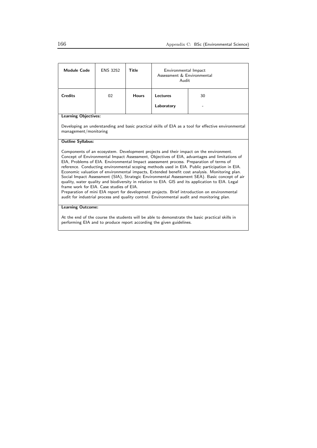| <b>Module Code</b>                       | <b>ENS 3252</b> | Title        | Environmental Impact<br>Assessment & Environmental<br>Audit          |                                                                                                                                                                                                                                                                                                                                                                                                                                                                                                                                                                                                                                                                                                                                                                                                                                                                                       |
|------------------------------------------|-----------------|--------------|----------------------------------------------------------------------|---------------------------------------------------------------------------------------------------------------------------------------------------------------------------------------------------------------------------------------------------------------------------------------------------------------------------------------------------------------------------------------------------------------------------------------------------------------------------------------------------------------------------------------------------------------------------------------------------------------------------------------------------------------------------------------------------------------------------------------------------------------------------------------------------------------------------------------------------------------------------------------|
| <b>Credits</b>                           | 02              | <b>Hours</b> | Lectures                                                             | 30                                                                                                                                                                                                                                                                                                                                                                                                                                                                                                                                                                                                                                                                                                                                                                                                                                                                                    |
|                                          |                 |              | Laboratory                                                           |                                                                                                                                                                                                                                                                                                                                                                                                                                                                                                                                                                                                                                                                                                                                                                                                                                                                                       |
| <b>Learning Objectives:</b>              |                 |              |                                                                      |                                                                                                                                                                                                                                                                                                                                                                                                                                                                                                                                                                                                                                                                                                                                                                                                                                                                                       |
| management/monitoring                    |                 |              |                                                                      | Developing an understanding and basic practical skills of EIA as a tool for effective environmental                                                                                                                                                                                                                                                                                                                                                                                                                                                                                                                                                                                                                                                                                                                                                                                   |
| <b>Outline Syllabus:</b>                 |                 |              |                                                                      |                                                                                                                                                                                                                                                                                                                                                                                                                                                                                                                                                                                                                                                                                                                                                                                                                                                                                       |
| frame work for EIA. Case studies of EIA. |                 |              |                                                                      | Components of an ecosystem. Development projects and their impact on the environment.<br>Concept of Environmental Impact Assessment, Objectives of EIA, advantages and limitations of<br>EIA, Problems of EIA. Environmental Impact assessment process. Preparation of terms of<br>reference. Conducting environmental scoping methods used in EIA. Public participation in EIA.<br>Economic valuation of environmental impacts, Extended benefit cost analysis. Monitoring plan.<br>Social Impact Assessment (SIA), Strategic Environmental Assessment SEA). Basic concept of air<br>quality, water quality and biodiversity in relation to EIA. GIS and its application to EIA. Legal<br>Preparation of mini EIA report for development projects. Brief introduction on environmental<br>audit for industrial process and quality control. Environmental audit and monitoring plan. |
| <b>Learning Outcome:</b>                 |                 |              |                                                                      |                                                                                                                                                                                                                                                                                                                                                                                                                                                                                                                                                                                                                                                                                                                                                                                                                                                                                       |
|                                          |                 |              | performing EIA and to produce report according the given guidelines. | At the end of the course the students will be able to demonstrate the basic practical skills in                                                                                                                                                                                                                                                                                                                                                                                                                                                                                                                                                                                                                                                                                                                                                                                       |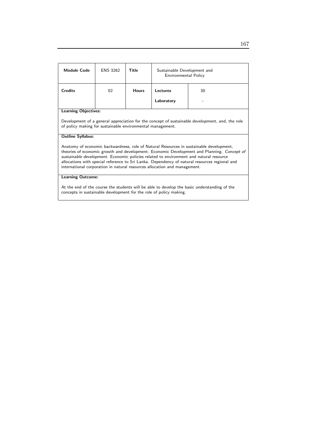| Module Code                                                                                                           | <b>ENS 3262</b> | Title        | Sustainable Development and<br>Environmental Policy                       |                                                                                                                                                                                                                                                                                                                                                                                                                                                                                     |
|-----------------------------------------------------------------------------------------------------------------------|-----------------|--------------|---------------------------------------------------------------------------|-------------------------------------------------------------------------------------------------------------------------------------------------------------------------------------------------------------------------------------------------------------------------------------------------------------------------------------------------------------------------------------------------------------------------------------------------------------------------------------|
| <b>Credits</b>                                                                                                        | 02              | <b>Hours</b> | Lectures                                                                  | 30                                                                                                                                                                                                                                                                                                                                                                                                                                                                                  |
|                                                                                                                       |                 |              | Laboratory                                                                |                                                                                                                                                                                                                                                                                                                                                                                                                                                                                     |
| <b>Learning Objectives:</b><br>of policy making for sustainable environmental management.<br><b>Outline Syllabus:</b> |                 |              | international corporation in natural resources allocation and management. | Development of a general appreciation for the concept of sustainable development, and, the role<br>Anatomy of economic backwardness, role of Natural Resources in sustainable development,<br>theories of economic growth and development. Economic Development and Planning. Concept of<br>sustainable development. Economic policies related to environment and natural resource<br>allocations with special reference to Sri Lanka. Dependency of natural resources regional and |
| <b>Learning Outcome:</b>                                                                                              |                 |              |                                                                           |                                                                                                                                                                                                                                                                                                                                                                                                                                                                                     |
|                                                                                                                       |                 |              | concepts in sustainable development for the role of policy making.        | At the end of the course the students will be able to develop the basic understanding of the                                                                                                                                                                                                                                                                                                                                                                                        |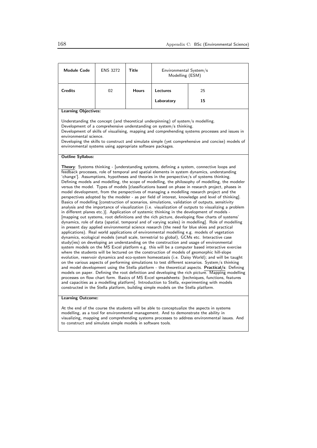| <b>Credits</b><br>02<br><b>Hours</b><br>Lectures<br>25<br>15<br>Laboratory                                                                                                                                                                                                                                                                                                                                                                                                                                                                                                                                                                                                                                                                                                                                                                                                                                                                                                                                                                                                                                                                                                                                                                                                                                                                                                                                                                                                                                                                                                                                                                                                                                                                                                                                                                                                                                                                                                                                                                                                                                                                                                                                                                                                                                                                                                                                                                                                                                                                   |  |  |  |  |  |  |
|----------------------------------------------------------------------------------------------------------------------------------------------------------------------------------------------------------------------------------------------------------------------------------------------------------------------------------------------------------------------------------------------------------------------------------------------------------------------------------------------------------------------------------------------------------------------------------------------------------------------------------------------------------------------------------------------------------------------------------------------------------------------------------------------------------------------------------------------------------------------------------------------------------------------------------------------------------------------------------------------------------------------------------------------------------------------------------------------------------------------------------------------------------------------------------------------------------------------------------------------------------------------------------------------------------------------------------------------------------------------------------------------------------------------------------------------------------------------------------------------------------------------------------------------------------------------------------------------------------------------------------------------------------------------------------------------------------------------------------------------------------------------------------------------------------------------------------------------------------------------------------------------------------------------------------------------------------------------------------------------------------------------------------------------------------------------------------------------------------------------------------------------------------------------------------------------------------------------------------------------------------------------------------------------------------------------------------------------------------------------------------------------------------------------------------------------------------------------------------------------------------------------------------------------|--|--|--|--|--|--|
|                                                                                                                                                                                                                                                                                                                                                                                                                                                                                                                                                                                                                                                                                                                                                                                                                                                                                                                                                                                                                                                                                                                                                                                                                                                                                                                                                                                                                                                                                                                                                                                                                                                                                                                                                                                                                                                                                                                                                                                                                                                                                                                                                                                                                                                                                                                                                                                                                                                                                                                                              |  |  |  |  |  |  |
|                                                                                                                                                                                                                                                                                                                                                                                                                                                                                                                                                                                                                                                                                                                                                                                                                                                                                                                                                                                                                                                                                                                                                                                                                                                                                                                                                                                                                                                                                                                                                                                                                                                                                                                                                                                                                                                                                                                                                                                                                                                                                                                                                                                                                                                                                                                                                                                                                                                                                                                                              |  |  |  |  |  |  |
| <b>Learning Objectives:</b>                                                                                                                                                                                                                                                                                                                                                                                                                                                                                                                                                                                                                                                                                                                                                                                                                                                                                                                                                                                                                                                                                                                                                                                                                                                                                                                                                                                                                                                                                                                                                                                                                                                                                                                                                                                                                                                                                                                                                                                                                                                                                                                                                                                                                                                                                                                                                                                                                                                                                                                  |  |  |  |  |  |  |
| Understanding the concept (and theoretical underpinning) of system/s modelling.<br>Development of a comprehensive understanding on system/s thinking.<br>Development of skills of visualising, mapping and comprehending systems processes and issues in<br>environmental science.<br>Developing the skills to construct and simulate simple (yet comprehensive and concise) models of<br>environmental systems using appropriate software packages.                                                                                                                                                                                                                                                                                                                                                                                                                                                                                                                                                                                                                                                                                                                                                                                                                                                                                                                                                                                                                                                                                                                                                                                                                                                                                                                                                                                                                                                                                                                                                                                                                                                                                                                                                                                                                                                                                                                                                                                                                                                                                         |  |  |  |  |  |  |
| <b>Outline Syllabus:</b>                                                                                                                                                                                                                                                                                                                                                                                                                                                                                                                                                                                                                                                                                                                                                                                                                                                                                                                                                                                                                                                                                                                                                                                                                                                                                                                                                                                                                                                                                                                                                                                                                                                                                                                                                                                                                                                                                                                                                                                                                                                                                                                                                                                                                                                                                                                                                                                                                                                                                                                     |  |  |  |  |  |  |
| Theory: Systems thinking - [understanding systems, defining a system, connective loops and<br>feedback processes, role of temporal and spatial elements in system dynamics, understanding<br>'change']. Assumptions, hypotheses and theories in the perspective/s of systems thinking.<br>Defining models and modelling, the scope of modelling, the philosophy of modelling, the modeler<br>versus the model. Types of models [classifications based on phase in research project, phases in<br>model development, from the perspectives of managing a modelling research project and the<br>perspectives adopted by the modeler - as per field of interest, knowledge and level of thinking].<br>Basics of modelling [construction of scenarios, simulations, validation of outputs, sensitivity<br>analysis and the importance of visualization (i.e. visualization of outputs to visualizing a problem<br>in different planes etc.). Application of systemic thinking in the development of models -<br>[mapping out systems, root definitions and the rich picture, developing flow charts of systems'<br>dynamics, role of data (spatial, temporal and of varying scales) in modelling]. Role of modelling<br>in present day applied environmental science research (the need for blue skies and practical<br>applications). Real world applications of environmental modelling e.g. models of vegetation<br>dynamics, ecological models (small scale, terrestrial to global), GCMs etc. Interactive case<br>study(ies) on developing an understanding on the construction and usage of environmental<br>system models on the MS Excel platform e.g. this will be a computer based interactive exercise<br>where the students will be lectured on the construction of models of geomorphic hill-slope<br>evolution, reservoir dynamics and eco-system homeostasis (i.e. Daisy World); and will be taught<br>on the various aspects of performing simulations to test different scenarios. System/s thinking<br>and model development using the Stella platform - the theoretical aspects. Practical/s: Defining<br>models on paper. Defining the root definition and developing the rich picture. Mapping modelling<br>processes on flow chart form. Basics of MS Excel spreadsheets: [techniques, functions, features<br>and capacities as a modelling platform]. Introduction to Stella, experimenting with models<br>constructed in the Stella platform, building simple models on the Stella platform.<br><b>Learning Outcome:</b> |  |  |  |  |  |  |
| At the end of the course the students will be able to conceptualize the aspects in systems                                                                                                                                                                                                                                                                                                                                                                                                                                                                                                                                                                                                                                                                                                                                                                                                                                                                                                                                                                                                                                                                                                                                                                                                                                                                                                                                                                                                                                                                                                                                                                                                                                                                                                                                                                                                                                                                                                                                                                                                                                                                                                                                                                                                                                                                                                                                                                                                                                                   |  |  |  |  |  |  |

modelling, as a tool for environmental management. And to demonstrate the ability in visualizing, mapping and comprehending systems processes to address environmental issues. And to construct and simulate simple models in software tools.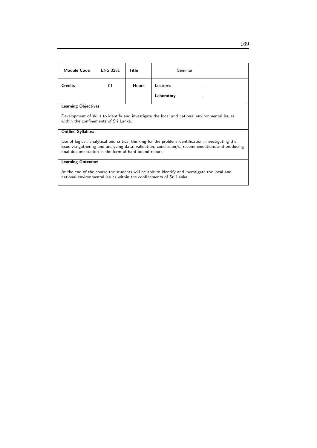| <b>Module Code</b>                                                                                                                                                                                                                                             | <b>ENS 3281</b> | Title        | Seminar    |  |
|----------------------------------------------------------------------------------------------------------------------------------------------------------------------------------------------------------------------------------------------------------------|-----------------|--------------|------------|--|
| <b>Credits</b>                                                                                                                                                                                                                                                 | 01              | <b>Hours</b> | Lectures   |  |
|                                                                                                                                                                                                                                                                |                 |              | Laboratory |  |
| <b>Learning Objectives:</b>                                                                                                                                                                                                                                    |                 |              |            |  |
| Development of skills to identify and investigate the local and national environmental issues<br>within the confinements of Sri Lanka.                                                                                                                         |                 |              |            |  |
| <b>Outline Syllabus:</b>                                                                                                                                                                                                                                       |                 |              |            |  |
| Use of logical, analytical and critical thinking for the problem identification, investigating the<br>issue via gathering and analyzing data, validation, conclusion/s, recommendations and producing<br>final documentation in the form of hard bound report. |                 |              |            |  |
| Learning Outcome:                                                                                                                                                                                                                                              |                 |              |            |  |
| At the end of the course the students will be able to identify and investigate the local and<br>national environmental issues within the confinements of Sri Lanka                                                                                             |                 |              |            |  |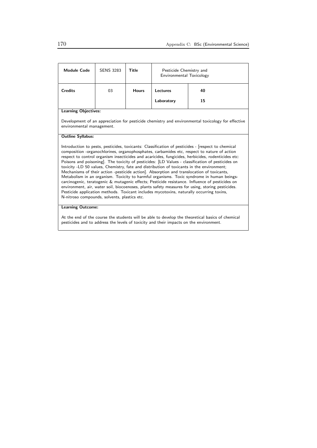| <b>Module Code</b>                                                                                                             | <b>SENS 3283</b> | Title        | Pesticide Chemistry and<br>Environmental Toxicology |                                                                                                                                                                                                                                                                                                                                                                                                                                                                                                                                                                                                                                                                                                                                                                                                                                                                                                                                                                                                      |
|--------------------------------------------------------------------------------------------------------------------------------|------------------|--------------|-----------------------------------------------------|------------------------------------------------------------------------------------------------------------------------------------------------------------------------------------------------------------------------------------------------------------------------------------------------------------------------------------------------------------------------------------------------------------------------------------------------------------------------------------------------------------------------------------------------------------------------------------------------------------------------------------------------------------------------------------------------------------------------------------------------------------------------------------------------------------------------------------------------------------------------------------------------------------------------------------------------------------------------------------------------------|
| <b>Credits</b>                                                                                                                 | 03               | <b>Hours</b> | Lectures                                            | 40                                                                                                                                                                                                                                                                                                                                                                                                                                                                                                                                                                                                                                                                                                                                                                                                                                                                                                                                                                                                   |
|                                                                                                                                |                  |              | Laboratory                                          | 15                                                                                                                                                                                                                                                                                                                                                                                                                                                                                                                                                                                                                                                                                                                                                                                                                                                                                                                                                                                                   |
| <b>Learning Objectives:</b>                                                                                                    |                  |              |                                                     |                                                                                                                                                                                                                                                                                                                                                                                                                                                                                                                                                                                                                                                                                                                                                                                                                                                                                                                                                                                                      |
| Development of an appreciation for pesticide chemistry and environmental toxicology for effective<br>environmental management. |                  |              |                                                     |                                                                                                                                                                                                                                                                                                                                                                                                                                                                                                                                                                                                                                                                                                                                                                                                                                                                                                                                                                                                      |
| <b>Outline Syllabus:</b>                                                                                                       |                  |              |                                                     |                                                                                                                                                                                                                                                                                                                                                                                                                                                                                                                                                                                                                                                                                                                                                                                                                                                                                                                                                                                                      |
| N-nitroso compounds, solvents, plastics etc.                                                                                   |                  |              |                                                     | Introduction to pests, pesticides, toxicants: Classification of pesticides - [respect to chemical<br>composition -organochlorines, organophosphates, carbamides etc, respect to nature of action<br>respect to control organism insecticides and acaricides, fungicides, herbicides, rodenticides etc:<br>Poisons and poisoning]. The toxicity of pesticides: [LD Values - classification of pesticides on<br>toxicity -LD 50 values, Chemistry, fate and distribution of toxicants in the environment;<br>Mechanisms of their action -pesticide action]. Absorption and translocation of toxicants,<br>Metabolism in an organism. Toxicity to harmful organisms. Toxic syndrome in human beings-<br>carcinogenic, teratogenic & mutagenic effects; Pesticide resistance. Influence of pesticides on<br>environment, air, water soil, biocoenoses, plants safety measures for using, storing pesticides.<br>Pesticide application methods. Toxicant includes mycotoxins, naturally occurring toxins, |
| <b>Learning Outcome:</b>                                                                                                       |                  |              |                                                     |                                                                                                                                                                                                                                                                                                                                                                                                                                                                                                                                                                                                                                                                                                                                                                                                                                                                                                                                                                                                      |

At the end of the course the students will be able to develop the theoretical basics of chemical pesticides and to address the levels of toxicity and their impacts on the environment.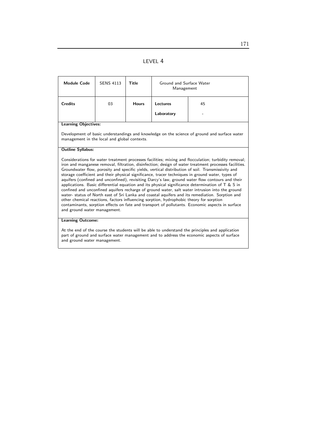### LEVEL 4

| <b>Module Code</b>                                                                                                                           | <b>SENS 4113</b>                                                                                      | Title        | Ground and Surface Water<br>Management                                                  |                                                                                                                                                                                                                                                                                                                                                                                                                                                                                                                                                                                                                                                                                                                                                                                                                                                                                                                                             |
|----------------------------------------------------------------------------------------------------------------------------------------------|-------------------------------------------------------------------------------------------------------|--------------|-----------------------------------------------------------------------------------------|---------------------------------------------------------------------------------------------------------------------------------------------------------------------------------------------------------------------------------------------------------------------------------------------------------------------------------------------------------------------------------------------------------------------------------------------------------------------------------------------------------------------------------------------------------------------------------------------------------------------------------------------------------------------------------------------------------------------------------------------------------------------------------------------------------------------------------------------------------------------------------------------------------------------------------------------|
| <b>Credits</b>                                                                                                                               | 03                                                                                                    | <b>Hours</b> | Lectures                                                                                | 45                                                                                                                                                                                                                                                                                                                                                                                                                                                                                                                                                                                                                                                                                                                                                                                                                                                                                                                                          |
|                                                                                                                                              |                                                                                                       |              | Laboratory                                                                              |                                                                                                                                                                                                                                                                                                                                                                                                                                                                                                                                                                                                                                                                                                                                                                                                                                                                                                                                             |
| <b>Learning Objectives:</b>                                                                                                                  |                                                                                                       |              |                                                                                         |                                                                                                                                                                                                                                                                                                                                                                                                                                                                                                                                                                                                                                                                                                                                                                                                                                                                                                                                             |
| Development of basic understandings and knowledge on the science of ground and surface water<br>management in the local and global contexts. |                                                                                                       |              |                                                                                         |                                                                                                                                                                                                                                                                                                                                                                                                                                                                                                                                                                                                                                                                                                                                                                                                                                                                                                                                             |
| <b>Outline Syllabus:</b>                                                                                                                     |                                                                                                       |              |                                                                                         |                                                                                                                                                                                                                                                                                                                                                                                                                                                                                                                                                                                                                                                                                                                                                                                                                                                                                                                                             |
| and ground water management.<br><b>Learning Outcome:</b>                                                                                     |                                                                                                       |              | other chemical reactions, factors influencing sorption, hydrophobic theory for sorption | Considerations for water treatment processes facilities; mixing and flocculation; turbidity removal;<br>iron and manganese removal, filtration, disinfection; design of water treatment processes facilities.<br>Groundwater flow, porosity and specific yields, vertical distribution of soil. Transmissivity and<br>storage coefficient and their physical significance, tracer techniques in ground water, types of<br>aquifers (confined and unconfined), revisiting Darcy's law, ground water flow contours and their<br>applications. Basic differential equation and its physical significance determination of $T \& S$ in<br>confined and unconfined aquifers recharge of ground water, salt water intrusion into the ground<br>water- status of North east of Sri Lanka and coastal aquifers and its remediation. Sorption and<br>contaminants, sorption effects on fate and transport of pollutants. Economic aspects in surface |
|                                                                                                                                              | $\Lambda$ the end of the course the students will be able to understand the principles and annication |              |                                                                                         |                                                                                                                                                                                                                                                                                                                                                                                                                                                                                                                                                                                                                                                                                                                                                                                                                                                                                                                                             |

At the end of the course the students will be able to understand the principles and application part of ground and surface water management and to address the economic aspects of surface and ground water management.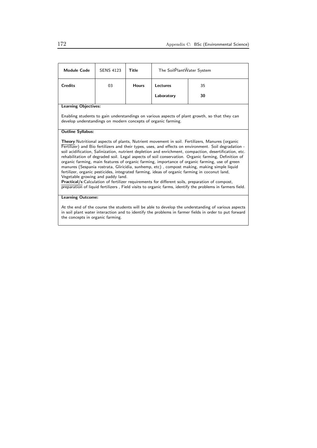| <b>Module Code</b>                                                                                                                                             | <b>SENS 4123</b> | Title        | The SoilPlantWater System |                                                                                                                                                                                                                                                                                                                                                                                                                                                                                                                                                                                                                                                                                                                                                                                                                                                                                                                                             |
|----------------------------------------------------------------------------------------------------------------------------------------------------------------|------------------|--------------|---------------------------|---------------------------------------------------------------------------------------------------------------------------------------------------------------------------------------------------------------------------------------------------------------------------------------------------------------------------------------------------------------------------------------------------------------------------------------------------------------------------------------------------------------------------------------------------------------------------------------------------------------------------------------------------------------------------------------------------------------------------------------------------------------------------------------------------------------------------------------------------------------------------------------------------------------------------------------------|
| <b>Credits</b>                                                                                                                                                 | 03               | <b>Hours</b> | Lectures                  | 35                                                                                                                                                                                                                                                                                                                                                                                                                                                                                                                                                                                                                                                                                                                                                                                                                                                                                                                                          |
|                                                                                                                                                                |                  |              | Laboratory                | 30                                                                                                                                                                                                                                                                                                                                                                                                                                                                                                                                                                                                                                                                                                                                                                                                                                                                                                                                          |
| <b>Learning Objectives:</b>                                                                                                                                    |                  |              |                           |                                                                                                                                                                                                                                                                                                                                                                                                                                                                                                                                                                                                                                                                                                                                                                                                                                                                                                                                             |
| Enabling students to gain understandings on various aspects of plant growth, so that they can<br>develop understandings on modern concepts of organic farming. |                  |              |                           |                                                                                                                                                                                                                                                                                                                                                                                                                                                                                                                                                                                                                                                                                                                                                                                                                                                                                                                                             |
| <b>Outline Syllabus:</b>                                                                                                                                       |                  |              |                           |                                                                                                                                                                                                                                                                                                                                                                                                                                                                                                                                                                                                                                                                                                                                                                                                                                                                                                                                             |
| Vegetable growing and paddy land.                                                                                                                              |                  |              |                           | Theory: Nutritional aspects of plants, Nutrient movement in soil. Fertilizers, Manures (organic<br>Fertilizer) and Bio fertilizers and their types, uses, and effects on environment. Soil degradation -<br>soil acidification, Salinization, nutrient depletion and enrichment, compaction, desertification, etc.<br>rehabilitation of degraded soil. Legal aspects of soil conservation. Organic farming, Definition of<br>organic farming, main features of organic farming, importance of organic farming, use of green<br>manures (Sespania rostrata, Gliricidia, sunhemp, etc), compost making, making simple liquid<br>fertilizer, organic pesticides, integrated farming, ideas of organic farming in coconut land,<br>Practical/s:Calculation of fertilizer requirements for different soils, preparation of compost,<br>preparation of liquid fertilizers, Field visits to organic farms, identify the problems in farmers field. |
| <b>Learning Outcome:</b>                                                                                                                                       |                  |              |                           |                                                                                                                                                                                                                                                                                                                                                                                                                                                                                                                                                                                                                                                                                                                                                                                                                                                                                                                                             |
| At the end of the course the students will be able to develop the understanding of various aspects                                                             |                  |              |                           |                                                                                                                                                                                                                                                                                                                                                                                                                                                                                                                                                                                                                                                                                                                                                                                                                                                                                                                                             |

At the end of the course the students will be able to develop the understanding of various aspects in soil plant water interaction and to identify the problems in farmer fields in order to put forward the concepts in organic farming.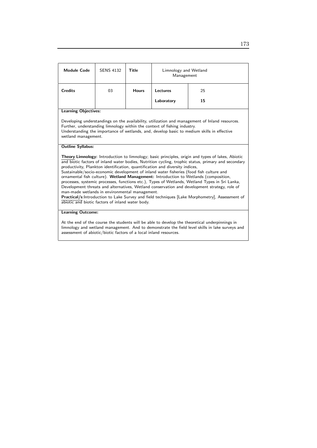| <b>Module Code</b>                                                                                                                                                                                                                                                     | <b>SENS 4132</b> | <b>Title</b> | Limnology and Wetland<br>Management                                          |                                                                                                                                                                                                                                                                                                                                                                                                                                                                                                                                                                                                                                                                                                  |
|------------------------------------------------------------------------------------------------------------------------------------------------------------------------------------------------------------------------------------------------------------------------|------------------|--------------|------------------------------------------------------------------------------|--------------------------------------------------------------------------------------------------------------------------------------------------------------------------------------------------------------------------------------------------------------------------------------------------------------------------------------------------------------------------------------------------------------------------------------------------------------------------------------------------------------------------------------------------------------------------------------------------------------------------------------------------------------------------------------------------|
| <b>Credits</b>                                                                                                                                                                                                                                                         | 03               | <b>Hours</b> | Lectures                                                                     | 25                                                                                                                                                                                                                                                                                                                                                                                                                                                                                                                                                                                                                                                                                               |
|                                                                                                                                                                                                                                                                        |                  |              | Laboratory                                                                   | 15                                                                                                                                                                                                                                                                                                                                                                                                                                                                                                                                                                                                                                                                                               |
| <b>Learning Objectives:</b>                                                                                                                                                                                                                                            |                  |              |                                                                              |                                                                                                                                                                                                                                                                                                                                                                                                                                                                                                                                                                                                                                                                                                  |
| wetland management.                                                                                                                                                                                                                                                    |                  |              | Further, understanding limnology within the context of fishing industry.     | Developing understandings on the availability, utilization and management of Inland resources.<br>Understanding the importance of wetlands, and, develop basic to medium skills in effective                                                                                                                                                                                                                                                                                                                                                                                                                                                                                                     |
| <b>Outline Syllabus:</b>                                                                                                                                                                                                                                               |                  |              |                                                                              |                                                                                                                                                                                                                                                                                                                                                                                                                                                                                                                                                                                                                                                                                                  |
| man-made wetlands in environmental management.<br>abiotic and biotic factors of inland water body.                                                                                                                                                                     |                  |              | productivity, Plankton identification, quantification and diversity indices, | Theory:Limnology: Introduction to limnology; basic principles, origin and types of lakes, Abiotic<br>and biotic factors of inland water bodies, Nutrition cycling, trophic status, primary and secondary<br>Sustainable/socio-economic development of inland water fisheries (food fish culture and<br>ornamental fish culture). Wetland Management: Introduction to Wetlands (composition,<br>processes, systemic processes, functions etc.), Types of Wetlands, Wetland Types in Sri Lanka,<br>Development threats and alternatives, Wetland conservation and development strategy, role of<br>Practical/s: Introduction to Lake Survey and field techniques [Lake Morphometry], Assessment of |
| <b>Learning Outcome:</b>                                                                                                                                                                                                                                               |                  |              |                                                                              |                                                                                                                                                                                                                                                                                                                                                                                                                                                                                                                                                                                                                                                                                                  |
| At the end of the course the students will be able to develop the theoretical underpinnings in<br>limnology and wetland management. And to demonstrate the field level skills in lake surveys and<br>assessment of abiotic/biotic factors of a local inland resources. |                  |              |                                                                              |                                                                                                                                                                                                                                                                                                                                                                                                                                                                                                                                                                                                                                                                                                  |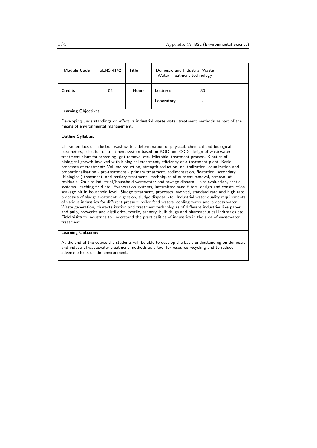| Water Treatment technology                                                                                                                                                                                                                                                                                                                                                                                                                                                                                                                                                                                                                                                                                                                                                                                                                                                                                                                                                                                                                                                                                                                                                                                                                                                                                                                                                                                                                                                                                                                                                     |  |  |  |  |
|--------------------------------------------------------------------------------------------------------------------------------------------------------------------------------------------------------------------------------------------------------------------------------------------------------------------------------------------------------------------------------------------------------------------------------------------------------------------------------------------------------------------------------------------------------------------------------------------------------------------------------------------------------------------------------------------------------------------------------------------------------------------------------------------------------------------------------------------------------------------------------------------------------------------------------------------------------------------------------------------------------------------------------------------------------------------------------------------------------------------------------------------------------------------------------------------------------------------------------------------------------------------------------------------------------------------------------------------------------------------------------------------------------------------------------------------------------------------------------------------------------------------------------------------------------------------------------|--|--|--|--|
| <b>Credits</b><br>02<br><b>Hours</b><br><b>Lectures</b><br>30                                                                                                                                                                                                                                                                                                                                                                                                                                                                                                                                                                                                                                                                                                                                                                                                                                                                                                                                                                                                                                                                                                                                                                                                                                                                                                                                                                                                                                                                                                                  |  |  |  |  |
| Laboratory                                                                                                                                                                                                                                                                                                                                                                                                                                                                                                                                                                                                                                                                                                                                                                                                                                                                                                                                                                                                                                                                                                                                                                                                                                                                                                                                                                                                                                                                                                                                                                     |  |  |  |  |
| <b>Learning Objectives:</b>                                                                                                                                                                                                                                                                                                                                                                                                                                                                                                                                                                                                                                                                                                                                                                                                                                                                                                                                                                                                                                                                                                                                                                                                                                                                                                                                                                                                                                                                                                                                                    |  |  |  |  |
| Developing understandings on effective industrial waste water treatment methods as part of the<br>means of environmental management.                                                                                                                                                                                                                                                                                                                                                                                                                                                                                                                                                                                                                                                                                                                                                                                                                                                                                                                                                                                                                                                                                                                                                                                                                                                                                                                                                                                                                                           |  |  |  |  |
| <b>Outline Syllabus:</b>                                                                                                                                                                                                                                                                                                                                                                                                                                                                                                                                                                                                                                                                                                                                                                                                                                                                                                                                                                                                                                                                                                                                                                                                                                                                                                                                                                                                                                                                                                                                                       |  |  |  |  |
| Characteristics of industrial wastewater, determination of physical, chemical and biological<br>parameters, selection of treatment system based on BOD and COD, design of wastewater<br>treatment plant for screening, grit removal etc. Microbial treatment process, Kinetics of<br>biological growth involved with biological treatment, efficiency of a treatment plant, Basic<br>processes of treatment: Volume reduction, strength reduction, neutralization, equalization and<br>proportionalisation - pre-treatment - primary treatment, sedimentation, floatation, secondary<br>(biological) treatment, and tertiary treatment - techniques of nutrient removal, removal of<br>residuals. On-site industrial/household wastewater and sewage disposal - site evaluation, septic<br>systems, leaching field etc. Evaporation systems, intermitted sand filters, design and construction<br>soakage pit in household level. Sludge treatment, processes involved, standard rate and high rate<br>processes of sludge treatment, digestion, sludge disposal etc. Industrial water quality requirements<br>of various industries for different pressure boiler feed waters, cooling water and process water.<br>Waste generation, characterization and treatment technologies of different industries like paper<br>and pulp, breweries and distilleries, textile, tannery, bulk drugs and pharmaceutical industries etc.<br>Field visits to industries to understand the practicalities of industries in the area of wastewater<br>treatment.<br><b>Learning Outcome:</b> |  |  |  |  |

At the end of the course the students will be able to develop the basic understanding on domestic and industrial wastewater treatment methods as a tool for resource recycling and to reduce adverse effects on the environment.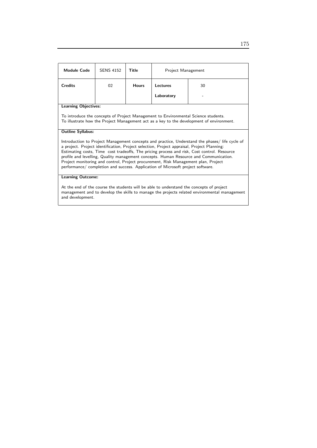| <b>Module Code</b>                                                                                                                                                                                                                                                                                                                                                                                                                                                                                                                                            | <b>SENS 4152</b>         | Title        | Project Management |    |  |
|---------------------------------------------------------------------------------------------------------------------------------------------------------------------------------------------------------------------------------------------------------------------------------------------------------------------------------------------------------------------------------------------------------------------------------------------------------------------------------------------------------------------------------------------------------------|--------------------------|--------------|--------------------|----|--|
| <b>Credits</b>                                                                                                                                                                                                                                                                                                                                                                                                                                                                                                                                                | 02                       | <b>Hours</b> | Lectures           | 30 |  |
|                                                                                                                                                                                                                                                                                                                                                                                                                                                                                                                                                               |                          |              | Laboratory         |    |  |
| <b>Learning Objectives:</b>                                                                                                                                                                                                                                                                                                                                                                                                                                                                                                                                   |                          |              |                    |    |  |
| To introduce the concepts of Project Management to Environmental Science students.<br>To illustrate how the Project Management act as a key to the development of environment.                                                                                                                                                                                                                                                                                                                                                                                |                          |              |                    |    |  |
| <b>Outline Syllabus:</b>                                                                                                                                                                                                                                                                                                                                                                                                                                                                                                                                      |                          |              |                    |    |  |
| Introduction to Project Management concepts and practice, Understand the phases/ life cycle of<br>a project. Project identification, Project selection, Project appraisal, Project Planning:<br>Estimating costs, Time cost tradeoffs, The pricing process and risk, Cost control. Resource<br>profile and levelling, Quality management concepts. Human Resource and Communication.<br>Project monitoring and control, Project procurement, Risk Management plan, Project<br>performance/ completion and success. Application of Microsoft project software. |                          |              |                    |    |  |
|                                                                                                                                                                                                                                                                                                                                                                                                                                                                                                                                                               | <b>Learning Outcome:</b> |              |                    |    |  |
| At the end of the course the students will be able to understand the concepts of project<br>management and to develop the skills to manage the projects related environmental management<br>and development.                                                                                                                                                                                                                                                                                                                                                  |                          |              |                    |    |  |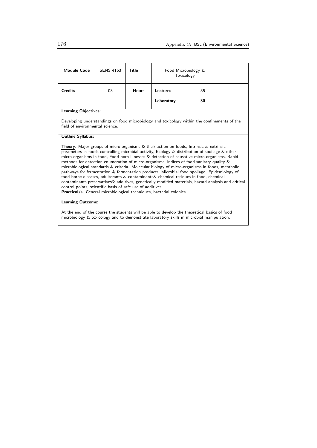| <b>Module Code</b>                                                                                                                                                                                                                                                                                                                                                                                                                                                                                                                                                                                                                                                                                                                                                                                                                                                                                                                        | <b>SENS 4163</b> | Title        | Food Microbiology &<br>Toxicology |    |  |
|-------------------------------------------------------------------------------------------------------------------------------------------------------------------------------------------------------------------------------------------------------------------------------------------------------------------------------------------------------------------------------------------------------------------------------------------------------------------------------------------------------------------------------------------------------------------------------------------------------------------------------------------------------------------------------------------------------------------------------------------------------------------------------------------------------------------------------------------------------------------------------------------------------------------------------------------|------------------|--------------|-----------------------------------|----|--|
| <b>Credits</b>                                                                                                                                                                                                                                                                                                                                                                                                                                                                                                                                                                                                                                                                                                                                                                                                                                                                                                                            | 03               | <b>Hours</b> | Lectures                          | 35 |  |
|                                                                                                                                                                                                                                                                                                                                                                                                                                                                                                                                                                                                                                                                                                                                                                                                                                                                                                                                           |                  |              | Laboratory                        | 30 |  |
| <b>Learning Objectives:</b>                                                                                                                                                                                                                                                                                                                                                                                                                                                                                                                                                                                                                                                                                                                                                                                                                                                                                                               |                  |              |                                   |    |  |
| Developing understandings on food microbiology and toxicology within the confinements of the<br>field of environmental science.                                                                                                                                                                                                                                                                                                                                                                                                                                                                                                                                                                                                                                                                                                                                                                                                           |                  |              |                                   |    |  |
| <b>Outline Syllabus:</b>                                                                                                                                                                                                                                                                                                                                                                                                                                                                                                                                                                                                                                                                                                                                                                                                                                                                                                                  |                  |              |                                   |    |  |
| <b>Theory</b> : Major groups of micro-organisms $\&$ their action on foods, Intrinsic $\&$ extrinsic<br>parameters in foods controlling microbial activity, Ecology & distribution of spoilage & other<br>micro-organisms in food, Food born illnesses & detection of causative micro-organisms, Rapid<br>methods for detection enumeration of micro-organisms, indices of food sanitary quality &<br>microbiological standards & criteria. Molecular biology of micro-organisms in foods, metabolic<br>pathways for fermentation & fermentation products, Microbial food spoilage. Epidemiology of<br>food borne diseases, adulterants & contaminants & chemical residues in food, chemical<br>contaminants preservatives& additives, genetically modified materials, hazard analysis and critical<br>control points, scientific basis of safe use of additives.<br>Practical/s: General microbiological techniques, bacterial colonies. |                  |              |                                   |    |  |
| <b>Learning Outcome:</b>                                                                                                                                                                                                                                                                                                                                                                                                                                                                                                                                                                                                                                                                                                                                                                                                                                                                                                                  |                  |              |                                   |    |  |

At the end of the course the students will be able to develop the theoretical basics of food microbiology & toxicology and to demonstrate laboratory skills in microbial manipulation.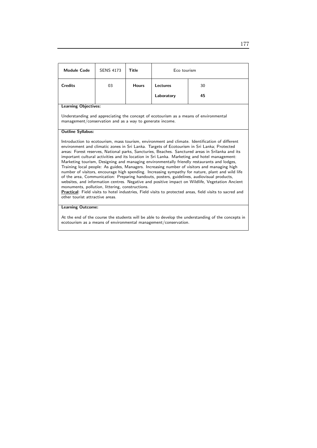| Module Code                                                                                                                                                                                                                                                                                                                                                                                                                                                                                                                                                                                                                                                                                                                                                                                                                                                                                                                                                                                                                                                                                          | <b>SENS 4173</b> | Title        | Eco tourism |    |  |
|------------------------------------------------------------------------------------------------------------------------------------------------------------------------------------------------------------------------------------------------------------------------------------------------------------------------------------------------------------------------------------------------------------------------------------------------------------------------------------------------------------------------------------------------------------------------------------------------------------------------------------------------------------------------------------------------------------------------------------------------------------------------------------------------------------------------------------------------------------------------------------------------------------------------------------------------------------------------------------------------------------------------------------------------------------------------------------------------------|------------------|--------------|-------------|----|--|
| <b>Credits</b>                                                                                                                                                                                                                                                                                                                                                                                                                                                                                                                                                                                                                                                                                                                                                                                                                                                                                                                                                                                                                                                                                       | 03               | <b>Hours</b> | Lectures    | 30 |  |
|                                                                                                                                                                                                                                                                                                                                                                                                                                                                                                                                                                                                                                                                                                                                                                                                                                                                                                                                                                                                                                                                                                      |                  |              | Laboratory  | 45 |  |
| <b>Learning Objectives:</b>                                                                                                                                                                                                                                                                                                                                                                                                                                                                                                                                                                                                                                                                                                                                                                                                                                                                                                                                                                                                                                                                          |                  |              |             |    |  |
| Understanding and appreciating the concept of ecotourism as a means of environmental<br>management/conservation and as a way to generate income.                                                                                                                                                                                                                                                                                                                                                                                                                                                                                                                                                                                                                                                                                                                                                                                                                                                                                                                                                     |                  |              |             |    |  |
| <b>Outline Syllabus:</b>                                                                                                                                                                                                                                                                                                                                                                                                                                                                                                                                                                                                                                                                                                                                                                                                                                                                                                                                                                                                                                                                             |                  |              |             |    |  |
| Introduction to ecotourism, mass tourism, environment and climate. Identification of different<br>environment and climatic zones in Sri Lanka. Targets of Ecotourism in Sri Lanka; Protected<br>areas: Forest reserves, National parks, Sancturies, Beaches. Sanctured areas in Srilanka and its<br>important cultural activities and its location in Sri Lanka. Marketing and hotel management:<br>Marketing tourism, Designing and managing environmentally friendly restaurants and lodges,<br>Training local people: As guides, Managers. Increasing number of visitors and managing high<br>number of visitors, encourage high spending. Increasing sympathy for nature, plant and wild life<br>of the area, Communication: Preparing handouts, posters, guidelines, audiovisual products,<br>websites, and information centres. Negative and positive impact on Wildlife, Vegetation Ancient<br>monuments, pollution, littering, constructions.<br>Practical: Field visits to hotel industries, Field visits to protected areas, field visits to sacred and<br>other tourist attractive areas. |                  |              |             |    |  |
| <b>Learning Outcome:</b>                                                                                                                                                                                                                                                                                                                                                                                                                                                                                                                                                                                                                                                                                                                                                                                                                                                                                                                                                                                                                                                                             |                  |              |             |    |  |

At the end of the course the students will be able to develop the understanding of the concepts in ecotourism as a means of environmental management/conservation.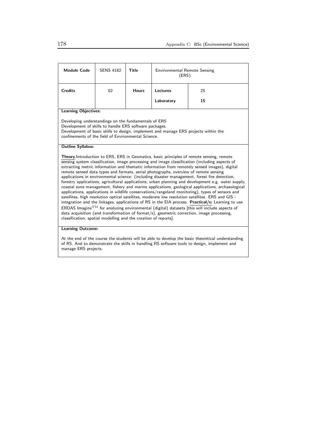| <b>Module Code</b>                                                                                                                                                                                                                                                                                                                                                                                                                                                                                                                                                                                                                                                                                                                                                                                                                                                                                                                                                                                                                                                                                                                                                                                                                                                                          | <b>SENS 4182</b>         | Title        | <b>Environmental Remote Sensing</b><br>(ERS) |    |  |  |
|---------------------------------------------------------------------------------------------------------------------------------------------------------------------------------------------------------------------------------------------------------------------------------------------------------------------------------------------------------------------------------------------------------------------------------------------------------------------------------------------------------------------------------------------------------------------------------------------------------------------------------------------------------------------------------------------------------------------------------------------------------------------------------------------------------------------------------------------------------------------------------------------------------------------------------------------------------------------------------------------------------------------------------------------------------------------------------------------------------------------------------------------------------------------------------------------------------------------------------------------------------------------------------------------|--------------------------|--------------|----------------------------------------------|----|--|--|
| <b>Credits</b>                                                                                                                                                                                                                                                                                                                                                                                                                                                                                                                                                                                                                                                                                                                                                                                                                                                                                                                                                                                                                                                                                                                                                                                                                                                                              | 02                       | <b>Hours</b> | Lectures<br>25                               |    |  |  |
|                                                                                                                                                                                                                                                                                                                                                                                                                                                                                                                                                                                                                                                                                                                                                                                                                                                                                                                                                                                                                                                                                                                                                                                                                                                                                             |                          |              | Laboratory                                   | 15 |  |  |
| <b>Learning Objectives:</b>                                                                                                                                                                                                                                                                                                                                                                                                                                                                                                                                                                                                                                                                                                                                                                                                                                                                                                                                                                                                                                                                                                                                                                                                                                                                 |                          |              |                                              |    |  |  |
| Developing understandings on the fundamentals of ERS<br>Development of skills to handle ERS software packages.<br>Development of basic skills to design, implement and manage ERS projects within the<br>confinements of the field of Environmental Science.                                                                                                                                                                                                                                                                                                                                                                                                                                                                                                                                                                                                                                                                                                                                                                                                                                                                                                                                                                                                                                |                          |              |                                              |    |  |  |
| <b>Outline Syllabus:</b>                                                                                                                                                                                                                                                                                                                                                                                                                                                                                                                                                                                                                                                                                                                                                                                                                                                                                                                                                                                                                                                                                                                                                                                                                                                                    |                          |              |                                              |    |  |  |
| Theory: Introduction to ERS, ERS in Geomatics, basic principles of remote sensing, remote<br>sensing system classification, image processing and image classification (including aspects of<br>extracting metric information and thematic information from remotely sensed images), digital<br>remote sensed data types and formats, aerial photographs, overview of remote sensing<br>applications in environmental science: (including disaster management, forest fire detection,<br>forestry applications, agricultural applications, urban planning and development e.g. water supply,<br>coastal zone management, fishery and marine applications, geological applications, archaeological<br>applications, applications in wildlife conservations/rangeland monitoring), types of sensors and<br>satellites, high resolution optical satellites, moderate low resolution satellites. ERS and GIS -<br>integration and the linkages, applications of RS in the EIA process. Practical/s: Learning to use<br>ERDAS Imagine <sup>TM</sup> for analyzing environmental (digital) datasets [this will include aspects of<br>data acquisition (and transformation of format/s), geometric correction, image processing,<br>classification, spatial modelling and the creation of reports]. |                          |              |                                              |    |  |  |
|                                                                                                                                                                                                                                                                                                                                                                                                                                                                                                                                                                                                                                                                                                                                                                                                                                                                                                                                                                                                                                                                                                                                                                                                                                                                                             | <b>Learning Outcome:</b> |              |                                              |    |  |  |
| At the end of the course the students will be able to develop the basic theoretical understanding<br>of RS. And to demonstrate the skills in handling RS software tools to design, implement and                                                                                                                                                                                                                                                                                                                                                                                                                                                                                                                                                                                                                                                                                                                                                                                                                                                                                                                                                                                                                                                                                            |                          |              |                                              |    |  |  |

manage ERS projects.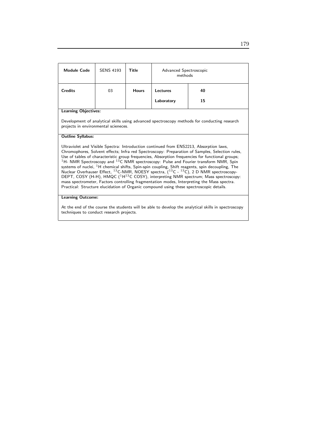| <b>Module Code</b>                                                                                                                                                                                                                                                                                                                                                                                                                                                                                                                                                                                                                                                                                                                                                                                                                                                                                            | <b>SENS 4193</b>                                                                                                                     | Title        | Advanced Spectroscopic<br>methods |    |  |
|---------------------------------------------------------------------------------------------------------------------------------------------------------------------------------------------------------------------------------------------------------------------------------------------------------------------------------------------------------------------------------------------------------------------------------------------------------------------------------------------------------------------------------------------------------------------------------------------------------------------------------------------------------------------------------------------------------------------------------------------------------------------------------------------------------------------------------------------------------------------------------------------------------------|--------------------------------------------------------------------------------------------------------------------------------------|--------------|-----------------------------------|----|--|
| <b>Credits</b>                                                                                                                                                                                                                                                                                                                                                                                                                                                                                                                                                                                                                                                                                                                                                                                                                                                                                                | 03                                                                                                                                   | <b>Hours</b> | Lectures                          | 40 |  |
|                                                                                                                                                                                                                                                                                                                                                                                                                                                                                                                                                                                                                                                                                                                                                                                                                                                                                                               |                                                                                                                                      |              | Laboratory                        | 15 |  |
| <b>Learning Objectives:</b>                                                                                                                                                                                                                                                                                                                                                                                                                                                                                                                                                                                                                                                                                                                                                                                                                                                                                   |                                                                                                                                      |              |                                   |    |  |
|                                                                                                                                                                                                                                                                                                                                                                                                                                                                                                                                                                                                                                                                                                                                                                                                                                                                                                               | Development of analytical skills using advanced spectroscopy methods for conducting research<br>projects in environmental scieneces. |              |                                   |    |  |
| <b>Outline Syllabus:</b>                                                                                                                                                                                                                                                                                                                                                                                                                                                                                                                                                                                                                                                                                                                                                                                                                                                                                      |                                                                                                                                      |              |                                   |    |  |
| Ultraviolet and Visible Spectra: Introduction continued from ENS2213, Absorption laws,<br>Chromophores, Solvent effects; Infra red Spectroscopy: Preparation of Samples, Selection rules,<br>Use of tables of characteristic group frequencies, Absorption frequencies for functional groups;<br>$^{1}$ H- NMR Spectroscopy and $^{13}$ C NMR spectroscopy: Pulse and Fourier transform NMR, Spin<br>systems of nuclei, <sup>1</sup> H chemical shifts, Spin-spin coupling, Shift reagents, spin decoupling, The<br>Nuclear Overhauser Effect, $^{13}$ C-NMR, NOESY spectra, $(^{13}C - ^{13}C)$ , 2 D NMR spectroscopy-<br>DEPT, COSY (H-H), HMQC ( $1H^{13}C$ COSY), interpreting NMR spectrum; Mass spectroscopy:<br>mass spectrometer, Factors controlling fragmentation modes, Interpreting the Mass spectra.<br>Practical: Structure elucidation of Organic compound using these spectroscopic details. |                                                                                                                                      |              |                                   |    |  |
| <b>Learning Outcome:</b>                                                                                                                                                                                                                                                                                                                                                                                                                                                                                                                                                                                                                                                                                                                                                                                                                                                                                      |                                                                                                                                      |              |                                   |    |  |
|                                                                                                                                                                                                                                                                                                                                                                                                                                                                                                                                                                                                                                                                                                                                                                                                                                                                                                               |                                                                                                                                      |              |                                   |    |  |

At the end of the course the students will be able to develop the analytical skills in spectroscopy techniques to conduct research projects.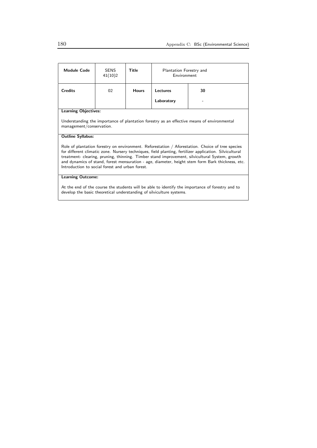| <b>Module Code</b>                                                                                                                                                                                                                                                                                                                                                                                                                                                  | <b>SENS</b><br>41(10)2 | Title        | Plantation Forestry and<br><b>Environment</b> |    |  |
|---------------------------------------------------------------------------------------------------------------------------------------------------------------------------------------------------------------------------------------------------------------------------------------------------------------------------------------------------------------------------------------------------------------------------------------------------------------------|------------------------|--------------|-----------------------------------------------|----|--|
| <b>Credits</b>                                                                                                                                                                                                                                                                                                                                                                                                                                                      | 02                     | <b>Hours</b> | Lectures                                      | 30 |  |
|                                                                                                                                                                                                                                                                                                                                                                                                                                                                     |                        |              | Laboratory                                    |    |  |
| <b>Learning Objectives:</b>                                                                                                                                                                                                                                                                                                                                                                                                                                         |                        |              |                                               |    |  |
| Understanding the importance of plantation forestry as an effective means of environmental<br>management/conservation.                                                                                                                                                                                                                                                                                                                                              |                        |              |                                               |    |  |
| <b>Outline Syllabus:</b>                                                                                                                                                                                                                                                                                                                                                                                                                                            |                        |              |                                               |    |  |
| Role of plantation forestry on environment. Reforestation / Aforestation. Choice of tree species<br>for different climatic zone. Nursery techniques, field planting, fertilizer application. Silvicultural<br>treatment- clearing, pruning, thinning. Timber stand improvement, silvicultural System, growth<br>and dynamics of stand, forest mensuration - age, diameter, height stem form Bark thickness, etc.<br>Introduction to social forest and urban forest. |                        |              |                                               |    |  |
| <b>Learning Outcome:</b>                                                                                                                                                                                                                                                                                                                                                                                                                                            |                        |              |                                               |    |  |
| At the end of the course the students will be able to identify the importance of forestry and to<br>develop the basic theoretical understanding of silviculture systems.                                                                                                                                                                                                                                                                                            |                        |              |                                               |    |  |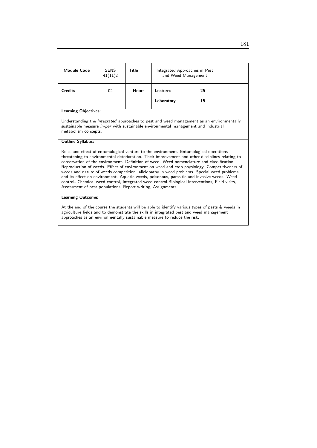| Module Code                                                                                                                                                                                                                                                                                                                                                                                                                                                                                                                                                                                                                                                                                                                                              | <b>SENS</b><br>41(11)2 | <b>Title</b> | Integrated Approaches in Pest<br>and Weed Management |    |  |
|----------------------------------------------------------------------------------------------------------------------------------------------------------------------------------------------------------------------------------------------------------------------------------------------------------------------------------------------------------------------------------------------------------------------------------------------------------------------------------------------------------------------------------------------------------------------------------------------------------------------------------------------------------------------------------------------------------------------------------------------------------|------------------------|--------------|------------------------------------------------------|----|--|
| <b>Credits</b>                                                                                                                                                                                                                                                                                                                                                                                                                                                                                                                                                                                                                                                                                                                                           | 02                     | <b>Hours</b> | Lectures                                             | 25 |  |
|                                                                                                                                                                                                                                                                                                                                                                                                                                                                                                                                                                                                                                                                                                                                                          |                        |              | Laboratory                                           | 15 |  |
| <b>Learning Objectives:</b>                                                                                                                                                                                                                                                                                                                                                                                                                                                                                                                                                                                                                                                                                                                              |                        |              |                                                      |    |  |
| Understanding the <i>integrated</i> approaches to pest and weed management as an environmentally<br>sustainable measure <i>in-par</i> with sustainable environmental management and industrial<br>metabolism concepts.                                                                                                                                                                                                                                                                                                                                                                                                                                                                                                                                   |                        |              |                                                      |    |  |
| <b>Outline Syllabus:</b>                                                                                                                                                                                                                                                                                                                                                                                                                                                                                                                                                                                                                                                                                                                                 |                        |              |                                                      |    |  |
| Roles and effect of entomological venture to the environment. Entomological operations<br>threatening to environmental deterioration. Their improvement and other disciplines relating to<br>conservation of the environment. Definition of weed. Weed nomenclature and classification.<br>Reproduction of weeds. Effect of environment on weed and crop physiology. Competitiveness of<br>weeds and nature of weeds competition. allelopathy in weed problems. Special weed problems<br>and its effect on environment. Aquatic weeds, poisonous, parasitic and invasive weeds. Weed<br>control- Chemical weed control, Integrated weed control. Biological interventions, Field visits,<br>Assessment of pest populations, Report writing, Assignments. |                        |              |                                                      |    |  |
| <b>Learning Outcome:</b>                                                                                                                                                                                                                                                                                                                                                                                                                                                                                                                                                                                                                                                                                                                                 |                        |              |                                                      |    |  |

At the end of the course the students will be able to identify various types of pests & weeds in agriculture fields and to demonstrate the skills in integrated pest and weed management approaches as an environmentally sustainable measure to reduce the risk.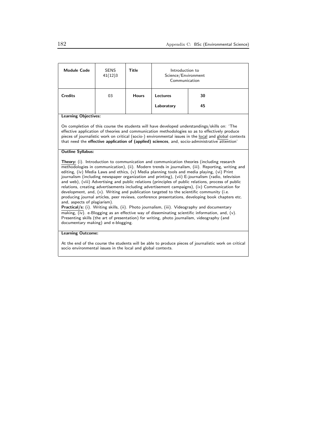| <b>Module Code</b>                                                                                                                                                                                                                                                                                                                                                                                                                                                                                                                                                                                                                                                                                                                                                                                                                                                                                                                                                                                                                                                                                                                                                                                                    | <b>SENS</b><br>41(12)3 | <b>Title</b> | Introduction to<br>Science/Environment<br>Communication |    |  |
|-----------------------------------------------------------------------------------------------------------------------------------------------------------------------------------------------------------------------------------------------------------------------------------------------------------------------------------------------------------------------------------------------------------------------------------------------------------------------------------------------------------------------------------------------------------------------------------------------------------------------------------------------------------------------------------------------------------------------------------------------------------------------------------------------------------------------------------------------------------------------------------------------------------------------------------------------------------------------------------------------------------------------------------------------------------------------------------------------------------------------------------------------------------------------------------------------------------------------|------------------------|--------------|---------------------------------------------------------|----|--|
| <b>Credits</b>                                                                                                                                                                                                                                                                                                                                                                                                                                                                                                                                                                                                                                                                                                                                                                                                                                                                                                                                                                                                                                                                                                                                                                                                        | 03                     | <b>Hours</b> | Lectures                                                | 30 |  |
|                                                                                                                                                                                                                                                                                                                                                                                                                                                                                                                                                                                                                                                                                                                                                                                                                                                                                                                                                                                                                                                                                                                                                                                                                       |                        |              | Laboratory                                              | 45 |  |
| <b>Learning Objectives:</b>                                                                                                                                                                                                                                                                                                                                                                                                                                                                                                                                                                                                                                                                                                                                                                                                                                                                                                                                                                                                                                                                                                                                                                                           |                        |              |                                                         |    |  |
| On completion of this course the students will have developed understandings/skills on: 'The<br>effective application of theories and communication methodologies so as to effectively produce<br>pieces of journalistic work on critical (socio-) environmental issues in the local and global contexts<br>that need the effective application of (applied) sciences, and, socio-administrative attention'                                                                                                                                                                                                                                                                                                                                                                                                                                                                                                                                                                                                                                                                                                                                                                                                           |                        |              |                                                         |    |  |
| <b>Outline Syllabus:</b>                                                                                                                                                                                                                                                                                                                                                                                                                                                                                                                                                                                                                                                                                                                                                                                                                                                                                                                                                                                                                                                                                                                                                                                              |                        |              |                                                         |    |  |
| <b>Theory:</b> (i). Introduction to communication and communication theories (including research<br>methodologies in communication), (ii). Modern trends in journalism, (iii). Reporting, writing and<br>editing, (iv) Media Laws and ethics, (v) Media planning tools and media playing, (vi) Print<br>journalism (including newspaper organization and printing), (vii) E-journalism (radio, television<br>and web), (viii) Advertising and public relations (principles of public relations, process of public<br>relations, creating advertisements including advertisement campaigns), (ix) Communication for<br>development, and, $(x)$ . Writing and publication targeted to the scientific community (i.e.<br>producing journal articles, peer reviews, conference presentations, developing book chapters etc.<br>and, aspects of plagiarism).<br>Practical/s: (i). Writing skills, (ii). Photo journalism, (iii). Videography and documentary<br>$\overline{\text{making}}$ , (iv). e-Blogging as an effective way of disseminating scientific information, and, (v).<br>Presenting skills (the art of presentation) for writing, photo journalism, videography (and<br>documentary making) and e-blogging. |                        |              |                                                         |    |  |
| <b>Learning Outcome:</b>                                                                                                                                                                                                                                                                                                                                                                                                                                                                                                                                                                                                                                                                                                                                                                                                                                                                                                                                                                                                                                                                                                                                                                                              |                        |              |                                                         |    |  |
| At the end of the course the students will be able to produce pieces of journalistic work on critical                                                                                                                                                                                                                                                                                                                                                                                                                                                                                                                                                                                                                                                                                                                                                                                                                                                                                                                                                                                                                                                                                                                 |                        |              |                                                         |    |  |

socio environmental issues in the local and global contexts.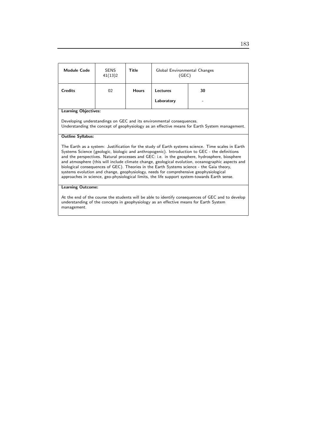| <b>Module Code</b>                                                                                                                                                                                                                                                                                                                                                                                        | SENS<br>41(13)2 | Title        | Global Environmental Changes<br>(GEC) |    |
|-----------------------------------------------------------------------------------------------------------------------------------------------------------------------------------------------------------------------------------------------------------------------------------------------------------------------------------------------------------------------------------------------------------|-----------------|--------------|---------------------------------------|----|
| <b>Credits</b>                                                                                                                                                                                                                                                                                                                                                                                            | 02              | <b>Hours</b> | Lectures                              | 30 |
|                                                                                                                                                                                                                                                                                                                                                                                                           |                 |              | Laboratory                            |    |
| <b>Learning Objectives:</b>                                                                                                                                                                                                                                                                                                                                                                               |                 |              |                                       |    |
| Developing understandings on GEC and its environmental consequences.<br>Understanding the concept of geophysiology as an effective means for Earth System management.                                                                                                                                                                                                                                     |                 |              |                                       |    |
| <b>Outline Syllabus:</b>                                                                                                                                                                                                                                                                                                                                                                                  |                 |              |                                       |    |
| The Earth as a system: Justification for the study of Earth systems science. Time scales in Earth<br>Systems Science (geologic, biologic and anthropogenic). Introduction to GEC - the definitions<br>and the perspectives. Natural processes and GEC: i.e. in the geosphere, hydrosphere, biosphere<br>and atmosphere (this will include climate change, geological evolution, oceanographic aspects and |                 |              |                                       |    |

and atmosphere (this will include climate change, geological evolution, oceanographic aspects and biological consequences of GEC). Theories in the Earth Systems science - the Gaia theory, systems evolution and change, geophysiology, needs for comprehensive geophysiological approaches in science, geo-physiological limits, the life support system-towards Earth sense.

## Learning Outcome:

At the end of the course the students will be able to identify consequences of GEC and to develop understanding of the concepts in geophysiology as an effective means for Earth System management.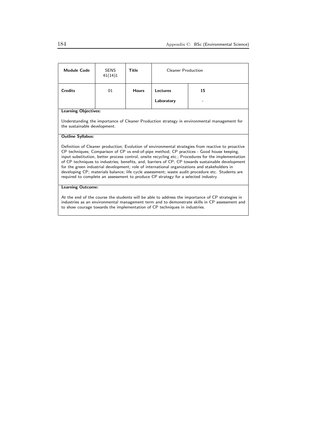| <b>Module Code</b>                                                                                                                                                                                                                                                                                                                                                                                                                                                                                                                                                                                                                                                                                      | <b>SENS</b><br>41(14)1 | Title        | <b>Cleaner Production</b> |    |  |
|---------------------------------------------------------------------------------------------------------------------------------------------------------------------------------------------------------------------------------------------------------------------------------------------------------------------------------------------------------------------------------------------------------------------------------------------------------------------------------------------------------------------------------------------------------------------------------------------------------------------------------------------------------------------------------------------------------|------------------------|--------------|---------------------------|----|--|
| <b>Credits</b>                                                                                                                                                                                                                                                                                                                                                                                                                                                                                                                                                                                                                                                                                          | 01                     | <b>Hours</b> | Lectures                  | 15 |  |
|                                                                                                                                                                                                                                                                                                                                                                                                                                                                                                                                                                                                                                                                                                         |                        |              | Laboratory                |    |  |
| <b>Learning Objectives:</b>                                                                                                                                                                                                                                                                                                                                                                                                                                                                                                                                                                                                                                                                             |                        |              |                           |    |  |
| Understanding the importance of Cleaner Production strategy in environmental management for<br>the sustainable development.                                                                                                                                                                                                                                                                                                                                                                                                                                                                                                                                                                             |                        |              |                           |    |  |
| <b>Outline Syllabus:</b>                                                                                                                                                                                                                                                                                                                                                                                                                                                                                                                                                                                                                                                                                |                        |              |                           |    |  |
| Definition of Cleaner production; Evolution of environmental strategies from reactive to proactive<br>CP techniques; Comparison of CP vs end-of-pipe method; CP practices - Good house keeping,<br>input substitution, better process control, onsite recycling etc.; Procedures for the implementation<br>of CP techniques to industries; benefits, and, barriers of CP; CP towards sustainable development<br>for the green industrial development; role of international organizations and stakeholders in<br>developing CP; materials balance; life cycle assessment; waste audit procedure etc. Students are<br>required to complete an assessment to produce CP strategy for a selected industry. |                        |              |                           |    |  |
| <b>Learning Outcome:</b>                                                                                                                                                                                                                                                                                                                                                                                                                                                                                                                                                                                                                                                                                |                        |              |                           |    |  |
| An above the fight common above the distribution of the actual distribution of the contract of $\epsilon$ D cameronics in                                                                                                                                                                                                                                                                                                                                                                                                                                                                                                                                                                               |                        |              |                           |    |  |

At the end of the course the students will be able to address the importance of CP strategies in industries as an environmental management term and to demonstrate skills in CP assessment and to show courage towards the implementation of CP techniques in industries.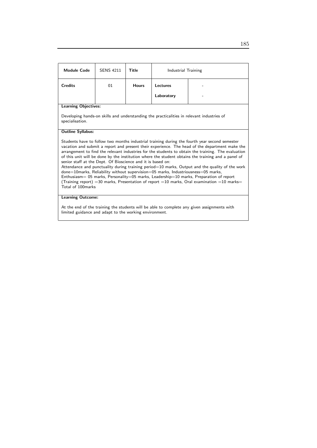| <b>Module Code</b>                                                                                                                                                                                                                                                                                                                                                                                                                                                                                                                                                                                                                                                                                                                                                                                                                                                                                    | <b>SENS 4211</b> | <b>Title</b> | Industrial Training |  |  |
|-------------------------------------------------------------------------------------------------------------------------------------------------------------------------------------------------------------------------------------------------------------------------------------------------------------------------------------------------------------------------------------------------------------------------------------------------------------------------------------------------------------------------------------------------------------------------------------------------------------------------------------------------------------------------------------------------------------------------------------------------------------------------------------------------------------------------------------------------------------------------------------------------------|------------------|--------------|---------------------|--|--|
| <b>Credits</b>                                                                                                                                                                                                                                                                                                                                                                                                                                                                                                                                                                                                                                                                                                                                                                                                                                                                                        | 01               | <b>Hours</b> | Lectures            |  |  |
|                                                                                                                                                                                                                                                                                                                                                                                                                                                                                                                                                                                                                                                                                                                                                                                                                                                                                                       |                  |              | Laboratory          |  |  |
| <b>Learning Objectives:</b>                                                                                                                                                                                                                                                                                                                                                                                                                                                                                                                                                                                                                                                                                                                                                                                                                                                                           |                  |              |                     |  |  |
| Developing hands-on skills and understanding the practicalities in relevant industries of<br>specialisation.                                                                                                                                                                                                                                                                                                                                                                                                                                                                                                                                                                                                                                                                                                                                                                                          |                  |              |                     |  |  |
| <b>Outline Syllabus:</b>                                                                                                                                                                                                                                                                                                                                                                                                                                                                                                                                                                                                                                                                                                                                                                                                                                                                              |                  |              |                     |  |  |
| Students have to follow two months industrial training during the fourth year second semester<br>vacation and submit a report and present their experience. The head of the department make the<br>arrangement to find the relevant industries for the students to obtain the training. The evaluation<br>of this unit will be done by the institution where the student obtains the training and a panel of<br>senior staff at the Dept. Of Bioscience and it is based on:<br>Attendance and punctuality during training period=10 marks, Output and the quality of the work<br>$done = 10$ marks, Reliability without supervision $= 05$ marks, Industriousness $= 05$ marks,<br>Enthusiasm = 05 marks, Personality = 05 marks, Leadership = 10 marks, Preparation of report<br>(Training report) = 30 marks, Presentation of report = 10 marks, Oral examination = 10 marks =<br>Total of 100marks |                  |              |                     |  |  |
| <b>Learning Outcome:</b>                                                                                                                                                                                                                                                                                                                                                                                                                                                                                                                                                                                                                                                                                                                                                                                                                                                                              |                  |              |                     |  |  |
| At the end of the training the students will be able to complete any given assignments with                                                                                                                                                                                                                                                                                                                                                                                                                                                                                                                                                                                                                                                                                                                                                                                                           |                  |              |                     |  |  |

At the end of the training the students will be able to complete any given assignments with limited guidance and adapt to the working environment.